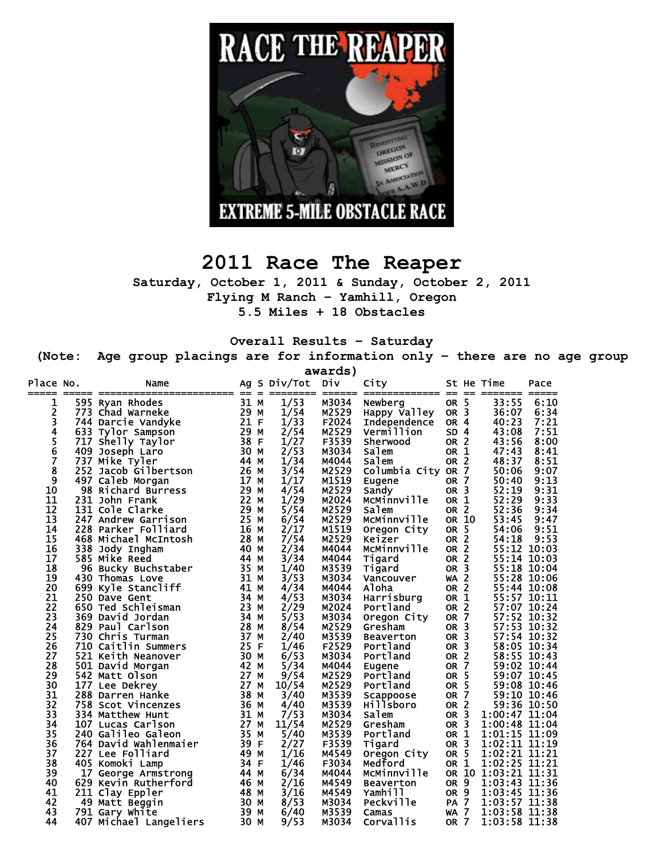

# **2011 Race The Reaper**

**Saturday, October 1, 2011 & Sunday, October 2, 2011 Flying M Ranch – Yamhill, Oregon** 

**5.5 Miles + 18 Obstacles** 

**Overall Results – Saturday** 

**(Note: Age group placings are for information only – there are no age group** 

|               | awards)                                     |              |     |              |                |                             |                                    |                         |                                |          |
|---------------|---------------------------------------------|--------------|-----|--------------|----------------|-----------------------------|------------------------------------|-------------------------|--------------------------------|----------|
| Place No.     | Name<br>=============  ==                   |              | $=$ | Ag S Div/Tot | DIV<br>====    | City                        |                                    | $=$                     | St He Time<br>=======          | Pace     |
| 1             | 595 Ryan Rhodes                             | 31 M         |     | 1/53         | M3034          | Newberg                     | OR 5                               |                         | 33:55                          | 6:10     |
| 2             | 773 Chad Warneke                            | 29 M         |     | 1/54         | M2529          | Happy Valley                | OR <sub>3</sub>                    |                         | 36:07                          | 6:34     |
| 3             | 744 Darcie Vandyke                          | 21 F         |     | 1/33         | F2024          | Independence                | OR <sub>4</sub>                    |                         | 40:23                          | 7:21     |
| 4             | 633 Tylor Sampson                           | 29 M         |     | 2/54         | M2529          | Vermillion                  | SD <sub>4</sub>                    |                         | 43:08                          | 7:51     |
|               | 717 Shelly Taylor                           | 38 F         |     | 1/27         | F3539          | Sherwood                    | OR <sub>2</sub>                    |                         | 43:56                          | 8:00     |
| $\frac{5}{6}$ | 409 Joseph Laro                             | 30 M         |     | 2/53         | M3034          | Salem                       | OR 1                               |                         | 47:43                          | 8:41     |
| 7             | 737 Mike Tyler                              | 44 M         |     | 1/34         | M4044          | Salem                       | OR <sub>2</sub>                    |                         | 48:37                          | 8:51     |
| 8             | 252 Jacob Gilbertson                        | 26 M         |     | 3/54         | M2529          | Columbia City OR 7          |                                    |                         | 50:06                          | 9:07     |
| 9             | 497 Caleb Morgan                            | 17           | м   | 1/17         | M1519          | Eugene                      | OR 7                               |                         | 50:40                          | 9:13     |
| 10            | 98 Richard Burress                          | 29           | М   | 4/54         | M2529          | Sandy                       | OR <sub>3</sub>                    |                         | 52:19                          | 9:31     |
| 11            | 231 John Frank                              | 22           | М   | 1/29         | M2024          | McMinnville                 | OR 1                               |                         | 52:29                          | 9:33     |
| 12            | 131 Cole Clarke                             | 29 M         |     | 5/54         | M2529          | salem                       | OR <sub>2</sub>                    |                         | 52:36                          | 9:34     |
| 13            | 247 Andrew Garrison                         | 25 M         |     | 6/54         | M2529          | McMinnville                 | OR 10                              |                         | 53:45                          | 9:47     |
| 14            | 228 Parker Folliard                         | 16 M         |     | 2/17         | M1519          | Oregon City                 | OR <sub>5</sub>                    |                         | 54:06                          | 9:51     |
| 15            | 468 Michael McIntosh                        | 28 M         |     | 7/54         | M2529          | Keizer                      | OR <sub>2</sub>                    |                         | 54:18                          | 9:53     |
| 16            | 338 Jody Ingham                             | 40 M         |     | 2/34         | M4044          | McMinnville                 | <b>OR</b>                          | $\overline{2}$          | 55:12 10:03                    |          |
| 17            | 585 Mike Reed                               | 44 M         |     | 3/34         | M4044          | Tigard                      | OR <sub>2</sub>                    |                         | 55:14                          | 10:03    |
| 18            | 96 Bucky Buchstaber                         | 35 M         |     | 1/40         | M3539          | Tigard                      | <b>OR</b>                          | $\overline{\mathbf{3}}$ | 55:18 10:04                    |          |
| 19            | 430 Thomas Love                             | 31 M         |     | 3/53         | M3034          | Vancouver                   | WA                                 | $\overline{2}$          | 55:28 10:06                    |          |
| 20            | 699 Kyle Stancliff                          | 41 M         |     | 4/34         | M4044          | Aloha                       | OR <sub>2</sub>                    |                         | 55:44                          | 10:08    |
| 21            | 250 Dave Gent                               | 34           | м   | 4/53         | M3034          | Harrisburg                  | OR 1                               |                         | 55:57 10:11                    |          |
| 22            | 650 Ted Schleisman                          | 23           | м   | 2/29         | M2024          | Portland                    | OR <sub>2</sub>                    |                         | 57:07                          | 10:24    |
| 23            | 369 David Jordan                            | 34 M         |     | 5/53         | M3034          | Oregon City                 | <b>OR</b>                          | $\overline{7}$          | 57:52 10:32                    |          |
| 24            | 829 Paul Carlson                            | 28 M         |     | 8/54         | M2529          | Gresham                     | OR <sub>3</sub>                    |                         | 57:53 10:32                    |          |
| 25            | 730 Chris Turman                            | 37 M         |     | 2/40         | M3539          | <b>Beaverton</b>            | <b>OR</b>                          | 3                       | 57:54                          | 10:32    |
| 26            | 710 Caitlin Summers                         | 25 F         |     | 1/46         | F2529          | Portland                    | OR <sub>3</sub>                    |                         | 58:05 10:34                    |          |
| 27            | 521 Keith Neanover                          | 30 M         |     | 6/53         | M3034          | Portland                    | OR <sub>2</sub>                    |                         | 58:55 10:43                    |          |
| 28            | 501 David Morgan                            | 42 M         |     | 5/34         | M4044          | Eugene                      | OR <sub>7</sub>                    |                         | 59:02 10:44                    |          |
| 29            | 542 Matt Olson                              | 27           | М   | 9/54         | M2529          | Portland                    | OR <sub>5</sub>                    |                         | 59:07                          | 10:45    |
| 30            | 177 Lee Dekrey                              | 27           | М   | 10/54        | M2529          | Portland                    | OR <sub>5</sub>                    |                         | 59:08 10:46                    |          |
| 31            | 288 Darren Hanke                            | 38           | М   | 3/40         | M3539          | Scappoose                   | <b>OR 7</b>                        |                         | 59:10 10:46                    |          |
| 32            | 758 Scot Vincenzes                          | 36 M         |     | 4/40         | M3539          | <b>Hillsboro</b>            | OR <sub>2</sub>                    |                         | 59:36 10:50                    |          |
| 33            | 334 Matthew Hunt                            | 31 M         |     | 7/53         | M3034          | salem                       | OR <sub>3</sub>                    |                         | 1:00:47 11:04                  |          |
| 34            | 107 Lucas Carlson                           | 27 M         |     | 11/54        | M2529          | Gresham                     | OR <sub>3</sub>                    |                         | 1:00:48 11:04                  |          |
| 35<br>36      | 240 Galileo Galeon                          | 35<br>39 F   | M   | 5/40         | M3539<br>F3539 | Portland                    | OR <sub>1</sub><br>OR <sub>3</sub> |                         | 1:01:15 11:09<br>1:02:11 11:19 |          |
|               | 764 David Wahlenmaier                       |              |     | 2/27<br>1/16 | M4549          | Tigard                      | OR <sub>5</sub>                    |                         | 1:02:21 11:21                  |          |
| 37<br>38      | 227 Lee Folliard                            | 49 M<br>34 F |     | 1/46         | F3034          | Oregon City<br>Medford      | OR 1                               |                         | 1:02:25                        | 11:21    |
| 39            | 405 Komoki Lamp                             | 44 M         |     | 6/34         | M4044          | McMinnville                 |                                    | OR 10                   | 1:03:21 11:31                  |          |
| 40            | 17 George Armstrong<br>629 Kevin Rutherford | 46 M         |     | 2/16         | M4549          |                             | OR <sub>9</sub>                    |                         | 1:03:43 11:36                  |          |
| 41            | 211 Clay Eppler                             | 48 M         |     | 3/16         | M4549          | <b>Beaverton</b><br>Yamhill | OR <sub>9</sub>                    |                         | 1:03:45 11:36                  |          |
| 42            | 49 Matt Beggin                              | 30 M         |     | 8/53         | M3034          | Peckville                   | <b>PA 7</b>                        |                         | 1:03:57                        | 11:38    |
| 43            | 791 Gary White                              | 39 M         |     | 6/40         | M3539          | Camas                       | <b>WA 7</b>                        |                         | 1:03:58                        | 38<br>11 |
| 44            | 407 Michael Langeliers                      | 30 M         |     | 9/53         | M3034          | Corvallis                   | OR 7                               |                         | 1:03:58 11:38                  |          |
|               |                                             |              |     |              |                |                             |                                    |                         |                                |          |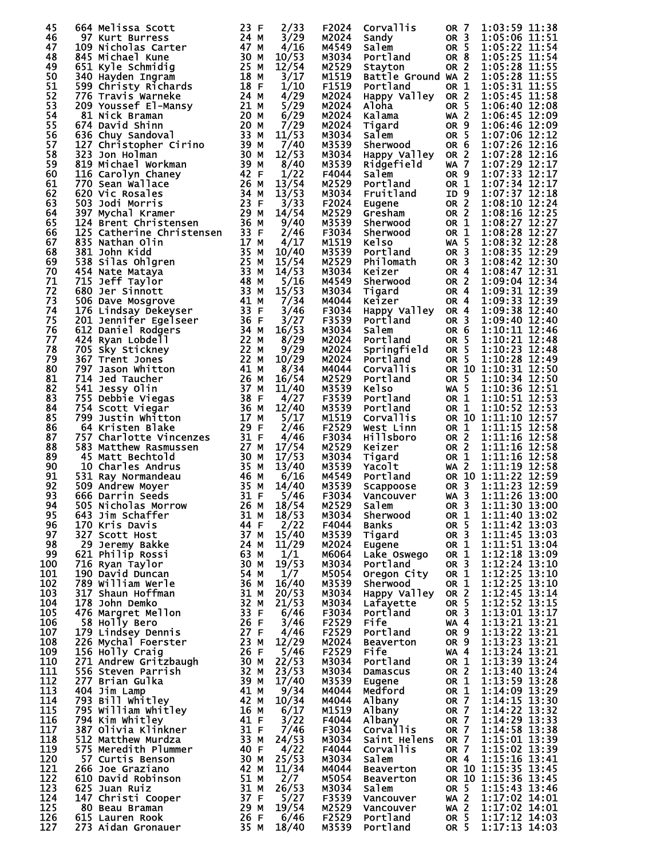| 45         | 664 Melissa Scott                                                                                                                                                                                                                                        | 23 F         | 2/33           | F2024          | Corvallis                     | OR 7                               | 1:03:59 11:38                  |
|------------|----------------------------------------------------------------------------------------------------------------------------------------------------------------------------------------------------------------------------------------------------------|--------------|----------------|----------------|-------------------------------|------------------------------------|--------------------------------|
| 46         | 97 Kurt Burress                                                                                                                                                                                                                                          | 24 M         | 3/29           | M2024          | Sandy                         | OR <sub>3</sub>                    | 1:05:06 11:51                  |
| 47         | 109 Nicholas Carter                                                                                                                                                                                                                                      | 47 M         | 4/16           | M4549          | Salem                         | OR 5                               | 1:05:22 11:54                  |
| 48<br>49   | 845 Michael Kune                                                                                                                                                                                                                                         | 30 M<br>25 M | 10/53<br>12/54 | M3034          | Portland                      | OR <sub>8</sub>                    | 1:05:25 11:54<br>1:05:28 11:55 |
| 50         | 651 Kyle Schmidig<br>340 Hayden Ingram                                                                                                                                                                                                                   | 18 M         | 3/17           | M2529<br>M1519 | Stayton<br>Battle Ground WA 2 | OR <sub>2</sub>                    | 1:05:28 11:55                  |
| 51         | 599 Christy Richards                                                                                                                                                                                                                                     | 18 F         | 1/10           | F1519          | Portland                      | OR 1                               | 1:05:31 11:55                  |
| 52         | 776 Travis Warneke                                                                                                                                                                                                                                       | 24 M         | 4/29           | M2024          | Happy Valley OR 2             |                                    | 1:05:45 11:58                  |
| 53         | 209 Youssef El-Mansy                                                                                                                                                                                                                                     | 21 M         | 5/29           | M2024          | Aloha                         | OR 5                               | 1:06:40 12:08                  |
| 54         | 81 Nick Braman                                                                                                                                                                                                                                           | 20 M         | 6/29           | M2024          | Kalama                        | $WA$ 2                             | 1:06:45 12:09                  |
| 55         | 674 David Shinn                                                                                                                                                                                                                                          | 20 M         | 7/29           | M2024          | Tigard                        | OR <sub>9</sub>                    | 1:06:46 12:09                  |
| 56         | 636 Chuy Sandoval                                                                                                                                                                                                                                        | 33 M         | 11/53          | M3034          | Salem                         | OR 5                               | 1:07:06 12:12                  |
| 57         | 127 Christopher Cirino                                                                                                                                                                                                                                   | 39 M         | 7/40           | M3539          | Sherwood                      | OR <sub>6</sub>                    | 1:07:26 12:16                  |
| 58<br>59   | 323 Jon Holman<br>819 Michael Workman                                                                                                                                                                                                                    | 30 M<br>39 M | 12/53<br>8/40  | M3034<br>M3539 | Happy Valley<br>Ridgefield    | OR <sub>2</sub><br><b>WA 7</b>     | 1:07:28 12:16<br>1:07:29 12:17 |
| 60         | 116 Carolyn Chaney                                                                                                                                                                                                                                       | 42 F         | 1/22           | F4044          | Salem                         | OR <sub>9</sub>                    | 1:07:33 12:17                  |
| 61         | 770 Sean Wallace                                                                                                                                                                                                                                         | 26 M         | 13/54          | M2529          | Portland                      | OR 1                               | 1:07:34 12:17                  |
| 62         | 620 Vic Rosales                                                                                                                                                                                                                                          | 34 M         | 13/53          | M3034          | Fruitland                     | ID 9                               | 1:07:37 12:18                  |
| 63         | 503 Jodi Morris                                                                                                                                                                                                                                          | 23 F         | 3/33           | F2024          | Eugene                        | OR 2                               | 1:08:10 12:24                  |
| 64         | 397 Mychal Kramer                                                                                                                                                                                                                                        | 29 M         | 14/54          | M2529          | Gresham                       | OR <sub>2</sub>                    | 1:08:16 12:25                  |
| 65         | 124 Brent Christensen                                                                                                                                                                                                                                    | 36 M         | 9/40           | M3539          | Sherwood                      | OR 1                               | 1:08:27 12:27                  |
| 66         | 125 Catherine Christensen                                                                                                                                                                                                                                | 33 F         | 2/46           | F3034          | Sherwood                      | OR 1                               | 1:08:28 12:27                  |
| 67         | 835 Nathan Olin                                                                                                                                                                                                                                          | 17 M         | 4/17           | M1519          | <b>Kelso</b>                  | <b>WA 5</b>                        | 1:08:32 12:28                  |
| 68         | 381 John Kidd                                                                                                                                                                                                                                            | 35 M         | 10/40          | M3539          | Portland                      | OR <sub>3</sub>                    | 1:08:35 12:29                  |
| 69<br>70   | 538 Silas Ohlgren                                                                                                                                                                                                                                        | 25 M<br>33 M | 15/54<br>14/53 | M2529          | Philomath                     | OR <sub>3</sub>                    | 1:08:42 12:30<br>1:08:47 12:31 |
| 71         | 454 Nate Mataya<br>715 Jeff Taylor                                                                                                                                                                                                                       | 48 M         | 5/16           | M3034<br>M4549 | Keizer<br>Sherwood            | OR <sub>4</sub><br>OR <sub>2</sub> | 1:09:04 12:34                  |
| 72         | 680 Jer Sinnott                                                                                                                                                                                                                                          | 33 M         | 15/53          | M3034          | Tigard                        | OR <sub>4</sub>                    | 1:09:31 12:39                  |
| 73         | 506 Dave Mosgrove                                                                                                                                                                                                                                        | 41 M         | 7/34           | M4044          | Keizer                        | OR <sub>4</sub>                    | 1:09:33 12:39                  |
| 74         | 176 Lindsay Dekeyser                                                                                                                                                                                                                                     | 33 F         | 3/46           | F3034          | Happy Valley                  | OR <sub>4</sub>                    | 1:09:38 12:40                  |
| 75         | 201 Jennifer Egelseer                                                                                                                                                                                                                                    | 36 F         | 3/27           | F3539          | Portland                      | OR <sub>3</sub>                    | 1:09:40 12:40                  |
| 76         | 612 Daniel Rodgers                                                                                                                                                                                                                                       | 34 M         | 16/53          | M3034          | Salem                         | OR 6                               | 1:10:11 12:46                  |
| 77         | 424 Ryan Lobdell                                                                                                                                                                                                                                         | 22 M         | 8/29           | M2024          | Portland                      | OR <sub>5</sub>                    | 1:10:21 12:48                  |
| 78         | 705 Sky Stickney                                                                                                                                                                                                                                         | 22 M         | 9/29           | M2024          | Springfield                   | OR <sub>5</sub>                    | 1:10:23 12:48                  |
| 79         | 367 Trent Jones                                                                                                                                                                                                                                          | 22 M         | 10/29          | M2024          | Portland                      | OR 5                               | 1:10:28 12:49                  |
| 80         | 797 Jason Whitton                                                                                                                                                                                                                                        | 41 M         | 8/34           | M4044          | Corvallis                     |                                    | OR 10 1:10:31 12:50            |
| 81<br>82   | 714 Jed Taucher<br>541 Jessy Olin                                                                                                                                                                                                                        | 26 M<br>37 M | 16/54<br>11/40 | M2529<br>M3539 | Portland<br><b>Kelso</b>      | OR 5<br><b>WA 5</b>                | 1:10:34 12:50<br>1:10:36 12:51 |
| 83         | 755 Debbie Viegas                                                                                                                                                                                                                                        | 38 F         | 4/27           | F3539          | Portland                      | OR 1                               | 1:10:51 12:53                  |
| 84         | 754 Scott Viegar                                                                                                                                                                                                                                         | 36 M         | 12/40          | M3539          | Portland                      | OR 1                               | 1:10:52 12:53                  |
| 85         | 799 Justin Whitton                                                                                                                                                                                                                                       | 17 M         | 5/17           | M1519          | Corvallis                     |                                    | OR 10 1:11:10 12:57            |
| 86         | 64 Kristen Blake                                                                                                                                                                                                                                         | 29 F         | 2/46           | F2529          | West Linn                     | OR 1                               | 1:11:15 12:58                  |
| 87         | 757 Charlotte Vincenzes                                                                                                                                                                                                                                  | 31 F         | 4/46           | F3034          | Hillsboro                     | OR 2                               | 1:11:16 12:58                  |
| 88         | 583 Matthew Rasmussen                                                                                                                                                                                                                                    | 27 M         | 17/54          | M2529          | Keizer                        | OR <sub>2</sub>                    | 1:11:16 12:58                  |
| 89         | 45 Matt Bechtold                                                                                                                                                                                                                                         | 30 M         | 17/53          | M3034          | Tigard                        | OR 1                               | 1:11:16 12:58                  |
| 90         | 10 Charles Andrus                                                                                                                                                                                                                                        | 35 M         | 13/40          | M3539          | Yacolt                        | <b>WA 2</b>                        | 1:11:19 12:58                  |
| 91         | 531 Ray Normandeau                                                                                                                                                                                                                                       | 46 M         | 6/16           | M4549          | Portland                      |                                    | OR 10 1:11:22 12:59            |
| 92<br>93   | 509 Andrew Moyer<br>666 Darrin Seeds                                                                                                                                                                                                                     | 35 M<br>31 F | 14/40<br>5/46  | M3539<br>F3034 | Scappoose<br>Vancouver        | OR <sub>3</sub><br>$WA$ 3          | 1:11:23 12:59<br>1:11:26 13:00 |
| 94         | 505 Nicholas Morrow                                                                                                                                                                                                                                      |              | 18/54          | M2529          | Salem                         |                                    | OR 3 1:11:30 13:00             |
| 95         | $\frac{26}{21}$ M<br>643 Jim Schaffer                                                                                                                                                                                                                    |              | 18/53          | M3034          | Sherwood                      | OR 1                               | 1:11:40 13:02                  |
| 96         |                                                                                                                                                                                                                                                          |              | 2/22           | F4044          | Banks                         | OR <sub>5</sub>                    | 1:11:42 13:03                  |
| 97         |                                                                                                                                                                                                                                                          |              | 15/40          | M3539          | Tigard                        | OR <sub>3</sub>                    | 1:11:45 13:03                  |
| 98         |                                                                                                                                                                                                                                                          |              | 11/29          | M2024          | Eugene                        | OR 1                               | 1:11:51 13:04                  |
| 99         |                                                                                                                                                                                                                                                          |              | 1/1            | M6064          | Lake Oswego                   | OR 1                               | 1:12:18 13:09                  |
| 100        |                                                                                                                                                                                                                                                          |              | 19/53          | M3034          | Portland                      | OR <sub>3</sub>                    | 1:12:24 13:10                  |
| 101        |                                                                                                                                                                                                                                                          |              | 1/7            | M5054          | Oregon City                   | OR 1                               | 1:12:25 13:10                  |
| 102        |                                                                                                                                                                                                                                                          |              | 16/40          | M3539          | Sherwood                      | OR 1                               | 1:12:25 13:10                  |
| 103<br>104 |                                                                                                                                                                                                                                                          |              | 20/53<br>21/53 | M3034<br>M3034 | Happy Valley<br>Lafayette     | OR 2<br>OR 5                       | 1:12:45 13:14<br>1:12:52 13:15 |
| 105        |                                                                                                                                                                                                                                                          |              | 6/46           | F3034          | Portland                      | OR <sub>3</sub>                    | 1:13:01 13:17                  |
| 106        |                                                                                                                                                                                                                                                          |              | 3/46           | F2529          | <b>Fife</b>                   | WA 4                               | 1:13:21 13:21                  |
| 107        |                                                                                                                                                                                                                                                          |              | 4/46           | F2529          | Portland                      | OR 9                               | 1:13:22 13:21                  |
| 108        |                                                                                                                                                                                                                                                          |              | 12/29          | M2024          | <b>Beaverton</b>              | OR 9                               | 1:13:23 13:21                  |
| 109        |                                                                                                                                                                                                                                                          |              | 5/46           | F2529          | Fife                          | $WA$ 4                             | 1:13:24 13:21                  |
| 110        |                                                                                                                                                                                                                                                          |              | 22/53          | M3034          | Portland                      | OR 1                               | 1:13:39 13:24                  |
| 111        |                                                                                                                                                                                                                                                          |              | 23/53          | M3034          | Damascus                      | OR <sub>2</sub>                    | 1:13:40 13:24                  |
| 112        |                                                                                                                                                                                                                                                          |              | 17/40          | M3539          | Eugene                        | OR 1                               | 1:13:59 13:28                  |
| 113<br>114 |                                                                                                                                                                                                                                                          |              | 9/34<br>10/34  | M4044          | Medford                       | OR 1                               | 1:14:09 13:29<br>1:14:15 13:30 |
| 115        |                                                                                                                                                                                                                                                          |              | 6/17           | M4044<br>M1519 | Albany<br>Albany              | <b>OR 7</b><br>OR 7                | 1:14:22 13:32                  |
| 116        |                                                                                                                                                                                                                                                          |              | 3/22           | F4044          | Albany                        | OR 7                               | 1:14:29 13:33                  |
| 117        |                                                                                                                                                                                                                                                          |              | 7/46           | F3034          | Corvallis                     | OR 7                               | 1:14:58 13:38                  |
| 118        |                                                                                                                                                                                                                                                          |              | 24/53          | M3034          | Saint Helens                  | OR <sub>7</sub>                    | 1:15:01 13:39                  |
| 119        |                                                                                                                                                                                                                                                          |              | 4/22           | F4044          | Corvallis                     | OR 7                               | 1:15:02 13:39                  |
| 120        |                                                                                                                                                                                                                                                          |              | 25/53          | M3034          | Salem                         | OR 4                               | 1:15:16 13:41                  |
| 121        |                                                                                                                                                                                                                                                          |              | 11/34          | M4044          | <b>Beaverton</b>              |                                    | OR 10 1:15:35 13:45            |
| 122        |                                                                                                                                                                                                                                                          |              | 2/7            | M5054          | <b>Beaverton</b>              |                                    | OR 10 1:15:36 13:45            |
| 123        |                                                                                                                                                                                                                                                          |              | 26/53          | M3034          | Salem                         | OR 5                               | 1:15:43 13:46                  |
| 124<br>125 |                                                                                                                                                                                                                                                          |              | 5/27<br>19/54  | F3539<br>M2529 | Vancouver<br>Vancouver        | <b>WA 2</b><br>$WA$ 2              | 1:17:02 14:01<br>1:17:02 14:01 |
| 126        |                                                                                                                                                                                                                                                          |              | 6/46           | F2529          | Portland                      | OR 5                               | 1:17:12 14:03                  |
| 127        | 505 Nicholas Morrow 26 MM<br>643 Jim Schaffer 314<br>170 Kris Davis 327 Scott Host 44<br>170 Kris Davis 44<br>172 Scott Host 44<br>7716 Ryan Taylor 630 437 44<br>176 Ryan Taylor 190 David Duncan<br>190 David Duncan<br>178 John Demko 321<br>178 John |              | 18/40          | M3539          | Portland                      | OR 5                               | 1:17:13 14:03                  |
|            |                                                                                                                                                                                                                                                          |              |                |                |                               |                                    |                                |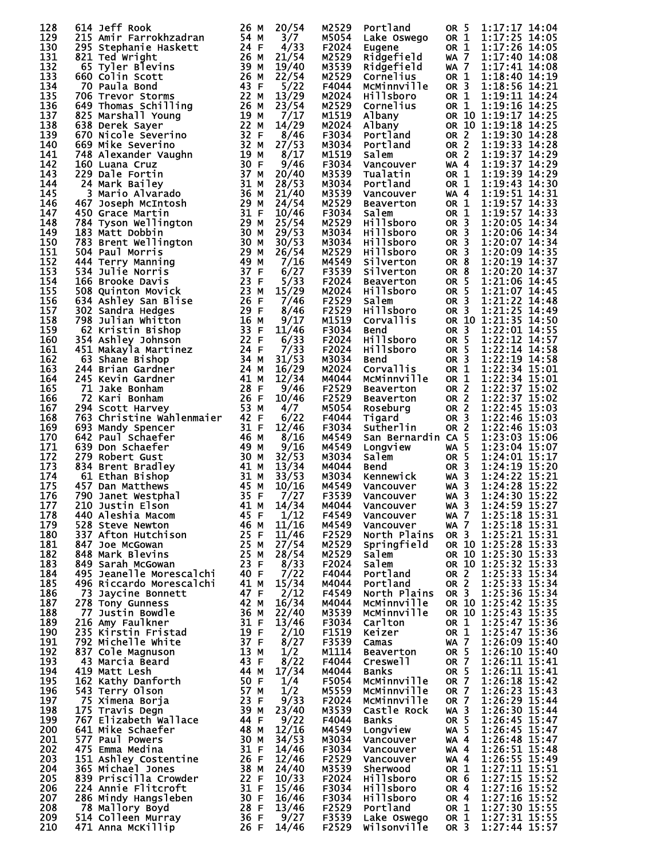| 128        | 614 Jeff Rook                                                                                                                                                                                                                                                              | 26 M              | 20/54          | M2529          | Portland                                          | OR <sub>5</sub>                    | 1:17:17 14:04                              |
|------------|----------------------------------------------------------------------------------------------------------------------------------------------------------------------------------------------------------------------------------------------------------------------------|-------------------|----------------|----------------|---------------------------------------------------|------------------------------------|--------------------------------------------|
| 129        | 215 Amir Farrokhzadran                                                                                                                                                                                                                                                     | 54 M              | 3/7            | M5054          | Lake Oswego                                       | OR 1                               | 1:17:25 14:05                              |
| 130<br>131 | 295 Stephanie Haskett<br>821 Ted Wright                                                                                                                                                                                                                                    | 24 F<br>26 M      | 4/33<br>21/54  | F2024<br>M2529 | Eugene<br>Ridgefield                              | OR 1<br>WA 7                       | 1:17:26 14:05<br>1:17:40 14:08             |
| 132        | 65 Tyler Blevins                                                                                                                                                                                                                                                           | 39 M              | 19/40          | M3539          | Ridgefield                                        | WA 7                               | 1:17:41 14:08                              |
| 133        | 660 Colin Scott                                                                                                                                                                                                                                                            | 26 M              | 22/54          | M2529          | Cornelius                                         | OR <sub>1</sub>                    | 1:18:40 14:19                              |
| 134        | 70 Paula Bond                                                                                                                                                                                                                                                              | 43 F              | 5/22           | F4044          | MCMinnville                                       | OR <sub>3</sub>                    | 1:18:56 14:21                              |
| 135<br>136 | 706 Trevor Storms                                                                                                                                                                                                                                                          | 22 M              | 13/29          | M2024          | <b>Hillsboro</b>                                  | OR 1                               | 1:19:11 14:24<br>1:19:16 14:25             |
| 137        | 649 Thomas Schilling<br>825 Marshall Young<br>638 Derek Sayer<br>670 Nicole Severino<br>669 Mike Severino<br>669 Mike Severino<br>669 Mike Severino                                                                                                                        |                   | 23/54<br>7/17  | M2529<br>M1519 | Cornelius<br>Albany                               | OR 1                               | OR 10 1:19:17 14:25                        |
| 138        |                                                                                                                                                                                                                                                                            |                   | 14/29          | M2024          | Albany                                            |                                    | OR 10 1:19:18 14:25                        |
| 139        |                                                                                                                                                                                                                                                                            |                   | 8/46           | F3034          | Portland                                          | OR 2                               | 1:19:30 14:28                              |
| 140        | 669 Mike Severino<br>748 Alexander Vaughn<br>160 Luana Cruz<br>229 Dale Fortin 37 M<br>24 Mark Bailey 31 M<br>3 Mario Alvarado 36 M                                                                                                                                        |                   | 27/53          | M3034          | Portland                                          | OR <sub>2</sub>                    | 1:19:33 14:28<br>$1:19:37$ $14:29$         |
| 141<br>142 |                                                                                                                                                                                                                                                                            |                   | 8/17<br>9/46   | M1519<br>F3034 | Salem<br>Vancouver                                | OR <sub>2</sub><br><b>WA 4</b>     | 1:19:37 14:29                              |
| 143        |                                                                                                                                                                                                                                                                            |                   | 20/40          | M3539          | Tualatin                                          | OR 1                               | 1:19:39 14:29                              |
| 144        |                                                                                                                                                                                                                                                                            |                   | 28/53          | M3034          | Portland                                          | OR 1                               | 1:19:43 14:30                              |
| 145        | 3 Mario Alvarado                                                                                                                                                                                                                                                           | 36 M              | 21/40          | M3539          | Vancouver                                         | $WA$ 4                             | 1:19:51 14:31                              |
| 146<br>147 | 467 Joseph McIntosh<br>450 Grace Martin                                                                                                                                                                                                                                    | 29 M<br>31 F      | 24/54<br>10/46 | M2529<br>F3034 | <b>Beaverton</b><br>Salem                         | OR 1<br>OR 1                       | 1:19:57 14:33<br>1:19:57 14:33             |
| 148        | 784 Tyson Wellington                                                                                                                                                                                                                                                       |                   | 25/54          | M2529          | Hillsboro                                         | OR <sub>3</sub>                    | 1:20:05 14:34                              |
| 149        | $\frac{2\bar{9}}{30}$ M<br>183 Matt Dobbin                                                                                                                                                                                                                                 | 30 M              | 29/53          | M3034          | Hillsboro                                         | OR <sub>3</sub>                    | 1:20:06 14:34                              |
| 150        | 783 Brent Wellington<br>504 Paul Morris 29 M<br>444 Terry Manning 49 M<br>534 Julie Norris 37 F                                                                                                                                                                            |                   | 30/53          | M3034          | <b>Hillsboro</b>                                  | OR <sub>3</sub>                    | 1:20:07 14:34                              |
| 151        |                                                                                                                                                                                                                                                                            |                   | 26/54          | M2529          | Hillsboro                                         | OR <sub>3</sub>                    | 1:20:09 14:35                              |
| 152<br>153 | 534<br>Julie Norris                                                                                                                                                                                                                                                        | 37 F              | 7/16<br>6/27   | M4549<br>F3539 | Silverton<br>Silverton                            | OR <sub>8</sub><br>OR <sub>8</sub> | 1:20:19 14:37<br>1:20:20 14:37             |
| 154        | 166 Brooke Davis                                                                                                                                                                                                                                                           |                   | 5/33           | F2024          | <b>Beaverton</b>                                  | OR <sub>5</sub>                    | 1:21:06 14:45                              |
| 155        | 508 Quinton Movick                                                                                                                                                                                                                                                         | $\frac{23}{23}$ F | 15/29          | M2024          | Hillsboro                                         | OR <sub>5</sub>                    | 1:21:07 14:45                              |
| 156        | 634 Ashley San Blise                                                                                                                                                                                                                                                       | $\frac{26}{29}$ F | 7/46           | F2529          | Salem                                             | OR <sub>3</sub>                    | 1:21:22 14:48                              |
| 157        | 302 Sandra Hedges                                                                                                                                                                                                                                                          |                   | 8/46           | F2529          | Hillsboro                                         | OR 3                               | $1:21:25$ $14:49$                          |
| 158        | 798 Julian Whitton                                                                                                                                                                                                                                                         | 16 M              | 9/17           | M1519          | Corvallis                                         | OR <sub>3</sub>                    | OR 10 1:21:35 14:50                        |
| 159<br>160 | 62 Kristin Bishop<br>354 Ashley Johnson                                                                                                                                                                                                                                    | 33 F<br>22 F      | 11/46<br>6/33  | F3034<br>F2024 | Bend<br>Hillsboro                                 | OR <sub>5</sub>                    | 1:22:01 14:55<br>1:22:12 14:57             |
| 161        | 451 Makayla Martinez                                                                                                                                                                                                                                                       | 24 F              | 7/33           | F2024          | <b>Hillsboro</b>                                  | OR 5                               | 1:22:14 14:58                              |
| 162        | 63 Shane Bishop                                                                                                                                                                                                                                                            | 34 M              | 31/53          | M3034          | Bend                                              | OR <sub>3</sub>                    | 1:22:19 14:58                              |
| 163        | 244 Brian Gardner                                                                                                                                                                                                                                                          | 24 M              | 16/29          | M2024          | Corvallis                                         | OR 1                               | 1:22:34 15:01                              |
| 164        | 245 Kevin Gardner                                                                                                                                                                                                                                                          | 41 M              | 12/34          | M4044          | MCMinnville                                       | OR 1                               | 1:22:34 15:01                              |
| 165<br>166 | 71 Jake Bonham<br>72 Kari Bonham                                                                                                                                                                                                                                           | 28 F<br>26 F      | 9/46<br>10/46  | F2529<br>F2529 | <b>Beaverton</b><br><b>Beaverton</b>              | OR 2<br>OR <sub>2</sub>            | 1:22:37 15:02<br>1:22:37 15:02             |
| 167        | 294 Scott Harvey                                                                                                                                                                                                                                                           | 53 M              | 4/7            | M5054          | Roseburg                                          | OR 2                               | 1:22:45 15:03                              |
| 168        | 763 Christine Wahlenmaier                                                                                                                                                                                                                                                  | 42 F              | 6/22           | F4044          | Tigard                                            | OR <sub>3</sub>                    | 1:22:46 15:03                              |
| 169        | 693 Mandy Spencer                                                                                                                                                                                                                                                          | 31 F              | 12/46          | F3034          | Sutherlin                                         | OR <sub>2</sub>                    | 1:22:46 15:03                              |
| 170        | 642 Paul Schaefer                                                                                                                                                                                                                                                          | 46 M              | 8/16           | M4549          | San Bernardin CA 5                                | <b>WA 5</b>                        | 1:23:03 15:06                              |
| 171<br>172 | 639 Don Schaefer<br>279 Robert Gust                                                                                                                                                                                                                                        | 49 M<br>30 M      | 9/16<br>32/53  | M4549<br>M3034 | Longview                                          | OR <sub>5</sub>                    | 1:23:04 15:07<br>1:24:01 15:17             |
| 173        | 834 Brent Bradley                                                                                                                                                                                                                                                          | 41 M              | 13/34          | M4044          | <b>Salem<br/>Bend<br/>Kennewick<br/>Vancouver</b> | OR <sub>3</sub>                    | 1:24:19 15:20                              |
| 174        | 61 Ethan Bishop                                                                                                                                                                                                                                                            | 31 M              | 33/53          | M3034          |                                                   | $WA$ 3                             | 1:24:22 15:21                              |
| 175        | 457 Dan Matthews                                                                                                                                                                                                                                                           | 45 M              | 10/16          | M4549          | Vancouver                                         | $WA$ 3                             | 1:24:28 15:22                              |
| 176        | 790 Janet Westphal<br>790 Janet Westphal<br>210 Justin Elson<br>440 Aleshia Macom<br>528 Steve Newton<br>537 Afton Hutchison<br>337 Afton Hutchison<br>847 Joe McGowan<br>848 Mark Blevins<br>849 Sarah McGowan<br>495 Jeanelle Morescalchi<br>40 F<br>496 Riccardo Moresc | 35 F              | 7/27           | F3539          | Vancouver                                         | $WA$ 3                             | 1:24:30 15:22                              |
| 177<br>178 |                                                                                                                                                                                                                                                                            |                   | 14/34<br>1/12  | M4044<br>F4549 | Vancouver<br>Vancouver                            | WA $\frac{3}{2}$<br><b>WA 7</b>    | 1:24:59 15:27<br>1:25:18 15:31             |
| 179        |                                                                                                                                                                                                                                                                            |                   | 11/16          | M4549          | Vancouver                                         | <b>WA 7</b>                        | 1:25:18 15:31                              |
| 180        |                                                                                                                                                                                                                                                                            |                   | 11/46          | F2529          | North Plains                                      | OR 3                               | 1:25:21 15:31                              |
| 181        |                                                                                                                                                                                                                                                                            |                   | 27/54          | M2529          | Springfield                                       |                                    | OR 10 1:25:28 15:33                        |
| 182<br>183 |                                                                                                                                                                                                                                                                            |                   | 28/54          | M2529<br>F2024 | Salem                                             |                                    | OR 10 1:25:30 15:33<br>OR 10 1:25:32 15:33 |
| 184        |                                                                                                                                                                                                                                                                            |                   | 8/33<br>7/22   | F4044          | Salem<br>Portland                                 | OR <sub>2</sub>                    | 1:25:33 15:34                              |
| 185        |                                                                                                                                                                                                                                                                            |                   | 15/34          | M4044          | Portland                                          | <b>OR 2</b>                        | 1:25:33 15:34                              |
| 186        | 73 Javcine Bonnett                                                                                                                                                                                                                                                         | 47 F              | 2/12           | F4549          | North Plains                                      | OR 3                               | 1:25:36 15:34                              |
| 187        |                                                                                                                                                                                                                                                                            |                   |                | M4044          | McMinnville                                       |                                    | OR 10 1:25:42 15:35                        |
| 188<br>189 |                                                                                                                                                                                                                                                                            |                   |                | M3539<br>F3034 | McMinnville<br>Carlton                            | OR 1                               | OR 10 1:25:43 15:35<br>1:25:47 15:36       |
| 190        |                                                                                                                                                                                                                                                                            |                   |                | F1519          | Keizer                                            | OR 1                               | 1:25:47 15:36                              |
| 191        |                                                                                                                                                                                                                                                                            |                   |                | F3539          | Camas                                             | <b>WA 7</b>                        | 1:26:09 15:40                              |
| 192        |                                                                                                                                                                                                                                                                            |                   |                | M1114          | <b>Beaverton</b>                                  | OR <sub>5</sub>                    | 1:26:10 15:40                              |
| 193        |                                                                                                                                                                                                                                                                            |                   |                | F4044          | Creswell                                          | <b>OR 7</b>                        | 1:26:11 15:41                              |
| 194<br>195 |                                                                                                                                                                                                                                                                            |                   |                | M4044<br>F5054 | <b>Banks</b><br>MCMinnville                       | OR 5<br><b>OR 7</b>                | 1:26:11 15:41<br>1:26:18 15:42             |
| 196        |                                                                                                                                                                                                                                                                            |                   |                | M5559          | MCMinnville                                       | <b>OR 7</b>                        | 1:26:23 15:43                              |
| 197        | 49 RICCardo Morescalch: $41 M$ $15/34$<br>73 Japy Gunness<br>77 Justin Bowdle<br>216 Amy Faulkner<br>235 Kirstin Fristad<br>792 Michelle White<br>43 Marcia Beard<br>43 Marcia Beard<br>43 Marcia Beard<br>43 Marcia Beard<br>43 F 8/27<br>42 Marcia                       |                   |                | F2024          | McMinnville                                       | <b>OR 7</b>                        | 1:26:29 15:44                              |
| 198        |                                                                                                                                                                                                                                                                            |                   |                | M3539          | Castle Rock                                       | $WA$ 3                             | 1:26:30 15:44                              |
| 199        |                                                                                                                                                                                                                                                                            |                   |                | F4044          | Banks                                             | OR 5                               | 1:26:45 15:47                              |
| 200        |                                                                                                                                                                                                                                                                            |                   |                | M4549          | Longview                                          | <b>WA 5</b>                        | 1:26:45 15:47<br>1:26:48 15:47             |
| 201<br>202 |                                                                                                                                                                                                                                                                            |                   |                | M3034<br>F3034 | Vancouver<br>Vancouver                            | <b>WA 4</b><br><b>WA 4</b>         | 1:26:51 15:48                              |
| 203        |                                                                                                                                                                                                                                                                            |                   |                | F2529          | Vancouver                                         | WA 4                               | 1:26:55 15:49                              |
| 204        | 365 Michael Jones                                                                                                                                                                                                                                                          | 38 M<br>22 F      | 24/40          | M3539          | Sherwood                                          | OR 1                               | 1:27:11 15:51                              |
| 205        | 839 Priscilla Crowder                                                                                                                                                                                                                                                      |                   | 10/33          | F2024          | Hillsboro                                         | OR 6                               | 1:27:15 15:52                              |
| 206        |                                                                                                                                                                                                                                                                            |                   | 15/46          | F3034          | Hillsboro                                         | OR 4                               | 1:27:16 15:52                              |
| 207<br>208 | 22 F<br>7 Mangsleben 31 F<br>7 Mallory Boyd 28 F<br>514 Colleen Murray 36 F<br>71 Anna McKillip<br>26 F                                                                                                                                                                    |                   | 16/46<br>13/46 | F3034<br>F2529 | Hillsboro<br>Portland                             | OR 4<br>OR 1                       | 1:27:16 15:52<br>1:27:30 15:55             |
| 209        |                                                                                                                                                                                                                                                                            |                   | 9/27           | F3539          | Lake Oswego                                       | OR 1                               | 1:27:31 15:55                              |
| 210        |                                                                                                                                                                                                                                                                            |                   | 14/46          | F2529          | Wilsonville                                       | OR <sub>3</sub>                    | 1:27:44 15:57                              |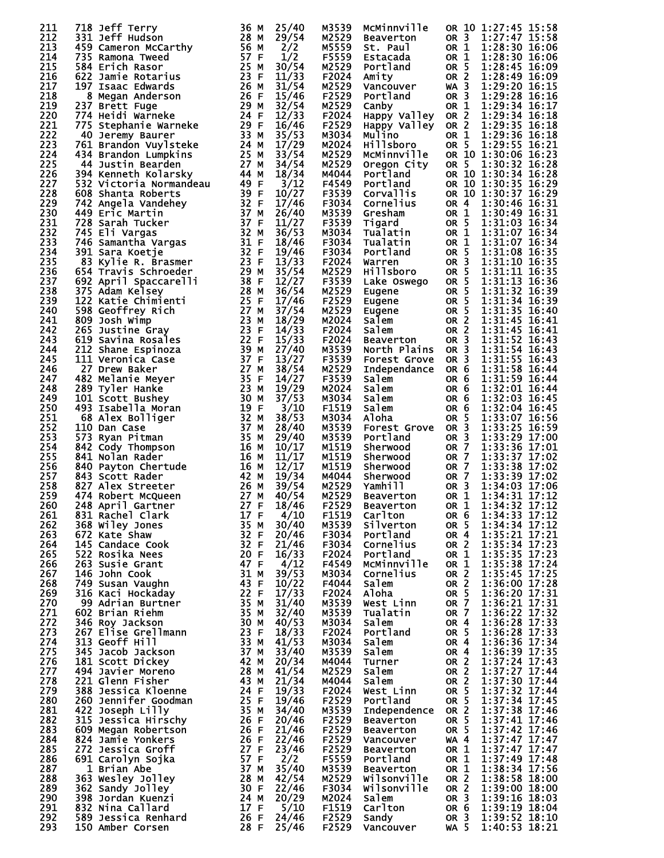| 211        | 718 Jeff Terry                                                                                                                                                                                                                                                               | 36 M                      | 25/40          | M3539          | MCMinnville                                |                         | OR 10 1:27:45 15:58                 |
|------------|------------------------------------------------------------------------------------------------------------------------------------------------------------------------------------------------------------------------------------------------------------------------------|---------------------------|----------------|----------------|--------------------------------------------|-------------------------|-------------------------------------|
| 212        | 331 Jeff Hudson                                                                                                                                                                                                                                                              | 28 M                      | 29/54          | M2529          | Beaverton                                  | OR 3                    | 1:27:47 15:58                       |
| 213        | 459 Cameron McCarthy<br>735 Pamona Tweed                                                                                                                                                                                                                                     | $\frac{20}{20}$ M         | 2/2            | M5559          | St. Paul                                   | OR 1                    | 1:28:30 16:06                       |
| 214        | 735 Ramona Tweed                                                                                                                                                                                                                                                             | 57 F                      | 1/2            | F5559          | Estacada                                   | OR 1                    | 1:28:30 16:06                       |
| 215        | 584 Erich Rasor                                                                                                                                                                                                                                                              | 25 M                      | 30/54          | M2529          | Portland                                   | OR <sub>5</sub>         | 1:28:45 16:09                       |
| 216        | 622 Jamie Rotarius                                                                                                                                                                                                                                                           | 23 F                      | 11/33          | F2024          | Amity                                      | OR 2                    | 1:28:49 16:09                       |
| 217        | 197 Isaac Edwards                                                                                                                                                                                                                                                            | 26 M<br>$\frac{26}{26}$ M | 31/54          | M2529          | Vancouver<br>Portland                      | $WA$ 3                  | 1:29:20 16:15                       |
| 218<br>219 | 8 Megan Anderson                                                                                                                                                                                                                                                             | 29 M                      | 15/46<br>32/54 | F2529          | Portland                                   | OR <sub>3</sub>         | 1:29:28 16:16<br>1:29:34 16:17      |
| 220        | 237 Brett Fuge                                                                                                                                                                                                                                                               |                           | 12/33          | M2529<br>F2024 | Canby<br>Happy Valley OR 2                 | OR 1                    | 1:29:34 16:18                       |
| 221        | 274 Heidi Warneke<br>775 Stephanie Warneke 29 F                                                                                                                                                                                                                              |                           | 16/46          | F2529          | Happy Valley                               | OR 2                    | 1:29:35 16:18                       |
| 222        | 40 Jeremy Baurer                                                                                                                                                                                                                                                             | 33 M                      | 35/53          | M3034          | Mulino                                     | OR 1                    | 1:29:36 16:18                       |
| 223        | 40 Jeremy Baurer<br>761 Brandon Vuylsteke 24 M<br>434 Brandon Lumpkins 25 M                                                                                                                                                                                                  |                           | 17/29          | M2024          | Hillsboro                                  | OR 5                    | 1:29:55 16:21                       |
| 224        |                                                                                                                                                                                                                                                                              |                           | 33/54          | M2529          | McMinnville                                |                         | OR 10 1:30:06 16:23                 |
| 225        |                                                                                                                                                                                                                                                                              |                           | 34/54          | M2529          | Oregon City                                | OR 5                    | 1:30:32 16:28                       |
| 226        |                                                                                                                                                                                                                                                                              |                           | 18/34          | M4044          | Portland                                   |                         | OR 10 1:30:34 16:28                 |
| 227        |                                                                                                                                                                                                                                                                              |                           | 3/12           |                | F4549 Portland                             |                         | OR 10 1:30:35 16:29                 |
| 228        |                                                                                                                                                                                                                                                                              |                           | 10/27          |                | F3539 Corvallis                            |                         | OR 10 1:30:37 16:29                 |
| 229        | 434 Brandon Lumpkins<br>44 Justin Bearden<br>394 Kenneth Kolarsky<br>532 Victoria Normandeau<br>608 Shanta Roberts<br>608 Shanta Roberts<br>742 Angela Vandehey<br>449 Eric Martin<br>728 Sarah Tucker<br>745 Eli Vargas<br>746 Samantha Vargas<br>7                         |                           | 17/46          |                | F3034 Cornelius                            | OR 4                    | 1:30:46 16:31                       |
| 230        |                                                                                                                                                                                                                                                                              |                           | 26/40          |                | M3539 Gresham                              | OR 1                    | 1:30:49 16:31                       |
| 231<br>232 |                                                                                                                                                                                                                                                                              |                           | 11/27          | F3539          | Tigard                                     | OR 5                    | 1:31:03 16:34<br>1:31:07 16:34      |
| 233        |                                                                                                                                                                                                                                                                              |                           | 36/53<br>18/46 | M3034<br>F3034 | Tualatin<br>Tualatin                       | OR 1<br>OR 1            | 1:31:07 16:34                       |
| 234        |                                                                                                                                                                                                                                                                              |                           | 19/46          | F3034          | Portland                                   | OR 5                    | 1:31:08 16:35                       |
| 235        |                                                                                                                                                                                                                                                                              |                           | 13/33          |                | F2024 Warren                               | OR <sub>3</sub>         | 1:31:10 16:35                       |
| 236        |                                                                                                                                                                                                                                                                              |                           | 35/54          |                | M2529 Hillsboro                            | OR 5                    | 1:31:11 16:35                       |
| 237        |                                                                                                                                                                                                                                                                              |                           | 12/27          | F3539          | Lake Oswego                                | OR 5                    | 1:31:13 16:36                       |
| 238        |                                                                                                                                                                                                                                                                              |                           | 36/54          | M2529          |                                            | OR 5                    | 1:31:32 16:39                       |
| 239        |                                                                                                                                                                                                                                                                              |                           | 17/46          | F2529          | <i>_u</i> gene<br>Eugene<br>Salem<br>Salem | OR <sub>5</sub>         | 1:31:34 16:39                       |
| 240        |                                                                                                                                                                                                                                                                              |                           | 37/54          | M2529          |                                            | OR <sub>5</sub>         | 1:31:35 16:40                       |
| 241        |                                                                                                                                                                                                                                                                              |                           | 18/29          | M2024          |                                            | OR <sub>2</sub>         | 1:31:45 16:41                       |
| 242        |                                                                                                                                                                                                                                                                              |                           | 14/33          | F2024          |                                            | OR 2                    | 1:31:45 16:41                       |
| 243        |                                                                                                                                                                                                                                                                              |                           | 15/33          |                | F2024 Beaverton                            | OR <sub>3</sub>         | 1:31:52 16:43                       |
| 244        | 83 Kylie R. Brasmer<br>654 Travis Schroeder<br>92 April Spaccarelli<br>38 F Adam Kelsey<br>122 Katie Chimienti<br>598 Geoffrey Rich<br>809 Josh Wimp<br>865 Justine Gray<br>655 Justine Gray<br>865 Justine Gray<br>655 Justine Gray<br>619 Savina R                         |                           | 27/40          |                | M3539 North Plains                         | OR <sub>3</sub>         | 1:31:54 16:43                       |
| 245<br>246 |                                                                                                                                                                                                                                                                              |                           | 13/27          |                | F3539 Forest Grove                         | OR <sub>3</sub>         | 1:31:55 16:43<br>1:31:58 16:44      |
| 247        |                                                                                                                                                                                                                                                                              |                           | 38/54<br>14/27 | M2529<br>F3539 | Independance<br>Salem                      | OR 6<br>OR 6            | 1:31:59 16:44                       |
| 248        |                                                                                                                                                                                                                                                                              |                           | 19/29          | M2024          | Salem                                      | OR 6                    | 1:32:01 16:44                       |
| 249        |                                                                                                                                                                                                                                                                              |                           | 37/53          | M3034          | Salem                                      | OR 6                    | 1:32:03 16:45                       |
| 250        |                                                                                                                                                                                                                                                                              |                           | 3/10           | F1519          | Salem                                      | OR 6                    | 1:32:04 16:45                       |
| 251        |                                                                                                                                                                                                                                                                              |                           | 38/53          | M3034          | Aloha                                      | OR 5                    | 1:33:07 16:56                       |
| 252        |                                                                                                                                                                                                                                                                              |                           | 28/40          | M3539          | <b>Forest Grove</b>                        | OR <sub>3</sub>         | 1:33:25 16:59                       |
| 253        |                                                                                                                                                                                                                                                                              |                           | 29/40          | M3539          | Portland                                   | OR <sub>3</sub>         | 1:33:29 17:00                       |
| 254        |                                                                                                                                                                                                                                                                              |                           | 10/17          | M1519          | Sherwood                                   | <b>OR 7</b>             | 1:33:36 17:01                       |
| 255        |                                                                                                                                                                                                                                                                              |                           | 11/17          | M1519          | Sherwood                                   | <b>OR 7</b>             | 1:33:37 17:02                       |
| 256        |                                                                                                                                                                                                                                                                              |                           | 12/17          | M1519          | Sherwood                                   | OR 7                    | 1:33:38 17:02                       |
| 257        |                                                                                                                                                                                                                                                                              |                           | 19/34          | м4044          | Sherwood                                   | OR 7                    | 1:33:39 17:02                       |
| 258        |                                                                                                                                                                                                                                                                              |                           | 39/54          | M2529          | Yamhill                                    | OR <sub>3</sub>         | 1:34:03 17:06                       |
| 259<br>260 |                                                                                                                                                                                                                                                                              | 27 F                      | 40/54          | M2529<br>F2529 | <b>Beaverton</b>                           | OR 1                    | 1:34:31 17:12<br>OR 1 1:34:32 17:12 |
| 261        | 248 April Gartner<br>831 Rachel Clark                                                                                                                                                                                                                                        | 17 F                      | 18/46<br>4/10  | F1519          | <b>Beaverton</b><br>Carlton                | OR <sub>6</sub>         | 1:34:33 17:12                       |
| 262        | 368 Wiley Jones                                                                                                                                                                                                                                                              | 35 M                      | 30/40          | M3539          | Silverton                                  | OR 5                    | 1:34:34 17:12                       |
| 263        |                                                                                                                                                                                                                                                                              |                           | 20/46          | F3034          | Portland                                   | OR <sub>4</sub>         | 1:35:21 17:21                       |
| 264        |                                                                                                                                                                                                                                                                              |                           | 21/46          | F3034          | Cornelius                                  | OR <sub>2</sub>         | $1:35:34$ $17:23$                   |
| 265        |                                                                                                                                                                                                                                                                              |                           | 16/33          | F2024          | Portland                                   | OR 1                    | 1:35:35 17:23<br>1:35:38 17:24      |
| 266        |                                                                                                                                                                                                                                                                              |                           | 4/12           | F4549          | MCMinnville                                | OR 1                    |                                     |
| 267        |                                                                                                                                                                                                                                                                              |                           | 39/53          | M3034          | Cornelius                                  | OR <sub>2</sub>         | 1:35:45 17:25                       |
| 268        |                                                                                                                                                                                                                                                                              |                           | 10/22          | F4044          | Salem                                      | OR <sub>2</sub>         | 1:36:00 17:28                       |
| 269        |                                                                                                                                                                                                                                                                              |                           | 17/33          | F2024          | Aloha                                      | OR 5                    | 1:36:20 17:31                       |
| 270        |                                                                                                                                                                                                                                                                              |                           | 31/40          | M3539          | West Linn                                  | <b>OR 7</b>             | 1:36:21 17:31                       |
| 271<br>272 |                                                                                                                                                                                                                                                                              |                           | 32/40          | M3539          | Tualatin                                   | OR 7<br><b>OR 4</b>     | 1:36:22 17:32                       |
|            |                                                                                                                                                                                                                                                                              |                           | 40/53          | M3034          | Salem<br>Portland                          |                         | 1:36:28 17:33<br>1:36:28 17:33      |
| 273<br>274 |                                                                                                                                                                                                                                                                              |                           | 18/33<br>41/53 | F2024<br>M3034 | Salem                                      | OR 5<br>OR <sub>4</sub> | 1:36:36 17:34                       |
| 275        |                                                                                                                                                                                                                                                                              |                           | 33/40          | M3539          | Salem                                      | OR <sub>4</sub>         | 1:36:39 17:35                       |
| 276        |                                                                                                                                                                                                                                                                              |                           | 20/34          | M4044          | Turner                                     | OR 2                    | 1:37:24 17:43                       |
| 277        |                                                                                                                                                                                                                                                                              |                           | 41/54          | M2529          | Salem                                      | OR <sub>2</sub>         | 1:37:27 17:44                       |
| 278        |                                                                                                                                                                                                                                                                              |                           | 21/34          | M4044          | Salem                                      | OR <sub>2</sub>         | 1:37:30 17:44                       |
| 279        |                                                                                                                                                                                                                                                                              |                           | 19/33          | F2024          | West Linn                                  | OR <sub>5</sub>         | 1:37:32 17:44                       |
| 280        |                                                                                                                                                                                                                                                                              |                           | 19/46          | F2529          | Portland                                   | OR 5                    | $1:37:34$ 17:45                     |
| 281        |                                                                                                                                                                                                                                                                              |                           | 34/40          | M3539          | Independence                               | OR <sub>2</sub>         | 1:37:38 17:46                       |
| 282        |                                                                                                                                                                                                                                                                              |                           | 20/46          | F2529          | <b>Beaverton</b>                           | OR <sub>5</sub>         | 1:37:41 17:46                       |
| 283        |                                                                                                                                                                                                                                                                              |                           | 21/46          | F2529          | <b>Beaverton</b>                           | OR <sub>5</sub>         | 1:37:42 17:46                       |
| 284        |                                                                                                                                                                                                                                                                              |                           | 22/46          | F2529          | Vancouver                                  | WA 4                    | 1:37:47 17:47                       |
| 285        |                                                                                                                                                                                                                                                                              |                           | 23/46          | F2529          | <b>Beaverton</b>                           | OR 1                    | 1:37:47 17:47                       |
| 286<br>287 |                                                                                                                                                                                                                                                                              |                           | 2/2            | F5559          | Portland                                   | OR 1                    | 1:37:49 17:48<br>1:38:34 17:56      |
| 288        |                                                                                                                                                                                                                                                                              |                           | 35/40<br>42/54 | M3539<br>M2529 | <b>Beaverton</b><br>Wilsonville            | OR 1<br>OR 2            | 1:38:58 18:00                       |
| 289        |                                                                                                                                                                                                                                                                              |                           | 22/46          | F3034          | Wilsonville                                | OR <sub>2</sub>         | 1:39:00 18:00                       |
| 290        |                                                                                                                                                                                                                                                                              |                           | 20/29          | M2024          | Salem                                      | OR <sub>3</sub>         | 1:39:16 18:03                       |
| 291        |                                                                                                                                                                                                                                                                              |                           | 5/10           | F1519          | Carlton                                    | OR <sub>6</sub>         | 1:39:19 18:04                       |
| 292        |                                                                                                                                                                                                                                                                              |                           | 24/46          | F2529          | Sandy                                      | OR 3                    | $1:39:52$ 18:10                     |
| 293        | 831 Kachel Clark<br>145 Canadace Cook<br>522 Rate Shaw<br>145 Candace Cook<br>522 Rate Shaw<br>145 Canadace Cook<br>522 Rusie Grant<br>146 John Cook<br>749 Susan Vaughn<br>146 John Cook<br>749 Susan Vaughn<br>146 John Cook<br>749 Susan Waughn<br>14<br>150 Amber Corsen | 28 F                      | 25/46          | F2529          | Vancouver                                  | WA 5                    | 1:40:53 18:21                       |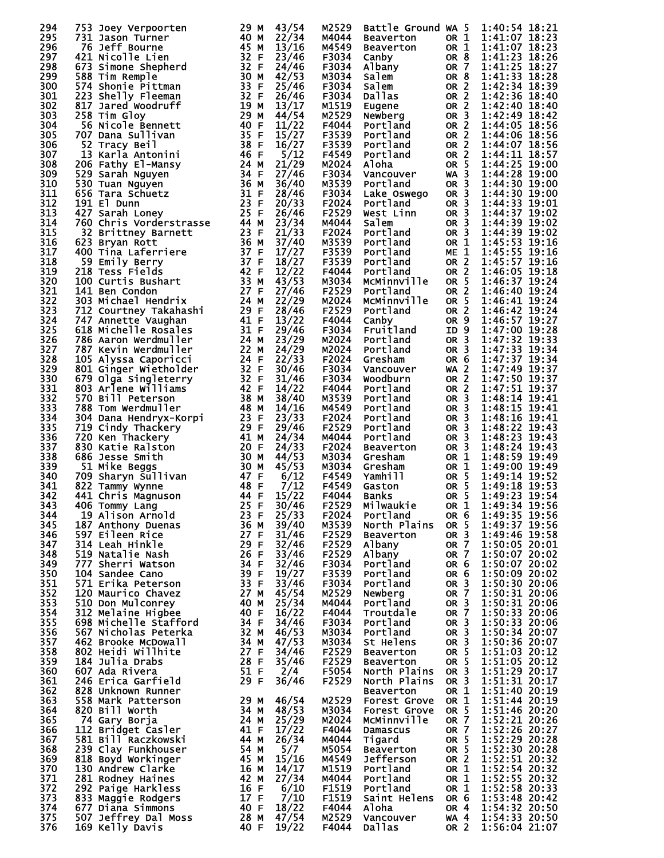| 294        | 753 Joey Verpoorten                                                                                                                                                                                                                                   | 29 M                                                                                                 | 43/54          | M2529          | Battle Ground WA 5         |                                    | 1:40:54 18:21                  |
|------------|-------------------------------------------------------------------------------------------------------------------------------------------------------------------------------------------------------------------------------------------------------|------------------------------------------------------------------------------------------------------|----------------|----------------|----------------------------|------------------------------------|--------------------------------|
| 295        | 731 Jason Turner                                                                                                                                                                                                                                      | 40 M                                                                                                 | 22/34          | M4044          | Beaverton                  | OR 1                               | 1:41:07 18:23                  |
| 296        | 76 Jeff Bourne                                                                                                                                                                                                                                        | 45 M                                                                                                 | 13/16          | M4549          | Beaverton                  | OR 1                               | 1:41:07 18:23                  |
| 297        | 421 Nicolle Lien                                                                                                                                                                                                                                      | 32 F                                                                                                 | 23/46          | F3034          | Canby                      | OR <sub>8</sub>                    | 1:41:23 18:26                  |
| 298        | 673 Simone Shepherd                                                                                                                                                                                                                                   | 32 F                                                                                                 | 24/46          | F3034          | Albany                     | OR <sub>7</sub>                    | 1:41:25 18:27                  |
| 299        | 588 Tim Remple                                                                                                                                                                                                                                        | 30 M                                                                                                 | 42/53          | M3034          | Salem                      | OR <sub>8</sub>                    | 1:41:33 18:28                  |
| 300        | 574 Shonie Pittman                                                                                                                                                                                                                                    | 33 F                                                                                                 | 25/46          | F3034          | Salem                      | OR 2                               | 1:42:34 18:39                  |
| 301        | 223 Shelly Fleeman                                                                                                                                                                                                                                    | 32 F                                                                                                 | 26/46          | F3034          | <b>Dallas</b>              | OR 2                               | 1:42:36 18:40                  |
| 302        | 817 Jared Woodruff                                                                                                                                                                                                                                    | 19 M                                                                                                 | 13/17          | M1519          | Eugene                     | OR 2                               | 1:42:40 18:40                  |
| 303<br>304 | 258 Tim Gloy                                                                                                                                                                                                                                          | $\begin{array}{c} 25 \\ 40 \\ -5 \\ 7 \end{array}$                                                   | 44/54<br>11/22 | M2529          | Newberg<br>Portland        | OR <sub>3</sub>                    | 1:42:49 18:42<br>1:44:05 18:56 |
| 305        | 56 Nicole Bennett                                                                                                                                                                                                                                     | 35 F                                                                                                 | 15/27          | F4044<br>F3539 |                            | OR 2<br>OR 2                       | 1:44:06 18:56                  |
| 306        | 707 Dana Sullivan<br>52 Tracy Beil                                                                                                                                                                                                                    | 38 F                                                                                                 | 16/27          | F3539          | Portland<br>Portland       | <b>OR 2</b>                        | 1:44:07 18:56                  |
| 307        | 13 Karla Antonini                                                                                                                                                                                                                                     | 46F                                                                                                  | 5/12           | F4549          | Portland<br>Portland       | OR <sub>2</sub>                    | 1:44:11 18:57                  |
| 308        | 13 Karla Antonini<br>206 Fathy El-Mansy<br>529 Sarah Nguyen<br>530 Tuan Nguyen<br>656 Tara Schuetz<br>656 Tara Schuetz<br>791 El Dunn<br>427 Sarah Loney<br>760 Chris Vorderstrasse<br>32 Brittney Barnett<br>623 Bryan Rott<br>623 Bryan Rott<br>400 |                                                                                                      | 21/29          | M2024          | Aloha                      | OR <sub>5</sub>                    | 1:44:25 19:00                  |
| 309        |                                                                                                                                                                                                                                                       |                                                                                                      | 27/46          | F3034          | Vancouver                  | $WA$ 3                             | 1:44:28 19:00                  |
| 310        |                                                                                                                                                                                                                                                       |                                                                                                      | 36/40          | M3539          | Portland                   | OR <sub>3</sub>                    | 1:44:30 19:00                  |
| 311        |                                                                                                                                                                                                                                                       |                                                                                                      | 28/46          | F3034          | Lake Oswego                | OR <sub>3</sub>                    | 1:44:30 19:00                  |
| 312        |                                                                                                                                                                                                                                                       |                                                                                                      | 20/33          | F2024          | Portland                   | OR <sub>3</sub>                    | 1:44:33 19:01                  |
| 313        |                                                                                                                                                                                                                                                       |                                                                                                      | 26/46          | F2529          | West Linn                  | OR <sub>3</sub>                    | 1:44:37 19:02                  |
| 314        |                                                                                                                                                                                                                                                       |                                                                                                      | 23/34          | M4044          | salem                      | OR <sub>3</sub>                    | 1:44:39 19:02                  |
| 315        |                                                                                                                                                                                                                                                       |                                                                                                      | 21/33          | F2024          |                            | OR <sub>3</sub>                    | 1:44:39 19:02                  |
| 316        |                                                                                                                                                                                                                                                       |                                                                                                      | 37/40          | M3539          | Portland<br>Portland       | OR 1                               | 1:45:53 19:16                  |
| 317        |                                                                                                                                                                                                                                                       |                                                                                                      | 17/27          | F3539          | Portland                   | ME <sub>1</sub>                    | 1:45:55 19:16                  |
| 318        | 59 Emily Berry                                                                                                                                                                                                                                        | 37 F                                                                                                 | 18/27          | F3539          | Portland                   | <b>OR 2</b>                        | 1:45:57 19:16                  |
| 319        | 218 Tess Fields                                                                                                                                                                                                                                       |                                                                                                      | 12/22          | F4044          | Portland                   | OR <sub>2</sub>                    | 1:46:05 19:18                  |
| 320        | 100 Curtis Bushart                                                                                                                                                                                                                                    |                                                                                                      | 43/53          | M3034          | MCMinnville                | OR 5                               | 1:46:37 19:24                  |
| 321        | 141 Ben Condon                                                                                                                                                                                                                                        |                                                                                                      | 27/46          | F2529          | Portland                   | OR 2                               | 1:46:40 19:24                  |
| 322        | 303 Michael Hendrix                                                                                                                                                                                                                                   |                                                                                                      | 22/29          |                | M2024 MCMinnville          | OR 5                               | 1:46:41 19:24                  |
| 323        | 712 Courtney Takahashi                                                                                                                                                                                                                                |                                                                                                      | 28/46          | F2529          | Portland                   | OR <sub>2</sub>                    | 1:46:42 19:24                  |
| 324        | 747 Annette Vaughan                                                                                                                                                                                                                                   |                                                                                                      | 13/22          | F4044          | Canby                      | OR <sub>9</sub>                    | 1:46:57 19:27                  |
| 325        | 618 Michelle Rosales                                                                                                                                                                                                                                  | 37 F<br>42 F<br>42 F<br>42 F<br>33 M<br>27 F<br>24 M<br>24 F<br>41 F<br>41 F<br>31 F<br>31 F<br>31 F | 29/46          | F3034          | Fruitland                  | ID <sub>9</sub>                    | 1:47:00 19:28                  |
| 326        | 786 Aaron Werdmuller                                                                                                                                                                                                                                  | 24 M                                                                                                 | 23/29          | M2024          | Portland                   | OR <sub>3</sub>                    | 1:47:32 19:33                  |
| 327        |                                                                                                                                                                                                                                                       |                                                                                                      | 24/29          | M2024          | Portland                   | OR <sub>3</sub>                    | 1:47:33 19:34                  |
| 328        |                                                                                                                                                                                                                                                       |                                                                                                      | 22/33          | F2024          | Gresham                    | OR <sub>6</sub>                    | 1:47:37 19:34                  |
| 329        |                                                                                                                                                                                                                                                       |                                                                                                      | 30/46          | F3034          | Vancouver                  | WA <sub>2</sub>                    | 1:47:49 19:37                  |
| 330        |                                                                                                                                                                                                                                                       |                                                                                                      | 31/46          | F3034          | Woodburn                   | OR 2                               | 1:47:50 19:37                  |
| 331        |                                                                                                                                                                                                                                                       |                                                                                                      | 14/22          | F4044          | Portland                   | OR 2                               | 1:47:51 19:37                  |
| 332        | 570 Bill Peterson                                                                                                                                                                                                                                     | 38 M                                                                                                 | 38/40          | M3539          | Portland                   | OR <sub>3</sub>                    | 1:48:14 19:41                  |
| 333        | 788 Tom Werdmuller                                                                                                                                                                                                                                    | 48 M<br>18 M<br>123 F<br>29 F<br>29 F<br>41 M<br>20 F                                                | 14/16          | M4549          | Portland                   | OR <sub>3</sub>                    | 1:48:15 19:41                  |
| 334        | 304 Dana Hendryx-Korpi                                                                                                                                                                                                                                |                                                                                                      | 23/33          | F2024          | Portland                   | OR <sub>3</sub>                    | 1:48:16 19:41                  |
| 335        | 719 Cindy Thackery                                                                                                                                                                                                                                    |                                                                                                      | 29/46          | F2529          | Portland                   | OR <sub>3</sub>                    | 1:48:22 19:43                  |
| 336        | 720 Ken Thackery                                                                                                                                                                                                                                      |                                                                                                      | 24/34          | M4044          | Portland                   | OR <sub>3</sub>                    | 1:48:23 19:43                  |
| 337        | 830 Katie Ralston                                                                                                                                                                                                                                     |                                                                                                      | 24/33          | F2024          | Beaverton                  | OR <sub>3</sub>                    | 1:48:24 19:43                  |
| 338        | 686 Jesse Smith                                                                                                                                                                                                                                       | 30 M                                                                                                 | 44/53          | M3034          | Gresham                    | OR 1                               | 1:48:59 19:49                  |
| 339        |                                                                                                                                                                                                                                                       |                                                                                                      | 45/53<br>6/12  | M3034          | Gresham                    | OR 1<br>OR <sub>5</sub>            | 1:49:00 19:49<br>1:49:14 19:52 |
| 340<br>341 |                                                                                                                                                                                                                                                       |                                                                                                      | 7/12           | F4549<br>F4549 | Yamhill                    | OR <sub>5</sub>                    | 1:49:18 19:53                  |
| 342        |                                                                                                                                                                                                                                                       |                                                                                                      | 15/22          | F4044          | Gaston<br><b>Banks</b>     | OR <sub>5</sub>                    | 1:49:23 19:54                  |
| 343        | 25 F                                                                                                                                                                                                                                                  |                                                                                                      | 30/46          | F2529          | Milwaukie                  | OR <sub>1</sub>                    | 1:49:34 19:56                  |
| 344        | 406 Tommy Lang<br>19 Alison Arnold                                                                                                                                                                                                                    | 23 F                                                                                                 | 25/33          | F2024          | Portland                   | OR 6                               | 1:49:35 19:56                  |
| 345        | 187 Anthony Duenas                                                                                                                                                                                                                                    | 36 M                                                                                                 | 39/40          | M3539          | North Plains               | OR 5                               | 1:49:37 19:56                  |
| 346        | 597 Eileen Rice                                                                                                                                                                                                                                       | 27 F                                                                                                 | 31/46          | F2529          | <b>Beaverton</b>           | OR <sub>3</sub>                    | 1:49:46 19:58                  |
| 347        | 314 Leah Hinkle                                                                                                                                                                                                                                       | 29 F                                                                                                 | 32/46          | F2529          | Albany                     | OR 7                               | 1:50:05 20:01                  |
| 348        | 519 Natalie Nash                                                                                                                                                                                                                                      | 26 F                                                                                                 | 33/46          | F2529          | Albany                     | OR 7                               | 1:50:07 20:02                  |
| 349        | 777 Sherri Watson                                                                                                                                                                                                                                     | 34 F                                                                                                 | 32/46          | F3034          | Portland                   | OR 6                               | 1:50:07 20:02                  |
| 350        | 104 Sandee Cano                                                                                                                                                                                                                                       | 39 F                                                                                                 | 19/27          | F3539          | Portland                   | OR 6                               | 1:50:09 20:02                  |
| 351        | 571 Erika Peterson                                                                                                                                                                                                                                    | 33 F                                                                                                 | 33/46          | F3034          | Portland                   | OR <sub>3</sub>                    | 1:50:30 20:06                  |
| 352        | 120 Maurico Chavez                                                                                                                                                                                                                                    | 27 M                                                                                                 | 45/54          | M2529          | Newberg                    | OR <sub>7</sub>                    | 1:50:31 20:06                  |
| 353        | 510 Don Mulconrey                                                                                                                                                                                                                                     | 40 M                                                                                                 | 25/34          | M4044          | Portland                   | OR <sub>3</sub>                    | 1:50:31 20:06                  |
| 354        | 312 Melaine Higbee                                                                                                                                                                                                                                    | 40 F                                                                                                 | 16/22          | F4044          | Troutdale                  | OR <sub>7</sub>                    | 1:50:33 20:06                  |
| 355        | 698 Michelle Stafford                                                                                                                                                                                                                                 | 34 F                                                                                                 | 34/46          | F3034          | Portland                   | OR <sub>3</sub>                    | 1:50:33 20:06                  |
| 356        | 567 Nicholas Peterka                                                                                                                                                                                                                                  | 32 M                                                                                                 | 46/53          | M3034          | Portland                   | OR <sub>3</sub>                    | 1:50:34 20:07                  |
| 357        | 462 Brooke McDowall                                                                                                                                                                                                                                   | 34 M                                                                                                 | 47/53          | M3034          | St Helens                  | OR <sub>3</sub>                    | 1:50:36 20:07                  |
| 358        | 802 Heidi Willhite                                                                                                                                                                                                                                    | 27 F                                                                                                 | 34/46          | F2529          | <b>Beaverton</b>           | OR 5                               | 1:51:03 20:12                  |
| 359        | 184 Julia Drabs                                                                                                                                                                                                                                       | 28 F                                                                                                 | 35/46          | F2529          | <b>Beaverton</b>           | OR <sub>5</sub>                    | 1:51:05 20:12                  |
| 360        | 607 Ada Rivera                                                                                                                                                                                                                                        | 51 F                                                                                                 | 2/4            | F5054          | North Plains               | OR <sub>3</sub>                    | 1:51:29 20:17                  |
| 361        | 246 Erica Garfield                                                                                                                                                                                                                                    | 29 F                                                                                                 | 36/46          | F2529          | North Plains               | OR <sub>3</sub>                    | 1:51:31 20:17                  |
| 362        | 828 Unknown Runner                                                                                                                                                                                                                                    |                                                                                                      |                |                | <b>Beaverton</b>           | OR 1                               | 1:51:40 20:19                  |
| 363        | 558 Mark Patterson                                                                                                                                                                                                                                    | 29 M                                                                                                 | 46/54          | M2529          | <b>Forest Grove</b>        | OR 1                               | 1:51:44 20:19                  |
| 364        | 820 Bill Worth                                                                                                                                                                                                                                        | 34 M                                                                                                 | 48/53          | M3034          | Forest Grove               | OR 5                               | 1:51:46 20:20                  |
| 365        | 74 Gary Borja                                                                                                                                                                                                                                         | 24 M                                                                                                 | 25/29          | M2024          | MCMinnville                | OR <sub>7</sub><br>OR <sub>7</sub> | 1:52:21 20:26<br>1:52:26 20:27 |
| 366        | 112 Bridget Casler                                                                                                                                                                                                                                    | 41 F                                                                                                 | 17/22          | F4044          | Damascus                   |                                    |                                |
| 367<br>368 | 581 Bill Raczkowski<br>239 Clay Funkhouser                                                                                                                                                                                                            | 44 M<br>54 M                                                                                         | 26/34<br>5/7   | M4044<br>M5054 | Tigard<br><b>Beaverton</b> | OR 5<br>OR <sub>5</sub>            | 1:52:29 20:28<br>1:52:30 20:28 |
| 369        | 818 Boyd Workinger                                                                                                                                                                                                                                    | 45 M                                                                                                 | 15/16          | M4549          | Jefferson                  | OR <sub>2</sub>                    | 1:52:51 20:32                  |
| 370        | 130 Andrew Clarke                                                                                                                                                                                                                                     | 16 M                                                                                                 | 14/17          | M1519          | Portland                   | OR 1                               | 1:52:54 20:32                  |
| 371        | 281 Rodney Haines                                                                                                                                                                                                                                     | 42 M                                                                                                 | 27/34          | M4044          | Portland                   | OR 1                               | 1:52:55 20:32                  |
| 372        | 292 Paige Harkless                                                                                                                                                                                                                                    | 16 F                                                                                                 | 6/10           | F1519          | Portland                   | OR 1                               | 1:52:58 20:33                  |
| 373        | 833 Maggie Rodgers                                                                                                                                                                                                                                    | 17 F                                                                                                 | 7/10           | F1519          | Saint Helens               | OR 6                               | 1:53:48 20:42                  |
| 374        | 677 Diana Simmons                                                                                                                                                                                                                                     | 40 F                                                                                                 | 18/22          | F4044          | Aloha                      | OR 4                               | 1:54:32 20:50                  |
| 375        | 507 Jeffrey Dal Moss                                                                                                                                                                                                                                  | 28 M                                                                                                 | 47/54          | M2529          | Vancouver                  | WA 4                               | 1:54:33 20:50                  |
|            | 169 Kelly Davis                                                                                                                                                                                                                                       | 40 F                                                                                                 | 19/22          | F4044          | <b>Dallas</b>              | OR 2                               | 1:56:04 21:07                  |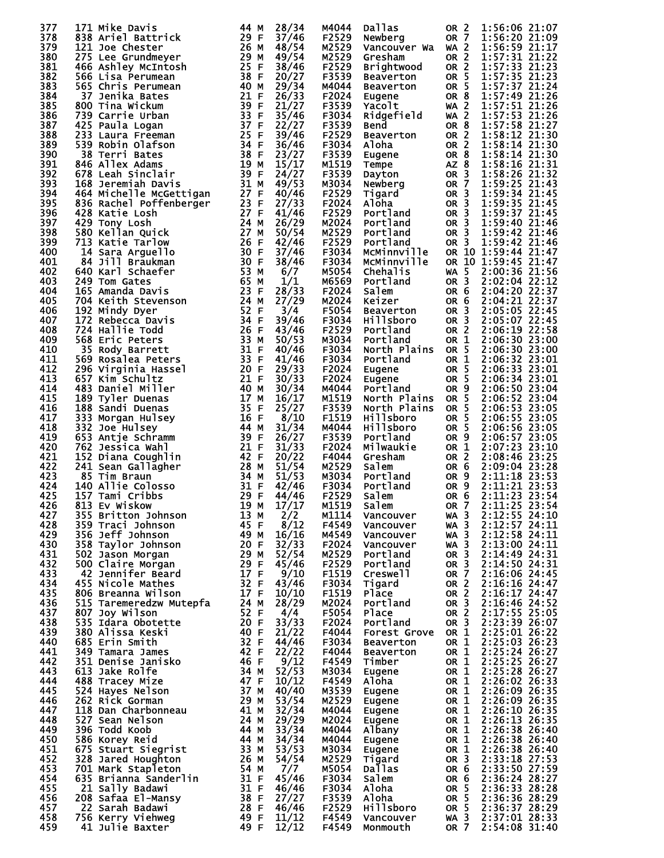| 377        | 171 Mike Davis                                                                                                                                                                                                                                        | 44 M             | 28/34               | M4044          | <b>Dallas</b>                   | OR <sub>2</sub>                        | 1:56:06 21:07                        |
|------------|-------------------------------------------------------------------------------------------------------------------------------------------------------------------------------------------------------------------------------------------------------|------------------|---------------------|----------------|---------------------------------|----------------------------------------|--------------------------------------|
| 378        | 838 Ariel Battrick                                                                                                                                                                                                                                    | 29 F             | 37/46               | F2529          | Newberg                         | <b>OR 7</b>                            | 1:56:20 21:09                        |
| 379        | 121 Joe Chester                                                                                                                                                                                                                                       | 26 M             | 48/54               | M2529          | Vancouver Wa                    | <b>WA 2</b>                            | 1:56:59 21:17                        |
| 380        | 275 Lee Grundmeyer                                                                                                                                                                                                                                    | 29 M             | 49/54               | M2529          | Gresham                         | OR <sub>2</sub>                        | 1:57:31 21:22                        |
| 381        | 466 Ashley McIntosh                                                                                                                                                                                                                                   | 25 F             | 38/46               | F2529          | Brightwood                      | OR <sub>2</sub>                        | 1:57:33 21:23                        |
| 382<br>383 | 566 Lisa Perumean<br>565 Chris Perumean                                                                                                                                                                                                               | 38 F<br>40 M     | 20/27<br>29/34      | F3539<br>M4044 | <b>Beaverton</b><br>Beaverton   | OR 5<br>OR 5                           | 1:57:35 21:23<br>1:57:37 21:24       |
| 384        | 37 Jenika Bates                                                                                                                                                                                                                                       | 21 F             | 26/33               | F2024          | Eugene                          | OR <sub>8</sub>                        | 1:57:49 21:26                        |
| 385        | 800 Tina Wickum                                                                                                                                                                                                                                       | 39 F             | 21/27               | F3539          | Yacolt                          | $WA$ 2                                 | 1:57:51 21:26                        |
| 386        | 739 Carrie Urban                                                                                                                                                                                                                                      | 33 F             | 35/46               | F3034          | Ridgefield                      | <b>WA 2</b>                            | 1:57:53 21:26                        |
| 387        | 425 Paula Logan                                                                                                                                                                                                                                       | 37 F             | 22/27               | F3539          | <b>Bend</b>                     | OR <sub>8</sub>                        | 1:57:58 21:27                        |
| 388        | 233 Laura Freeman                                                                                                                                                                                                                                     | 25 F             | 39/46               | F2529          | <b>Beaverton</b>                | OR <sub>2</sub>                        | 1:58:12 21:30                        |
| 389        | 539 Robin Olafson                                                                                                                                                                                                                                     | 34 F             | 36/46               | F3034          | Aloha                           | OR <sub>2</sub>                        | 1:58:14 21:30                        |
| 390        | 38 Terri Bates                                                                                                                                                                                                                                        | 38 F<br>19 M     | 23/27<br>15/17      | F3539          | Eugene                          | OR <sub>8</sub>                        | 1:58:14 21:30                        |
| 391<br>392 | 846 Allex Adams<br>678 Leah Sinclair                                                                                                                                                                                                                  | 39 F             | 24/27               | M1519<br>F3539 | Tempe<br>Dayton                 | AZ 8<br>OR <sub>3</sub>                | 1:58:16 21:31<br>1:58:26 21:32       |
| 393        | 168 Jeremiah Davis                                                                                                                                                                                                                                    | 31 M             | 49/53               | M3034          | Newberg                         | OR <sub>7</sub>                        | 1:59:25 21:43                        |
| 394        | 464 Michelle McGettigan                                                                                                                                                                                                                               | 27 F             | 40/46               | F2529          | Tigard                          | OR <sub>3</sub>                        | 1:59:34 21:45                        |
| 395        | 836 Rachel Poffenberger                                                                                                                                                                                                                               | 23 F             | 27/33               | F2024          | Aloha                           | OR <sub>3</sub>                        | 1:59:35 21:45                        |
| 396        | 428 Katie Losh                                                                                                                                                                                                                                        | 27 F             | 41/46               | F2529          | Portland                        | OR <sub>3</sub>                        | 1:59:37 21:45                        |
| 397        | 429 Tony Losh                                                                                                                                                                                                                                         | 24 M             | 26/29               | M2024          | <b>Portland</b>                 | OR <sub>3</sub>                        | 1:59:40 21:46                        |
| 398        | 580 Kellan Quick                                                                                                                                                                                                                                      | 27<br>М          | 50/54               | M2529          | Portland                        | OR <sub>3</sub>                        | 1:59:42 21:46                        |
| 399<br>400 | 713 Katie Tarlow                                                                                                                                                                                                                                      | 26<br>-F<br>30 F | 42/46<br>37/46      | F2529<br>F3034 | Portland<br>McMinnville         | OR 3                                   | 1:59:42 21:46<br>OR 10 1:59:44 21:47 |
| 401        | 14 Sara Arguello<br>84 Jill Braukman                                                                                                                                                                                                                  | 30 F             | 38/46               | F3034          | McMinnville                     |                                        | OR 10 1:59:45 21:47                  |
| 402        | 640 Karl Schaefer                                                                                                                                                                                                                                     | 53 M             | 6/7                 | M5054          | Chehalis                        | <b>WA 5</b>                            | 2:00:36 21:56                        |
| 403        | 249 Tom Gates                                                                                                                                                                                                                                         | 65 M             | 1/1                 | M6569          | Portland                        | OR <sub>3</sub>                        | 2:02:04 22:12                        |
| 404        | 165 Amanda Davis                                                                                                                                                                                                                                      | 23 F             | 28/33               | F2024          | Salem                           | OR 6                                   | 2:04:20 22:37                        |
| 405        | 704 Keith Stevenson                                                                                                                                                                                                                                   | 24 M             | 27/29               | M2024          | Keizer                          | OR 6                                   | 2:04:21 22:37                        |
| 406        | 192 Mindy Dyer                                                                                                                                                                                                                                        | 52 F             | 3/4                 | F5054          | <b>Beaverton</b>                | OR <sub>3</sub>                        | 2:05:05 22:45                        |
| 407        | 172<br>Rebecca Davis                                                                                                                                                                                                                                  | 34 F             | 39/46               | F3034          | Hillsboro                       | OR <sub>3</sub>                        | 2:05:07 22:45                        |
| 408<br>409 | 724 Hallie Todd<br>568 Eric Peters                                                                                                                                                                                                                    | 26 F<br>33 M     | 43/46<br>50/53      | F2529<br>M3034 | Portland<br>Portland            | OR <sub>2</sub><br>OR <sub>1</sub>     | 2:06:19 22:58<br>2:06:30 23:00       |
| 410        | 35 Rody Barrett                                                                                                                                                                                                                                       | 31 F             | 40/46               | F3034          | North Plains                    | OR <sub>5</sub>                        | 2:06:30 23:00                        |
| 411        | 569 Rosalea Peters                                                                                                                                                                                                                                    | 33 F             | 41/46               | F3034          | Portland                        | OR $1$                                 | 2:06:32 23:01                        |
| 412        | 296 Virginia Hassel                                                                                                                                                                                                                                   | 20 F             | 29/33               | F2024          | Eugene                          | OR <sub>5</sub>                        | 2:06:33 23:01                        |
| 413        | 657 Kim Schultz                                                                                                                                                                                                                                       | 21 F             | 30/33               | F2024          | Eugene                          | OR <sub>5</sub>                        | 2:06:34 23:01                        |
| 414        | 483 Daniel Miller                                                                                                                                                                                                                                     | 40 M             | 30/34               | M4044          | Portland                        | OR <sub>9</sub>                        | 2:06:50 23:04                        |
| 415        | 189 Tyler Duenas                                                                                                                                                                                                                                      | 17<br>М          | 16/17               | M1519          | North Plains                    | OR <sub>5</sub>                        | 2:06:52 23:04                        |
| 416<br>417 | 188 Sandi Duenas<br>333 Morgan Hulsey                                                                                                                                                                                                                 | 35<br>-F<br>16 F | 25/27<br>8/10       | F3539<br>F1519 | North Plains<br>Hillsboro       | OR <sub>5</sub><br>OR <sub>5</sub>     | 2:06:53 23:05<br>2:06:55 23:05       |
| 418        | 332 Joe Hulsey                                                                                                                                                                                                                                        | 44 M             | 31/34               | M4044          | <b>Hillsboro</b>                | OR <sub>5</sub>                        | 2:06:56 23:05                        |
| 419        | 653 Antje Schramm                                                                                                                                                                                                                                     | 39<br>F          | 26/27               | F3539          | Portland                        | OR 9                                   | 2:06:57 23:05                        |
| 420        | 762 Jessica Wahl                                                                                                                                                                                                                                      | 21 F             | 31/33               | F2024          | Milwaukie                       | OR 1                                   | 2:07:23 23:10                        |
| 421        | 152 Diana Coughlin                                                                                                                                                                                                                                    | 42 F             | 20/22               | F4044          | Gresham                         | OR <sub>2</sub>                        | 2:08:46 23:25                        |
| 422        | 241 Sean Gallagher                                                                                                                                                                                                                                    | 28 M             | 51/54               | M2529          | Salem                           | OR <sub>6</sub>                        | 2:09:04 23:28                        |
| 423<br>424 | 85 Tim Braun<br>140 Allie Colosso                                                                                                                                                                                                                     | 34 M<br>31 F     | 51/53<br>42/46      | M3034<br>F3034 | Portland<br>Portland            | OR <sub>9</sub><br>OR <sub>9</sub>     | 2:11:18 23:53<br>2:11:21 23:53       |
| 425        | 157 Tami Cribbs                                                                                                                                                                                                                                       | 29<br>F          | 44/46               | F2529          | Salem                           | OR <sub>6</sub>                        | 2:11:23 23:54                        |
| 426        | 813 Ev Wiskow                                                                                                                                                                                                                                         | 19 M             |                     | M1519          | Salem                           | OR 7                                   | 2:11:25 23:54                        |
| 427        |                                                                                                                                                                                                                                                       |                  | $\frac{17/17}{2/2}$ | M1114          | Vancouver                       | $WA$ 3                                 | 2:12:55 24:10                        |
| 428        |                                                                                                                                                                                                                                                       |                  |                     | F4549          | Vancouver                       | $WA$ 3                                 | 2:12:57 24:11                        |
| 429        |                                                                                                                                                                                                                                                       |                  |                     | M4549          | Vancouver                       | $WA$ 3                                 | 2:12:58 24:11                        |
| 430<br>431 |                                                                                                                                                                                                                                                       |                  |                     | F2024<br>M2529 | Vancouver<br>Portland           | $WA$ 3<br>OR <sub>3</sub>              | 2:13:00 24:11<br>2:14:49 24:31       |
| 432        |                                                                                                                                                                                                                                                       |                  |                     | F2529          | Portland                        | OR <sub>3</sub>                        | 2:14:50 24:31                        |
| 433        |                                                                                                                                                                                                                                                       |                  |                     | F1519          | Creswell                        | <b>OR 7</b>                            | 2:16:06 24:45                        |
| 434        |                                                                                                                                                                                                                                                       |                  |                     | F3034          | Tigard                          | OR 2                                   | 2:16:16 24:47                        |
| 435        |                                                                                                                                                                                                                                                       |                  |                     | F1519          | <b>Place</b>                    | OR <sub>2</sub>                        | 2:16:17 24:47                        |
| 436        |                                                                                                                                                                                                                                                       |                  |                     | M2024          | Portland                        | OR <sub>3</sub>                        | 2:16:46 24:52                        |
| 437        |                                                                                                                                                                                                                                                       |                  |                     | F5054          | <b>Place</b>                    | OR 2                                   | 2:17:55 25:05                        |
| 438<br>439 |                                                                                                                                                                                                                                                       |                  |                     | F2024<br>F4044 | Portland<br><b>Forest Grove</b> | OR 3<br>OR 1                           | 2:23:39 26:07<br>2:25:01 26:22       |
| 440        |                                                                                                                                                                                                                                                       |                  |                     | F3034          | Beaverton                       | OR 1                                   | 2:25:03 26:23                        |
| 441        |                                                                                                                                                                                                                                                       |                  |                     | F4044          | Beaverton                       | OR 1                                   | 2:25:24 26:27                        |
| 442        |                                                                                                                                                                                                                                                       |                  |                     | F4549          | Timber                          | OR 1                                   | 2:25:25 26:27                        |
| 443        |                                                                                                                                                                                                                                                       |                  |                     | M3034          | Eugene                          | OR 1                                   | 2:25:28 26:27                        |
| 444        |                                                                                                                                                                                                                                                       |                  |                     | F4549          | Aloha                           | OR 1                                   | 2:26:02 26:33                        |
| 445<br>446 |                                                                                                                                                                                                                                                       |                  |                     | M3539          | Eugene                          | OR 1                                   | 2:26:09 26:35                        |
| 447        |                                                                                                                                                                                                                                                       |                  |                     | M2529<br>M4044 | Eugene<br>Eugene                | OR 1<br>OR 1                           | 2:26:09 26:35<br>2:26:10 26:35       |
| 448        |                                                                                                                                                                                                                                                       |                  |                     | M2024          | Eugene                          |                                        | 2:26:13 26:35                        |
| 449        |                                                                                                                                                                                                                                                       |                  |                     | M4044          | Albany                          |                                        | 2:26:38 26:40                        |
| 450        |                                                                                                                                                                                                                                                       |                  |                     | M4044          | Eugene                          | <b>OR 1<br/>OR 1<br/>OR 1<br/>OR 1</b> | 2:26:38 26:40                        |
| 451        |                                                                                                                                                                                                                                                       |                  |                     | м3034          | Eugene                          | OR 1                                   | 2:26:38 26:40                        |
| 452        |                                                                                                                                                                                                                                                       |                  |                     | M2529          | Tigard                          | OR <sub>3</sub>                        | 2:33:18 27:53                        |
| 453<br>454 |                                                                                                                                                                                                                                                       |                  |                     | M5054<br>F3034 | <b>Dallas</b><br>Salem          | OR <sub>6</sub><br>OR 6                | 2:33:50 27:59<br>2:36:24 28:27       |
| 455        |                                                                                                                                                                                                                                                       |                  |                     | F3034          | Aloha                           | OR 5                                   | 2:36:33 28:28                        |
| 456        |                                                                                                                                                                                                                                                       |                  |                     | F3539          | Aloha                           | OR <sub>5</sub>                        | 2:36:36 28:29                        |
| 457        | 140 All II Columns<br>157 Tami Cribbs<br>157 Tami Cribbs<br>157 Tami Cribbs<br>1613 Ev Wiskow<br>19 M 17/17<br>17359 Bracci Johnson<br>161 M 17/2<br>162 358 Taylor Johnson<br>163 Hef Johnson<br>163 Hef Johnson<br>164 M 16/16<br>1632 Jason Morgan |                  |                     | F2529          | <b>Hillsboro</b>                | OR 5                                   | 2:36:37 28:29                        |
| 458        |                                                                                                                                                                                                                                                       |                  |                     | F4549          | Vancouver                       | WA 3                                   | 2:37:01 28:33                        |
| 459        |                                                                                                                                                                                                                                                       |                  |                     | F4549          | Monmouth                        | <b>OR 7</b>                            | 2:54:08 31:40                        |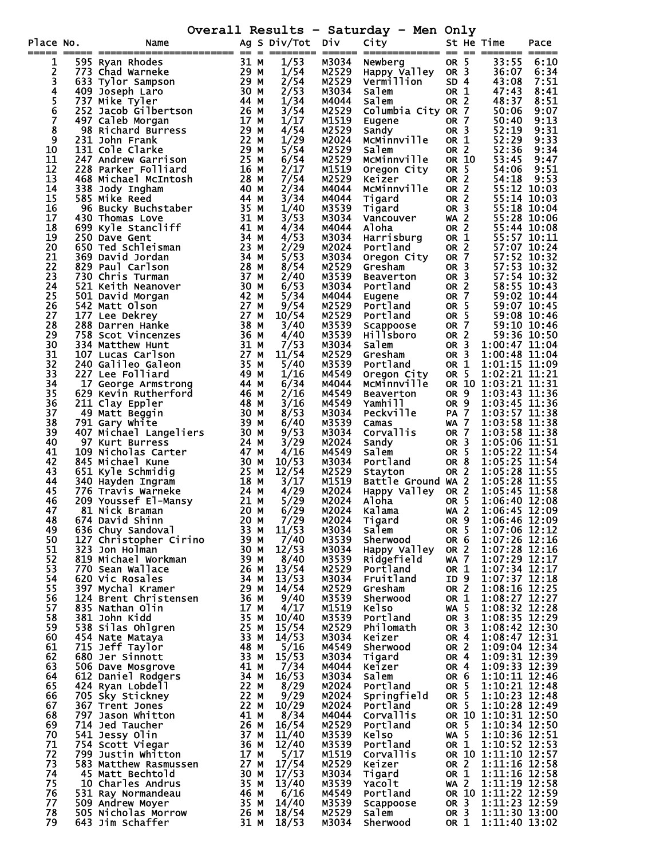**Overall Results – Saturday – Men Only** 

| Place No.<br>===== | Name                                             |              | Ag S Div/Tot Div |                | - 1<br>-----<br>City          |                                    |      | St He Time                           | Pace         |
|--------------------|--------------------------------------------------|--------------|------------------|----------------|-------------------------------|------------------------------------|------|--------------------------------------|--------------|
| 1                  | 595 Ryan Rhodes                                  | 31 M         | 1/53             | M3034          | Newberg                       | OR 5                               |      | 33:55                                | 6:10         |
| 2                  | 773 Chad Warneke                                 | 29 M         | 1/54             | M2529          | Happy Valley OR 3             |                                    |      | 36:07                                | 6:34         |
| $\overline{3}$     | 633 Tylor Sampson                                | 29 M         | 2/54             | M2529          | Vermillion                    | SD <sub>4</sub>                    |      | 43:08                                | 7:51         |
|                    | 409 Joseph Laro                                  | 30 M         | 2/53             | M3034          | Salem                         | OR 1                               |      | 47:43                                | 8:41         |
| 5<br>6<br>7        | 737 Mike Tyler                                   | 44 M<br>26 M | 1/34<br>3/54     | M4044<br>M2529 | Salem<br>Columbia City OR 7   | OR <sub>2</sub>                    |      | 48:37                                | 8:51<br>9:07 |
|                    | 252 Jacob Gilbertson<br>497 Caleb Morgan         | 17 M         | 1/17             | M1519          | Eugene                        | OR 7                               |      | 50:06<br>50:40                       | 9:13         |
| 8                  | 98 Richard Būrress                               | 29 M         | 4/54             | M2529          | Sandy                         | OR <sub>3</sub>                    |      | 52:19                                | 9:31         |
| 9                  | 231 John Frank                                   | 22 M         | 1/29             | M2024          | MCMinnville                   | OR 1                               |      | 52:29                                | 9:33         |
| 10                 | 131 Cole Clarke                                  | 29 M         | 5/54             | M2529          | Salem                         | OR <sub>2</sub>                    |      | 52:36                                | 9:34         |
| 11                 | 247 Andrew Garrison                              | 25 M         | 6/54             | M2529          | McMinnville                   | OR 10                              |      | 53:45                                | 9:47         |
| 12                 | 228 Parker Folliard                              | 16 M         | 2/17             | M1519          | Oregon City                   | OR 5                               |      | 54:06                                | 9:51         |
| 13<br>14           | 468 Michael McIntosh                             | 28 M<br>40 M | 7/54<br>2/34     | M2529<br>M4044 | Keizer<br>MCMinnville         | OR <sub>2</sub><br>OR <sub>2</sub> |      | 54:18                                | 9:53         |
| 15                 | 338 Jody Ingham<br>585 Mike Reed                 | 44 M         | 3/34             | M4044          | Tigard                        | OR <sub>2</sub>                    |      | 55:12 10:03<br>55:14 10:03           |              |
| 16                 | 96 Bucky Buchstaber                              | 35 M         | 1/40             | M3539          | Tigard                        | OR <sub>3</sub>                    |      | 55:18 10:04                          |              |
| 17                 | 430 Thomas Love                                  | 31 M         | 3/53             | M3034          | Vancouver                     | $WA$ 2                             |      | 55:28 10:06                          |              |
| 18                 | 699 Kyle Stancliff                               | 41 M         | 4/34             | M4044          | Aloha                         | OR <sub>2</sub>                    |      | 55:44 10:08                          |              |
| 19                 | 250 Dave Gent                                    | 34 M         | 4/53             | M3034          | Harrisburg                    | OR 1                               |      | 55:57 10:11                          |              |
| 20                 | 650 Ted Schleisman                               | 23 M         | 2/29             | M2024          | Portland                      | OR <sub>2</sub>                    |      | 57:07 10:24                          |              |
| 21<br>22           | 369 David Jordan<br>829 Paul Carlson             | 34 M<br>28 M | 5/53<br>8/54     | M3034<br>M2529 | Oregon City<br>Gresham        | OR 7<br>OR <sub>3</sub>            |      | 57:52 10:32<br>57:53 10:32           |              |
| 23                 | 730 Chris Turman                                 | 37 M         | 2/40             | M3539          | Beaverton                     | OR <sub>3</sub>                    |      | 57:54 10:32                          |              |
| 24                 | 521 Keith Neanover                               | 30 M         | 6/53             | M3034          | Portland                      | OR <sub>2</sub>                    |      | 58:55 10:43                          |              |
| 25                 | 501 David Morgan                                 | 42 M         | 5/34             | M4044          | Eugene                        | OR 7                               |      | 59:02 10:44                          |              |
| 26                 | 542 Matt Olson                                   | 27 M         | 9/54             | M2529          | Portland                      | OR <sub>5</sub>                    |      | 59:07 10:45                          |              |
| 27                 | 177 Lee Dekrey                                   | 27 M         | 10/54            | M2529          | Portland                      | OR 5                               |      | 59:08 10:46                          |              |
| 28<br>29           | 288 Darren Hanke<br>758 Scot Vincenzes           | 38 M<br>36 M | 3/40<br>4/40     | M3539          | Scappoose<br><b>Hillsboro</b> | <b>OR 7</b>                        |      | 59:10 10:46<br>59:36 10:50           |              |
| 30                 | 334 Matthew Hunt                                 | 31 M         | 7/53             | M3539<br>M3034 | Salem                         | OR 2<br>OR <sub>3</sub>            |      | 1:00:47 11:04                        |              |
| 31                 | 107 Lucas Carlson                                | 27 M         | 11/54            | M2529          | Gresham                       | OR <sub>3</sub>                    |      | 1:00:48 11:04                        |              |
| 32                 | 240 Galileo Galeon                               | 35 M         | 5/40             | M3539          | Portland                      | OR 1                               |      | 1:01:15 11:09                        |              |
| 33                 | 227 Lee Folliard                                 | 49 M         | 1/16             | M4549          | Oregon City                   | OR 5                               |      | 1:02:21 11:21                        |              |
| 34                 | 17 George Armstrong                              | 44 M         | 6/34             | M4044          | McMinnville                   |                                    |      | OR 10 1:03:21 11:31                  |              |
| 35                 | 629 Kevin Rutherford                             | 46 M         | 2/16             | M4549          | <b>Beaverton</b>              | OR 9                               |      | 1:03:43 11:36                        |              |
| 36<br>37           | 211 Clay Eppler<br>49 Matt Beggin                | 48 M<br>30 M | 3/16<br>8/53     | M4549<br>M3034 | Yamhill<br>Peckville          | OR <sub>9</sub><br><b>PA 7</b>     |      | 1:03:45 11:36<br>1:03:57 11:38       |              |
| 38                 | 791 Gary White                                   | 39 M         | 6/40             | M3539          | Camas                         | <b>WA 7</b>                        |      | 1:03:58 11:38                        |              |
| 39                 | 407 Michael Langeliers                           | 30 M         | 9/53             | M3034          | Corvallis                     | <b>OR 7</b>                        |      | 1:03:58 11:38                        |              |
| 40                 | 97 Kurt Burress                                  | 24 M         | 3/29             | M2024          | Sandy                         | OR <sub>3</sub>                    |      | 1:05:06 11:51                        |              |
| 41                 | 109 Nicholas Carter                              | 47 M         | 4/16             | M4549          | Salem                         | OR <sub>5</sub>                    |      | 1:05:22 11:54                        |              |
| 42                 | 845 Michael Kune                                 | 30 M         | 10/53            | M3034          | Portland                      | OR <sub>8</sub>                    |      | 1:05:25 11:54                        |              |
| 43<br>44           | 651 Kyle Schmidig<br>340 Hayden Ingram           | 25 M<br>18 M | 12/54<br>3/17    | M2529<br>M1519 | Stayton<br>Battle Ground WA 2 | OR <sub>2</sub>                    |      | 1:05:28 11:55<br>1:05:28 11:55       |              |
| 45                 | 776 Travis Warneke                               | 24 M         | 4/29             | M2024          | Happy Valley OR 2             |                                    |      | 1:05:45 11:58                        |              |
| 46                 |                                                  |              | 5/29             | M2024          | Aloha                         | OR 5                               |      | 1:06:40 12:08                        |              |
| 47                 | 209 Youssef El-Mansy 21 M<br>81 Nick Braman 20 M |              | 6/29             | M2024          | Kalama                        | <b>WA 2</b>                        |      | 1:06:45 12:09                        |              |
| 48                 | 674 David Shinn                                  | 20 M         | 7/29             | M2024          | Tigard                        |                                    | OR 9 | 1:06:46 12:09                        |              |
| 49                 | 636 Chuy Sandoval                                | 33 M         | 11/53            | M3034          | salem                         | OR <sub>5</sub>                    |      | 1:07:06 12:12                        |              |
| 50<br>51           | 127 Christopher Cirino<br>323 Jon Holman         | 39 M<br>30 M | 7/40<br>12/53    | M3539          | Sherwood                      | OR <sub>6</sub><br>OR <sub>2</sub> |      | 1:07:26 12:16<br>1:07:28 12:16       |              |
| 52                 | 819 Michael Workman                              | 39 M         | 8/40             | M3034<br>M3539 | Happy Valley<br>Ridgefield    | WA 7                               |      | 1:07:29 12:17                        |              |
| 53                 | 770 Sean Wallace                                 | 26 M         | 13/54            | M2529          | Portland                      | OR 1                               |      | 1:07:34 12:17                        |              |
| 54                 | 620 Vic Rosales                                  | 34 M         | 13/53            | M3034          | Fruitland                     | ID 9                               |      | $1:07:37$ $12:18$                    |              |
| 55                 | 397 Mychal Kramer                                | 29 M         | 14/54            | M2529          | Gresham                       | OR <sub>2</sub>                    |      | 1:08:16 12:25                        |              |
| 56                 | 124 Brent Christensen                            | 36 M         | 9/40             | M3539          | Sherwood                      | OR 1                               |      | 1:08:27 12:27                        |              |
| 57<br>58           | 835 Nathan Olin<br>381 John Kidd                 | 17 M<br>35 M | 4/17<br>10/40    | M1519<br>M3539 | <b>Kelso</b><br>Portland      | <b>WA 5</b><br>OR <sub>3</sub>     |      | 1:08:32 12:28<br>1:08:35 12:29       |              |
| 59                 | 538 Silas Ohlgren                                | 25 M         | 15/54            | M2529          | Philomath                     | OR <sub>3</sub>                    |      | 1:08:42 12:30                        |              |
| 60                 | 454 Nate Mataya                                  | 33 M         | 14/53            | M3034          | Keizer                        | OR 4                               |      | 1:08:47 12:31                        |              |
| 61                 | 715 Jeff Taylor                                  | 48 M         | 5/16             | M4549          | Sherwood                      | OR <sub>2</sub>                    |      | 1:09:04 12:34                        |              |
| 62                 | 680 Jer Sinnott                                  | 33 M         | 15/53            | M3034          | Tigard                        | OR 4                               |      | 1:09:31 12:39                        |              |
| 63                 | 506 Dave Mosgrove                                | 41 M         | 7/34             | M4044          | Keizer                        | OR 4                               |      | 1:09:33 12:39                        |              |
| 64                 | 612 Daniel Rodgers                               | 34 M         | 16/53            | M3034          | Salem                         | OR 6                               |      | 1:10:11 12:46                        |              |
| 65<br>66           | 424 Ryan Lobdell<br>705 Sky Stickney             | 22 M<br>22 M | 8/29<br>9/29     | M2024<br>M2024 | Portland<br>Springfield       | OR 5<br>OR <sub>5</sub>            |      | 1:10:21 12:48<br>1:10:23 12:48       |              |
| 67                 | 367 Trent Jones                                  | 22 M         | 10/29            | M2024          | Portland                      | OR 5                               |      | 1:10:28 12:49                        |              |
| 68                 | 797 Jason Whitton                                | 41 M         | 8/34             | M4044          | Corvallis                     |                                    |      | OR 10 1:10:31 12:50                  |              |
| 69                 | 714 Jed Taucher                                  | 26 M         | 16/54            | M2529          | Portland                      | OR 5                               |      | 1:10:34 12:50                        |              |
| 70                 | 541 Jessy Olin                                   | 37 M         | 11/40            | M3539          | <b>Kelso</b>                  | WA 5                               |      | 1:10:36 12:51                        |              |
| 71                 | 754 Scott Viegar                                 | 36 M         | 12/40            | M3539          | Portland                      | OR 1                               |      | 1:10:52 12:53                        |              |
| 72<br>73           | 799 Justin Whitton<br>583 Matthew Rasmussen      | 17 M<br>27 M | 5/17<br>17/54    | M1519          | Corvallis<br>Keizer           |                                    |      | OR 10 1:11:10 12:57<br>1:11:16 12:58 |              |
| 74                 | 45 Matt Bechtold                                 | 30 M         | 17/53            | M2529<br>M3034 | Tigard                        | OR 2<br>OR 1                       |      | 1:11:16 12:58                        |              |
| 75                 | 10 Charles Andrus                                | 35 M         | 13/40            | M3539          | Yacolt                        | <b>WA 2</b>                        |      | $1:11:19$ $12:58$                    |              |
| 76                 | 531 Ray Normandeau                               | 46 M         | 6/16             | M4549          | Portland                      |                                    |      | OR 10 1:11:22 12:59                  |              |
| 77                 | 509 Andrew Moyer                                 | 35 M         | 14/40            | M3539          | Scappoose                     | OR <sub>3</sub>                    |      | 1:11:23 12:59                        |              |
| 78                 | 505 Nicholas Morrow                              | 26 M         | 18/54            | M2529          | Salem                         | OR <sub>3</sub>                    |      | 1:11:30 13:00                        |              |
| 79                 | 643 Jim Schaffer                                 | 31 M         | 18/53            | M3034          | <b>Sherwood</b>               | OR 1                               |      | 1:11:40 13:02                        |              |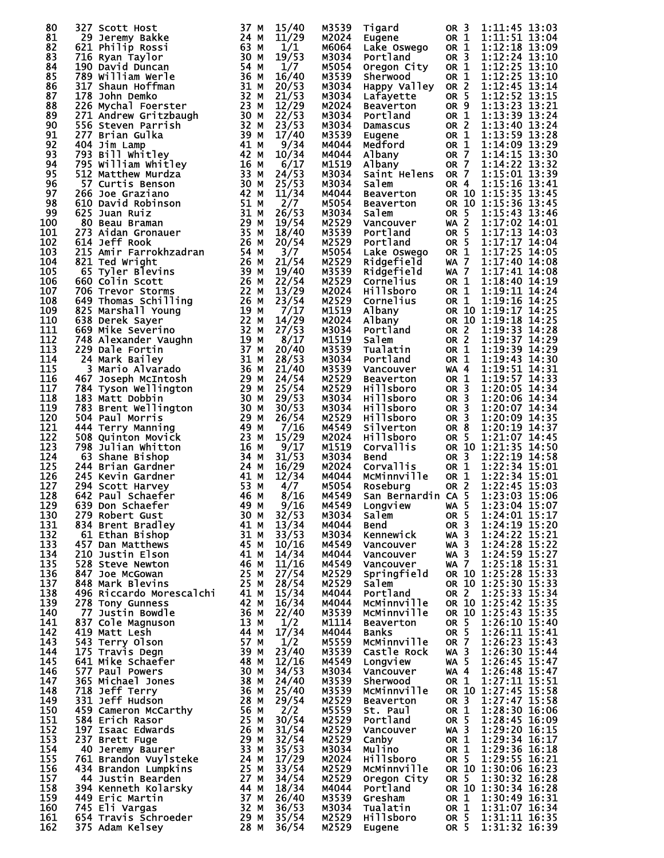| 80         | 327 Scott Host                                                                                                                                                                                                                                                            | 37 M | 15/40          | M3539          | Tigard                          | OR <sub>3</sub>                    | 1:11:45 13:03                              |
|------------|---------------------------------------------------------------------------------------------------------------------------------------------------------------------------------------------------------------------------------------------------------------------------|------|----------------|----------------|---------------------------------|------------------------------------|--------------------------------------------|
| 81         | 29 Jeremy Bakke                                                                                                                                                                                                                                                           | 24 M | 11/29          | M2024          | Eugene                          | OR 1                               | 1:11:51 13:04                              |
| 82         | 621 Philip Rossi                                                                                                                                                                                                                                                          | 63 M | 1/1            | M6064          | Lake Oswego                     | OR 1                               | 1:12:18 13:09                              |
| 83         | 716 Ryan Taylor                                                                                                                                                                                                                                                           | 30 M | 19/53          | M3034          | Portland                        | OR <sub>3</sub>                    | 1:12:24 13:10                              |
| 84         | 190 David Duncan                                                                                                                                                                                                                                                          | 54 M | 1/7            | M5054          | Oregon City                     | OR 1                               | 1:12:25 13:10                              |
| 85         | 789 William Werle<br>789 Willim<br>317 Shaun Hoffman<br>178 John Demko<br>226 Mychal Foerster 23 M<br>271 Andrew Gritzbaugh 30 M<br>556 Steven Parrish 32 M<br>556 Steven Parrish 32 M<br>39 M<br>39 M<br>41 1                                                            | 36 M | 16/40          | M3539          | <b>Sherwood</b>                 | OR 1                               | 1:12:25 13:10                              |
| 86         |                                                                                                                                                                                                                                                                           |      | 20/53          | M3034          | Happy Valley                    | OR <sub>2</sub>                    | 1:12:45 13:14                              |
| 87<br>88   |                                                                                                                                                                                                                                                                           |      | 21/53<br>12/29 | M3034<br>M2024 | Lafayette                       | OR 5<br>OR <sub>9</sub>            | $1:12:52$ 13:15<br>1:13:23 13:21           |
| 89         |                                                                                                                                                                                                                                                                           |      | 22/53          | M3034          | <b>Beaverton</b><br>Portland    | OR 1                               | $1:13:39$ 13:24                            |
| 90         |                                                                                                                                                                                                                                                                           |      | 23/53          | M3034          | Damascus                        | OR <sub>2</sub>                    | 1:13:40 13:24                              |
| 91         |                                                                                                                                                                                                                                                                           |      | 17/40          | M3539          | Eugene                          | OR 1                               | $1:13:59$ 13:28                            |
| 92         |                                                                                                                                                                                                                                                                           |      | 9/34           | M4044          | Medford                         | OR 1                               | 1:14:09 13:29                              |
| 93         | 793 Bill Whitley                                                                                                                                                                                                                                                          | 42 M | 10/34          | M4044          | Albany                          | <b>OR 7</b>                        | 1:14:15 13:30                              |
| 94         |                                                                                                                                                                                                                                                                           |      | 6/17           | M1519          | Albany                          | <b>OR 7</b>                        | 1:14:22 13:32                              |
| 95         |                                                                                                                                                                                                                                                                           |      | 24/53          | M3034          | Saint Helens                    | OR <sub>7</sub>                    | 1:15:01 13:39                              |
| 96         |                                                                                                                                                                                                                                                                           |      | 25/53          | м3034          | Salem                           | OR 4                               | 1:15:16 13:41                              |
| 97<br>98   |                                                                                                                                                                                                                                                                           |      | 11/34<br>2/7   | M4044<br>M5054 | Beaverton                       |                                    | OR 10 1:15:35 13:45<br>OR 10 1:15:36 13:45 |
| 99         | 993 Bill Whitley<br>795 William Whitley<br>512 Matthew Murdza<br>52 Curtis Benson<br>626 Joe Graziano<br>625 Juan Ruiz<br>80 Beau Braman<br>7273 Aidan Gronauer<br>614 Jeff Rook<br>7215 Amir Farrokhzadran<br>726 M<br>821 Ted Wright<br>726 M<br>821 T                  |      | 26/53          | M3034          | <b>Beaverton</b><br>Salem       | OR 5                               | 1:15:43 13:46                              |
| 100        |                                                                                                                                                                                                                                                                           |      | 19/54          | M2529          | Vancouver                       | <b>WA 2</b>                        | 1:17:02 14:01                              |
| 101        |                                                                                                                                                                                                                                                                           |      | 18/40          | M3539          | Portland                        | OR 5                               | 1:17:13 14:03                              |
| 102        |                                                                                                                                                                                                                                                                           |      | 20/54          | M2529          | Portland                        | OR 5                               | 1:17:17 14:04                              |
| 103        |                                                                                                                                                                                                                                                                           |      | 3/7            | M5054          | Lake Oswego                     | OR 1                               | 1:17:25 14:05                              |
| 104        | 821 Ted Wright                                                                                                                                                                                                                                                            |      | 21/54          | M2529          | Ridgefield                      | <b>WA 7</b>                        | 1:17:40 14:08                              |
| 105        |                                                                                                                                                                                                                                                                           |      | 19/40          | M3539          | Ridgefield                      | <b>WA 7</b>                        | 1:17:41 14:08                              |
| 106        |                                                                                                                                                                                                                                                                           |      | 22/54          | M2529          | Cornelius                       | OR 1                               | 1:18:40 14:19                              |
| 107        |                                                                                                                                                                                                                                                                           |      | 13/29          | M2024          | Hillsboro                       | OR 1                               | 1:19:11 14:24                              |
| 108<br>109 |                                                                                                                                                                                                                                                                           |      | 23/54<br>7/17  | M2529<br>M1519 | Cornelius<br>Albany             | OR 1                               | 1:19:16 14:25<br>OR 10 1:19:17 14:25       |
| 110        |                                                                                                                                                                                                                                                                           |      | 14/29          | M2024          | Albany                          |                                    | OR 10 1:19:18 14:25                        |
| 111        |                                                                                                                                                                                                                                                                           |      | 27/53          | M3034          | Portland                        | OR <sub>2</sub>                    | 1:19:33 14:28                              |
| 112        | 221 Ted Wright<br>65 Tyler Blevins<br>660 Colin Scott<br>706 Trevor Storms<br>706 Trevor Storms<br>825 Marshall Young<br>825 Marshall Young<br>638 Derek Sayer<br>748 Alexander Vaughn<br>748 Alexander Vaughn<br>729 Dale Fortin<br>749 Alexander V                      |      | 8/17           | M1519          | Salem                           | OR <sub>2</sub>                    | 1:19:37 14:29                              |
| 113        | 229 Dale Fortin                                                                                                                                                                                                                                                           |      | 20/40          | M3539          | Tualatin                        | OR 1                               | 1:19:39 14:29                              |
| 114        | 24 Mark Bailey                                                                                                                                                                                                                                                            | 31 M | 28/53          | M3034          | Portland                        | OR 1                               | 1:19:43 14:30                              |
| 115        | 3 Mario Alvarado                                                                                                                                                                                                                                                          | 36 M | 21/40          | M3539          | Vancouver                       | <b>WA 4</b>                        | 1:19:51 14:31                              |
| 116        |                                                                                                                                                                                                                                                                           |      | 24/54          | M2529          | <b>Beaverton</b>                | OR 1                               | 1:19:57 14:33                              |
| 117        |                                                                                                                                                                                                                                                                           |      | 25/54          | M2529          | Hillsboro                       | OR <sub>3</sub>                    | 1:20:05 14:34                              |
| 118<br>119 |                                                                                                                                                                                                                                                                           |      | 29/53          | M3034          | Hillsboro                       | OR <sub>3</sub><br>OR <sub>3</sub> | 1:20:06 14:34                              |
| 120        |                                                                                                                                                                                                                                                                           |      | 30/53<br>26/54 | M3034<br>M2529 | Hillsboro<br><b>Hillsboro</b>   | OR <sub>3</sub>                    | 1:20:07 14:34<br>1:20:09 14:35             |
| 121        | 30 M<br>467 Joseph McIntosh<br>784 Tyson Wellington<br>183 Matt Dobbin<br>783 Brent Wellington<br>504 Paul Morris<br>504 Paul Morris<br>444 Terry Manning<br>508 Quinton Movick<br>798 Joseph Morriton<br>783 Shane Bishan<br>63 Shane Bishan<br>144                      |      | 7/16           | M4549          | Silverton                       | OR <sub>8</sub>                    | 1:20:19 14:37                              |
| 122        |                                                                                                                                                                                                                                                                           |      | 15/29          | M2024          | Hillsboro                       | OR 5                               | 1:21:07 14:45                              |
| 123        |                                                                                                                                                                                                                                                                           |      | 9/17           | M1519          | Corvallis                       |                                    | OR 10 1:21:35 14:50                        |
| 124        | 63 Shane Bishop<br>$\begin{array}{c} 34 \text{ M} \\ 24 \text{ M} \end{array}$                                                                                                                                                                                            | 34 M | 31/53          | M3034          | <b>Bend</b>                     | OR <sub>3</sub>                    | 1:22:19 14:58                              |
| 125        | 244 Brian Gardner                                                                                                                                                                                                                                                         |      | 16/29          | M2024          | Corvallis                       | OR 1                               | 1:22:34 15:01                              |
| 126        | 41 M<br>53 M<br>245 Kevin Gardner                                                                                                                                                                                                                                         |      | 12/34          | M4044          | MCMinnville                     | OR 1                               | 1:22:34 15:01                              |
| 127        | 294 Scott Harvey                                                                                                                                                                                                                                                          |      | 4/7            | M5054          | Roseburg                        | OR 2                               | 1:22:45 15:03                              |
| 128<br>129 | 642 Paul Schaefer<br>49M                                                                                                                                                                                                                                                  | 46 M | 8/16           | M4549          | San Bernardin CA 5              |                                    | 1:23:03 15:06<br>WA 5 1:23:04 15:07        |
| 130        | 639 Don Schaefer                                                                                                                                                                                                                                                          |      | 9/16<br>32/53  | M4549<br>M3034 | Longview<br>salem               | OR <sub>5</sub>                    | 1:24:01 15:17                              |
| 131        |                                                                                                                                                                                                                                                                           |      | 13/34          | M4044          | Bend                            | OR <sub>3</sub>                    | 1:24:19 15:20                              |
| 132        |                                                                                                                                                                                                                                                                           |      | 33/53          | м3034          | Kennewick                       | $WA$ 3                             | 1:24:22 15:21                              |
| 133        |                                                                                                                                                                                                                                                                           |      | 10/16          | M4549          | Vancouver                       | $WA$ 3                             | 1:24:28 15:22                              |
| 134        |                                                                                                                                                                                                                                                                           |      | 14/34          | M4044          | Vancouver                       | WA 3                               | 1:24:59 15:27                              |
| 135        |                                                                                                                                                                                                                                                                           |      | 11/16          | M4549          | Vancouver                       | <b>WA 7</b>                        | 1:25:18 15:31                              |
| 136        |                                                                                                                                                                                                                                                                           |      | 27/54          | M2529          | Springfield                     |                                    | OR 10 1:25:28 15:33                        |
| 137<br>138 | 639 Don Schaefer<br>279 Robert Gust<br>834 Brent Bradley<br>61 Ethan Bishop<br>457 Dan Matthews<br>210 Justin Elson<br>528 Steve Newton<br>847 Joe McGowan<br>848 Mark Blevins<br>848 Mark Blevins<br>278 Tony Gunness<br>427 Tustin Bowdla<br>277 Jus                    |      | 28/54<br>15/34 | M2529<br>M4044 | Salem<br>Portland               |                                    | OR 10 1:25:30 15:33                        |
| 139        |                                                                                                                                                                                                                                                                           |      | 16/34          | M4044          | McMinnville                     |                                    | OR 2 1:25:33 15:34<br>OR 10 1:25:42 15:35  |
| 140        |                                                                                                                                                                                                                                                                           |      | 22/40          | M3539          | MCMinnville                     |                                    | OR 10 1:25:43 15:35                        |
| 141        |                                                                                                                                                                                                                                                                           |      | 1/2            | M1114          | Beaverton                       | OR 5                               | 1:26:10 15:40                              |
| 142        |                                                                                                                                                                                                                                                                           |      | 17/34          | M4044          | Banks                           | OR 5                               | 1:26:11 15:41                              |
| 143        |                                                                                                                                                                                                                                                                           |      | 1/2            | M5559          | MCMinnville                     | <b>OR 7</b>                        | 1:26:23 15:43                              |
| 144        |                                                                                                                                                                                                                                                                           |      | 23/40          | M3539          | Castle Rock                     | $WA$ 3                             | 1:26:30 15:44                              |
| 145        |                                                                                                                                                                                                                                                                           |      | 12/16          | M4549          | Longview                        | <b>WA 5</b>                        | 1:26:45 15:47                              |
| 146        |                                                                                                                                                                                                                                                                           |      | 34/53          | м3034          | Vancouver                       | WA 4                               | 1:26:48 15:47                              |
| 147        |                                                                                                                                                                                                                                                                           |      | 24/40          | M3539          | Sherwood                        | OR 1                               | 1:27:11 15:51                              |
| 148<br>149 |                                                                                                                                                                                                                                                                           |      | 25/40<br>29/54 | M3539<br>M2529 | MCMinnville<br><b>Beaverton</b> | OR 3                               | OR 10 1:27:45 15:58<br>1:27:47 15:58       |
| 150        |                                                                                                                                                                                                                                                                           |      | 2/2            | M5559          | St. Paul                        | OR 1                               | 1:28:30 16:06                              |
| 151        |                                                                                                                                                                                                                                                                           |      | 30/54          | M2529          | Portland                        | OR 5                               | 1:28:45 16:09                              |
| 152        |                                                                                                                                                                                                                                                                           |      | 31/54          | M2529          | Vancouver                       | $WA$ 3                             | 1:29:20 16:15                              |
| 153        |                                                                                                                                                                                                                                                                           |      | 32/54          | M2529          | Canby                           | OR 1                               | 1:29:34 16:17                              |
| 154        |                                                                                                                                                                                                                                                                           |      | 35/53          | M3034          | Mulino                          | OR 1                               | 1:29:36 16:18                              |
| 155        |                                                                                                                                                                                                                                                                           |      | 17/29          | M2024          | Hillsboro                       | OR 5                               | 1:29:55 16:21                              |
| 156        |                                                                                                                                                                                                                                                                           |      | 33/54          | M2529          | McMinnville                     |                                    | OR 10 1:30:06 16:23                        |
| 157<br>158 |                                                                                                                                                                                                                                                                           |      | 34/54          | M2529          | Oregon City                     |                                    | OR 5 1:30:32 16:28<br>OR 10 1:30:34 16:28  |
| 159        |                                                                                                                                                                                                                                                                           |      | 18/34<br>26/40 | M4044<br>M3539 | Portland<br>Gresham             | OR 1                               | 1:30:49 16:31                              |
| 160        |                                                                                                                                                                                                                                                                           |      | 36/53          | м3034          | Tualatin                        | OR 1                               | 1:31:07 16:34                              |
| 161        |                                                                                                                                                                                                                                                                           |      | 35/54          | M2529          | Hillsboro                       | OR 5                               | 1:31:11 16:35                              |
| 162        | 498 KICATUO MOTESCATE:<br>278 Tony Gunness<br>37 Cole Magnuson<br>419 Matt Lesh<br>543 Terry Olson<br>175 Travis Degn<br>577 Paul Powers<br>365 Michael Jones<br>718 Jeff Terry<br>366 Michael Jones<br>718 Jeff Terry<br>38 Michael Jones<br>718 Jeff<br>375 Adam Kelsey | 28 M | 36/54          | M2529          | Eugene                          | OR <sub>5</sub>                    | 1:31:32 16:39                              |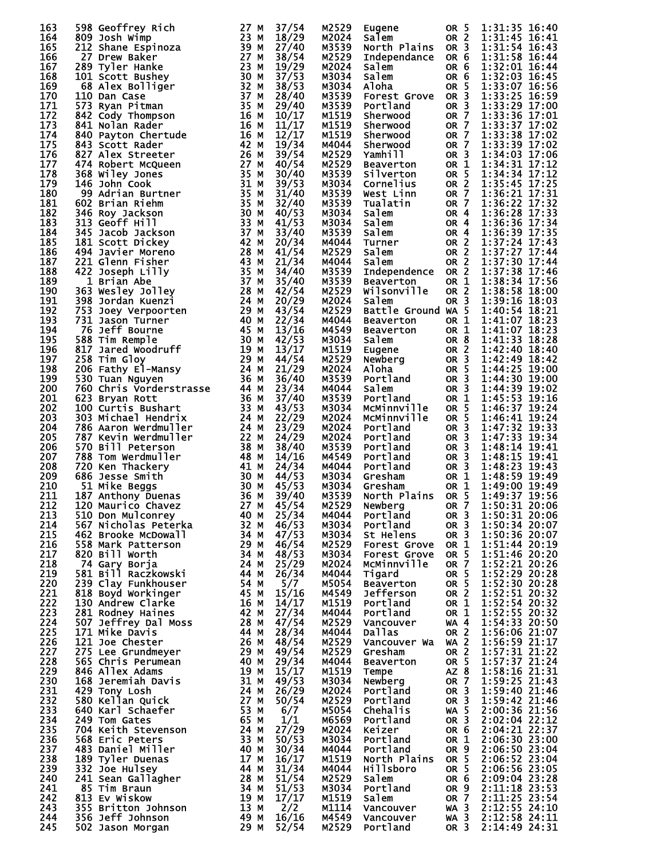| 163        | 598 Geoffrey Rich<br>598 Geoffrey Rich 277 MM Minimiz 273<br>2012 John Wimpinza 239 MM Minimiz 239 Drew Baker Expininza 239 Tyler Hanke 277 Drew Baker 278 Tyler Hanke 273 Tyler Hanke 82 23 MM MM MM M42<br>101 Scott Bushey 68 Alex Bolliger 102 337 MM | 27 M | 37/54          | M2529          | Eugene                                                   | OR 5                               | 1:31:35 16:40                  |
|------------|-----------------------------------------------------------------------------------------------------------------------------------------------------------------------------------------------------------------------------------------------------------|------|----------------|----------------|----------------------------------------------------------|------------------------------------|--------------------------------|
| 164        |                                                                                                                                                                                                                                                           |      | 18/29          | M2024          | Salem                                                    | OR 2                               | 1:31:45 16:41                  |
| 165        |                                                                                                                                                                                                                                                           |      | 27/40          | M3539          | North Plains                                             | OR <sub>3</sub>                    | 1:31:54 16:43                  |
| 166        |                                                                                                                                                                                                                                                           |      | 38/54<br>19/29 | M2529          | Independance                                             | OR 6                               | 1:31:58 16:44<br>1:32:01 16:44 |
| 167<br>168 |                                                                                                                                                                                                                                                           |      | 37/53          | M2024<br>M3034 | Salem<br>Salem                                           | OR 6<br>OR 6                       | 1:32:03 16:45                  |
| 169        |                                                                                                                                                                                                                                                           |      | 38/53          | M3034          | Aloha                                                    | OR 5                               | 1:33:07 16:56                  |
| 170        |                                                                                                                                                                                                                                                           |      | 28/40          | M3539          | <b>Forest Grove</b>                                      | OR <sub>3</sub>                    | 1:33:25 16:59                  |
| 171        |                                                                                                                                                                                                                                                           |      | 29/40          | M3539          | Portland                                                 | OR <sub>3</sub>                    | 1:33:29 17:00                  |
| 172        |                                                                                                                                                                                                                                                           |      | 10/17          | M1519          | Sherwood                                                 | OR 7                               | 1:33:36 17:01                  |
| 173        |                                                                                                                                                                                                                                                           |      | 11/17          | M1519          | Sherwood                                                 | <b>OR 7</b>                        | 1:33:37 17:02                  |
| 174        |                                                                                                                                                                                                                                                           |      | 12/17          | M1519          | Sherwood                                                 | OR 7                               | 1:33:38 17:02                  |
| 175        |                                                                                                                                                                                                                                                           |      | 19/34          | M4044          | Sherwood                                                 | <b>OR 7</b>                        | 1:33:39 17:02                  |
| 176        |                                                                                                                                                                                                                                                           |      | 39/54          | M2529          | Yamhill                                                  | OR <sub>3</sub>                    | 1:34:03 17:06                  |
| 177        |                                                                                                                                                                                                                                                           |      | 40/54          | M2529          | Beaverton                                                | OR 1                               | 1:34:31 17:12                  |
| 178        |                                                                                                                                                                                                                                                           |      | 30/40          | M3539          | Silverton                                                | OR 5                               | 1:34:34 17:12                  |
| 179<br>180 |                                                                                                                                                                                                                                                           |      | 39/53<br>31/40 | M3034<br>M3539 | Cornelius                                                | OR 2<br>OR 7                       | 1:35:45 17:25<br>1:36:21 17:31 |
| 181        |                                                                                                                                                                                                                                                           |      | 32/40          | M3539          | West Linn<br>Tualatin                                    | <b>OR 7</b>                        | 1:36:22 17:32                  |
| 182        |                                                                                                                                                                                                                                                           |      | 40/53          | M3034          | Salem                                                    | OR 4                               | 1:36:28 17:33                  |
| 183        |                                                                                                                                                                                                                                                           |      | 41/53          | M3034          | Salem                                                    | OR <sub>4</sub>                    | 1:36:36 17:34                  |
| 184        |                                                                                                                                                                                                                                                           |      | 33/40          | M3539          | Salem                                                    | OR 4                               | 1:36:39 17:35                  |
| 185        |                                                                                                                                                                                                                                                           |      | 20/34          | M4044          | Turner                                                   | OR <sub>2</sub>                    | 1:37:24 17:43                  |
| 186        |                                                                                                                                                                                                                                                           |      | 41/54          | M2529          | Salem                                                    | OR 2                               | 1:37:27 17:44                  |
| 187        |                                                                                                                                                                                                                                                           |      | 21/34          | M4044          | Salem                                                    | OR 2                               | 1:37:30 17:44                  |
| 188        |                                                                                                                                                                                                                                                           |      | 34/40          | M3539          | Independence                                             | OR <sub>2</sub>                    | 1:37:38 17:46                  |
| 189        |                                                                                                                                                                                                                                                           |      | 35/40          | M3539          | <b>Beaverton</b>                                         | OR 1                               | 1:38:34 17:56                  |
| 190        |                                                                                                                                                                                                                                                           |      | 42/54          | M2529          | Wilsonville                                              | OR 2                               | 1:38:58 18:00                  |
| 191        |                                                                                                                                                                                                                                                           |      | 20/29          | M2024          | Salem                                                    | OR <sub>3</sub>                    | 1:39:16 18:03                  |
| 192        |                                                                                                                                                                                                                                                           |      | 43/54          | M2529          | Battle Ground WA 5                                       |                                    | 1:40:54 18:21                  |
| 193        |                                                                                                                                                                                                                                                           |      | 22/34          | M4044          | Beaverton                                                | OR 1                               | 1:41:07 18:23                  |
| 194<br>195 |                                                                                                                                                                                                                                                           |      | 13/16<br>42/53 | M4549          | Beaverton<br>Salem                                       | OR <sub>1</sub>                    | 1:41:07 18:23<br>1:41:33 18:28 |
| 196        |                                                                                                                                                                                                                                                           |      | 13/17          | M3034<br>M1519 | Saiem<br>Eugene<br>Newberg<br>Aloha<br>Portland<br>Salem | OR <sub>8</sub><br>OR <sub>2</sub> | 1:42:40 18:40                  |
| 197        |                                                                                                                                                                                                                                                           |      | 44/54          | M2529          |                                                          | OR <sub>3</sub>                    | 1:42:49 18:42                  |
| 198        |                                                                                                                                                                                                                                                           |      | 21/29          | M2024          |                                                          | OR <sub>5</sub>                    | 1:44:25 19:00                  |
| 199        |                                                                                                                                                                                                                                                           |      | 36/40          | M3539          |                                                          | OR <sub>3</sub>                    | 1:44:30 19:00                  |
| 200        |                                                                                                                                                                                                                                                           |      | 23/34          | M4044          |                                                          | OR <sub>3</sub>                    | 1:44:39 19:02                  |
| 201        |                                                                                                                                                                                                                                                           |      | 37/40          | M3539          | Portland                                                 | OR 1                               | 1:45:53 19:16                  |
| 202        |                                                                                                                                                                                                                                                           |      | 43/53          | M3034          | McMinnville                                              | OR 5                               | 1:46:37 19:24                  |
| 203        |                                                                                                                                                                                                                                                           |      | 22/29          | M2024          | MCMinnville                                              | OR 5                               | 1:46:41 19:24                  |
| 204        |                                                                                                                                                                                                                                                           |      | 23/29          | M2024          | Portland                                                 | OR <sub>3</sub>                    | 1:47:32 19:33                  |
| 205        |                                                                                                                                                                                                                                                           |      | 24/29          | M2024          | Portland                                                 | OR <sub>3</sub>                    | 1:47:33 19:34                  |
| 206        |                                                                                                                                                                                                                                                           |      | 38/40          | M3539          | Portland                                                 | OR <sub>3</sub>                    | 1:48:14 19:41                  |
| 207        |                                                                                                                                                                                                                                                           |      | 14/16          | M4549          | Portland                                                 | OR 3                               | 1:48:15 19:41                  |
| 208        |                                                                                                                                                                                                                                                           |      | 24/34          | M4044          | Portland                                                 | OR <sub>3</sub>                    | 1:48:23 19:43                  |
| 209<br>210 |                                                                                                                                                                                                                                                           |      | 44/53          | M3034          | Gresham                                                  | OR 1                               | 1:48:59 19:49<br>1:49:00 19:49 |
| 211        |                                                                                                                                                                                                                                                           |      | 45/53<br>39/40 | M3034<br>M3539 | Gresham<br>North Plains OR 5                             | OR 1                               | 1:49:37 19:56                  |
| 212        |                                                                                                                                                                                                                                                           |      | 45/54          | M2529          | Newberg                                                  |                                    | OR 7 1:50:31 20:06             |
| 213        |                                                                                                                                                                                                                                                           |      | 25/34          | M4044          | Portland                                                 | OR <sub>3</sub>                    | 1:50:31 20:06                  |
| 214        |                                                                                                                                                                                                                                                           |      | 46/53          | M3034          | Portland                                                 | OR <sub>3</sub>                    | 1:50:34 20:07                  |
| 215        |                                                                                                                                                                                                                                                           |      | 47/53          | M3034          | St Helens                                                | OR <sub>3</sub>                    | 1:50:36 20:07                  |
| 216        |                                                                                                                                                                                                                                                           |      | 46/54          | M2529          | <b>Forest Grove</b>                                      | OR 1                               | 1:51:44 20:19                  |
| 217        |                                                                                                                                                                                                                                                           |      | 48/53          | M3034          | Forest Grove                                             | OR 5                               | 1:51:46 20:20<br>1:52:21 20:26 |
| 218        |                                                                                                                                                                                                                                                           |      | 25/29          | M2024          | MCMinnville                                              | <b>OR 7</b>                        |                                |
| 219        |                                                                                                                                                                                                                                                           |      | 26/34          | M4044          | Tigard                                                   | OR 5                               | $1:52:29$ 20:28                |
| 220        |                                                                                                                                                                                                                                                           |      | 5/7            | M5054          | <b>Beaverton</b>                                         | OR 5                               | 1:52:30 20:28                  |
| 221        |                                                                                                                                                                                                                                                           |      | 15/16          | M4549          | Jefferson                                                | OR <sub>2</sub>                    | $1:52:51$ 20:32                |
| 222        |                                                                                                                                                                                                                                                           |      | 14/17          | M1519          | Portland                                                 | OR 1                               | 1:52:54 20:32                  |
| 223        |                                                                                                                                                                                                                                                           |      | 27/34          | M4044          | Portland                                                 | OR 1                               | 1:52:55 20:32                  |
| 224<br>225 |                                                                                                                                                                                                                                                           |      | 47/54<br>28/34 | M2529          | Vancouver                                                | WA 4<br><b>OR 2</b>                | 1:54:33 20:50                  |
| 226        |                                                                                                                                                                                                                                                           |      | 48/54          | M4044<br>M2529 | Dallas<br>Vancouver Wa WA 2                              |                                    | 1:56:06 21:07<br>1:56:59 21:17 |
| 227        |                                                                                                                                                                                                                                                           |      | 49/54          | M2529          | Gresham                                                  | OR <sub>2</sub>                    | 1:57:31 21:22                  |
| 228        |                                                                                                                                                                                                                                                           |      | 29/34          | M4044          | <b>Beaverton</b>                                         | OR <sub>5</sub>                    | 1:57:37 21:24                  |
| 229        |                                                                                                                                                                                                                                                           |      | 15/17          | M1519          | Tempe                                                    | AZ 8                               | 1:58:16 21:31                  |
| 230        |                                                                                                                                                                                                                                                           |      | 49/53          | M3034          | Newberg                                                  | <b>OR 7</b>                        | 1:59:25 21:43                  |
| 231        |                                                                                                                                                                                                                                                           |      | 26/29          | M2024          | Portland                                                 | OR <sub>3</sub>                    | 1:59:40 21:46                  |
| 232        |                                                                                                                                                                                                                                                           |      | 50/54          | M2529          | Portland                                                 | OR <sub>3</sub>                    | 1:59:42 21:46                  |
| 233        |                                                                                                                                                                                                                                                           |      | 6/7            | M5054          | Chehalis                                                 | <b>WA 5</b>                        | 2:00:36 21:56                  |
| 234        |                                                                                                                                                                                                                                                           |      | 1/1            | M6569          | Portland                                                 | OR <sub>3</sub>                    | 2:02:04 22:12                  |
| 235        |                                                                                                                                                                                                                                                           |      | 27/29          | M2024          | Keizer                                                   | OR 6                               | 2:04:21 22:37                  |
| 236        |                                                                                                                                                                                                                                                           |      | 50/53          | м3034          | Portland                                                 | OR 1                               | 2:06:30 23:00                  |
| 237        |                                                                                                                                                                                                                                                           |      | 30/34          | M4044          | Portland                                                 | OR 9                               | 2:06:50 23:04                  |
| 238        |                                                                                                                                                                                                                                                           |      | 16/17          | M1519          | North Plains                                             | OR 5                               | 2:06:52 23:04                  |
| 239        |                                                                                                                                                                                                                                                           |      | 31/34          | M4044          | <b>Hillsboro</b>                                         | OR <sub>5</sub>                    | 2:06:56 23:05                  |
| 240        |                                                                                                                                                                                                                                                           |      | 51/54          | M2529          | Salem                                                    | OR 6                               | 2:09:04 23:28                  |
| 241        |                                                                                                                                                                                                                                                           |      | 51/53          | м3034          | Portland                                                 | OR 9                               | 2:11:18 23:53                  |
| 242<br>243 |                                                                                                                                                                                                                                                           |      | 17/17<br>2/2   | M1519<br>M1114 | Salem                                                    | <b>OR 7</b><br>$WA$ 3              | 2:11:25 23:54<br>2:12:55 24:10 |
| 244        |                                                                                                                                                                                                                                                           |      | 16/16          | M4549          | Vancouver<br>Vancouver                                   | WA 3                               | 2:12:58 24:11                  |
| 245        | 120 Maurico Chavez<br>510 Don Mulconrey<br>510 Don Mulconrey<br>567 Nicholas Peterka<br>462 Brooke McDowall<br>538 Mark Patterson<br>820 Bill Worth<br>74 Gary Borja<br>821 Bill Raczkowski<br>738 Bill Raczkowski<br>739 Clay Funkhouser<br>74 Gary      |      | 52/54          | M2529          | Portland                                                 | OR <sub>3</sub>                    | 2:14:49 24:31                  |
|            |                                                                                                                                                                                                                                                           |      |                |                |                                                          |                                    |                                |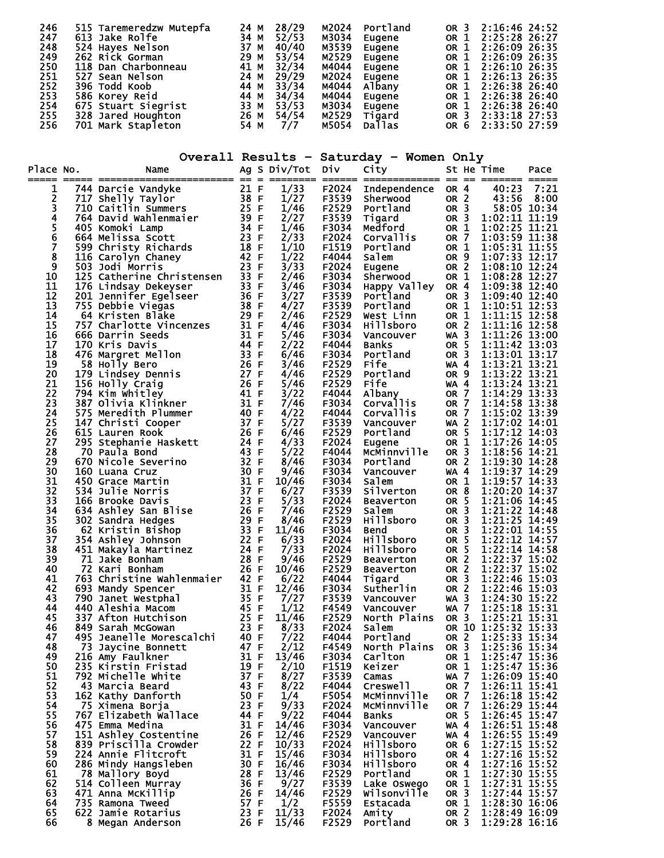| 246 | 515 Taremeredzw Mutepfa | 24<br>M | 28/29 | M2024 | Portland      | OR <sub>3</sub> | 2:16:46 24:52 |
|-----|-------------------------|---------|-------|-------|---------------|-----------------|---------------|
| 247 | 613 Jake Rolfe          | 34<br>М | 52/53 | M3034 | Eugene        | OR 1            | 2:25:28 26:27 |
| 248 | 524 Hayes Nelson        | 37<br>м | 40/40 | M3539 | Eugene        | OR 1            | 2:26:09 26:35 |
| 249 | 262 Rick Gorman         | 29<br>M | 53/54 | M2529 | Eugene        | OR 1            | 2:26:09 26:35 |
| 250 | 118 Dan Charbonneau     | 41 M    | 32/34 | M4044 | Eugene        | OR 1            | 2:26:10 26:35 |
| 251 | 527 Sean Nelson         | 24 M    | 29/29 | M2024 | Eugene        | OR 1            | 2:26:13 26:35 |
| 252 | 396 Todd Koob           | 44 M    | 33/34 | M4044 | Albany        | OR 1            | 2:26:38 26:40 |
| 253 | 586 Korey Reid          | 44 M    | 34/34 | M4044 | Eugene        | OR 1            | 2:26:38 26:40 |
| 254 | 675 Stuart Siegrist     | 33 M    | 53/53 | M3034 | Eugene        | OR 1            | 2:26:38 26:40 |
| 255 | 328 Jared Houghton      | 26 M    | 54/54 | M2529 | Tigard        | OR 3            | 2:33:18 27:53 |
| 256 | 701 Mark Stapleton      | 54 M    | $7/7$ | M5054 | <b>Dallas</b> | OR 6            | 2:33:50 27:59 |

|                |                                                                                                                                                                                                                                                                   |              |                  |                | Overall Results - Saturday - Women Only                                 |                                    |                                                          |        |
|----------------|-------------------------------------------------------------------------------------------------------------------------------------------------------------------------------------------------------------------------------------------------------------------|--------------|------------------|----------------|-------------------------------------------------------------------------|------------------------------------|----------------------------------------------------------|--------|
| Place No.      | Name                                                                                                                                                                                                                                                              |              | Ag S Div/Tot Div |                | City                                                                    |                                    | St He Time                                               | Pace   |
| ı              | === =======<br>0.<br>International control of the SS of F<br>1744 Darcie Vandyke<br>717 Shelly Taylor<br>716 David Wahlenmaier<br>405 Komoki Lamp<br>664 Melissa Scott<br>599 Christy Richards<br>599 Christy Richards<br>599 Christy Richards<br>116 Carolyn Cha |              | 1/33             | F2024          | <u> ssesssssssssss oc og energen</u><br>Independence OR 4               |                                    | 40:23                                                    | - 7:21 |
| $\frac{2}{3}$  |                                                                                                                                                                                                                                                                   |              | 1/27             | F3539          | Sherwood                                                                | OR 2                               | 43:56                                                    | 8:00   |
|                |                                                                                                                                                                                                                                                                   |              | 1/46             |                | F3539 Sherwood<br>F2529 Portland                                        | OR <sub>3</sub>                    | 58:05 10:34                                              |        |
| 4              |                                                                                                                                                                                                                                                                   |              | 2/27<br>1/46     | F3539<br>F3034 | Tigard<br>Medford                                                       | OR 1                               | OR 3 1:02:11 11:19<br>$1:02:25$ $11:21$                  |        |
| $\frac{5}{6}$  |                                                                                                                                                                                                                                                                   |              | 2/33             | F2024          |                                                                         | OR 7                               | 1:03:59 11:38                                            |        |
| Ž              |                                                                                                                                                                                                                                                                   |              | 1/10             | F1519          |                                                                         | OR 1                               | 1:05:31 11:55                                            |        |
| 8              |                                                                                                                                                                                                                                                                   |              | 1/22             | F4044          |                                                                         | OR 9                               | 1:07:33 12:17                                            |        |
| $\overline{9}$ |                                                                                                                                                                                                                                                                   |              | 3/33             | F2024          | <b>Corvallis</b><br>Portland<br>Salem<br>Eugene<br>Sherwood<br>Sherwood | OR <sub>2</sub>                    | 1:08:10 12:24                                            |        |
| 10<br>11       |                                                                                                                                                                                                                                                                   |              | 2/46<br>3/46     | F3034          | F3034 Happy Valley OR 4                                                 | OR 1                               | 1:08:28 12:27<br>1:09:38 12:40                           |        |
| 12             |                                                                                                                                                                                                                                                                   |              | 3/27             | F3539          | Portland                                                                | OR <sub>3</sub>                    | 1:09:40 12:40                                            |        |
| 13             |                                                                                                                                                                                                                                                                   |              | 4/27             |                | F3539 Portland                                                          | OR 1                               | 1:10:51 12:53                                            |        |
| 14             |                                                                                                                                                                                                                                                                   |              | 2/46             | F2529          | West Linn                                                               | OR 1                               | $1:11:15$ 12:58                                          |        |
| 15<br>16       |                                                                                                                                                                                                                                                                   |              | 4/46<br>5/46     | F3034<br>F3034 | Hillsboro                                                               | OR <sub>2</sub><br>$WA$ 3          | $\overline{1:11:16}$ $\overline{12:58}$<br>1:11:26 13:00 |        |
| 17             |                                                                                                                                                                                                                                                                   |              | 2/22             | F4044          | Vancouver<br>Banks                                                      | OR 5                               | $1:11:42$ $13:03$                                        |        |
| 18             |                                                                                                                                                                                                                                                                   |              | 6/46             | F3034          | Portland                                                                | OR <sub>3</sub>                    | 1:13:01 13:17                                            |        |
| 19             |                                                                                                                                                                                                                                                                   |              | 3/46             | F2529          | Fife                                                                    | <b>WA4</b>                         | $1:13:21$ 13:21                                          |        |
| 20             |                                                                                                                                                                                                                                                                   |              | 4/46             | F2529          | Portland                                                                | OR 9                               | 1:13:22 13:21                                            |        |
| 21<br>22       |                                                                                                                                                                                                                                                                   |              | 5/46<br>3/22     | F2529          | Fife                                                                    | <b>WA 4</b><br>OR 7                | $\overline{1:13:24}$ 13:21<br>1:14:29 13:33              |        |
| 23             |                                                                                                                                                                                                                                                                   |              | 7/46             |                | F4044 Albany<br>F3034 Corvallis                                         | <b>OR 7</b>                        | 1:14:58 13:38                                            |        |
| 24             |                                                                                                                                                                                                                                                                   |              | 4/22             | F4044          | <b>Corvallis</b>                                                        | OR 7                               | 1:15:02 13:39                                            |        |
| 25             |                                                                                                                                                                                                                                                                   |              | 5/27             | F3539          | Vancouver                                                               | $WA$ 2                             | $1:17:02$ 14:01                                          |        |
| 26<br>27       |                                                                                                                                                                                                                                                                   |              | 6/46             |                | F2529 Portland<br>F2024 Eugene                                          | OR 5                               | $\overline{1:17:12}$ 14:03<br>$\overline{1:17:26}$ 14:05 |        |
| 28             |                                                                                                                                                                                                                                                                   |              | 4/33<br>5/22     | F4044          | McMinnville                                                             | OR 1<br>OR <sub>3</sub>            | 1:18:56 14:21                                            |        |
| 29             |                                                                                                                                                                                                                                                                   |              | 8/46             |                | F3034 Portland                                                          | OR <sub>2</sub>                    | $1:19:30$ 14:28                                          |        |
| 30             | 70 Paula Bond<br>670 Nicole Severino<br>160 Luana Cruz<br>450 Grace Martin<br>534 Julie Norris<br>534 Julie Norris<br>534 Ashley San Blise<br>632 Sandra Hedges<br>62 Kristin Bishop<br>562 Sandra Hedges<br>62 Kristin Bishop<br>333 FF<br>62 Kristin            |              | 9/46             | F3034          | Vancouver                                                               | WA 4                               | 1:19:37 14:29                                            |        |
| 31             |                                                                                                                                                                                                                                                                   |              | 10/46            | F3034 Salem    |                                                                         | OR 1                               | 1:19:57 14:33                                            |        |
| 32<br>33       |                                                                                                                                                                                                                                                                   |              | 6/27<br>5/33     | F3539<br>F2024 | Silverton                                                               | OR 8<br>OR 5                       | 1:20:20 14:37<br>1:21:06 14:45                           |        |
| 34             |                                                                                                                                                                                                                                                                   |              | 7/46             | F2529          | Beaverton<br>Salem                                                      | OR <sub>3</sub>                    | 1:21:22 14:48                                            |        |
| 35             |                                                                                                                                                                                                                                                                   |              | 8/46             | F2529          | <b>Hillsboro</b>                                                        | OR <sub>3</sub>                    | 1:21:25 14:49                                            |        |
| 36             |                                                                                                                                                                                                                                                                   |              | 11/46            | F3034          | <b>Bend</b>                                                             | OR <sub>3</sub>                    | 1:22:01 14:55                                            |        |
| 37             |                                                                                                                                                                                                                                                                   |              | 6/33             | F2024          | Hillsboro                                                               | <b>OR 5</b>                        | 1:22:12 14:57                                            |        |
| 38<br>39       |                                                                                                                                                                                                                                                                   |              | 7/33<br>9/46     | F2024          | Hillsboro<br>F2529 Beaverton                                            | OR <sub>5</sub><br>OR <sub>2</sub> | 1:22:14 14:58<br>1:22:37 15:02                           |        |
| 40             | 72 Kari Bonham                                                                                                                                                                                                                                                    | 26 F         | 10/46            | F2529          | Beaverton                                                               | OR <sub>2</sub>                    |                                                          |        |
| 41             | 763 Christine Wahlenmaier<br>763 Christine Wahlenmaier<br>790 Janet Westphal<br>790 Janet Westphal<br>7/27<br>7/27<br>440 Aleshia Macom<br>7/337 Afton Hutchison<br>849 Sarah_McGowan<br>7.5 F 11/46<br>849 Sarah_McGowan<br>7.5 F 11/46<br>849 Sarah             |              |                  | F4044          | Tigard                                                                  | OR <sub>3</sub>                    | 1:22:37 15:02<br>1:22:46 15:03                           |        |
| 42             |                                                                                                                                                                                                                                                                   |              |                  | F3034          | Sutherlin                                                               | OR <sub>2</sub>                    | 1:22:46 15:03                                            |        |
| 43<br>44       |                                                                                                                                                                                                                                                                   |              |                  | F3539<br>F4549 | Vancouver                                                               | $WA$ 3<br><b>WA 7</b>              | 1:24:30 15:22                                            |        |
| 45             |                                                                                                                                                                                                                                                                   |              |                  | F2529          | Vancouver<br>North Plains                                               | OR <sub>3</sub>                    | 1:25:18 15:31<br>1:25:21 15:31                           |        |
| 46             | 849 Sarah McGowan                                                                                                                                                                                                                                                 |              | 8/33             | F2024          | Salem                                                                   |                                    | OR 10 1:25:32 15:33                                      |        |
| 47             | 495 Jeanelle Morescalchi                                                                                                                                                                                                                                          | 40 F         | 7/22             | F4044          | Portland                                                                | OR <sub>2</sub>                    | 1:25:33 15:34                                            |        |
| 48             | 73 Jaycine Bonnett                                                                                                                                                                                                                                                | 47 F         | 2/12             | F4549          | North Plains                                                            | OR <sub>3</sub>                    | 1:25:36 15:34                                            |        |
| 49<br>50       | 216 Amy Faulkner<br>235 Kirstin Fristad                                                                                                                                                                                                                           | 31 F<br>19 F | 13/46<br>2/10    | F3034<br>F1519 | Carlton<br>Keizer                                                       | OR 1<br>OR 1                       | 1:25:47 15:36<br>1:25:47 15:36                           |        |
| 51             | 792 Michelle White                                                                                                                                                                                                                                                | 37 F         | 8/27             | F3539          | Camas                                                                   | 7<br>WA                            | 1:26:09 15:40                                            |        |
| 52             | 43 Marcia Beard                                                                                                                                                                                                                                                   | 43 F         | 8/22             | F4044          | Creswell                                                                | OR <sub>7</sub>                    | 1:26:11 15:41                                            |        |
| 53             | 162 Kathy Danforth                                                                                                                                                                                                                                                | 50 F         | 1/4              | F5054          | McMinnville                                                             | OR <sub>7</sub>                    | 1:26:18 15:42                                            |        |
| 54<br>55       | 75 Ximena Borja<br>767 Elizabeth Wallace                                                                                                                                                                                                                          | 23 F<br>44 F | 9/33             | F2024<br>F4044 | McMinnville                                                             | OR <sub>7</sub><br>OR <sub>5</sub> | 1:26:29 15:44<br>1:26:45 15:47                           |        |
| 56             | 475 Emma Medina                                                                                                                                                                                                                                                   | 31 F         | 9/22<br>14/46    | F3034          | Banks<br>Vancouver                                                      | WA 4                               | 1:26:51 15:48                                            |        |
| 57             | 151 Ashley Costentine                                                                                                                                                                                                                                             | 26 F         | 12/46            | F2529          | Vancouver                                                               | WA 4                               | 1:26:55 15:49                                            |        |
| 58             | 839 Priscilla Crowder                                                                                                                                                                                                                                             | 22 F         | 10/33            | F2024          | Hillsboro                                                               | OR 6                               | 1:27:15 15:52<br>1:27:16 15:52                           |        |
| 59             | 224 Annie Flitcroft                                                                                                                                                                                                                                               | 31 F         | 15/46            | F3034          | Hillsboro                                                               | OR 4                               |                                                          |        |
| 60<br>61       | 286 Mindy Hangsleben<br>78 Mallory Boyd                                                                                                                                                                                                                           | 30 F<br>28 F | 16/46<br>13/46   | F3034<br>F2529 | <b>Hillsboro</b><br>Portland                                            | OR 4<br>OR 1                       | 1:27:16 15:52<br>1:27:30 15:55                           |        |
| 62             | 514 Colleen Murray                                                                                                                                                                                                                                                | 36 F         | 9/27             | F3539          | Lake Oswego                                                             | OR 1                               | 1:27:31 15:55                                            |        |
| 63             | 471 Anna McKillip                                                                                                                                                                                                                                                 | 26 F         | 14/46            | F2529          | Wilsonville                                                             | OR <sub>3</sub>                    | 1:27:44 15:57                                            |        |
| 64             | 735 Ramona Tweed                                                                                                                                                                                                                                                  | 57 F         | 1/2              | F5559          | Estacada                                                                | OR 1                               | 1:28:30 16:06                                            |        |
| 65             | 622 Jamie Rotarius                                                                                                                                                                                                                                                | 23 F         | 11/33            | F2024          | Amity                                                                   | OR 2                               | 1:28:49 16:09                                            |        |

66 8 Megan Anderson 26 F 15/46 F2529 Portland OR 3 1:29:28 16:16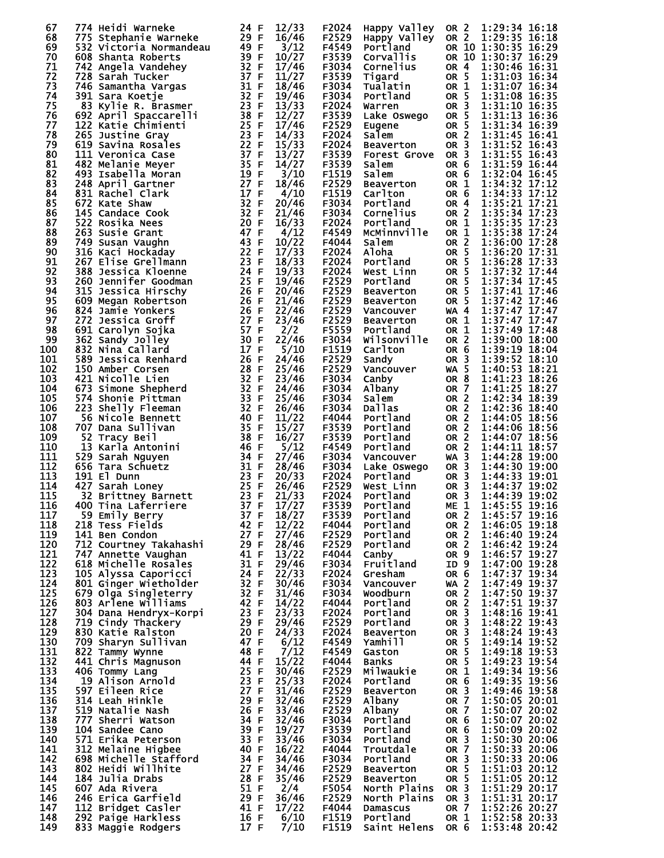| 1:29:35 16:18<br>68<br>29 F<br>16/46<br>F2529 Happy Valley<br>OR 2<br>775 Stephanie Warneke<br>69<br>3/12<br>OR 10 1:30:35 16:29<br>532 Victoria Normandeau<br>49 F<br>F4549<br>Portland<br>70<br>10/27<br>OR 10 1:30:37 16:29<br>39 F<br>F3539 Corvallis<br>608 Shanta Roberts<br>$\frac{32}{37}$ F<br>71<br>17/46<br>F3034<br>742 Angela Vandehey<br>Cornelius<br>OR 4<br>37 F<br>11/27<br>72<br>F3539<br>OR <sub>5</sub><br>728 Sarah Tucker<br>Tigard<br>73<br>31 F<br>1:31:07 16:34<br>18/46<br>F3034<br>OR 1<br>746 Samantha Vargas<br>Tualatin<br>32 F<br>OR 5<br>1:31:08 16:35<br>74<br>391 Sara Koetje<br>19/46<br>F3034<br>Portland<br><b>991 Sara KOetje<br/>83 Kylie R. Brasmer<br/>592 April Spaccarelli<br/>122 Katie Chimienti<br/>265 Justina Rosales<br/>519 Savina Rosales<br/>111 Veronica Case<br/>182 Melanie Meyer</b><br>13/33<br>75<br>23 F<br>OR 3<br>1:31:10 16:35<br>F2024<br>Warren<br>1:31:13 16:36<br>12/27<br>F3539<br>OR 5<br>76<br>38 F<br>692 April Spaccarelli<br>Lake Oswego<br>77<br>25 F<br>F2529<br>OR 5<br>1:31:34 16:39<br>122 Katie Chimienti<br>17/46<br>Eugene<br>1:31:45 16:41<br>23 F<br>14/33<br>OR 2<br>78<br>265 Justine Gray<br>F2024<br>salem<br>22 F<br>15/33<br>79<br>F2024<br>1:31:52 16:43<br>OR 3<br>619 Savina Rosales<br><b>Beaverton</b><br>1:31:55 16:43<br>13/27<br>80<br>37 F<br>F3539<br>111 Veronica Case<br>OR <sub>3</sub><br><b>Forest Grove</b><br>81<br>35 F<br>1:31:59 16:44<br>482 Melanie Meyer<br>14/27<br>F3539<br>OR <sub>6</sub><br>Salem<br>82<br>1:32:04 16:45<br>19 F<br>3/10<br>F1519<br>OR 6<br>493 Isabella Moran<br>Salem<br>27 F<br>83<br>18/46<br>F2529<br>OR 1<br>1:34:32 17:12<br>248 April Gartner<br>Beaverton<br>17 F<br>1:34:33 17:12<br>84<br>4/10<br>F1519<br>OR 6<br>831 Rachel Clark<br>Carlton<br>32 F<br>85<br>1:35:21 17:21<br>20/46<br>F3034<br>Portland<br>OR 4<br>672 Kate Shaw<br>32 F<br>21/46<br>1:35:34 17:23<br>86<br>145 Candace Cook<br>F3034 Cornelius<br>OR 2<br>87<br>16/33<br>1:35:35 17:23<br>F2024<br>OR 1<br>Portland<br>32<br>20 F<br>20 F<br>20 F<br>20 F<br>20 F<br>47 F<br>47 F<br>47 F<br>47 F<br>47 F<br>47 F<br>47 F<br>47 F<br>47 F<br>47 F<br>43 F<br>43 F<br>43 F<br>43 F<br>22 F<br>22 F<br>22 F<br>23 F<br>23 F<br>23 F<br>23 F<br>24 F<br>25 F<br>25 F<br>25 F<br>36 Jennifer Goodman<br>25 F<br>26 F<br>36 Me<br>1:35:38 17:24<br>88<br>OR 1<br>4/12<br>F4549 McMinnville<br>89<br>10/22<br>1:36:00 17:28<br>F4044<br>OR <sub>2</sub><br>Salem<br>90<br>17/33<br>OR 5<br>F2024<br>1:36:20 17:31<br>Aloha<br>Portland<br>91<br>18/33<br>OR 5<br>F2024<br>1:36:28 17:33<br>92<br>1:37:32 17:44<br>OR 5<br>19/33<br>F2024<br>West Linn<br>93<br>F2529<br>OR <sub>5</sub><br>1:37:34 17:45<br>19/46<br>Portland<br>20/46<br>F2529<br>OR 5<br>1:37:41 17:46<br>94<br>Beaverton<br>95<br>21/46<br>F2529<br>OR <sub>5</sub><br>1:37:42 17:46<br>Beaverton<br>1:37:47 17:47<br>96<br>22/46<br>F2529<br>$WA$ 4<br>Vancouver<br>97<br>23/46<br>F2529<br>1:37:47 17:47<br>OR 1<br>Beaverton<br>57 F<br>98<br>2/2<br>OR 1<br>1:37:49 17:48<br>F5559<br>691 Carolyn Sojka<br>Portland<br>99<br>30 F<br>22/46<br>1:39:00 18:00<br>F3034<br>Wilsonville<br>OR 2<br>362 Sandy Jolley<br>1:39:19 18:04<br>100<br>17 F<br>F1519<br>OR <sub>6</sub><br>832 Nina Callard<br>5/10<br>Carlton<br>24/46<br>101<br>26 F<br>F2529<br>1:39:52 18:10<br>589 Jessica Renhard<br>OR <sub>3</sub><br>Sandy<br>102<br>28 F<br>25/46<br>F2529<br>WA 5<br>150 Amber Corsen<br>Vancouver<br>32 F<br>23/46<br>103<br>421 Nicolle Lien<br>F3034<br>OR <sub>8</sub><br>Canby<br>1:41:25 18:27<br>24/46<br>104<br>F3034<br>OR 7<br>Albany<br>1:42:34 18:39<br>105<br>25/46<br>F3034<br>OR <sub>2</sub><br>Salem<br>OR 2<br>106<br>223 Shelly Fleeman<br>32 F<br>26/46<br>F3034<br><b>Dallas</b><br>11/22<br>107<br>40 F<br>F4044<br>OR <sub>2</sub><br>56 Nicole Bennett<br>Portland<br>35 F<br>F3539<br>OR <sub>2</sub><br>1:44:06 18:56<br>108<br>707 Dana Sullivan<br>15/27<br>Portland<br>38 F<br>109<br>52 Tracy Beil<br>16/27<br>F3539<br>OR <sub>2</sub><br>1:44:07 18:56<br>Portland<br><b>OR 2</b><br>1:44:11 18:57<br>110<br>13 Karla Antonini<br>46 F<br>5/12<br>F4549<br>Portland<br>111<br>27/46<br>529 Sarah Nguyen<br>F3034<br>$WA$ 3<br>1:44:28 19:00<br>Vancouver<br>$34 F$<br>$31 F$<br>$23 F$<br>$25 F$<br>$22 F$<br>$23 F$<br>$37 F$<br>28/46<br>112<br>1:44:30 19:00<br>656 Tara Schuetz<br>F3034<br>OR <sub>3</sub><br>Lake Oswego<br>113<br>191 El Dunn<br>20/33<br>F2024<br>OR <sub>3</sub><br>1:44:33 19:01<br>Portland<br>114<br>26/46<br>F2529<br>1:44:37 19:02<br>427 Sarah Loney<br>OR 3<br>West Linn<br>115<br>1:44:39<br>21/33<br>F2024<br>Portland<br>OR <sub>3</sub><br>19:02<br>32 Brittney Barnett<br>1:45:55 19:16<br>427 Sarah Loney<br>32 Brittney Barnett<br>400 Tina Laferriere<br>59 Emily Berry<br>141 Ben Condon<br>712 Courtey Takahashi<br>712 Courtey Takahashi<br>712 Courtey Takahashi<br>712 Courtey Takahashi<br>712 Courtey Takahashi<br>727 Annette Vaug<br>$\frac{17}{27}$<br>$\frac{18}{27}$<br>F3539<br>116<br>Portland<br>ME <sub>1</sub><br>OR <sub>2</sub><br>1:45:57 19:16<br>117<br>F3539<br>Portland<br>118<br>OR 2<br>12/22<br>F4044<br>Portland<br>1:46:05 19:18<br>119<br>27/46<br>F2529<br>1:46:40 19:24<br>Portland<br>OR <sub>2</sub><br>120<br>28/46<br>OR <sub>2</sub><br>F2529<br>1:46:42 19:24<br>Portland<br>121<br>13/22<br>1:46:57 19:27<br>F4044<br>OR <sub>9</sub><br>Canby<br>122<br>29/46<br>ID <sub>9</sub><br>1:47:00 19:28<br>F3034<br>Fruitland<br>123<br>22/33<br>OR <sub>6</sub><br>1:47:37 19:34<br>F2024<br>Gresham<br>1:47:49 19:37<br>124<br>30/46<br>F3034<br><b>WA 2</b><br>Vancouver<br>125<br>31/46<br>1:47:50 19:37<br>F3034<br>OR <sub>2</sub><br>Woodburn<br>126<br>14/22<br>OR <sub>2</sub><br>1:47:51 19:37<br>F4044<br>Portland<br>127<br>23/33<br>F2024<br>OR <sub>3</sub><br>Portland<br>128<br>29/46<br>F2529<br>OR <sub>3</sub><br>Portland<br>129<br>24/33<br>1:48:24 19:43<br>F2024<br>OR <sub>3</sub><br><b>Beaverton</b><br>1:49:14 19:52<br>130<br>6/12<br>F4549<br>Yamhill<br>OR <sub>5</sub><br>131<br>7/12<br>1:49:18 19:53<br>F4549<br>OR <sub>5</sub><br>Gaston<br>15/22<br>132<br>1:49:23 19:54<br>F4044<br>OR <sub>5</sub><br><b>Banks</b><br>133<br>1:49:34 19:56<br>30/46<br>F2529<br>Milwaukie<br>OR 1<br>25/33<br>1:49:35 19:56<br>134<br>F2024<br>Portland<br>OR <sub>6</sub><br>135<br>1:49:46 19:58<br>31/46<br>F2529<br>OR <sub>3</sub><br><b>Beaverton</b><br>136<br>1:50:05 20:01<br>32/46<br>F2529<br>OR 7<br>Albany<br>137<br>33/46<br>F2529<br>OR 7<br>1:50:07 20:02<br>Albany<br>138<br>32/46<br>1:50:07 20:02<br>F3034<br>Portland<br>OR 6<br>139<br>19/27<br>1:50:09 20:02<br>F3539<br>OR <sub>6</sub><br>Portland<br>1:50:30 20:06<br>140<br>33/46<br>F3034<br>OR <sub>3</sub><br>Portland<br>141<br>16/22<br>1:50:33 20:06<br>OR 7<br>F4044<br>Troutdale<br>1:50:33 20:06<br>142<br>OR <sub>3</sub><br>34/46<br>F3034<br>Portland<br>1:51:03 20:12<br>143<br>34/46<br>F2529<br>OR <sub>5</sub><br><b>Beaverton</b><br>1:51:05 20:12<br>35/46<br>144<br>F2529<br>OR 5<br><b>Beaverton</b><br>1:51:29 20:17<br>145<br>2/4<br>F5054<br>OR <sub>3</sub><br>North Plains<br>1:51:31 20:17<br>36/46<br>146<br>F2529<br>North Plains<br>OR <sub>3</sub><br>1:52:26 20:27<br>147<br>17/22<br>F4044<br><b>OR 7</b><br>Damascus<br>1:52:58 20:33<br>148<br>6/10<br>F1519<br>Portland<br>OR 1<br>17 F<br>149<br>F1519<br>OR 6<br>Saint Helens | 67 | 774 Heidi Warneke  | 24 F | 12/33 | F2024 | Happy Valley | OR <sub>2</sub> | 1:29:34 16:18 |
|-------------------------------------------------------------------------------------------------------------------------------------------------------------------------------------------------------------------------------------------------------------------------------------------------------------------------------------------------------------------------------------------------------------------------------------------------------------------------------------------------------------------------------------------------------------------------------------------------------------------------------------------------------------------------------------------------------------------------------------------------------------------------------------------------------------------------------------------------------------------------------------------------------------------------------------------------------------------------------------------------------------------------------------------------------------------------------------------------------------------------------------------------------------------------------------------------------------------------------------------------------------------------------------------------------------------------------------------------------------------------------------------------------------------------------------------------------------------------------------------------------------------------------------------------------------------------------------------------------------------------------------------------------------------------------------------------------------------------------------------------------------------------------------------------------------------------------------------------------------------------------------------------------------------------------------------------------------------------------------------------------------------------------------------------------------------------------------------------------------------------------------------------------------------------------------------------------------------------------------------------------------------------------------------------------------------------------------------------------------------------------------------------------------------------------------------------------------------------------------------------------------------------------------------------------------------------------------------------------------------------------------------------------------------------------------------------------------------------------------------------------------------------------------------------------------------------------------------------------------------------------------------------------------------------------------------------------------------------------------------------------------------------------------------------------------------------------------------------------------------------------------------------------------------------------------------------------------------------------------------------------------------------------------------------------------------------------------------------------------------------------------------------------------------------------------------------------------------------------------------------------------------------------------------------------------------------------------------------------------------------------------------------------------------------------------------------------------------------------------------------------------------------------------------------------------------------------------------------------------------------------------------------------------------------------------------------------------------------------------------------------------------------------------------------------------------------------------------------------------------------------------------------------------------------------------------------------------------------------------------------------------------------------------------------------------------------------------------------------------------------------------------------------------------------------------------------------------------------------------------------------------------------------------------------------------------------------------------------------------------------------------------------------------------------------------------------------------------------------------------------------------------------------------------------------------------------------------------------------------------------------------------------------------------------------------------------------------------------------------------------------------------------------------------------------------------------------------------------------------------------------------------------------------------------------------------------------------------------------------------------------------------------------------------------------------------------------------------------------------------------------------------------------------------------------------------------------------------------------------------------------------------------------------------------------------------------------------------------------------------------------------------------------------------------------------------------------------------------------------------------------------------------------------------------------------------------------------------------------------------------------------------------------------------------------------------------------------------------------------------------------------------------------------------------------------------------------------------------------------------------------------------------------------------------------------------------------------------------------------------------------------------------------------------------------------------------------------------------------------------------------------------------------------------------------------------------------------------------------------------------------------------------------------------------------------------------------------------------------------------------------------------------------------------------------------------------------------------------------------------------------------------------------------------------------------------------------------------------------------------------------------------------------------------------------------------------------------------------------------------------------------------------------------------------------------------------------------------------------------------------------------------------------------------------------------------------------------------------------------------------------------------------------------------------------------------------------------------------------------------------------------------------------------------------------------------------------------------|----|--------------------|------|-------|-------|--------------|-----------------|---------------|
|                                                                                                                                                                                                                                                                                                                                                                                                                                                                                                                                                                                                                                                                                                                                                                                                                                                                                                                                                                                                                                                                                                                                                                                                                                                                                                                                                                                                                                                                                                                                                                                                                                                                                                                                                                                                                                                                                                                                                                                                                                                                                                                                                                                                                                                                                                                                                                                                                                                                                                                                                                                                                                                                                                                                                                                                                                                                                                                                                                                                                                                                                                                                                                                                                                                                                                                                                                                                                                                                                                                                                                                                                                                                                                                                                                                                                                                                                                                                                                                                                                                                                                                                                                                                                                                                                                                                                                                                                                                                                                                                                                                                                                                                                                                                                                                                                                                                                                                                                                                                                                                                                                                                                                                                                                                                                                                                                                                                                                                                                                                                                                                                                                                                                                                                                                                                                                                                                                                                                                                                                                                                                                                                                                                                                                                                                                                                                                                                                                                                                                                                                                                                                                                                                                                                                                                                                                                                                                                                                                                                                                                                                                                                                                                                                                                                                                                                                                                                                                                                   |    |                    |      |       |       |              |                 |               |
|                                                                                                                                                                                                                                                                                                                                                                                                                                                                                                                                                                                                                                                                                                                                                                                                                                                                                                                                                                                                                                                                                                                                                                                                                                                                                                                                                                                                                                                                                                                                                                                                                                                                                                                                                                                                                                                                                                                                                                                                                                                                                                                                                                                                                                                                                                                                                                                                                                                                                                                                                                                                                                                                                                                                                                                                                                                                                                                                                                                                                                                                                                                                                                                                                                                                                                                                                                                                                                                                                                                                                                                                                                                                                                                                                                                                                                                                                                                                                                                                                                                                                                                                                                                                                                                                                                                                                                                                                                                                                                                                                                                                                                                                                                                                                                                                                                                                                                                                                                                                                                                                                                                                                                                                                                                                                                                                                                                                                                                                                                                                                                                                                                                                                                                                                                                                                                                                                                                                                                                                                                                                                                                                                                                                                                                                                                                                                                                                                                                                                                                                                                                                                                                                                                                                                                                                                                                                                                                                                                                                                                                                                                                                                                                                                                                                                                                                                                                                                                                                   |    |                    |      |       |       |              |                 |               |
|                                                                                                                                                                                                                                                                                                                                                                                                                                                                                                                                                                                                                                                                                                                                                                                                                                                                                                                                                                                                                                                                                                                                                                                                                                                                                                                                                                                                                                                                                                                                                                                                                                                                                                                                                                                                                                                                                                                                                                                                                                                                                                                                                                                                                                                                                                                                                                                                                                                                                                                                                                                                                                                                                                                                                                                                                                                                                                                                                                                                                                                                                                                                                                                                                                                                                                                                                                                                                                                                                                                                                                                                                                                                                                                                                                                                                                                                                                                                                                                                                                                                                                                                                                                                                                                                                                                                                                                                                                                                                                                                                                                                                                                                                                                                                                                                                                                                                                                                                                                                                                                                                                                                                                                                                                                                                                                                                                                                                                                                                                                                                                                                                                                                                                                                                                                                                                                                                                                                                                                                                                                                                                                                                                                                                                                                                                                                                                                                                                                                                                                                                                                                                                                                                                                                                                                                                                                                                                                                                                                                                                                                                                                                                                                                                                                                                                                                                                                                                                                                   |    |                    |      |       |       |              |                 |               |
|                                                                                                                                                                                                                                                                                                                                                                                                                                                                                                                                                                                                                                                                                                                                                                                                                                                                                                                                                                                                                                                                                                                                                                                                                                                                                                                                                                                                                                                                                                                                                                                                                                                                                                                                                                                                                                                                                                                                                                                                                                                                                                                                                                                                                                                                                                                                                                                                                                                                                                                                                                                                                                                                                                                                                                                                                                                                                                                                                                                                                                                                                                                                                                                                                                                                                                                                                                                                                                                                                                                                                                                                                                                                                                                                                                                                                                                                                                                                                                                                                                                                                                                                                                                                                                                                                                                                                                                                                                                                                                                                                                                                                                                                                                                                                                                                                                                                                                                                                                                                                                                                                                                                                                                                                                                                                                                                                                                                                                                                                                                                                                                                                                                                                                                                                                                                                                                                                                                                                                                                                                                                                                                                                                                                                                                                                                                                                                                                                                                                                                                                                                                                                                                                                                                                                                                                                                                                                                                                                                                                                                                                                                                                                                                                                                                                                                                                                                                                                                                                   |    |                    |      |       |       |              |                 | 1:30:46 16:31 |
|                                                                                                                                                                                                                                                                                                                                                                                                                                                                                                                                                                                                                                                                                                                                                                                                                                                                                                                                                                                                                                                                                                                                                                                                                                                                                                                                                                                                                                                                                                                                                                                                                                                                                                                                                                                                                                                                                                                                                                                                                                                                                                                                                                                                                                                                                                                                                                                                                                                                                                                                                                                                                                                                                                                                                                                                                                                                                                                                                                                                                                                                                                                                                                                                                                                                                                                                                                                                                                                                                                                                                                                                                                                                                                                                                                                                                                                                                                                                                                                                                                                                                                                                                                                                                                                                                                                                                                                                                                                                                                                                                                                                                                                                                                                                                                                                                                                                                                                                                                                                                                                                                                                                                                                                                                                                                                                                                                                                                                                                                                                                                                                                                                                                                                                                                                                                                                                                                                                                                                                                                                                                                                                                                                                                                                                                                                                                                                                                                                                                                                                                                                                                                                                                                                                                                                                                                                                                                                                                                                                                                                                                                                                                                                                                                                                                                                                                                                                                                                                                   |    |                    |      |       |       |              |                 | 1:31:03 16:34 |
|                                                                                                                                                                                                                                                                                                                                                                                                                                                                                                                                                                                                                                                                                                                                                                                                                                                                                                                                                                                                                                                                                                                                                                                                                                                                                                                                                                                                                                                                                                                                                                                                                                                                                                                                                                                                                                                                                                                                                                                                                                                                                                                                                                                                                                                                                                                                                                                                                                                                                                                                                                                                                                                                                                                                                                                                                                                                                                                                                                                                                                                                                                                                                                                                                                                                                                                                                                                                                                                                                                                                                                                                                                                                                                                                                                                                                                                                                                                                                                                                                                                                                                                                                                                                                                                                                                                                                                                                                                                                                                                                                                                                                                                                                                                                                                                                                                                                                                                                                                                                                                                                                                                                                                                                                                                                                                                                                                                                                                                                                                                                                                                                                                                                                                                                                                                                                                                                                                                                                                                                                                                                                                                                                                                                                                                                                                                                                                                                                                                                                                                                                                                                                                                                                                                                                                                                                                                                                                                                                                                                                                                                                                                                                                                                                                                                                                                                                                                                                                                                   |    |                    |      |       |       |              |                 |               |
|                                                                                                                                                                                                                                                                                                                                                                                                                                                                                                                                                                                                                                                                                                                                                                                                                                                                                                                                                                                                                                                                                                                                                                                                                                                                                                                                                                                                                                                                                                                                                                                                                                                                                                                                                                                                                                                                                                                                                                                                                                                                                                                                                                                                                                                                                                                                                                                                                                                                                                                                                                                                                                                                                                                                                                                                                                                                                                                                                                                                                                                                                                                                                                                                                                                                                                                                                                                                                                                                                                                                                                                                                                                                                                                                                                                                                                                                                                                                                                                                                                                                                                                                                                                                                                                                                                                                                                                                                                                                                                                                                                                                                                                                                                                                                                                                                                                                                                                                                                                                                                                                                                                                                                                                                                                                                                                                                                                                                                                                                                                                                                                                                                                                                                                                                                                                                                                                                                                                                                                                                                                                                                                                                                                                                                                                                                                                                                                                                                                                                                                                                                                                                                                                                                                                                                                                                                                                                                                                                                                                                                                                                                                                                                                                                                                                                                                                                                                                                                                                   |    |                    |      |       |       |              |                 |               |
|                                                                                                                                                                                                                                                                                                                                                                                                                                                                                                                                                                                                                                                                                                                                                                                                                                                                                                                                                                                                                                                                                                                                                                                                                                                                                                                                                                                                                                                                                                                                                                                                                                                                                                                                                                                                                                                                                                                                                                                                                                                                                                                                                                                                                                                                                                                                                                                                                                                                                                                                                                                                                                                                                                                                                                                                                                                                                                                                                                                                                                                                                                                                                                                                                                                                                                                                                                                                                                                                                                                                                                                                                                                                                                                                                                                                                                                                                                                                                                                                                                                                                                                                                                                                                                                                                                                                                                                                                                                                                                                                                                                                                                                                                                                                                                                                                                                                                                                                                                                                                                                                                                                                                                                                                                                                                                                                                                                                                                                                                                                                                                                                                                                                                                                                                                                                                                                                                                                                                                                                                                                                                                                                                                                                                                                                                                                                                                                                                                                                                                                                                                                                                                                                                                                                                                                                                                                                                                                                                                                                                                                                                                                                                                                                                                                                                                                                                                                                                                                                   |    |                    |      |       |       |              |                 |               |
|                                                                                                                                                                                                                                                                                                                                                                                                                                                                                                                                                                                                                                                                                                                                                                                                                                                                                                                                                                                                                                                                                                                                                                                                                                                                                                                                                                                                                                                                                                                                                                                                                                                                                                                                                                                                                                                                                                                                                                                                                                                                                                                                                                                                                                                                                                                                                                                                                                                                                                                                                                                                                                                                                                                                                                                                                                                                                                                                                                                                                                                                                                                                                                                                                                                                                                                                                                                                                                                                                                                                                                                                                                                                                                                                                                                                                                                                                                                                                                                                                                                                                                                                                                                                                                                                                                                                                                                                                                                                                                                                                                                                                                                                                                                                                                                                                                                                                                                                                                                                                                                                                                                                                                                                                                                                                                                                                                                                                                                                                                                                                                                                                                                                                                                                                                                                                                                                                                                                                                                                                                                                                                                                                                                                                                                                                                                                                                                                                                                                                                                                                                                                                                                                                                                                                                                                                                                                                                                                                                                                                                                                                                                                                                                                                                                                                                                                                                                                                                                                   |    |                    |      |       |       |              |                 |               |
|                                                                                                                                                                                                                                                                                                                                                                                                                                                                                                                                                                                                                                                                                                                                                                                                                                                                                                                                                                                                                                                                                                                                                                                                                                                                                                                                                                                                                                                                                                                                                                                                                                                                                                                                                                                                                                                                                                                                                                                                                                                                                                                                                                                                                                                                                                                                                                                                                                                                                                                                                                                                                                                                                                                                                                                                                                                                                                                                                                                                                                                                                                                                                                                                                                                                                                                                                                                                                                                                                                                                                                                                                                                                                                                                                                                                                                                                                                                                                                                                                                                                                                                                                                                                                                                                                                                                                                                                                                                                                                                                                                                                                                                                                                                                                                                                                                                                                                                                                                                                                                                                                                                                                                                                                                                                                                                                                                                                                                                                                                                                                                                                                                                                                                                                                                                                                                                                                                                                                                                                                                                                                                                                                                                                                                                                                                                                                                                                                                                                                                                                                                                                                                                                                                                                                                                                                                                                                                                                                                                                                                                                                                                                                                                                                                                                                                                                                                                                                                                                   |    |                    |      |       |       |              |                 |               |
|                                                                                                                                                                                                                                                                                                                                                                                                                                                                                                                                                                                                                                                                                                                                                                                                                                                                                                                                                                                                                                                                                                                                                                                                                                                                                                                                                                                                                                                                                                                                                                                                                                                                                                                                                                                                                                                                                                                                                                                                                                                                                                                                                                                                                                                                                                                                                                                                                                                                                                                                                                                                                                                                                                                                                                                                                                                                                                                                                                                                                                                                                                                                                                                                                                                                                                                                                                                                                                                                                                                                                                                                                                                                                                                                                                                                                                                                                                                                                                                                                                                                                                                                                                                                                                                                                                                                                                                                                                                                                                                                                                                                                                                                                                                                                                                                                                                                                                                                                                                                                                                                                                                                                                                                                                                                                                                                                                                                                                                                                                                                                                                                                                                                                                                                                                                                                                                                                                                                                                                                                                                                                                                                                                                                                                                                                                                                                                                                                                                                                                                                                                                                                                                                                                                                                                                                                                                                                                                                                                                                                                                                                                                                                                                                                                                                                                                                                                                                                                                                   |    |                    |      |       |       |              |                 |               |
|                                                                                                                                                                                                                                                                                                                                                                                                                                                                                                                                                                                                                                                                                                                                                                                                                                                                                                                                                                                                                                                                                                                                                                                                                                                                                                                                                                                                                                                                                                                                                                                                                                                                                                                                                                                                                                                                                                                                                                                                                                                                                                                                                                                                                                                                                                                                                                                                                                                                                                                                                                                                                                                                                                                                                                                                                                                                                                                                                                                                                                                                                                                                                                                                                                                                                                                                                                                                                                                                                                                                                                                                                                                                                                                                                                                                                                                                                                                                                                                                                                                                                                                                                                                                                                                                                                                                                                                                                                                                                                                                                                                                                                                                                                                                                                                                                                                                                                                                                                                                                                                                                                                                                                                                                                                                                                                                                                                                                                                                                                                                                                                                                                                                                                                                                                                                                                                                                                                                                                                                                                                                                                                                                                                                                                                                                                                                                                                                                                                                                                                                                                                                                                                                                                                                                                                                                                                                                                                                                                                                                                                                                                                                                                                                                                                                                                                                                                                                                                                                   |    |                    |      |       |       |              |                 |               |
|                                                                                                                                                                                                                                                                                                                                                                                                                                                                                                                                                                                                                                                                                                                                                                                                                                                                                                                                                                                                                                                                                                                                                                                                                                                                                                                                                                                                                                                                                                                                                                                                                                                                                                                                                                                                                                                                                                                                                                                                                                                                                                                                                                                                                                                                                                                                                                                                                                                                                                                                                                                                                                                                                                                                                                                                                                                                                                                                                                                                                                                                                                                                                                                                                                                                                                                                                                                                                                                                                                                                                                                                                                                                                                                                                                                                                                                                                                                                                                                                                                                                                                                                                                                                                                                                                                                                                                                                                                                                                                                                                                                                                                                                                                                                                                                                                                                                                                                                                                                                                                                                                                                                                                                                                                                                                                                                                                                                                                                                                                                                                                                                                                                                                                                                                                                                                                                                                                                                                                                                                                                                                                                                                                                                                                                                                                                                                                                                                                                                                                                                                                                                                                                                                                                                                                                                                                                                                                                                                                                                                                                                                                                                                                                                                                                                                                                                                                                                                                                                   |    |                    |      |       |       |              |                 |               |
|                                                                                                                                                                                                                                                                                                                                                                                                                                                                                                                                                                                                                                                                                                                                                                                                                                                                                                                                                                                                                                                                                                                                                                                                                                                                                                                                                                                                                                                                                                                                                                                                                                                                                                                                                                                                                                                                                                                                                                                                                                                                                                                                                                                                                                                                                                                                                                                                                                                                                                                                                                                                                                                                                                                                                                                                                                                                                                                                                                                                                                                                                                                                                                                                                                                                                                                                                                                                                                                                                                                                                                                                                                                                                                                                                                                                                                                                                                                                                                                                                                                                                                                                                                                                                                                                                                                                                                                                                                                                                                                                                                                                                                                                                                                                                                                                                                                                                                                                                                                                                                                                                                                                                                                                                                                                                                                                                                                                                                                                                                                                                                                                                                                                                                                                                                                                                                                                                                                                                                                                                                                                                                                                                                                                                                                                                                                                                                                                                                                                                                                                                                                                                                                                                                                                                                                                                                                                                                                                                                                                                                                                                                                                                                                                                                                                                                                                                                                                                                                                   |    |                    |      |       |       |              |                 |               |
|                                                                                                                                                                                                                                                                                                                                                                                                                                                                                                                                                                                                                                                                                                                                                                                                                                                                                                                                                                                                                                                                                                                                                                                                                                                                                                                                                                                                                                                                                                                                                                                                                                                                                                                                                                                                                                                                                                                                                                                                                                                                                                                                                                                                                                                                                                                                                                                                                                                                                                                                                                                                                                                                                                                                                                                                                                                                                                                                                                                                                                                                                                                                                                                                                                                                                                                                                                                                                                                                                                                                                                                                                                                                                                                                                                                                                                                                                                                                                                                                                                                                                                                                                                                                                                                                                                                                                                                                                                                                                                                                                                                                                                                                                                                                                                                                                                                                                                                                                                                                                                                                                                                                                                                                                                                                                                                                                                                                                                                                                                                                                                                                                                                                                                                                                                                                                                                                                                                                                                                                                                                                                                                                                                                                                                                                                                                                                                                                                                                                                                                                                                                                                                                                                                                                                                                                                                                                                                                                                                                                                                                                                                                                                                                                                                                                                                                                                                                                                                                                   |    |                    |      |       |       |              |                 |               |
|                                                                                                                                                                                                                                                                                                                                                                                                                                                                                                                                                                                                                                                                                                                                                                                                                                                                                                                                                                                                                                                                                                                                                                                                                                                                                                                                                                                                                                                                                                                                                                                                                                                                                                                                                                                                                                                                                                                                                                                                                                                                                                                                                                                                                                                                                                                                                                                                                                                                                                                                                                                                                                                                                                                                                                                                                                                                                                                                                                                                                                                                                                                                                                                                                                                                                                                                                                                                                                                                                                                                                                                                                                                                                                                                                                                                                                                                                                                                                                                                                                                                                                                                                                                                                                                                                                                                                                                                                                                                                                                                                                                                                                                                                                                                                                                                                                                                                                                                                                                                                                                                                                                                                                                                                                                                                                                                                                                                                                                                                                                                                                                                                                                                                                                                                                                                                                                                                                                                                                                                                                                                                                                                                                                                                                                                                                                                                                                                                                                                                                                                                                                                                                                                                                                                                                                                                                                                                                                                                                                                                                                                                                                                                                                                                                                                                                                                                                                                                                                                   |    |                    |      |       |       |              |                 |               |
|                                                                                                                                                                                                                                                                                                                                                                                                                                                                                                                                                                                                                                                                                                                                                                                                                                                                                                                                                                                                                                                                                                                                                                                                                                                                                                                                                                                                                                                                                                                                                                                                                                                                                                                                                                                                                                                                                                                                                                                                                                                                                                                                                                                                                                                                                                                                                                                                                                                                                                                                                                                                                                                                                                                                                                                                                                                                                                                                                                                                                                                                                                                                                                                                                                                                                                                                                                                                                                                                                                                                                                                                                                                                                                                                                                                                                                                                                                                                                                                                                                                                                                                                                                                                                                                                                                                                                                                                                                                                                                                                                                                                                                                                                                                                                                                                                                                                                                                                                                                                                                                                                                                                                                                                                                                                                                                                                                                                                                                                                                                                                                                                                                                                                                                                                                                                                                                                                                                                                                                                                                                                                                                                                                                                                                                                                                                                                                                                                                                                                                                                                                                                                                                                                                                                                                                                                                                                                                                                                                                                                                                                                                                                                                                                                                                                                                                                                                                                                                                                   |    |                    |      |       |       |              |                 |               |
|                                                                                                                                                                                                                                                                                                                                                                                                                                                                                                                                                                                                                                                                                                                                                                                                                                                                                                                                                                                                                                                                                                                                                                                                                                                                                                                                                                                                                                                                                                                                                                                                                                                                                                                                                                                                                                                                                                                                                                                                                                                                                                                                                                                                                                                                                                                                                                                                                                                                                                                                                                                                                                                                                                                                                                                                                                                                                                                                                                                                                                                                                                                                                                                                                                                                                                                                                                                                                                                                                                                                                                                                                                                                                                                                                                                                                                                                                                                                                                                                                                                                                                                                                                                                                                                                                                                                                                                                                                                                                                                                                                                                                                                                                                                                                                                                                                                                                                                                                                                                                                                                                                                                                                                                                                                                                                                                                                                                                                                                                                                                                                                                                                                                                                                                                                                                                                                                                                                                                                                                                                                                                                                                                                                                                                                                                                                                                                                                                                                                                                                                                                                                                                                                                                                                                                                                                                                                                                                                                                                                                                                                                                                                                                                                                                                                                                                                                                                                                                                                   |    |                    |      |       |       |              |                 |               |
|                                                                                                                                                                                                                                                                                                                                                                                                                                                                                                                                                                                                                                                                                                                                                                                                                                                                                                                                                                                                                                                                                                                                                                                                                                                                                                                                                                                                                                                                                                                                                                                                                                                                                                                                                                                                                                                                                                                                                                                                                                                                                                                                                                                                                                                                                                                                                                                                                                                                                                                                                                                                                                                                                                                                                                                                                                                                                                                                                                                                                                                                                                                                                                                                                                                                                                                                                                                                                                                                                                                                                                                                                                                                                                                                                                                                                                                                                                                                                                                                                                                                                                                                                                                                                                                                                                                                                                                                                                                                                                                                                                                                                                                                                                                                                                                                                                                                                                                                                                                                                                                                                                                                                                                                                                                                                                                                                                                                                                                                                                                                                                                                                                                                                                                                                                                                                                                                                                                                                                                                                                                                                                                                                                                                                                                                                                                                                                                                                                                                                                                                                                                                                                                                                                                                                                                                                                                                                                                                                                                                                                                                                                                                                                                                                                                                                                                                                                                                                                                                   |    |                    |      |       |       |              |                 |               |
|                                                                                                                                                                                                                                                                                                                                                                                                                                                                                                                                                                                                                                                                                                                                                                                                                                                                                                                                                                                                                                                                                                                                                                                                                                                                                                                                                                                                                                                                                                                                                                                                                                                                                                                                                                                                                                                                                                                                                                                                                                                                                                                                                                                                                                                                                                                                                                                                                                                                                                                                                                                                                                                                                                                                                                                                                                                                                                                                                                                                                                                                                                                                                                                                                                                                                                                                                                                                                                                                                                                                                                                                                                                                                                                                                                                                                                                                                                                                                                                                                                                                                                                                                                                                                                                                                                                                                                                                                                                                                                                                                                                                                                                                                                                                                                                                                                                                                                                                                                                                                                                                                                                                                                                                                                                                                                                                                                                                                                                                                                                                                                                                                                                                                                                                                                                                                                                                                                                                                                                                                                                                                                                                                                                                                                                                                                                                                                                                                                                                                                                                                                                                                                                                                                                                                                                                                                                                                                                                                                                                                                                                                                                                                                                                                                                                                                                                                                                                                                                                   |    |                    |      |       |       |              |                 |               |
|                                                                                                                                                                                                                                                                                                                                                                                                                                                                                                                                                                                                                                                                                                                                                                                                                                                                                                                                                                                                                                                                                                                                                                                                                                                                                                                                                                                                                                                                                                                                                                                                                                                                                                                                                                                                                                                                                                                                                                                                                                                                                                                                                                                                                                                                                                                                                                                                                                                                                                                                                                                                                                                                                                                                                                                                                                                                                                                                                                                                                                                                                                                                                                                                                                                                                                                                                                                                                                                                                                                                                                                                                                                                                                                                                                                                                                                                                                                                                                                                                                                                                                                                                                                                                                                                                                                                                                                                                                                                                                                                                                                                                                                                                                                                                                                                                                                                                                                                                                                                                                                                                                                                                                                                                                                                                                                                                                                                                                                                                                                                                                                                                                                                                                                                                                                                                                                                                                                                                                                                                                                                                                                                                                                                                                                                                                                                                                                                                                                                                                                                                                                                                                                                                                                                                                                                                                                                                                                                                                                                                                                                                                                                                                                                                                                                                                                                                                                                                                                                   |    |                    |      |       |       |              |                 |               |
|                                                                                                                                                                                                                                                                                                                                                                                                                                                                                                                                                                                                                                                                                                                                                                                                                                                                                                                                                                                                                                                                                                                                                                                                                                                                                                                                                                                                                                                                                                                                                                                                                                                                                                                                                                                                                                                                                                                                                                                                                                                                                                                                                                                                                                                                                                                                                                                                                                                                                                                                                                                                                                                                                                                                                                                                                                                                                                                                                                                                                                                                                                                                                                                                                                                                                                                                                                                                                                                                                                                                                                                                                                                                                                                                                                                                                                                                                                                                                                                                                                                                                                                                                                                                                                                                                                                                                                                                                                                                                                                                                                                                                                                                                                                                                                                                                                                                                                                                                                                                                                                                                                                                                                                                                                                                                                                                                                                                                                                                                                                                                                                                                                                                                                                                                                                                                                                                                                                                                                                                                                                                                                                                                                                                                                                                                                                                                                                                                                                                                                                                                                                                                                                                                                                                                                                                                                                                                                                                                                                                                                                                                                                                                                                                                                                                                                                                                                                                                                                                   |    |                    |      |       |       |              |                 |               |
|                                                                                                                                                                                                                                                                                                                                                                                                                                                                                                                                                                                                                                                                                                                                                                                                                                                                                                                                                                                                                                                                                                                                                                                                                                                                                                                                                                                                                                                                                                                                                                                                                                                                                                                                                                                                                                                                                                                                                                                                                                                                                                                                                                                                                                                                                                                                                                                                                                                                                                                                                                                                                                                                                                                                                                                                                                                                                                                                                                                                                                                                                                                                                                                                                                                                                                                                                                                                                                                                                                                                                                                                                                                                                                                                                                                                                                                                                                                                                                                                                                                                                                                                                                                                                                                                                                                                                                                                                                                                                                                                                                                                                                                                                                                                                                                                                                                                                                                                                                                                                                                                                                                                                                                                                                                                                                                                                                                                                                                                                                                                                                                                                                                                                                                                                                                                                                                                                                                                                                                                                                                                                                                                                                                                                                                                                                                                                                                                                                                                                                                                                                                                                                                                                                                                                                                                                                                                                                                                                                                                                                                                                                                                                                                                                                                                                                                                                                                                                                                                   |    |                    |      |       |       |              |                 |               |
|                                                                                                                                                                                                                                                                                                                                                                                                                                                                                                                                                                                                                                                                                                                                                                                                                                                                                                                                                                                                                                                                                                                                                                                                                                                                                                                                                                                                                                                                                                                                                                                                                                                                                                                                                                                                                                                                                                                                                                                                                                                                                                                                                                                                                                                                                                                                                                                                                                                                                                                                                                                                                                                                                                                                                                                                                                                                                                                                                                                                                                                                                                                                                                                                                                                                                                                                                                                                                                                                                                                                                                                                                                                                                                                                                                                                                                                                                                                                                                                                                                                                                                                                                                                                                                                                                                                                                                                                                                                                                                                                                                                                                                                                                                                                                                                                                                                                                                                                                                                                                                                                                                                                                                                                                                                                                                                                                                                                                                                                                                                                                                                                                                                                                                                                                                                                                                                                                                                                                                                                                                                                                                                                                                                                                                                                                                                                                                                                                                                                                                                                                                                                                                                                                                                                                                                                                                                                                                                                                                                                                                                                                                                                                                                                                                                                                                                                                                                                                                                                   |    |                    |      |       |       |              |                 |               |
|                                                                                                                                                                                                                                                                                                                                                                                                                                                                                                                                                                                                                                                                                                                                                                                                                                                                                                                                                                                                                                                                                                                                                                                                                                                                                                                                                                                                                                                                                                                                                                                                                                                                                                                                                                                                                                                                                                                                                                                                                                                                                                                                                                                                                                                                                                                                                                                                                                                                                                                                                                                                                                                                                                                                                                                                                                                                                                                                                                                                                                                                                                                                                                                                                                                                                                                                                                                                                                                                                                                                                                                                                                                                                                                                                                                                                                                                                                                                                                                                                                                                                                                                                                                                                                                                                                                                                                                                                                                                                                                                                                                                                                                                                                                                                                                                                                                                                                                                                                                                                                                                                                                                                                                                                                                                                                                                                                                                                                                                                                                                                                                                                                                                                                                                                                                                                                                                                                                                                                                                                                                                                                                                                                                                                                                                                                                                                                                                                                                                                                                                                                                                                                                                                                                                                                                                                                                                                                                                                                                                                                                                                                                                                                                                                                                                                                                                                                                                                                                                   |    |                    |      |       |       |              |                 |               |
|                                                                                                                                                                                                                                                                                                                                                                                                                                                                                                                                                                                                                                                                                                                                                                                                                                                                                                                                                                                                                                                                                                                                                                                                                                                                                                                                                                                                                                                                                                                                                                                                                                                                                                                                                                                                                                                                                                                                                                                                                                                                                                                                                                                                                                                                                                                                                                                                                                                                                                                                                                                                                                                                                                                                                                                                                                                                                                                                                                                                                                                                                                                                                                                                                                                                                                                                                                                                                                                                                                                                                                                                                                                                                                                                                                                                                                                                                                                                                                                                                                                                                                                                                                                                                                                                                                                                                                                                                                                                                                                                                                                                                                                                                                                                                                                                                                                                                                                                                                                                                                                                                                                                                                                                                                                                                                                                                                                                                                                                                                                                                                                                                                                                                                                                                                                                                                                                                                                                                                                                                                                                                                                                                                                                                                                                                                                                                                                                                                                                                                                                                                                                                                                                                                                                                                                                                                                                                                                                                                                                                                                                                                                                                                                                                                                                                                                                                                                                                                                                   |    |                    |      |       |       |              |                 |               |
|                                                                                                                                                                                                                                                                                                                                                                                                                                                                                                                                                                                                                                                                                                                                                                                                                                                                                                                                                                                                                                                                                                                                                                                                                                                                                                                                                                                                                                                                                                                                                                                                                                                                                                                                                                                                                                                                                                                                                                                                                                                                                                                                                                                                                                                                                                                                                                                                                                                                                                                                                                                                                                                                                                                                                                                                                                                                                                                                                                                                                                                                                                                                                                                                                                                                                                                                                                                                                                                                                                                                                                                                                                                                                                                                                                                                                                                                                                                                                                                                                                                                                                                                                                                                                                                                                                                                                                                                                                                                                                                                                                                                                                                                                                                                                                                                                                                                                                                                                                                                                                                                                                                                                                                                                                                                                                                                                                                                                                                                                                                                                                                                                                                                                                                                                                                                                                                                                                                                                                                                                                                                                                                                                                                                                                                                                                                                                                                                                                                                                                                                                                                                                                                                                                                                                                                                                                                                                                                                                                                                                                                                                                                                                                                                                                                                                                                                                                                                                                                                   |    |                    |      |       |       |              |                 |               |
|                                                                                                                                                                                                                                                                                                                                                                                                                                                                                                                                                                                                                                                                                                                                                                                                                                                                                                                                                                                                                                                                                                                                                                                                                                                                                                                                                                                                                                                                                                                                                                                                                                                                                                                                                                                                                                                                                                                                                                                                                                                                                                                                                                                                                                                                                                                                                                                                                                                                                                                                                                                                                                                                                                                                                                                                                                                                                                                                                                                                                                                                                                                                                                                                                                                                                                                                                                                                                                                                                                                                                                                                                                                                                                                                                                                                                                                                                                                                                                                                                                                                                                                                                                                                                                                                                                                                                                                                                                                                                                                                                                                                                                                                                                                                                                                                                                                                                                                                                                                                                                                                                                                                                                                                                                                                                                                                                                                                                                                                                                                                                                                                                                                                                                                                                                                                                                                                                                                                                                                                                                                                                                                                                                                                                                                                                                                                                                                                                                                                                                                                                                                                                                                                                                                                                                                                                                                                                                                                                                                                                                                                                                                                                                                                                                                                                                                                                                                                                                                                   |    |                    |      |       |       |              |                 |               |
|                                                                                                                                                                                                                                                                                                                                                                                                                                                                                                                                                                                                                                                                                                                                                                                                                                                                                                                                                                                                                                                                                                                                                                                                                                                                                                                                                                                                                                                                                                                                                                                                                                                                                                                                                                                                                                                                                                                                                                                                                                                                                                                                                                                                                                                                                                                                                                                                                                                                                                                                                                                                                                                                                                                                                                                                                                                                                                                                                                                                                                                                                                                                                                                                                                                                                                                                                                                                                                                                                                                                                                                                                                                                                                                                                                                                                                                                                                                                                                                                                                                                                                                                                                                                                                                                                                                                                                                                                                                                                                                                                                                                                                                                                                                                                                                                                                                                                                                                                                                                                                                                                                                                                                                                                                                                                                                                                                                                                                                                                                                                                                                                                                                                                                                                                                                                                                                                                                                                                                                                                                                                                                                                                                                                                                                                                                                                                                                                                                                                                                                                                                                                                                                                                                                                                                                                                                                                                                                                                                                                                                                                                                                                                                                                                                                                                                                                                                                                                                                                   |    |                    |      |       |       |              |                 |               |
|                                                                                                                                                                                                                                                                                                                                                                                                                                                                                                                                                                                                                                                                                                                                                                                                                                                                                                                                                                                                                                                                                                                                                                                                                                                                                                                                                                                                                                                                                                                                                                                                                                                                                                                                                                                                                                                                                                                                                                                                                                                                                                                                                                                                                                                                                                                                                                                                                                                                                                                                                                                                                                                                                                                                                                                                                                                                                                                                                                                                                                                                                                                                                                                                                                                                                                                                                                                                                                                                                                                                                                                                                                                                                                                                                                                                                                                                                                                                                                                                                                                                                                                                                                                                                                                                                                                                                                                                                                                                                                                                                                                                                                                                                                                                                                                                                                                                                                                                                                                                                                                                                                                                                                                                                                                                                                                                                                                                                                                                                                                                                                                                                                                                                                                                                                                                                                                                                                                                                                                                                                                                                                                                                                                                                                                                                                                                                                                                                                                                                                                                                                                                                                                                                                                                                                                                                                                                                                                                                                                                                                                                                                                                                                                                                                                                                                                                                                                                                                                                   |    |                    |      |       |       |              |                 |               |
|                                                                                                                                                                                                                                                                                                                                                                                                                                                                                                                                                                                                                                                                                                                                                                                                                                                                                                                                                                                                                                                                                                                                                                                                                                                                                                                                                                                                                                                                                                                                                                                                                                                                                                                                                                                                                                                                                                                                                                                                                                                                                                                                                                                                                                                                                                                                                                                                                                                                                                                                                                                                                                                                                                                                                                                                                                                                                                                                                                                                                                                                                                                                                                                                                                                                                                                                                                                                                                                                                                                                                                                                                                                                                                                                                                                                                                                                                                                                                                                                                                                                                                                                                                                                                                                                                                                                                                                                                                                                                                                                                                                                                                                                                                                                                                                                                                                                                                                                                                                                                                                                                                                                                                                                                                                                                                                                                                                                                                                                                                                                                                                                                                                                                                                                                                                                                                                                                                                                                                                                                                                                                                                                                                                                                                                                                                                                                                                                                                                                                                                                                                                                                                                                                                                                                                                                                                                                                                                                                                                                                                                                                                                                                                                                                                                                                                                                                                                                                                                                   |    |                    |      |       |       |              |                 |               |
|                                                                                                                                                                                                                                                                                                                                                                                                                                                                                                                                                                                                                                                                                                                                                                                                                                                                                                                                                                                                                                                                                                                                                                                                                                                                                                                                                                                                                                                                                                                                                                                                                                                                                                                                                                                                                                                                                                                                                                                                                                                                                                                                                                                                                                                                                                                                                                                                                                                                                                                                                                                                                                                                                                                                                                                                                                                                                                                                                                                                                                                                                                                                                                                                                                                                                                                                                                                                                                                                                                                                                                                                                                                                                                                                                                                                                                                                                                                                                                                                                                                                                                                                                                                                                                                                                                                                                                                                                                                                                                                                                                                                                                                                                                                                                                                                                                                                                                                                                                                                                                                                                                                                                                                                                                                                                                                                                                                                                                                                                                                                                                                                                                                                                                                                                                                                                                                                                                                                                                                                                                                                                                                                                                                                                                                                                                                                                                                                                                                                                                                                                                                                                                                                                                                                                                                                                                                                                                                                                                                                                                                                                                                                                                                                                                                                                                                                                                                                                                                                   |    |                    |      |       |       |              |                 |               |
|                                                                                                                                                                                                                                                                                                                                                                                                                                                                                                                                                                                                                                                                                                                                                                                                                                                                                                                                                                                                                                                                                                                                                                                                                                                                                                                                                                                                                                                                                                                                                                                                                                                                                                                                                                                                                                                                                                                                                                                                                                                                                                                                                                                                                                                                                                                                                                                                                                                                                                                                                                                                                                                                                                                                                                                                                                                                                                                                                                                                                                                                                                                                                                                                                                                                                                                                                                                                                                                                                                                                                                                                                                                                                                                                                                                                                                                                                                                                                                                                                                                                                                                                                                                                                                                                                                                                                                                                                                                                                                                                                                                                                                                                                                                                                                                                                                                                                                                                                                                                                                                                                                                                                                                                                                                                                                                                                                                                                                                                                                                                                                                                                                                                                                                                                                                                                                                                                                                                                                                                                                                                                                                                                                                                                                                                                                                                                                                                                                                                                                                                                                                                                                                                                                                                                                                                                                                                                                                                                                                                                                                                                                                                                                                                                                                                                                                                                                                                                                                                   |    |                    |      |       |       |              |                 |               |
|                                                                                                                                                                                                                                                                                                                                                                                                                                                                                                                                                                                                                                                                                                                                                                                                                                                                                                                                                                                                                                                                                                                                                                                                                                                                                                                                                                                                                                                                                                                                                                                                                                                                                                                                                                                                                                                                                                                                                                                                                                                                                                                                                                                                                                                                                                                                                                                                                                                                                                                                                                                                                                                                                                                                                                                                                                                                                                                                                                                                                                                                                                                                                                                                                                                                                                                                                                                                                                                                                                                                                                                                                                                                                                                                                                                                                                                                                                                                                                                                                                                                                                                                                                                                                                                                                                                                                                                                                                                                                                                                                                                                                                                                                                                                                                                                                                                                                                                                                                                                                                                                                                                                                                                                                                                                                                                                                                                                                                                                                                                                                                                                                                                                                                                                                                                                                                                                                                                                                                                                                                                                                                                                                                                                                                                                                                                                                                                                                                                                                                                                                                                                                                                                                                                                                                                                                                                                                                                                                                                                                                                                                                                                                                                                                                                                                                                                                                                                                                                                   |    |                    |      |       |       |              |                 | 1:40:53 18:21 |
|                                                                                                                                                                                                                                                                                                                                                                                                                                                                                                                                                                                                                                                                                                                                                                                                                                                                                                                                                                                                                                                                                                                                                                                                                                                                                                                                                                                                                                                                                                                                                                                                                                                                                                                                                                                                                                                                                                                                                                                                                                                                                                                                                                                                                                                                                                                                                                                                                                                                                                                                                                                                                                                                                                                                                                                                                                                                                                                                                                                                                                                                                                                                                                                                                                                                                                                                                                                                                                                                                                                                                                                                                                                                                                                                                                                                                                                                                                                                                                                                                                                                                                                                                                                                                                                                                                                                                                                                                                                                                                                                                                                                                                                                                                                                                                                                                                                                                                                                                                                                                                                                                                                                                                                                                                                                                                                                                                                                                                                                                                                                                                                                                                                                                                                                                                                                                                                                                                                                                                                                                                                                                                                                                                                                                                                                                                                                                                                                                                                                                                                                                                                                                                                                                                                                                                                                                                                                                                                                                                                                                                                                                                                                                                                                                                                                                                                                                                                                                                                                   |    |                    |      |       |       |              |                 | 1:41:23 18:26 |
|                                                                                                                                                                                                                                                                                                                                                                                                                                                                                                                                                                                                                                                                                                                                                                                                                                                                                                                                                                                                                                                                                                                                                                                                                                                                                                                                                                                                                                                                                                                                                                                                                                                                                                                                                                                                                                                                                                                                                                                                                                                                                                                                                                                                                                                                                                                                                                                                                                                                                                                                                                                                                                                                                                                                                                                                                                                                                                                                                                                                                                                                                                                                                                                                                                                                                                                                                                                                                                                                                                                                                                                                                                                                                                                                                                                                                                                                                                                                                                                                                                                                                                                                                                                                                                                                                                                                                                                                                                                                                                                                                                                                                                                                                                                                                                                                                                                                                                                                                                                                                                                                                                                                                                                                                                                                                                                                                                                                                                                                                                                                                                                                                                                                                                                                                                                                                                                                                                                                                                                                                                                                                                                                                                                                                                                                                                                                                                                                                                                                                                                                                                                                                                                                                                                                                                                                                                                                                                                                                                                                                                                                                                                                                                                                                                                                                                                                                                                                                                                                   |    |                    |      |       |       |              |                 |               |
|                                                                                                                                                                                                                                                                                                                                                                                                                                                                                                                                                                                                                                                                                                                                                                                                                                                                                                                                                                                                                                                                                                                                                                                                                                                                                                                                                                                                                                                                                                                                                                                                                                                                                                                                                                                                                                                                                                                                                                                                                                                                                                                                                                                                                                                                                                                                                                                                                                                                                                                                                                                                                                                                                                                                                                                                                                                                                                                                                                                                                                                                                                                                                                                                                                                                                                                                                                                                                                                                                                                                                                                                                                                                                                                                                                                                                                                                                                                                                                                                                                                                                                                                                                                                                                                                                                                                                                                                                                                                                                                                                                                                                                                                                                                                                                                                                                                                                                                                                                                                                                                                                                                                                                                                                                                                                                                                                                                                                                                                                                                                                                                                                                                                                                                                                                                                                                                                                                                                                                                                                                                                                                                                                                                                                                                                                                                                                                                                                                                                                                                                                                                                                                                                                                                                                                                                                                                                                                                                                                                                                                                                                                                                                                                                                                                                                                                                                                                                                                                                   |    |                    |      |       |       |              |                 |               |
|                                                                                                                                                                                                                                                                                                                                                                                                                                                                                                                                                                                                                                                                                                                                                                                                                                                                                                                                                                                                                                                                                                                                                                                                                                                                                                                                                                                                                                                                                                                                                                                                                                                                                                                                                                                                                                                                                                                                                                                                                                                                                                                                                                                                                                                                                                                                                                                                                                                                                                                                                                                                                                                                                                                                                                                                                                                                                                                                                                                                                                                                                                                                                                                                                                                                                                                                                                                                                                                                                                                                                                                                                                                                                                                                                                                                                                                                                                                                                                                                                                                                                                                                                                                                                                                                                                                                                                                                                                                                                                                                                                                                                                                                                                                                                                                                                                                                                                                                                                                                                                                                                                                                                                                                                                                                                                                                                                                                                                                                                                                                                                                                                                                                                                                                                                                                                                                                                                                                                                                                                                                                                                                                                                                                                                                                                                                                                                                                                                                                                                                                                                                                                                                                                                                                                                                                                                                                                                                                                                                                                                                                                                                                                                                                                                                                                                                                                                                                                                                                   |    |                    |      |       |       |              |                 | 1:42:36 18:40 |
|                                                                                                                                                                                                                                                                                                                                                                                                                                                                                                                                                                                                                                                                                                                                                                                                                                                                                                                                                                                                                                                                                                                                                                                                                                                                                                                                                                                                                                                                                                                                                                                                                                                                                                                                                                                                                                                                                                                                                                                                                                                                                                                                                                                                                                                                                                                                                                                                                                                                                                                                                                                                                                                                                                                                                                                                                                                                                                                                                                                                                                                                                                                                                                                                                                                                                                                                                                                                                                                                                                                                                                                                                                                                                                                                                                                                                                                                                                                                                                                                                                                                                                                                                                                                                                                                                                                                                                                                                                                                                                                                                                                                                                                                                                                                                                                                                                                                                                                                                                                                                                                                                                                                                                                                                                                                                                                                                                                                                                                                                                                                                                                                                                                                                                                                                                                                                                                                                                                                                                                                                                                                                                                                                                                                                                                                                                                                                                                                                                                                                                                                                                                                                                                                                                                                                                                                                                                                                                                                                                                                                                                                                                                                                                                                                                                                                                                                                                                                                                                                   |    |                    |      |       |       |              |                 | 1:44:05 18:56 |
|                                                                                                                                                                                                                                                                                                                                                                                                                                                                                                                                                                                                                                                                                                                                                                                                                                                                                                                                                                                                                                                                                                                                                                                                                                                                                                                                                                                                                                                                                                                                                                                                                                                                                                                                                                                                                                                                                                                                                                                                                                                                                                                                                                                                                                                                                                                                                                                                                                                                                                                                                                                                                                                                                                                                                                                                                                                                                                                                                                                                                                                                                                                                                                                                                                                                                                                                                                                                                                                                                                                                                                                                                                                                                                                                                                                                                                                                                                                                                                                                                                                                                                                                                                                                                                                                                                                                                                                                                                                                                                                                                                                                                                                                                                                                                                                                                                                                                                                                                                                                                                                                                                                                                                                                                                                                                                                                                                                                                                                                                                                                                                                                                                                                                                                                                                                                                                                                                                                                                                                                                                                                                                                                                                                                                                                                                                                                                                                                                                                                                                                                                                                                                                                                                                                                                                                                                                                                                                                                                                                                                                                                                                                                                                                                                                                                                                                                                                                                                                                                   |    |                    |      |       |       |              |                 |               |
|                                                                                                                                                                                                                                                                                                                                                                                                                                                                                                                                                                                                                                                                                                                                                                                                                                                                                                                                                                                                                                                                                                                                                                                                                                                                                                                                                                                                                                                                                                                                                                                                                                                                                                                                                                                                                                                                                                                                                                                                                                                                                                                                                                                                                                                                                                                                                                                                                                                                                                                                                                                                                                                                                                                                                                                                                                                                                                                                                                                                                                                                                                                                                                                                                                                                                                                                                                                                                                                                                                                                                                                                                                                                                                                                                                                                                                                                                                                                                                                                                                                                                                                                                                                                                                                                                                                                                                                                                                                                                                                                                                                                                                                                                                                                                                                                                                                                                                                                                                                                                                                                                                                                                                                                                                                                                                                                                                                                                                                                                                                                                                                                                                                                                                                                                                                                                                                                                                                                                                                                                                                                                                                                                                                                                                                                                                                                                                                                                                                                                                                                                                                                                                                                                                                                                                                                                                                                                                                                                                                                                                                                                                                                                                                                                                                                                                                                                                                                                                                                   |    |                    |      |       |       |              |                 |               |
|                                                                                                                                                                                                                                                                                                                                                                                                                                                                                                                                                                                                                                                                                                                                                                                                                                                                                                                                                                                                                                                                                                                                                                                                                                                                                                                                                                                                                                                                                                                                                                                                                                                                                                                                                                                                                                                                                                                                                                                                                                                                                                                                                                                                                                                                                                                                                                                                                                                                                                                                                                                                                                                                                                                                                                                                                                                                                                                                                                                                                                                                                                                                                                                                                                                                                                                                                                                                                                                                                                                                                                                                                                                                                                                                                                                                                                                                                                                                                                                                                                                                                                                                                                                                                                                                                                                                                                                                                                                                                                                                                                                                                                                                                                                                                                                                                                                                                                                                                                                                                                                                                                                                                                                                                                                                                                                                                                                                                                                                                                                                                                                                                                                                                                                                                                                                                                                                                                                                                                                                                                                                                                                                                                                                                                                                                                                                                                                                                                                                                                                                                                                                                                                                                                                                                                                                                                                                                                                                                                                                                                                                                                                                                                                                                                                                                                                                                                                                                                                                   |    |                    |      |       |       |              |                 |               |
|                                                                                                                                                                                                                                                                                                                                                                                                                                                                                                                                                                                                                                                                                                                                                                                                                                                                                                                                                                                                                                                                                                                                                                                                                                                                                                                                                                                                                                                                                                                                                                                                                                                                                                                                                                                                                                                                                                                                                                                                                                                                                                                                                                                                                                                                                                                                                                                                                                                                                                                                                                                                                                                                                                                                                                                                                                                                                                                                                                                                                                                                                                                                                                                                                                                                                                                                                                                                                                                                                                                                                                                                                                                                                                                                                                                                                                                                                                                                                                                                                                                                                                                                                                                                                                                                                                                                                                                                                                                                                                                                                                                                                                                                                                                                                                                                                                                                                                                                                                                                                                                                                                                                                                                                                                                                                                                                                                                                                                                                                                                                                                                                                                                                                                                                                                                                                                                                                                                                                                                                                                                                                                                                                                                                                                                                                                                                                                                                                                                                                                                                                                                                                                                                                                                                                                                                                                                                                                                                                                                                                                                                                                                                                                                                                                                                                                                                                                                                                                                                   |    |                    |      |       |       |              |                 |               |
|                                                                                                                                                                                                                                                                                                                                                                                                                                                                                                                                                                                                                                                                                                                                                                                                                                                                                                                                                                                                                                                                                                                                                                                                                                                                                                                                                                                                                                                                                                                                                                                                                                                                                                                                                                                                                                                                                                                                                                                                                                                                                                                                                                                                                                                                                                                                                                                                                                                                                                                                                                                                                                                                                                                                                                                                                                                                                                                                                                                                                                                                                                                                                                                                                                                                                                                                                                                                                                                                                                                                                                                                                                                                                                                                                                                                                                                                                                                                                                                                                                                                                                                                                                                                                                                                                                                                                                                                                                                                                                                                                                                                                                                                                                                                                                                                                                                                                                                                                                                                                                                                                                                                                                                                                                                                                                                                                                                                                                                                                                                                                                                                                                                                                                                                                                                                                                                                                                                                                                                                                                                                                                                                                                                                                                                                                                                                                                                                                                                                                                                                                                                                                                                                                                                                                                                                                                                                                                                                                                                                                                                                                                                                                                                                                                                                                                                                                                                                                                                                   |    |                    |      |       |       |              |                 |               |
|                                                                                                                                                                                                                                                                                                                                                                                                                                                                                                                                                                                                                                                                                                                                                                                                                                                                                                                                                                                                                                                                                                                                                                                                                                                                                                                                                                                                                                                                                                                                                                                                                                                                                                                                                                                                                                                                                                                                                                                                                                                                                                                                                                                                                                                                                                                                                                                                                                                                                                                                                                                                                                                                                                                                                                                                                                                                                                                                                                                                                                                                                                                                                                                                                                                                                                                                                                                                                                                                                                                                                                                                                                                                                                                                                                                                                                                                                                                                                                                                                                                                                                                                                                                                                                                                                                                                                                                                                                                                                                                                                                                                                                                                                                                                                                                                                                                                                                                                                                                                                                                                                                                                                                                                                                                                                                                                                                                                                                                                                                                                                                                                                                                                                                                                                                                                                                                                                                                                                                                                                                                                                                                                                                                                                                                                                                                                                                                                                                                                                                                                                                                                                                                                                                                                                                                                                                                                                                                                                                                                                                                                                                                                                                                                                                                                                                                                                                                                                                                                   |    |                    |      |       |       |              |                 |               |
|                                                                                                                                                                                                                                                                                                                                                                                                                                                                                                                                                                                                                                                                                                                                                                                                                                                                                                                                                                                                                                                                                                                                                                                                                                                                                                                                                                                                                                                                                                                                                                                                                                                                                                                                                                                                                                                                                                                                                                                                                                                                                                                                                                                                                                                                                                                                                                                                                                                                                                                                                                                                                                                                                                                                                                                                                                                                                                                                                                                                                                                                                                                                                                                                                                                                                                                                                                                                                                                                                                                                                                                                                                                                                                                                                                                                                                                                                                                                                                                                                                                                                                                                                                                                                                                                                                                                                                                                                                                                                                                                                                                                                                                                                                                                                                                                                                                                                                                                                                                                                                                                                                                                                                                                                                                                                                                                                                                                                                                                                                                                                                                                                                                                                                                                                                                                                                                                                                                                                                                                                                                                                                                                                                                                                                                                                                                                                                                                                                                                                                                                                                                                                                                                                                                                                                                                                                                                                                                                                                                                                                                                                                                                                                                                                                                                                                                                                                                                                                                                   |    |                    |      |       |       |              |                 |               |
|                                                                                                                                                                                                                                                                                                                                                                                                                                                                                                                                                                                                                                                                                                                                                                                                                                                                                                                                                                                                                                                                                                                                                                                                                                                                                                                                                                                                                                                                                                                                                                                                                                                                                                                                                                                                                                                                                                                                                                                                                                                                                                                                                                                                                                                                                                                                                                                                                                                                                                                                                                                                                                                                                                                                                                                                                                                                                                                                                                                                                                                                                                                                                                                                                                                                                                                                                                                                                                                                                                                                                                                                                                                                                                                                                                                                                                                                                                                                                                                                                                                                                                                                                                                                                                                                                                                                                                                                                                                                                                                                                                                                                                                                                                                                                                                                                                                                                                                                                                                                                                                                                                                                                                                                                                                                                                                                                                                                                                                                                                                                                                                                                                                                                                                                                                                                                                                                                                                                                                                                                                                                                                                                                                                                                                                                                                                                                                                                                                                                                                                                                                                                                                                                                                                                                                                                                                                                                                                                                                                                                                                                                                                                                                                                                                                                                                                                                                                                                                                                   |    |                    |      |       |       |              |                 |               |
|                                                                                                                                                                                                                                                                                                                                                                                                                                                                                                                                                                                                                                                                                                                                                                                                                                                                                                                                                                                                                                                                                                                                                                                                                                                                                                                                                                                                                                                                                                                                                                                                                                                                                                                                                                                                                                                                                                                                                                                                                                                                                                                                                                                                                                                                                                                                                                                                                                                                                                                                                                                                                                                                                                                                                                                                                                                                                                                                                                                                                                                                                                                                                                                                                                                                                                                                                                                                                                                                                                                                                                                                                                                                                                                                                                                                                                                                                                                                                                                                                                                                                                                                                                                                                                                                                                                                                                                                                                                                                                                                                                                                                                                                                                                                                                                                                                                                                                                                                                                                                                                                                                                                                                                                                                                                                                                                                                                                                                                                                                                                                                                                                                                                                                                                                                                                                                                                                                                                                                                                                                                                                                                                                                                                                                                                                                                                                                                                                                                                                                                                                                                                                                                                                                                                                                                                                                                                                                                                                                                                                                                                                                                                                                                                                                                                                                                                                                                                                                                                   |    |                    |      |       |       |              |                 |               |
|                                                                                                                                                                                                                                                                                                                                                                                                                                                                                                                                                                                                                                                                                                                                                                                                                                                                                                                                                                                                                                                                                                                                                                                                                                                                                                                                                                                                                                                                                                                                                                                                                                                                                                                                                                                                                                                                                                                                                                                                                                                                                                                                                                                                                                                                                                                                                                                                                                                                                                                                                                                                                                                                                                                                                                                                                                                                                                                                                                                                                                                                                                                                                                                                                                                                                                                                                                                                                                                                                                                                                                                                                                                                                                                                                                                                                                                                                                                                                                                                                                                                                                                                                                                                                                                                                                                                                                                                                                                                                                                                                                                                                                                                                                                                                                                                                                                                                                                                                                                                                                                                                                                                                                                                                                                                                                                                                                                                                                                                                                                                                                                                                                                                                                                                                                                                                                                                                                                                                                                                                                                                                                                                                                                                                                                                                                                                                                                                                                                                                                                                                                                                                                                                                                                                                                                                                                                                                                                                                                                                                                                                                                                                                                                                                                                                                                                                                                                                                                                                   |    |                    |      |       |       |              |                 |               |
|                                                                                                                                                                                                                                                                                                                                                                                                                                                                                                                                                                                                                                                                                                                                                                                                                                                                                                                                                                                                                                                                                                                                                                                                                                                                                                                                                                                                                                                                                                                                                                                                                                                                                                                                                                                                                                                                                                                                                                                                                                                                                                                                                                                                                                                                                                                                                                                                                                                                                                                                                                                                                                                                                                                                                                                                                                                                                                                                                                                                                                                                                                                                                                                                                                                                                                                                                                                                                                                                                                                                                                                                                                                                                                                                                                                                                                                                                                                                                                                                                                                                                                                                                                                                                                                                                                                                                                                                                                                                                                                                                                                                                                                                                                                                                                                                                                                                                                                                                                                                                                                                                                                                                                                                                                                                                                                                                                                                                                                                                                                                                                                                                                                                                                                                                                                                                                                                                                                                                                                                                                                                                                                                                                                                                                                                                                                                                                                                                                                                                                                                                                                                                                                                                                                                                                                                                                                                                                                                                                                                                                                                                                                                                                                                                                                                                                                                                                                                                                                                   |    |                    |      |       |       |              |                 |               |
|                                                                                                                                                                                                                                                                                                                                                                                                                                                                                                                                                                                                                                                                                                                                                                                                                                                                                                                                                                                                                                                                                                                                                                                                                                                                                                                                                                                                                                                                                                                                                                                                                                                                                                                                                                                                                                                                                                                                                                                                                                                                                                                                                                                                                                                                                                                                                                                                                                                                                                                                                                                                                                                                                                                                                                                                                                                                                                                                                                                                                                                                                                                                                                                                                                                                                                                                                                                                                                                                                                                                                                                                                                                                                                                                                                                                                                                                                                                                                                                                                                                                                                                                                                                                                                                                                                                                                                                                                                                                                                                                                                                                                                                                                                                                                                                                                                                                                                                                                                                                                                                                                                                                                                                                                                                                                                                                                                                                                                                                                                                                                                                                                                                                                                                                                                                                                                                                                                                                                                                                                                                                                                                                                                                                                                                                                                                                                                                                                                                                                                                                                                                                                                                                                                                                                                                                                                                                                                                                                                                                                                                                                                                                                                                                                                                                                                                                                                                                                                                                   |    |                    |      |       |       |              |                 |               |
|                                                                                                                                                                                                                                                                                                                                                                                                                                                                                                                                                                                                                                                                                                                                                                                                                                                                                                                                                                                                                                                                                                                                                                                                                                                                                                                                                                                                                                                                                                                                                                                                                                                                                                                                                                                                                                                                                                                                                                                                                                                                                                                                                                                                                                                                                                                                                                                                                                                                                                                                                                                                                                                                                                                                                                                                                                                                                                                                                                                                                                                                                                                                                                                                                                                                                                                                                                                                                                                                                                                                                                                                                                                                                                                                                                                                                                                                                                                                                                                                                                                                                                                                                                                                                                                                                                                                                                                                                                                                                                                                                                                                                                                                                                                                                                                                                                                                                                                                                                                                                                                                                                                                                                                                                                                                                                                                                                                                                                                                                                                                                                                                                                                                                                                                                                                                                                                                                                                                                                                                                                                                                                                                                                                                                                                                                                                                                                                                                                                                                                                                                                                                                                                                                                                                                                                                                                                                                                                                                                                                                                                                                                                                                                                                                                                                                                                                                                                                                                                                   |    |                    |      |       |       |              |                 |               |
|                                                                                                                                                                                                                                                                                                                                                                                                                                                                                                                                                                                                                                                                                                                                                                                                                                                                                                                                                                                                                                                                                                                                                                                                                                                                                                                                                                                                                                                                                                                                                                                                                                                                                                                                                                                                                                                                                                                                                                                                                                                                                                                                                                                                                                                                                                                                                                                                                                                                                                                                                                                                                                                                                                                                                                                                                                                                                                                                                                                                                                                                                                                                                                                                                                                                                                                                                                                                                                                                                                                                                                                                                                                                                                                                                                                                                                                                                                                                                                                                                                                                                                                                                                                                                                                                                                                                                                                                                                                                                                                                                                                                                                                                                                                                                                                                                                                                                                                                                                                                                                                                                                                                                                                                                                                                                                                                                                                                                                                                                                                                                                                                                                                                                                                                                                                                                                                                                                                                                                                                                                                                                                                                                                                                                                                                                                                                                                                                                                                                                                                                                                                                                                                                                                                                                                                                                                                                                                                                                                                                                                                                                                                                                                                                                                                                                                                                                                                                                                                                   |    |                    |      |       |       |              |                 |               |
|                                                                                                                                                                                                                                                                                                                                                                                                                                                                                                                                                                                                                                                                                                                                                                                                                                                                                                                                                                                                                                                                                                                                                                                                                                                                                                                                                                                                                                                                                                                                                                                                                                                                                                                                                                                                                                                                                                                                                                                                                                                                                                                                                                                                                                                                                                                                                                                                                                                                                                                                                                                                                                                                                                                                                                                                                                                                                                                                                                                                                                                                                                                                                                                                                                                                                                                                                                                                                                                                                                                                                                                                                                                                                                                                                                                                                                                                                                                                                                                                                                                                                                                                                                                                                                                                                                                                                                                                                                                                                                                                                                                                                                                                                                                                                                                                                                                                                                                                                                                                                                                                                                                                                                                                                                                                                                                                                                                                                                                                                                                                                                                                                                                                                                                                                                                                                                                                                                                                                                                                                                                                                                                                                                                                                                                                                                                                                                                                                                                                                                                                                                                                                                                                                                                                                                                                                                                                                                                                                                                                                                                                                                                                                                                                                                                                                                                                                                                                                                                                   |    |                    |      |       |       |              |                 |               |
|                                                                                                                                                                                                                                                                                                                                                                                                                                                                                                                                                                                                                                                                                                                                                                                                                                                                                                                                                                                                                                                                                                                                                                                                                                                                                                                                                                                                                                                                                                                                                                                                                                                                                                                                                                                                                                                                                                                                                                                                                                                                                                                                                                                                                                                                                                                                                                                                                                                                                                                                                                                                                                                                                                                                                                                                                                                                                                                                                                                                                                                                                                                                                                                                                                                                                                                                                                                                                                                                                                                                                                                                                                                                                                                                                                                                                                                                                                                                                                                                                                                                                                                                                                                                                                                                                                                                                                                                                                                                                                                                                                                                                                                                                                                                                                                                                                                                                                                                                                                                                                                                                                                                                                                                                                                                                                                                                                                                                                                                                                                                                                                                                                                                                                                                                                                                                                                                                                                                                                                                                                                                                                                                                                                                                                                                                                                                                                                                                                                                                                                                                                                                                                                                                                                                                                                                                                                                                                                                                                                                                                                                                                                                                                                                                                                                                                                                                                                                                                                                   |    |                    |      |       |       |              |                 |               |
|                                                                                                                                                                                                                                                                                                                                                                                                                                                                                                                                                                                                                                                                                                                                                                                                                                                                                                                                                                                                                                                                                                                                                                                                                                                                                                                                                                                                                                                                                                                                                                                                                                                                                                                                                                                                                                                                                                                                                                                                                                                                                                                                                                                                                                                                                                                                                                                                                                                                                                                                                                                                                                                                                                                                                                                                                                                                                                                                                                                                                                                                                                                                                                                                                                                                                                                                                                                                                                                                                                                                                                                                                                                                                                                                                                                                                                                                                                                                                                                                                                                                                                                                                                                                                                                                                                                                                                                                                                                                                                                                                                                                                                                                                                                                                                                                                                                                                                                                                                                                                                                                                                                                                                                                                                                                                                                                                                                                                                                                                                                                                                                                                                                                                                                                                                                                                                                                                                                                                                                                                                                                                                                                                                                                                                                                                                                                                                                                                                                                                                                                                                                                                                                                                                                                                                                                                                                                                                                                                                                                                                                                                                                                                                                                                                                                                                                                                                                                                                                                   |    |                    |      |       |       |              |                 |               |
|                                                                                                                                                                                                                                                                                                                                                                                                                                                                                                                                                                                                                                                                                                                                                                                                                                                                                                                                                                                                                                                                                                                                                                                                                                                                                                                                                                                                                                                                                                                                                                                                                                                                                                                                                                                                                                                                                                                                                                                                                                                                                                                                                                                                                                                                                                                                                                                                                                                                                                                                                                                                                                                                                                                                                                                                                                                                                                                                                                                                                                                                                                                                                                                                                                                                                                                                                                                                                                                                                                                                                                                                                                                                                                                                                                                                                                                                                                                                                                                                                                                                                                                                                                                                                                                                                                                                                                                                                                                                                                                                                                                                                                                                                                                                                                                                                                                                                                                                                                                                                                                                                                                                                                                                                                                                                                                                                                                                                                                                                                                                                                                                                                                                                                                                                                                                                                                                                                                                                                                                                                                                                                                                                                                                                                                                                                                                                                                                                                                                                                                                                                                                                                                                                                                                                                                                                                                                                                                                                                                                                                                                                                                                                                                                                                                                                                                                                                                                                                                                   |    |                    |      |       |       |              |                 |               |
|                                                                                                                                                                                                                                                                                                                                                                                                                                                                                                                                                                                                                                                                                                                                                                                                                                                                                                                                                                                                                                                                                                                                                                                                                                                                                                                                                                                                                                                                                                                                                                                                                                                                                                                                                                                                                                                                                                                                                                                                                                                                                                                                                                                                                                                                                                                                                                                                                                                                                                                                                                                                                                                                                                                                                                                                                                                                                                                                                                                                                                                                                                                                                                                                                                                                                                                                                                                                                                                                                                                                                                                                                                                                                                                                                                                                                                                                                                                                                                                                                                                                                                                                                                                                                                                                                                                                                                                                                                                                                                                                                                                                                                                                                                                                                                                                                                                                                                                                                                                                                                                                                                                                                                                                                                                                                                                                                                                                                                                                                                                                                                                                                                                                                                                                                                                                                                                                                                                                                                                                                                                                                                                                                                                                                                                                                                                                                                                                                                                                                                                                                                                                                                                                                                                                                                                                                                                                                                                                                                                                                                                                                                                                                                                                                                                                                                                                                                                                                                                                   |    |                    |      |       |       |              |                 | 1:48:16 19:41 |
|                                                                                                                                                                                                                                                                                                                                                                                                                                                                                                                                                                                                                                                                                                                                                                                                                                                                                                                                                                                                                                                                                                                                                                                                                                                                                                                                                                                                                                                                                                                                                                                                                                                                                                                                                                                                                                                                                                                                                                                                                                                                                                                                                                                                                                                                                                                                                                                                                                                                                                                                                                                                                                                                                                                                                                                                                                                                                                                                                                                                                                                                                                                                                                                                                                                                                                                                                                                                                                                                                                                                                                                                                                                                                                                                                                                                                                                                                                                                                                                                                                                                                                                                                                                                                                                                                                                                                                                                                                                                                                                                                                                                                                                                                                                                                                                                                                                                                                                                                                                                                                                                                                                                                                                                                                                                                                                                                                                                                                                                                                                                                                                                                                                                                                                                                                                                                                                                                                                                                                                                                                                                                                                                                                                                                                                                                                                                                                                                                                                                                                                                                                                                                                                                                                                                                                                                                                                                                                                                                                                                                                                                                                                                                                                                                                                                                                                                                                                                                                                                   |    |                    |      |       |       |              |                 | 1:48:22 19:43 |
|                                                                                                                                                                                                                                                                                                                                                                                                                                                                                                                                                                                                                                                                                                                                                                                                                                                                                                                                                                                                                                                                                                                                                                                                                                                                                                                                                                                                                                                                                                                                                                                                                                                                                                                                                                                                                                                                                                                                                                                                                                                                                                                                                                                                                                                                                                                                                                                                                                                                                                                                                                                                                                                                                                                                                                                                                                                                                                                                                                                                                                                                                                                                                                                                                                                                                                                                                                                                                                                                                                                                                                                                                                                                                                                                                                                                                                                                                                                                                                                                                                                                                                                                                                                                                                                                                                                                                                                                                                                                                                                                                                                                                                                                                                                                                                                                                                                                                                                                                                                                                                                                                                                                                                                                                                                                                                                                                                                                                                                                                                                                                                                                                                                                                                                                                                                                                                                                                                                                                                                                                                                                                                                                                                                                                                                                                                                                                                                                                                                                                                                                                                                                                                                                                                                                                                                                                                                                                                                                                                                                                                                                                                                                                                                                                                                                                                                                                                                                                                                                   |    |                    |      |       |       |              |                 |               |
|                                                                                                                                                                                                                                                                                                                                                                                                                                                                                                                                                                                                                                                                                                                                                                                                                                                                                                                                                                                                                                                                                                                                                                                                                                                                                                                                                                                                                                                                                                                                                                                                                                                                                                                                                                                                                                                                                                                                                                                                                                                                                                                                                                                                                                                                                                                                                                                                                                                                                                                                                                                                                                                                                                                                                                                                                                                                                                                                                                                                                                                                                                                                                                                                                                                                                                                                                                                                                                                                                                                                                                                                                                                                                                                                                                                                                                                                                                                                                                                                                                                                                                                                                                                                                                                                                                                                                                                                                                                                                                                                                                                                                                                                                                                                                                                                                                                                                                                                                                                                                                                                                                                                                                                                                                                                                                                                                                                                                                                                                                                                                                                                                                                                                                                                                                                                                                                                                                                                                                                                                                                                                                                                                                                                                                                                                                                                                                                                                                                                                                                                                                                                                                                                                                                                                                                                                                                                                                                                                                                                                                                                                                                                                                                                                                                                                                                                                                                                                                                                   |    |                    |      |       |       |              |                 |               |
|                                                                                                                                                                                                                                                                                                                                                                                                                                                                                                                                                                                                                                                                                                                                                                                                                                                                                                                                                                                                                                                                                                                                                                                                                                                                                                                                                                                                                                                                                                                                                                                                                                                                                                                                                                                                                                                                                                                                                                                                                                                                                                                                                                                                                                                                                                                                                                                                                                                                                                                                                                                                                                                                                                                                                                                                                                                                                                                                                                                                                                                                                                                                                                                                                                                                                                                                                                                                                                                                                                                                                                                                                                                                                                                                                                                                                                                                                                                                                                                                                                                                                                                                                                                                                                                                                                                                                                                                                                                                                                                                                                                                                                                                                                                                                                                                                                                                                                                                                                                                                                                                                                                                                                                                                                                                                                                                                                                                                                                                                                                                                                                                                                                                                                                                                                                                                                                                                                                                                                                                                                                                                                                                                                                                                                                                                                                                                                                                                                                                                                                                                                                                                                                                                                                                                                                                                                                                                                                                                                                                                                                                                                                                                                                                                                                                                                                                                                                                                                                                   |    |                    |      |       |       |              |                 |               |
|                                                                                                                                                                                                                                                                                                                                                                                                                                                                                                                                                                                                                                                                                                                                                                                                                                                                                                                                                                                                                                                                                                                                                                                                                                                                                                                                                                                                                                                                                                                                                                                                                                                                                                                                                                                                                                                                                                                                                                                                                                                                                                                                                                                                                                                                                                                                                                                                                                                                                                                                                                                                                                                                                                                                                                                                                                                                                                                                                                                                                                                                                                                                                                                                                                                                                                                                                                                                                                                                                                                                                                                                                                                                                                                                                                                                                                                                                                                                                                                                                                                                                                                                                                                                                                                                                                                                                                                                                                                                                                                                                                                                                                                                                                                                                                                                                                                                                                                                                                                                                                                                                                                                                                                                                                                                                                                                                                                                                                                                                                                                                                                                                                                                                                                                                                                                                                                                                                                                                                                                                                                                                                                                                                                                                                                                                                                                                                                                                                                                                                                                                                                                                                                                                                                                                                                                                                                                                                                                                                                                                                                                                                                                                                                                                                                                                                                                                                                                                                                                   |    |                    |      |       |       |              |                 |               |
|                                                                                                                                                                                                                                                                                                                                                                                                                                                                                                                                                                                                                                                                                                                                                                                                                                                                                                                                                                                                                                                                                                                                                                                                                                                                                                                                                                                                                                                                                                                                                                                                                                                                                                                                                                                                                                                                                                                                                                                                                                                                                                                                                                                                                                                                                                                                                                                                                                                                                                                                                                                                                                                                                                                                                                                                                                                                                                                                                                                                                                                                                                                                                                                                                                                                                                                                                                                                                                                                                                                                                                                                                                                                                                                                                                                                                                                                                                                                                                                                                                                                                                                                                                                                                                                                                                                                                                                                                                                                                                                                                                                                                                                                                                                                                                                                                                                                                                                                                                                                                                                                                                                                                                                                                                                                                                                                                                                                                                                                                                                                                                                                                                                                                                                                                                                                                                                                                                                                                                                                                                                                                                                                                                                                                                                                                                                                                                                                                                                                                                                                                                                                                                                                                                                                                                                                                                                                                                                                                                                                                                                                                                                                                                                                                                                                                                                                                                                                                                                                   |    |                    |      |       |       |              |                 |               |
|                                                                                                                                                                                                                                                                                                                                                                                                                                                                                                                                                                                                                                                                                                                                                                                                                                                                                                                                                                                                                                                                                                                                                                                                                                                                                                                                                                                                                                                                                                                                                                                                                                                                                                                                                                                                                                                                                                                                                                                                                                                                                                                                                                                                                                                                                                                                                                                                                                                                                                                                                                                                                                                                                                                                                                                                                                                                                                                                                                                                                                                                                                                                                                                                                                                                                                                                                                                                                                                                                                                                                                                                                                                                                                                                                                                                                                                                                                                                                                                                                                                                                                                                                                                                                                                                                                                                                                                                                                                                                                                                                                                                                                                                                                                                                                                                                                                                                                                                                                                                                                                                                                                                                                                                                                                                                                                                                                                                                                                                                                                                                                                                                                                                                                                                                                                                                                                                                                                                                                                                                                                                                                                                                                                                                                                                                                                                                                                                                                                                                                                                                                                                                                                                                                                                                                                                                                                                                                                                                                                                                                                                                                                                                                                                                                                                                                                                                                                                                                                                   |    |                    |      |       |       |              |                 |               |
|                                                                                                                                                                                                                                                                                                                                                                                                                                                                                                                                                                                                                                                                                                                                                                                                                                                                                                                                                                                                                                                                                                                                                                                                                                                                                                                                                                                                                                                                                                                                                                                                                                                                                                                                                                                                                                                                                                                                                                                                                                                                                                                                                                                                                                                                                                                                                                                                                                                                                                                                                                                                                                                                                                                                                                                                                                                                                                                                                                                                                                                                                                                                                                                                                                                                                                                                                                                                                                                                                                                                                                                                                                                                                                                                                                                                                                                                                                                                                                                                                                                                                                                                                                                                                                                                                                                                                                                                                                                                                                                                                                                                                                                                                                                                                                                                                                                                                                                                                                                                                                                                                                                                                                                                                                                                                                                                                                                                                                                                                                                                                                                                                                                                                                                                                                                                                                                                                                                                                                                                                                                                                                                                                                                                                                                                                                                                                                                                                                                                                                                                                                                                                                                                                                                                                                                                                                                                                                                                                                                                                                                                                                                                                                                                                                                                                                                                                                                                                                                                   |    |                    |      |       |       |              |                 |               |
|                                                                                                                                                                                                                                                                                                                                                                                                                                                                                                                                                                                                                                                                                                                                                                                                                                                                                                                                                                                                                                                                                                                                                                                                                                                                                                                                                                                                                                                                                                                                                                                                                                                                                                                                                                                                                                                                                                                                                                                                                                                                                                                                                                                                                                                                                                                                                                                                                                                                                                                                                                                                                                                                                                                                                                                                                                                                                                                                                                                                                                                                                                                                                                                                                                                                                                                                                                                                                                                                                                                                                                                                                                                                                                                                                                                                                                                                                                                                                                                                                                                                                                                                                                                                                                                                                                                                                                                                                                                                                                                                                                                                                                                                                                                                                                                                                                                                                                                                                                                                                                                                                                                                                                                                                                                                                                                                                                                                                                                                                                                                                                                                                                                                                                                                                                                                                                                                                                                                                                                                                                                                                                                                                                                                                                                                                                                                                                                                                                                                                                                                                                                                                                                                                                                                                                                                                                                                                                                                                                                                                                                                                                                                                                                                                                                                                                                                                                                                                                                                   |    |                    |      |       |       |              |                 |               |
|                                                                                                                                                                                                                                                                                                                                                                                                                                                                                                                                                                                                                                                                                                                                                                                                                                                                                                                                                                                                                                                                                                                                                                                                                                                                                                                                                                                                                                                                                                                                                                                                                                                                                                                                                                                                                                                                                                                                                                                                                                                                                                                                                                                                                                                                                                                                                                                                                                                                                                                                                                                                                                                                                                                                                                                                                                                                                                                                                                                                                                                                                                                                                                                                                                                                                                                                                                                                                                                                                                                                                                                                                                                                                                                                                                                                                                                                                                                                                                                                                                                                                                                                                                                                                                                                                                                                                                                                                                                                                                                                                                                                                                                                                                                                                                                                                                                                                                                                                                                                                                                                                                                                                                                                                                                                                                                                                                                                                                                                                                                                                                                                                                                                                                                                                                                                                                                                                                                                                                                                                                                                                                                                                                                                                                                                                                                                                                                                                                                                                                                                                                                                                                                                                                                                                                                                                                                                                                                                                                                                                                                                                                                                                                                                                                                                                                                                                                                                                                                                   |    |                    |      |       |       |              |                 |               |
|                                                                                                                                                                                                                                                                                                                                                                                                                                                                                                                                                                                                                                                                                                                                                                                                                                                                                                                                                                                                                                                                                                                                                                                                                                                                                                                                                                                                                                                                                                                                                                                                                                                                                                                                                                                                                                                                                                                                                                                                                                                                                                                                                                                                                                                                                                                                                                                                                                                                                                                                                                                                                                                                                                                                                                                                                                                                                                                                                                                                                                                                                                                                                                                                                                                                                                                                                                                                                                                                                                                                                                                                                                                                                                                                                                                                                                                                                                                                                                                                                                                                                                                                                                                                                                                                                                                                                                                                                                                                                                                                                                                                                                                                                                                                                                                                                                                                                                                                                                                                                                                                                                                                                                                                                                                                                                                                                                                                                                                                                                                                                                                                                                                                                                                                                                                                                                                                                                                                                                                                                                                                                                                                                                                                                                                                                                                                                                                                                                                                                                                                                                                                                                                                                                                                                                                                                                                                                                                                                                                                                                                                                                                                                                                                                                                                                                                                                                                                                                                                   |    |                    |      |       |       |              |                 |               |
|                                                                                                                                                                                                                                                                                                                                                                                                                                                                                                                                                                                                                                                                                                                                                                                                                                                                                                                                                                                                                                                                                                                                                                                                                                                                                                                                                                                                                                                                                                                                                                                                                                                                                                                                                                                                                                                                                                                                                                                                                                                                                                                                                                                                                                                                                                                                                                                                                                                                                                                                                                                                                                                                                                                                                                                                                                                                                                                                                                                                                                                                                                                                                                                                                                                                                                                                                                                                                                                                                                                                                                                                                                                                                                                                                                                                                                                                                                                                                                                                                                                                                                                                                                                                                                                                                                                                                                                                                                                                                                                                                                                                                                                                                                                                                                                                                                                                                                                                                                                                                                                                                                                                                                                                                                                                                                                                                                                                                                                                                                                                                                                                                                                                                                                                                                                                                                                                                                                                                                                                                                                                                                                                                                                                                                                                                                                                                                                                                                                                                                                                                                                                                                                                                                                                                                                                                                                                                                                                                                                                                                                                                                                                                                                                                                                                                                                                                                                                                                                                   |    |                    |      |       |       |              |                 |               |
|                                                                                                                                                                                                                                                                                                                                                                                                                                                                                                                                                                                                                                                                                                                                                                                                                                                                                                                                                                                                                                                                                                                                                                                                                                                                                                                                                                                                                                                                                                                                                                                                                                                                                                                                                                                                                                                                                                                                                                                                                                                                                                                                                                                                                                                                                                                                                                                                                                                                                                                                                                                                                                                                                                                                                                                                                                                                                                                                                                                                                                                                                                                                                                                                                                                                                                                                                                                                                                                                                                                                                                                                                                                                                                                                                                                                                                                                                                                                                                                                                                                                                                                                                                                                                                                                                                                                                                                                                                                                                                                                                                                                                                                                                                                                                                                                                                                                                                                                                                                                                                                                                                                                                                                                                                                                                                                                                                                                                                                                                                                                                                                                                                                                                                                                                                                                                                                                                                                                                                                                                                                                                                                                                                                                                                                                                                                                                                                                                                                                                                                                                                                                                                                                                                                                                                                                                                                                                                                                                                                                                                                                                                                                                                                                                                                                                                                                                                                                                                                                   |    |                    |      |       |       |              |                 |               |
|                                                                                                                                                                                                                                                                                                                                                                                                                                                                                                                                                                                                                                                                                                                                                                                                                                                                                                                                                                                                                                                                                                                                                                                                                                                                                                                                                                                                                                                                                                                                                                                                                                                                                                                                                                                                                                                                                                                                                                                                                                                                                                                                                                                                                                                                                                                                                                                                                                                                                                                                                                                                                                                                                                                                                                                                                                                                                                                                                                                                                                                                                                                                                                                                                                                                                                                                                                                                                                                                                                                                                                                                                                                                                                                                                                                                                                                                                                                                                                                                                                                                                                                                                                                                                                                                                                                                                                                                                                                                                                                                                                                                                                                                                                                                                                                                                                                                                                                                                                                                                                                                                                                                                                                                                                                                                                                                                                                                                                                                                                                                                                                                                                                                                                                                                                                                                                                                                                                                                                                                                                                                                                                                                                                                                                                                                                                                                                                                                                                                                                                                                                                                                                                                                                                                                                                                                                                                                                                                                                                                                                                                                                                                                                                                                                                                                                                                                                                                                                                                   |    |                    |      |       |       |              |                 |               |
|                                                                                                                                                                                                                                                                                                                                                                                                                                                                                                                                                                                                                                                                                                                                                                                                                                                                                                                                                                                                                                                                                                                                                                                                                                                                                                                                                                                                                                                                                                                                                                                                                                                                                                                                                                                                                                                                                                                                                                                                                                                                                                                                                                                                                                                                                                                                                                                                                                                                                                                                                                                                                                                                                                                                                                                                                                                                                                                                                                                                                                                                                                                                                                                                                                                                                                                                                                                                                                                                                                                                                                                                                                                                                                                                                                                                                                                                                                                                                                                                                                                                                                                                                                                                                                                                                                                                                                                                                                                                                                                                                                                                                                                                                                                                                                                                                                                                                                                                                                                                                                                                                                                                                                                                                                                                                                                                                                                                                                                                                                                                                                                                                                                                                                                                                                                                                                                                                                                                                                                                                                                                                                                                                                                                                                                                                                                                                                                                                                                                                                                                                                                                                                                                                                                                                                                                                                                                                                                                                                                                                                                                                                                                                                                                                                                                                                                                                                                                                                                                   |    |                    |      |       |       |              |                 |               |
|                                                                                                                                                                                                                                                                                                                                                                                                                                                                                                                                                                                                                                                                                                                                                                                                                                                                                                                                                                                                                                                                                                                                                                                                                                                                                                                                                                                                                                                                                                                                                                                                                                                                                                                                                                                                                                                                                                                                                                                                                                                                                                                                                                                                                                                                                                                                                                                                                                                                                                                                                                                                                                                                                                                                                                                                                                                                                                                                                                                                                                                                                                                                                                                                                                                                                                                                                                                                                                                                                                                                                                                                                                                                                                                                                                                                                                                                                                                                                                                                                                                                                                                                                                                                                                                                                                                                                                                                                                                                                                                                                                                                                                                                                                                                                                                                                                                                                                                                                                                                                                                                                                                                                                                                                                                                                                                                                                                                                                                                                                                                                                                                                                                                                                                                                                                                                                                                                                                                                                                                                                                                                                                                                                                                                                                                                                                                                                                                                                                                                                                                                                                                                                                                                                                                                                                                                                                                                                                                                                                                                                                                                                                                                                                                                                                                                                                                                                                                                                                                   |    |                    |      |       |       |              |                 |               |
|                                                                                                                                                                                                                                                                                                                                                                                                                                                                                                                                                                                                                                                                                                                                                                                                                                                                                                                                                                                                                                                                                                                                                                                                                                                                                                                                                                                                                                                                                                                                                                                                                                                                                                                                                                                                                                                                                                                                                                                                                                                                                                                                                                                                                                                                                                                                                                                                                                                                                                                                                                                                                                                                                                                                                                                                                                                                                                                                                                                                                                                                                                                                                                                                                                                                                                                                                                                                                                                                                                                                                                                                                                                                                                                                                                                                                                                                                                                                                                                                                                                                                                                                                                                                                                                                                                                                                                                                                                                                                                                                                                                                                                                                                                                                                                                                                                                                                                                                                                                                                                                                                                                                                                                                                                                                                                                                                                                                                                                                                                                                                                                                                                                                                                                                                                                                                                                                                                                                                                                                                                                                                                                                                                                                                                                                                                                                                                                                                                                                                                                                                                                                                                                                                                                                                                                                                                                                                                                                                                                                                                                                                                                                                                                                                                                                                                                                                                                                                                                                   |    |                    |      |       |       |              |                 |               |
|                                                                                                                                                                                                                                                                                                                                                                                                                                                                                                                                                                                                                                                                                                                                                                                                                                                                                                                                                                                                                                                                                                                                                                                                                                                                                                                                                                                                                                                                                                                                                                                                                                                                                                                                                                                                                                                                                                                                                                                                                                                                                                                                                                                                                                                                                                                                                                                                                                                                                                                                                                                                                                                                                                                                                                                                                                                                                                                                                                                                                                                                                                                                                                                                                                                                                                                                                                                                                                                                                                                                                                                                                                                                                                                                                                                                                                                                                                                                                                                                                                                                                                                                                                                                                                                                                                                                                                                                                                                                                                                                                                                                                                                                                                                                                                                                                                                                                                                                                                                                                                                                                                                                                                                                                                                                                                                                                                                                                                                                                                                                                                                                                                                                                                                                                                                                                                                                                                                                                                                                                                                                                                                                                                                                                                                                                                                                                                                                                                                                                                                                                                                                                                                                                                                                                                                                                                                                                                                                                                                                                                                                                                                                                                                                                                                                                                                                                                                                                                                                   |    |                    |      |       |       |              |                 |               |
|                                                                                                                                                                                                                                                                                                                                                                                                                                                                                                                                                                                                                                                                                                                                                                                                                                                                                                                                                                                                                                                                                                                                                                                                                                                                                                                                                                                                                                                                                                                                                                                                                                                                                                                                                                                                                                                                                                                                                                                                                                                                                                                                                                                                                                                                                                                                                                                                                                                                                                                                                                                                                                                                                                                                                                                                                                                                                                                                                                                                                                                                                                                                                                                                                                                                                                                                                                                                                                                                                                                                                                                                                                                                                                                                                                                                                                                                                                                                                                                                                                                                                                                                                                                                                                                                                                                                                                                                                                                                                                                                                                                                                                                                                                                                                                                                                                                                                                                                                                                                                                                                                                                                                                                                                                                                                                                                                                                                                                                                                                                                                                                                                                                                                                                                                                                                                                                                                                                                                                                                                                                                                                                                                                                                                                                                                                                                                                                                                                                                                                                                                                                                                                                                                                                                                                                                                                                                                                                                                                                                                                                                                                                                                                                                                                                                                                                                                                                                                                                                   |    |                    |      |       |       |              |                 |               |
|                                                                                                                                                                                                                                                                                                                                                                                                                                                                                                                                                                                                                                                                                                                                                                                                                                                                                                                                                                                                                                                                                                                                                                                                                                                                                                                                                                                                                                                                                                                                                                                                                                                                                                                                                                                                                                                                                                                                                                                                                                                                                                                                                                                                                                                                                                                                                                                                                                                                                                                                                                                                                                                                                                                                                                                                                                                                                                                                                                                                                                                                                                                                                                                                                                                                                                                                                                                                                                                                                                                                                                                                                                                                                                                                                                                                                                                                                                                                                                                                                                                                                                                                                                                                                                                                                                                                                                                                                                                                                                                                                                                                                                                                                                                                                                                                                                                                                                                                                                                                                                                                                                                                                                                                                                                                                                                                                                                                                                                                                                                                                                                                                                                                                                                                                                                                                                                                                                                                                                                                                                                                                                                                                                                                                                                                                                                                                                                                                                                                                                                                                                                                                                                                                                                                                                                                                                                                                                                                                                                                                                                                                                                                                                                                                                                                                                                                                                                                                                                                   |    |                    |      |       |       |              |                 |               |
|                                                                                                                                                                                                                                                                                                                                                                                                                                                                                                                                                                                                                                                                                                                                                                                                                                                                                                                                                                                                                                                                                                                                                                                                                                                                                                                                                                                                                                                                                                                                                                                                                                                                                                                                                                                                                                                                                                                                                                                                                                                                                                                                                                                                                                                                                                                                                                                                                                                                                                                                                                                                                                                                                                                                                                                                                                                                                                                                                                                                                                                                                                                                                                                                                                                                                                                                                                                                                                                                                                                                                                                                                                                                                                                                                                                                                                                                                                                                                                                                                                                                                                                                                                                                                                                                                                                                                                                                                                                                                                                                                                                                                                                                                                                                                                                                                                                                                                                                                                                                                                                                                                                                                                                                                                                                                                                                                                                                                                                                                                                                                                                                                                                                                                                                                                                                                                                                                                                                                                                                                                                                                                                                                                                                                                                                                                                                                                                                                                                                                                                                                                                                                                                                                                                                                                                                                                                                                                                                                                                                                                                                                                                                                                                                                                                                                                                                                                                                                                                                   |    | 833 Maggie Rodgers |      | 7/10  |       |              |                 | 1:53:48 20:42 |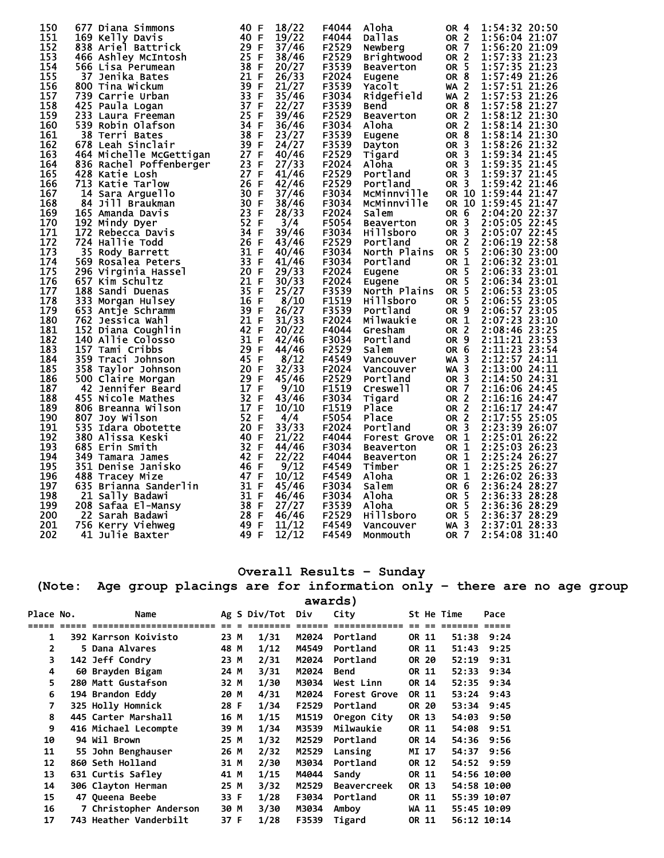| 150 | 677 Diana Simmons       | 40<br>-F           | 18/22 | F4044 | Aloha               | OR 4            | 1:54:32 20:50       |
|-----|-------------------------|--------------------|-------|-------|---------------------|-----------------|---------------------|
| 151 | 169 Kelly Davis         | 40 F               | 19/22 | F4044 | Dallas              | OR <sub>2</sub> | 1:56:04 21:07       |
| 152 | 838 Ariel Battrick      | 29 F               | 37/46 | F2529 | Newberg             | OR <sub>7</sub> | 1:56:20 21:09       |
| 153 | 466 Ashley McIntosh     | 25 F               | 38/46 | F2529 | <b>Brightwood</b>   | OR <sub>2</sub> | 1:57:33 21:23       |
| 154 | 566 Lisa Perumean       | 38 F               | 20/27 | F3539 | <b>Beaverton</b>    | OR <sub>5</sub> | 1:57:35 21:23       |
| 155 | 37 Jenika Bates         | 21 F               | 26/33 | F2024 |                     | OR <sub>8</sub> | 1:57:49 21:26       |
|     |                         | 39 F               |       |       | Eugene              |                 |                     |
| 156 | 800 Tina Wickum         | 33 F               | 21/27 | F3539 | Yacolt              | <b>WA 2</b>     | 1:57:51 21:26       |
| 157 | 739 Carrie Urban        |                    | 35/46 | F3034 | Ridgefield          | WA <sub>2</sub> | 1:57:53 21:26       |
| 158 | 425 Paula Logan         | 37 F               | 22/27 | F3539 | Bend                | OR <sub>8</sub> | 1:57:58 21:27       |
| 159 | 233 Laura Freeman       | 25<br>$\mathsf{F}$ | 39/46 | F2529 | <b>Beaverton</b>    | OR <sub>2</sub> | 1:58:12 21:30       |
| 160 | 539 Robin Olafson       | 34 F               | 36/46 | F3034 | Aloha               | OR 2            | 1:58:14 21:30       |
| 161 | 38 Terri Bates          | 38 F               | 23/27 | F3539 | Eugene              | OR <sub>8</sub> | 1:58:14 21:30       |
| 162 | 678 Leah Sinclair       | 39 F               | 24/27 | F3539 | Dayton              | OR <sub>3</sub> | 1:58:26 21:32       |
| 163 | 464 Michelle McGettigan | 27 F               | 40/46 | F2529 | Tigard              | OR <sub>3</sub> | 1:59:34 21:45       |
| 164 | 836 Rachel Poffenberger | 23 F               | 27/33 | F2024 | Aloha               | OR <sub>3</sub> | 1:59:35 21:45       |
| 165 | 428 Katie Losh          | 27 F               | 41/46 | F2529 | Portland            | OR <sub>3</sub> | 1:59:37 21:45       |
| 166 | 713 Katie Tarlow        | 26<br>$\mathsf F$  | 42/46 | F2529 | Portland            | OR <sub>3</sub> | 1:59:42 21:46       |
| 167 | 14 Sara Arguello        | 30 F               | 37/46 | F3034 | MCMinnville         |                 | OR 10 1:59:44 21:47 |
| 168 | 84 Jill Braukman        | 30 F               | 38/46 | F3034 | MCMinnville         | OR 10           | 1:59:45 21:47       |
| 169 | 165 Amanda Davis        | 23 F               | 28/33 | F2024 | Salem               | OR 6            | 2:04:20 22:37       |
| 170 | 192 Mindy Dyer          | 52 F               | 3/4   | F5054 | <b>Beaverton</b>    | OR <sub>3</sub> | 2:05:05 22:45       |
| 171 | 172 Rebecca Davis       | 34 F               | 39/46 | F3034 | Hillsboro           | OR <sub>3</sub> | 2:05:07 22:45       |
| 172 | 724 Hallie Todd         | 26<br>F            | 43/46 | F2529 | Portland            | OR 2            | 2:06:19 22:58       |
| 173 | 35 Rody Barrett         | 31 F               | 40/46 | F3034 | North Plains        | OR <sub>5</sub> | 2:06:30 23:00       |
| 174 | 569 Rosalea Peters      | 33 F               | 41/46 | F3034 | Portland            | OR <sub>1</sub> | 2:06:32 23:01       |
| 175 |                         | 20 F               | 29/33 | F2024 |                     | OR 5            | 2:06:33 23:01       |
| 176 | 296 Virginia Hassel     |                    | 30/33 |       | Eugene              | OR <sub>5</sub> |                     |
|     | 657 Kim Schultz         | 21 F               |       | F2024 | Eugene              |                 | 2:06:34 23:01       |
| 177 | 188 Sandi Duenas        | 35 F               | 25/27 | F3539 | North Plains        | OR 5            | 2:06:53 23:05       |
| 178 | 333 Morgan Hulsey       | 16 F               | 8/10  | F1519 | Hillsboro           | OR 5            | 2:06:55 23:05       |
| 179 | 653 Antje Schramm       | 39 F               | 26/27 | F3539 | Portland            | OR <sub>9</sub> | 2:06:57 23:05       |
| 180 | 762 Jessica Wahl        | 21 F               | 31/33 | F2024 | Milwaukie           | OR 1            | 2:07:23 23:10       |
| 181 | 152 Diana Coughlin      | 42 F               | 20/22 | F4044 | Gresham             | <b>OR 2</b>     | 2:08:46 23:25       |
| 182 | 140 Allie Colosso       | 31 F               | 42/46 | F3034 | Portland            | OR <sub>9</sub> | 2:11:21 23:53       |
| 183 | 157 Tami Cribbs         | 29 F               | 44/46 | F2529 | Salem               | OR <sub>6</sub> | 2:11:23 23:54       |
| 184 | 359 Traci Johnson       | 45 F               | 8/12  | F4549 | Vancouver           | $WA$ 3          | 2:12:57 24:11       |
| 185 | 358 Taylor Johnson      | 20 F               | 32/33 | F2024 | Vancouver           | $WA$ 3          | 2:13:00 24:11       |
| 186 | 500 Claire Morgan       | 29 F               | 45/46 | F2529 | Portland            | OR $3$          | 2:14:50 24:31       |
| 187 | 42 Jennifer Beard       | 17 F               | 9/10  | F1519 | Creswell            | OR 7            | 2:16:06 24:45       |
| 188 | 455 Nicole Mathes       | 32 F               | 43/46 | F3034 | Tigard              | OR <sub>2</sub> | 2:16:16 24:47       |
| 189 | 806 Breanna Wilson      | 17 F               | 10/10 | F1519 | Place               | OR <sub>2</sub> | 2:16:17 24:47       |
| 190 | 807 Joy Wilson          | 52 F               | 4/4   | F5054 | Place               | OR <sub>2</sub> | 2:17:55 25:05       |
| 191 | 535 Idara Obotette      | 20<br>F            | 33/33 | F2024 | Portland            | OR <sub>3</sub> | 2:23:39 26:07       |
| 192 | 380 Alissa Keski        | 40 F               | 21/22 | F4044 | <b>Forest Grove</b> | OR 1            | 2:25:01 26:22       |
| 193 | 685 Erin Smith          | 32 F               | 44/46 | F3034 | <b>Beaverton</b>    | OR 1            | 2:25:03 26:23       |
| 194 | 349 Tamara James        | 42 F               | 22/22 | F4044 | <b>Beaverton</b>    | OR 1            | 2:25:24 26:27       |
| 195 | 351 Denise Janisko      | 46 F               | 9/12  | F4549 | Timber              | OR 1            | 2:25:25 26:27       |
| 196 | 488 Tracey Mize         | 47 F               | 10/12 | F4549 | Aloha               | OR <sub>1</sub> | 2:26:02 26:33       |
| 197 |                         | 31 F               | 45/46 | F3034 |                     | OR 6            |                     |
|     | 635 Brianna Sanderlin   |                    | 46/46 |       | Salem               |                 | 2:36:24 28:27       |
| 198 | 21 Sally Badawi         | 31 F               |       | F3034 | Aloha               | OR 5            | 2:36:33 28:28       |
| 199 | 208 Safaa El-Mansy      | 38 F               | 27/27 | F3539 | Aloha               | OR 5            | 2:36:36 28:29       |
| 200 | 22 Sarah Badawi         | 28 F               | 46/46 | F2529 | Hillsboro           | OR <sub>5</sub> | 2:36:37 28:29       |
| 201 | 756 Kerry Viehweg       | 49 F               | 11/12 | F4549 | Vancouver           | $WA$ 3          | 2:37:01 28:33       |
| 202 | 41 Julie Baxter         | 49 F               | 12/12 | F4549 | Monmouth            | <b>OR 7</b>     | 2:54:08 31:40       |

### **Overall Results – Sunday**

**(Note: Age group placings are for information only – there are no age group** 

| awards |
|--------|
|--------|

| Place No. | Name                   |      | Ag S Div/Tot | Div   | City               |       |       | St He Time  | Pace |
|-----------|------------------------|------|--------------|-------|--------------------|-------|-------|-------------|------|
|           | ============           |      |              |       |                    |       |       |             |      |
| 1         | 392 Karrson Koivisto   | 23 M | 1/31         | M2024 | Portland           |       | OR 11 | 51:38       | 9:24 |
| 2         | 5 Dana Alvares         | 48 M | 1/12         | M4549 | Portland           | OR 11 |       | 51:43       | 9:25 |
| 3         | 142 Jeff Condry        | 23 M | 2/31         | M2024 | Portland           |       | OR 20 | 52:19       | 9:31 |
| 4         | 60 Brayden Bigam       | 24 M | 3/31         | M2024 | Bend               |       | OR 11 | 52:33       | 9:34 |
| 5         | 280 Matt Gustafson     | 32 M | 1/30         | M3034 | West Linn          |       | OR 14 | 52:35       | 9:34 |
| 6         | 194 Brandon Eddy       | 20 M | 4/31         | M2024 | Forest Grove       | OR 11 |       | 53:24       | 9:43 |
| 7         | 325 Holly Homnick      | 28 F | 1/34         | F2529 | Portland           |       | OR 20 | 53:34       | 9:45 |
| 8         | 445 Carter Marshall    | 16 M | 1/15         | M1519 | Oregon City        |       | OR 13 | 54:03       | 9:50 |
| 9         | 416 Michael Lecompte   | 39 M | 1/34         | M3539 | Milwaukie          |       | OR 11 | 54:08       | 9:51 |
| 10        | 94 Wil Brown           | 25 M | 1/32         | M2529 | Portland           |       | OR 14 | 54:36       | 9:56 |
| 11        | 55 John Benghauser     | 26 M | 2/32         | M2529 | Lansing            |       | MI 17 | 54:37       | 9:56 |
| 12        | 860 Seth Holland       | 31 M | 2/30         | M3034 | Portland           |       | OR 12 | 54:52       | 9:59 |
| 13        | 631 Curtis Safley      | 41 M | 1/15         | M4044 | Sandy              |       | OR 11 | 54:56 10:00 |      |
| 14        | 306 Clayton Herman     | 25 M | 3/32         | M2529 | <b>Beavercreek</b> |       | OR 13 | 54:58 10:00 |      |
| 15        | 47 Queena Beebe        | 33 F | 1/28         | F3034 | Portland           |       | OR 11 | 55:39 10:07 |      |
| 16        | 7 Christopher Anderson | 30 M | 3/30         | M3034 | Amboy              |       | WA 11 | 55:45 10:09 |      |
| 17        | 743 Heather Vanderbilt | 37 F | 1/28         | F3539 | Tigard             |       | OR 11 | 56:12 10:14 |      |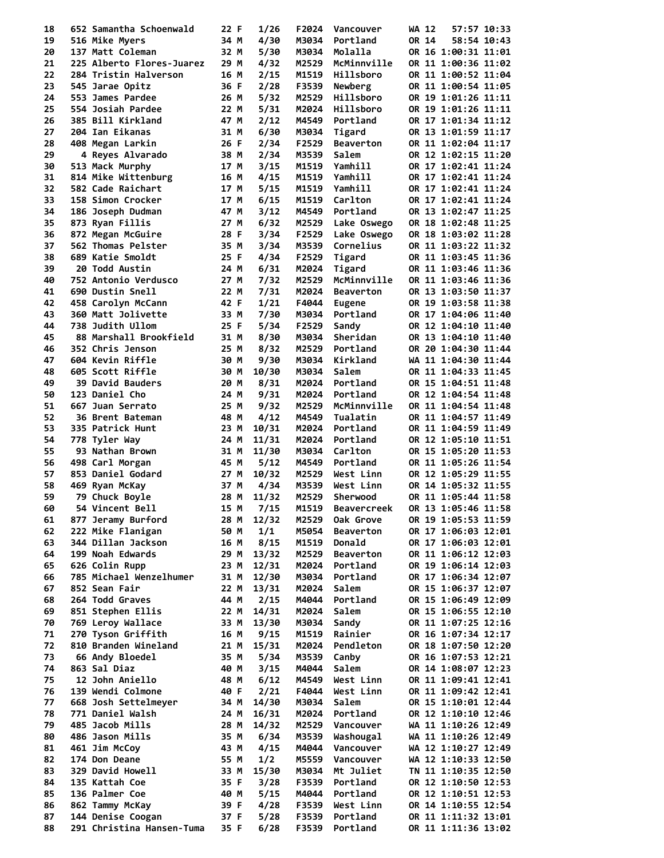| 18 | 652 Samantha Schoenwald   | 22 F | 1/26      | F2024 | Vancouver         | WA 12<br>57:57 10:33 |
|----|---------------------------|------|-----------|-------|-------------------|----------------------|
| 19 | 516 Mike Myers            | 34 M | 4/30      | M3034 | Portland          | OR 14<br>58:54 10:43 |
| 20 | 137 Matt Coleman          |      |           | M3034 | Molalla           | OR 16 1:00:31 11:01  |
|    |                           | 32 M | 5/30      |       |                   |                      |
| 21 | 225 Alberto Flores-Juarez | 29 M | 4/32      | M2529 | McMinnville       | OR 11 1:00:36 11:02  |
| 22 | 284 Tristin Halverson     | 16 M | 2/15      | M1519 | Hillsboro         | OR 11 1:00:52 11:04  |
| 23 | 545 Jarae Opitz           | 36 F | 2/28      | F3539 | Newberg           | OR 11 1:00:54 11:05  |
| 24 | 553 James Pardee          | 26 M | 5/32      | M2529 | Hillsboro         | OR 19 1:01:26 11:11  |
| 25 | 554 Josiah Pardee         | 22 M | 5/31      | M2024 | Hillsboro         | OR 19 1:01:26 11:11  |
| 26 | 385 Bill Kirkland         | 47 M | 2/12      | M4549 | Portland          | OR 17 1:01:34 11:12  |
| 27 | 204 Ian Eikanas           | 31 M | 6/30      | M3034 | Tigard            | OR 13 1:01:59 11:17  |
|    |                           |      |           |       |                   |                      |
| 28 | 408 Megan Larkin          | 26 F | 2/34      | F2529 | <b>Beaverton</b>  | OR 11 1:02:04 11:17  |
| 29 | 4 Reyes Alvarado          | 38 M | 2/34      | M3539 | Salem             | OR 12 1:02:15 11:20  |
| 30 | 513 Mack Murphy           | 17 M | 3/15      | M1519 | Yamhill           | OR 17 1:02:41 11:24  |
| 31 | 814 Mike Wittenburg       | 16 M | 4/15      | M1519 | Yamhill           | OR 17 1:02:41 11:24  |
| 32 | 582 Cade Raichart         | 17 M | 5/15      | M1519 | Yamhill           | OR 17 1:02:41 11:24  |
| 33 | 158 Simon Crocker         | 17 M | 6/15      | M1519 | Carlton           | OR 17 1:02:41 11:24  |
| 34 | 186 Joseph Dudman         | 47 M | 3/12      | M4549 | Portland          | OR 13 1:02:47 11:25  |
|    |                           |      |           |       |                   |                      |
| 35 | 873 Ryan Fillis           | 27 M | 6/32      | M2529 | Lake Oswego       | OR 18 1:02:48 11:25  |
| 36 | 872 Megan McGuire         | 28 F | 3/34      | F2529 | Lake Oswego       | OR 18 1:03:02 11:28  |
| 37 | 562 Thomas Pelster        | 35 M | 3/34      | M3539 | Cornelius         | OR 11 1:03:22 11:32  |
| 38 | 689 Katie Smoldt          | 25 F | 4/34      | F2529 | Tigard            | OR 11 1:03:45 11:36  |
| 39 | <b>20 Todd Austin</b>     | 24 M | 6/31      | M2024 | Tigard            | OR 11 1:03:46 11:36  |
| 40 | 752 Antonio Verdusco      | 27 M | 7/32      | M2529 | McMinnville       | OR 11 1:03:46 11:36  |
| 41 | 690 Dustin Snell          |      |           |       | <b>Beaverton</b>  |                      |
|    |                           | 22 M | 7/31      | M2024 |                   | OR 13 1:03:50 11:37  |
| 42 | 458 Carolyn McCann        | 42 F | 1/21      | F4044 | Eugene            | OR 19 1:03:58 11:38  |
| 43 | 360 Matt Jolivette        | 33 M | 7/30      | M3034 | Portland          | OR 17 1:04:06 11:40  |
| 44 | 738 Judith Ullom          | 25 F | 5/34      | F2529 | Sandy             | OR 12 1:04:10 11:40  |
| 45 | 88 Marshall Brookfield    | 31 M | 8/30      | M3034 | Sheridan          | OR 13 1:04:10 11:40  |
| 46 | 352 Chris Jenson          | 25 M | 8/32      | M2529 | Portland          | OR 20 1:04:30 11:44  |
| 47 | 604 Kevin Riffle          | 30 M | 9/30      | M3034 | Kirkland          | WA 11 1:04:30 11:44  |
|    |                           |      |           |       |                   |                      |
| 48 | 605 Scott Riffle          | 30 M | 10/30     | M3034 | Salem             | OR 11 1:04:33 11:45  |
| 49 | 39 David Bauders          | 20 M | 8/31      | M2024 | Portland          | OR 15 1:04:51 11:48  |
| 50 | 123 Daniel Cho            | 24 M | 9/31      | M2024 | Portland          | OR 12 1:04:54 11:48  |
| 51 | 667 Juan Serrato          | 25 M | 9/32      | M2529 | McMinnville       | OR 11 1:04:54 11:48  |
| 52 | 36 Brent Bateman          | 48 M | 4/12      | M4549 | Tualatin          | OR 11 1:04:57 11:49  |
| 53 | 335 Patrick Hunt          | 23 M | 10/31     | M2024 | Portland          | OR 11 1:04:59 11:49  |
| 54 |                           |      |           | M2024 | Portland          |                      |
|    | 778 Tyler Way             | 24 M | 11/31     |       |                   | OR 12 1:05:10 11:51  |
| 55 | 93 Nathan Brown           | 31 M | 11/30     | M3034 | Carlton           | OR 15 1:05:20 11:53  |
| 56 | 498 Carl Morgan           | 45 M | 5/12      | M4549 | Portland          | OR 11 1:05:26 11:54  |
| 57 | 853 Daniel Godard         | 27 M | 10/32     | M2529 | West Linn         | OR 12 1:05:29 11:55  |
| 58 | 469 Ryan McKay            | 37 M | 4/34      | M3539 | West Linn         | OR 14 1:05:32 11:55  |
| 59 | 79 Chuck Boyle            | 28 M | 11/32     | M2529 | Sherwood          | OR 11 1:05:44 11:58  |
| 60 | 54 Vincent Bell           |      | 15 M 7/15 |       | M1519 Beavercreek | OR 13 1:05:46 11:58  |
|    |                           |      |           |       |                   |                      |
| 61 | 877 Jeramy Burford        | 28 M | 12/32     | M2529 | Oak Grove         | OR 19 1:05:53 11:59  |
| 62 | 222 Mike Flanigan         | 50 M | 1/1       | M5054 | <b>Beaverton</b>  | OR 17 1:06:03 12:01  |
| 63 | 344 Dillan Jackson        | 16 M | 8/15      | M1519 | Donald            | OR 17 1:06:03 12:01  |
| 64 | 199 Noah Edwards          | 29 M | 13/32     | M2529 | <b>Beaverton</b>  | OR 11 1:06:12 12:03  |
| 65 | 626 Colin Rupp            | 23 M | 12/31     | M2024 | Portland          | OR 19 1:06:14 12:03  |
| 66 | 785 Michael Wenzelhumer   | 31 M | 12/30     | M3034 | Portland          | OR 17 1:06:34 12:07  |
| 67 | 852 Sean Fair             | 22 M | 13/31     | M2024 | Salem             | OR 15 1:06:37 12:07  |
| 68 | 264 Todd Graves           | 44 M | 2/15      | M4044 | Portland          | OR 15 1:06:49 12:09  |
|    |                           |      |           |       |                   |                      |
| 69 | 851 Stephen Ellis         | 22 M | 14/31     | M2024 | Salem             | OR 15 1:06:55 12:10  |
| 70 | 769 Leroy Wallace         | 33 M | 13/30     | M3034 | Sandy             | OR 11 1:07:25 12:16  |
| 71 | 270 Tyson Griffith        | 16 M | 9/15      | M1519 | Rainier           | OR 16 1:07:34 12:17  |
| 72 | 810 Branden Wineland      | 21 M | 15/31     | M2024 | Pendleton         | OR 18 1:07:50 12:20  |
| 73 | 66 Andy Bloedel           | 35 M | 5/34      | M3539 | Canby             | OR 16 1:07:53 12:21  |
| 74 | 863 Sal Diaz              | 40 M | 3/15      | M4044 | Salem             | OR 14 1:08:07 12:23  |
| 75 |                           |      |           |       |                   | OR 11 1:09:41 12:41  |
|    | 12 John Aniello           | 48 M | 6/12      | M4549 | West Linn         |                      |
| 76 | 139 Wendi Colmone         | 40 F | 2/21      | F4044 | West Linn         | OR 11 1:09:42 12:41  |
| 77 | 668 Josh Settelmeyer      | 34 M | 14/30     | M3034 | Salem             | OR 15 1:10:01 12:44  |
| 78 | 771 Daniel Walsh          | 24 M | 16/31     | M2024 | Portland          | OR 12 1:10:10 12:46  |
| 79 | 485 Jacob Mills           | 28 M | 14/32     | M2529 | Vancouver         | WA 11 1:10:26 12:49  |
| 80 | 486 Jason Mills           | 35 M | 6/34      | M3539 | Washougal         | WA 11 1:10:26 12:49  |
| 81 | 461 Jim McCoy             | 43 M | 4/15      | M4044 | Vancouver         | WA 12 1:10:27 12:49  |
|    |                           |      |           |       |                   |                      |
| 82 | 174 Don Deane             | 55 M | 1/2       | M5559 | Vancouver         | WA 12 1:10:33 12:50  |
| 83 | 329 David Howell          | 33 M | 15/30     | M3034 | Mt Juliet         | TN 11 1:10:35 12:50  |
| 84 | 135 Kattah Coe            | 35 F | 3/28      | F3539 | Portland          | OR 12 1:10:50 12:53  |
| 85 | 136 Palmer Coe            | 40 M | 5/15      | M4044 | Portland          | OR 12 1:10:51 12:53  |
| 86 | 862 Tammy McKay           | 39 F | 4/28      | F3539 | West Linn         | OR 14 1:10:55 12:54  |
| 87 | 144 Denise Coogan         | 37 F | 5/28      | F3539 | Portland          | OR 11 1:11:32 13:01  |
| 88 | 291 Christina Hansen-Tuma | 35 F | 6/28      | F3539 | Portland          | OR 11 1:11:36 13:02  |
|    |                           |      |           |       |                   |                      |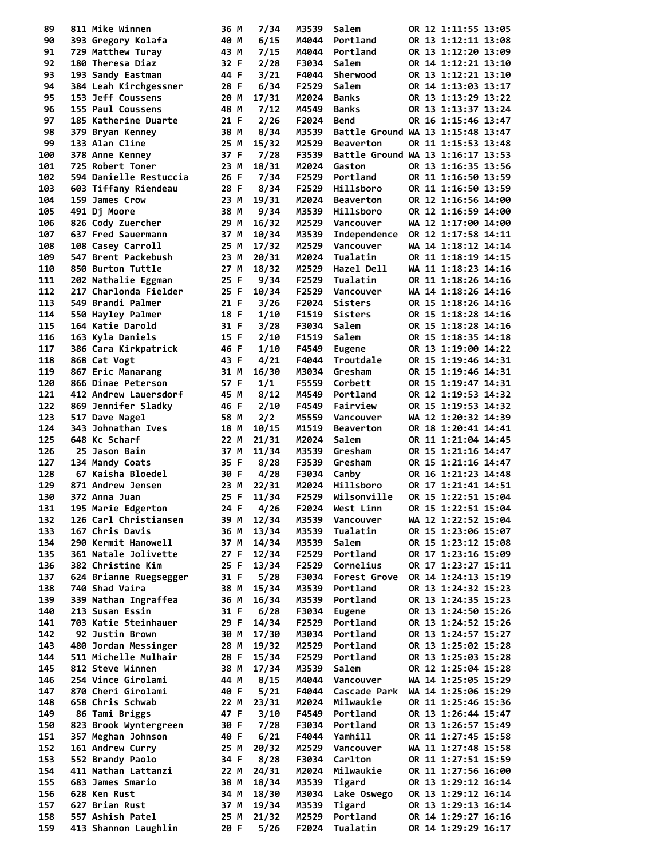| 89         | 811 Mike Winnen                         | 36 M         |           | 7/34           | M3539          | Salem                             |  | OR 12 1:11:55 13:05                        |  |
|------------|-----------------------------------------|--------------|-----------|----------------|----------------|-----------------------------------|--|--------------------------------------------|--|
| 90         | 393 Gregory Kolafa                      | 40 M         |           | 6/15           | M4044          | Portland                          |  | OR 13 1:12:11 13:08                        |  |
| 91         | 729 Matthew Turay                       | 43 M         |           | 7/15           | M4044          | Portland                          |  | OR 13 1:12:20 13:09                        |  |
| 92         | 180 Theresa Diaz                        | 32 F         |           | 2/28           | F3034          | Salem                             |  | OR 14 1:12:21 13:10                        |  |
| 93         | 193 Sandy Eastman                       | 44 F         |           | 3/21           | F4044          | Sherwood                          |  | OR 13 1:12:21 13:10                        |  |
| 94         | 384 Leah Kirchgessner                   | 28 F         |           | 6/34           | F2529          | Salem                             |  | OR 14 1:13:03 13:17                        |  |
| 95         | 153 Jeff Coussens                       | 20 M         |           | 17/31          | M2024          | <b>Banks</b>                      |  | OR 13 1:13:29 13:22                        |  |
| 96         | 155 Paul Coussens                       | 48 M         |           | 7/12           | M4549          | Banks                             |  | OR 13 1:13:37 13:24                        |  |
| 97         | 185 Katherine Duarte                    | 21 F         |           | 2/26           | F2024          | Bend                              |  | OR 16 1:15:46 13:47                        |  |
| 98         | 379 Bryan Kenney                        | 38 M         |           | 8/34           | M3539          | Battle Ground WA 13 1:15:48 13:47 |  |                                            |  |
| 99         | 133 Alan Cline                          | 25 M         |           | 15/32          | M2529          | <b>Beaverton</b>                  |  | OR 11 1:15:53 13:48                        |  |
| 100        | 378 Anne Kenney                         | 37 F         |           | 7/28           | F3539          | Battle Ground WA 13 1:16:17 13:53 |  |                                            |  |
| 101        | 725 Robert Toner                        | 23 M         |           | 18/31          | M2024          | Gaston                            |  | OR 13 1:16:35 13:56                        |  |
| 102        | 594 Danielle Restuccia                  | 26 F         |           | 7/34<br>8/34   | F2529          | Portland                          |  | OR 11 1:16:50 13:59                        |  |
| 103<br>104 | 603 Tiffany Riendeau<br>159 James Crow  | 28 F<br>23 M |           | 19/31          | F2529<br>M2024 | Hillsboro<br><b>Beaverton</b>     |  | OR 11 1:16:50 13:59<br>OR 12 1:16:56 14:00 |  |
| 105        | 491 Dj Moore                            | 38 M         |           | 9/34           | M3539          | Hillsboro                         |  | OR 12 1:16:59 14:00                        |  |
| 106        | 826 Cody Zuercher                       | 29 M         |           | 16/32          | M2529          | Vancouver                         |  | WA 12 1:17:00 14:00                        |  |
| 107        | 637 Fred Sauermann                      | 37 M         |           | 10/34          | M3539          | Independence                      |  | OR 12 1:17:58 14:11                        |  |
| 108        | 108 Casey Carroll                       | 25 M         |           | 17/32          | M2529          | Vancouver                         |  | WA 14 1:18:12 14:14                        |  |
| 109        | 547 Brent Packebush                     | 23 M         |           | 20/31          | M2024          | Tualatin                          |  | OR 11 1:18:19 14:15                        |  |
| 110        | 850 Burton Tuttle                       | 27 M         |           | 18/32          | M2529          | Hazel Dell                        |  | WA 11 1:18:23 14:16                        |  |
| 111        | 202 Nathalie Eggman                     | 25 F         |           | 9/34           | F2529          | Tualatin                          |  | OR 11 1:18:26 14:16                        |  |
| 112        | 217 Charlonda Fielder                   | 25 F         |           | 10/34          | F2529          | Vancouver                         |  | WA 14 1:18:26 14:16                        |  |
| 113        | 549 Brandi Palmer                       | 21 F         |           | 3/26           | F2024          | <b>Sisters</b>                    |  | OR 15 1:18:26 14:16                        |  |
| 114        | 550 Hayley Palmer                       | 18 F         |           | 1/10           | F1519          | <b>Sisters</b>                    |  | OR 15 1:18:28 14:16                        |  |
| 115        | 164 Katie Darold                        | 31 F         |           | 3/28           | F3034          | Salem                             |  | OR 15 1:18:28 14:16                        |  |
| 116        | 163 Kyla Daniels                        | 15 F         |           | 2/10           | F1519          | Salem                             |  | OR 15 1:18:35 14:18                        |  |
| 117        | 386 Cara Kirkpatrick                    | 46 F         |           | 1/10           | F4549          | <b>Eugene</b>                     |  | OR 13 1:19:00 14:22                        |  |
| 118        | 868 Cat Vogt                            | 43 F         |           | 4/21           | F4044          | Troutdale                         |  | OR 15 1:19:46 14:31                        |  |
| 119        | 867 Eric Manarang                       | 31 M         |           | 16/30          | M3034          | Gresham                           |  | OR 15 1:19:46 14:31                        |  |
| 120        | 866 Dinae Peterson                      | 57 F         |           | 1/1            | F5559          | Corbett                           |  | OR 15 1:19:47 14:31                        |  |
| 121        | 412 Andrew Lauersdorf                   | 45 M         |           | 8/12           | M4549          | Portland                          |  | OR 12 1:19:53 14:32                        |  |
| 122        | 869 Jennifer Sladky                     | 46 F         |           | 2/10           | F4549          | Fairview                          |  | OR 15 1:19:53 14:32                        |  |
| 123        | 517 Dave Nagel                          | 58 M         |           | 2/2            | M5559          | Vancouver                         |  | WA 12 1:20:32 14:39                        |  |
| 124        | 343 Johnathan Ives                      | 18 M         |           | 10/15          | M1519          | <b>Beaverton</b>                  |  | OR 18 1:20:41 14:41                        |  |
| 125        | 648 Kc Scharf                           | 22 M         |           | 21/31          | M2024          | Salem                             |  | OR 11 1:21:04 14:45                        |  |
| 126        | 25 Jason Bain                           | 37 M         |           | 11/34          | M3539          | Gresham                           |  | OR 15 1:21:16 14:47                        |  |
| 127        | 134 Mandy Coats                         | 35 F         |           | 8/28           | F3539          | Gresham                           |  | OR 15 1:21:16 14:47                        |  |
| 128        | 67 Kaisha Bloedel                       | 30 F         |           | 4/28           | F3034          | Canby                             |  | OR 16 1:21:23 14:48                        |  |
| 129        | 871 Andrew Jensen                       | 23 M         |           | 22/31          | M2024          | Hillsboro                         |  | OR 17 1:21:41 14:51                        |  |
| 130        | 372 Anna Juan                           | 25 F         |           | 11/34          | F2529          | Wilsonville                       |  | OR 15 1:22:51 15:04                        |  |
| 131        | 195 Marie Edgerton                      |              | 24 F 4/26 |                |                | F2024 West Linn                   |  | OR 15 1:22:51 15:04                        |  |
| 132        | 126 Carl Christiansen                   | 39 M         |           | 12/34          | M3539          | Vancouver                         |  | WA 12 1:22:52 15:04                        |  |
| 133        | 167 Chris Davis                         | 36 M         |           | 13/34          | M3539          | Tualatin                          |  | OR 15 1:23:06 15:07                        |  |
| 134        | 290 Kermit Hanowell                     | 37 M         |           | 14/34          | M3539          | Salem                             |  | OR 15 1:23:12 15:08                        |  |
| 135        | 361 Natale Jolivette                    | 27 F         |           | 12/34          | F2529          | Portland                          |  | OR 17 1:23:16 15:09                        |  |
| 136        | 382 Christine Kim                       | 25 F         |           | 13/34          | F2529          | Cornelius                         |  | OR 17 1:23:27 15:11                        |  |
| 137        | 624 Brianne Ruegsegger                  | 31 F         |           | 5/28           | F3034          | Forest Grove                      |  | OR 14 1:24:13 15:19                        |  |
| 138        | 740 Shad Vaira                          | 38 M         |           | 15/34          | M3539          | Portland                          |  | OR 13 1:24:32 15:23                        |  |
| 139        | 339 Nathan Ingraffea                    | 36 M         |           | 16/34          | M3539          | Portland                          |  | OR 13 1:24:35 15:23                        |  |
| 140<br>141 | 213 Susan Essin<br>703 Katie Steinhauer | 31 F<br>29 F |           | 6/28           | F3034          | <b>Eugene</b><br>Portland         |  | OR 13 1:24:50 15:26<br>OR 13 1:24:52 15:26 |  |
| 142        | 92 Justin Brown                         | 30 M         |           | 14/34<br>17/30 | F2529<br>M3034 | Portland                          |  | OR 13 1:24:57 15:27                        |  |
| 143        | 480 Jordan Messinger                    | 28 M         |           | 19/32          | M2529          | Portland                          |  | OR 13 1:25:02 15:28                        |  |
| 144        | 511 Michelle Mulhair                    | 28 F         |           | 15/34          | F2529          | Portland                          |  | OR 13 1:25:03 15:28                        |  |
| 145        | 812 Steve Winnen                        | 38 M         |           | 17/34          | M3539          | Salem                             |  | OR 12 1:25:04 15:28                        |  |
| 146        | 254 Vince Girolami                      | 44 M         |           | 8/15           | M4044          | Vancouver                         |  | WA 14 1:25:05 15:29                        |  |
| 147        | 870 Cheri Girolami                      | 40 F         |           | 5/21           | F4044          | Cascade Park                      |  | WA 14 1:25:06 15:29                        |  |
| 148        | 658 Chris Schwab                        | 22 M         |           | 23/31          | M2024          | Milwaukie                         |  | OR 11 1:25:46 15:36                        |  |
| 149        | 86 Tami Briggs                          | 47 F         |           | 3/10           | F4549          | Portland                          |  | OR 13 1:26:44 15:47                        |  |
| 150        | 823 Brook Wyntergreen                   | 30 F         |           | 7/28           | F3034          | Portland                          |  | OR 13 1:26:57 15:49                        |  |
| 151        | 357 Meghan Johnson                      | 40 F         |           | 6/21           | F4044          | Yamhill                           |  | OR 11 1:27:45 15:58                        |  |
| 152        | 161 Andrew Curry                        | 25 M         |           | 20/32          | M2529          | Vancouver                         |  | WA 11 1:27:48 15:58                        |  |
| 153        | 552 Brandy Paolo                        | 34 F         |           | 8/28           | F3034          | Carlton                           |  | OR 11 1:27:51 15:59                        |  |
| 154        | 411 Nathan Lattanzi                     | 22 M         |           | 24/31          | M2024          | Milwaukie                         |  | OR 11 1:27:56 16:00                        |  |
| 155        | 683 James Smario                        | 38 M         |           | 18/34          | M3539          | Tigard                            |  | OR 13 1:29:12 16:14                        |  |
| 156        | 628 Ken Rust                            | 34 M         |           | 18/30          | M3034          | Lake Oswego                       |  | OR 13 1:29:12 16:14                        |  |
| 157        | 627 Brian Rust                          | 37 M         |           | 19/34          | M3539          | Tigard                            |  | OR 13 1:29:13 16:14                        |  |
| 158        | 557 Ashish Patel                        | 25 M         |           | 21/32          | M2529          | Portland                          |  | OR 14 1:29:27 16:16                        |  |
| 159        | 413 Shannon Laughlin                    | 20 F         |           | 5/26           | F2024          | Tualatin                          |  | OR 14 1:29:29 16:17                        |  |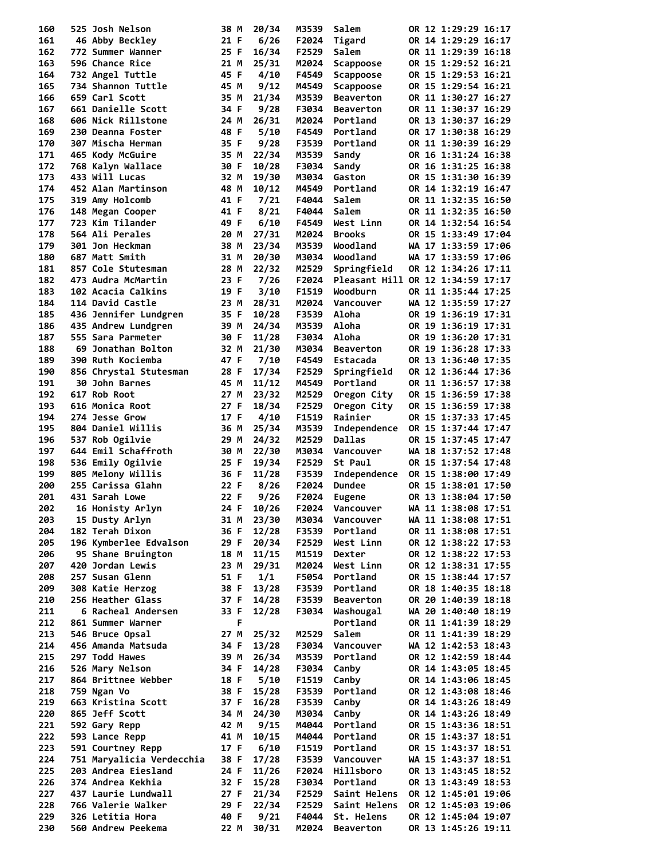| 160        | 525 Josh Nelson                        | 38 M         | 20/34          | M3539          | Salem                         | OR 12 1:29:29 16:17                        |
|------------|----------------------------------------|--------------|----------------|----------------|-------------------------------|--------------------------------------------|
| 161        | 46 Abby Beckley                        | 21 F         | 6/26           | F2024          | Tigard                        | OR 14 1:29:29 16:17                        |
| 162        | 772 Summer Wanner                      | 25 F         | 16/34          | F2529          | Salem                         | OR 11 1:29:39 16:18                        |
| 163        | 596 Chance Rice                        | 21 M         | 25/31          | M2024          | Scappoose                     | OR 15 1:29:52 16:21                        |
| 164        | 732 Angel Tuttle                       | 45 F         | 4/10           | F4549          | Scappoose                     | OR 15 1:29:53 16:21                        |
| 165        | 734 Shannon Tuttle                     | 45 M         | 9/12           | M4549          | Scappoose                     | OR 15 1:29:54 16:21                        |
| 166        | 659 Carl Scott                         | 35 M         | 21/34          | M3539          | <b>Beaverton</b>              | OR 11 1:30:27 16:27                        |
| 167        | 661 Danielle Scott                     | 34 F         | 9/28           | F3034          | <b>Beaverton</b>              | OR 11 1:30:37 16:29                        |
| 168        | 606 Nick Rillstone                     | 24 M         | 26/31          | M2024          | Portland                      | OR 13 1:30:37 16:29                        |
| 169        | 230 Deanna Foster                      | 48 F         | 5/10           | F4549          | Portland                      | OR 17 1:30:38 16:29                        |
| 170        | 307 Mischa Herman                      | 35 F         | 9/28           | F3539          | Portland                      | OR 11 1:30:39 16:29                        |
| 171        | 465 Kody McGuire                       | 35 M         | 22/34          | M3539          | Sandy                         | OR 16 1:31:24 16:38                        |
| 172        | 768 Kalyn Wallace                      | 30 F         | 10/28          | F3034          | Sandy                         | OR 16 1:31:25 16:38                        |
| 173        | 433 Will Lucas                         | 32 M         | 19/30          | M3034          | Gaston                        | OR 15 1:31:30 16:39                        |
| 174        | 452 Alan Martinson                     | 48 M         | 10/12          | M4549          | Portland                      | OR 14 1:32:19 16:47                        |
| 175        | 319 Amy Holcomb                        | 41 F         | 7/21           | F4044          | Salem                         | OR 11 1:32:35 16:50                        |
| 176        | 148 Megan Cooper                       | 41 F         | 8/21           | F4044          | Salem                         | OR 11 1:32:35 16:50                        |
| 177        | 723 Kim Tilander                       | 49 F         | 6/10           | F4549          | West Linn                     | OR 14 1:32:54 16:54                        |
| 178        | 564 Ali Perales                        | 20 M         | 27/31          | M2024          | <b>Brooks</b>                 | OR 15 1:33:49 17:04                        |
| 179        | 301 Jon Heckman                        | 38 M         | 23/34          | M3539          | Woodland                      | WA 17 1:33:59 17:06                        |
| 180        | 687 Matt Smith                         | 31 M         | 20/30          | M3034          | Woodland                      | WA 17 1:33:59 17:06                        |
| 181        | 857 Cole Stutesman                     | 28 M         | 22/32          | M2529          | Springfield                   | OR 12 1:34:26 17:11                        |
| 182        | 473 Audra McMartin                     | 23 F         | 7/26           | F2024          |                               | Pleasant Hill OR 12 1:34:59 17:17          |
| 183        | 102 Acacia Calkins                     | 19 F         | 3/10           | F1519          | Woodburn                      | OR 11 1:35:44 17:25                        |
| 184        | <b>114 David Castle</b>                | 23 M         | 28/31          | M2024          | Vancouver                     | WA 12 1:35:59 17:27                        |
| 185        | 436 Jennifer Lundgren                  | 35 F         | 10/28          | F3539          | Aloha                         | OR 19 1:36:19 17:31                        |
| 186        | 435 Andrew Lundgren                    | 39 M         | 24/34          | M3539          | Aloha                         | OR 19 1:36:19 17:31                        |
| 187        | 555 Sara Parmeter                      | 30 F         | 11/28          | F3034          | Aloha                         | OR 19 1:36:20 17:31                        |
| 188        | 69 Jonathan Bolton                     | 32 M         | 21/30          | M3034          | <b>Beaverton</b>              | OR 19 1:36:28 17:33                        |
| 189        | 390 Ruth Kociemba                      | 47 F         | 7/10           | F4549          | Estacada                      | OR 13 1:36:40 17:35                        |
| 190        | 856 Chrystal Stutesman                 | 28 F         | 17/34          | F2529          | Springfield                   | OR 12 1:36:44 17:36                        |
| 191        | 30 John Barnes                         | 45 M         | 11/12          | M4549          | Portland                      | OR 11 1:36:57 17:38                        |
| 192        | 617 Rob Root                           | 27 M         | 23/32          | M2529          | Oregon City                   | OR 15 1:36:59 17:38                        |
| 193        | 616 Monica Root                        | 27 F         | 18/34          | F2529          | Oregon City                   | OR 15 1:36:59 17:38                        |
| 194        | 274 Jesse Grow                         | 17 F         | 4/10           | F1519          | Rainier                       | OR 15 1:37:33 17:45                        |
| 195        | 804 Daniel Willis                      | 36 M         | 25/34          | M3539          | Independence<br><b>Dallas</b> | OR 15 1:37:44 17:47                        |
| 196<br>197 | 537 Rob Ogilvie<br>644 Emil Schaffroth | 29 M<br>30 M | 24/32<br>22/30 | M2529<br>M3034 | Vancouver                     | OR 15 1:37:45 17:47<br>WA 18 1:37:52 17:48 |
| 198        | 536 Emily Ogilvie                      | 25 F         | 19/34          | F2529          | St Paul                       | OR 15 1:37:54 17:48                        |
| 199        | 805 Melony Willis                      | 36 F         | 11/28          | F3539          | Independence                  | OR 15 1:38:00 17:49                        |
| 200        | 255 Carissa Glahn                      | 22 F         | 8/26           | F2024          | <b>Dundee</b>                 | OR 15 1:38:01 17:50                        |
| 201        | 431 Sarah Lowe                         | 22 F         | 9/26           | F2024          | Eugene                        | OR 13 1:38:04 17:50                        |
| 202        | 16 Honisty Arlyn                       | 24 F         | 10/26          | F2024          | Vancouver                     | WA 11 1:38:08 17:51                        |
| 203        | 15 Dusty Arlyn                         | 31 M         | 23/30          | M3034          | Vancouver                     | WA 11 1:38:08 17:51                        |
| 204        | 182 Terah Dixon                        | 36 F         | 12/28          | F3539          | Portland                      | OR 11 1:38:08 17:51                        |
| 205        | 196 Kymberlee Edvalson                 | 29 F         | 20/34          | F2529          | West Linn                     | OR 12 1:38:22 17:53                        |
| 206        | 95 Shane Bruington                     | 18 M         | 11/15          | M1519          | Dexter                        | OR 12 1:38:22 17:53                        |
| 207        | 420 Jordan Lewis                       | 23 M         | 29/31          | M2024          | West Linn                     | OR 12 1:38:31 17:55                        |
| 208        | 257 Susan Glenn                        | 51 F         | 1/1            | F5054          | Portland                      | OR 15 1:38:44 17:57                        |
| 209        | 308 Katie Herzog                       | 38 F         | 13/28          | F3539          | Portland                      | OR 18 1:40:35 18:18                        |
| 210        | 256 Heather Glass                      | 37 F         | 14/28          | F3539          | <b>Beaverton</b>              | OR 20 1:40:39 18:18                        |
| 211        | 6 Racheal Andersen                     | 33 F         | 12/28          | F3034          | Washougal                     | WA 20 1:40:40 18:19                        |
| 212        | 861 Summer Warner                      | F            |                |                | Portland                      | OR 11 1:41:39 18:29                        |
| 213        | 546 Bruce Opsal                        | 27 M         | 25/32          | M2529          | Salem                         | OR 11 1:41:39 18:29                        |
| 214        | 456 Amanda Matsuda                     | 34 F         | 13/28          | F3034          | Vancouver                     | WA 12 1:42:53 18:43                        |
| 215        | 297 Todd Hawes                         | 39 M         | 26/34          | M3539          | Portland                      | OR 12 1:42:59 18:44                        |
| 216        | 526 Mary Nelson                        | 34 F         | 14/28          | F3034          | Canby                         | OR 14 1:43:05 18:45                        |
| 217        | 864 Brittnee Webber                    | 18 F         | 5/10           | F1519          | Canby                         | OR 14 1:43:06 18:45                        |
| 218        | 759 Ngan Vo                            | 38 F         | 15/28          | F3539          | Portland                      | OR 12 1:43:08 18:46                        |
| 219        | 663 Kristina Scott                     | 37 F         | 16/28          | F3539          | Canby                         | OR 14 1:43:26 18:49                        |
| 220        | 865 Jeff Scott                         | 34 M         | 24/30          | M3034          | Canby                         | OR 14 1:43:26 18:49                        |
| 221        | 592 Gary Repp                          | 42 M         | 9/15           | M4044          | Portland                      | OR 15 1:43:36 18:51                        |
| 222        | 593 Lance Repp                         | 41 M         | 10/15          | M4044          | Portland                      | OR 15 1:43:37 18:51                        |
| 223        | 591 Courtney Repp                      | 17 F         | 6/10           | F1519          | Portland                      | OR 15 1:43:37 18:51                        |
| 224        | 751 Maryalicia Verdecchia              | 38 F         | 17/28          | F3539          | Vancouver                     | WA 15 1:43:37 18:51                        |
| 225        | 203 Andrea Eiesland                    | 24 F         | 11/26          | F2024          | Hillsboro                     | OR 13 1:43:45 18:52                        |
| 226        | 374 Andrea Kekhia                      | 32 F         | 15/28          | F3034          | Portland                      | OR 13 1:43:49 18:53                        |
| 227        | 437 Laurie Lundwall                    | 27 F         | 21/34          | F2529          | Saint Helens                  | OR 12 1:45:01 19:06                        |
| 228        | 766 Valerie Walker                     | 29 F         | 22/34          | F2529          | Saint Helens                  | OR 12 1:45:03 19:06                        |
| 229        |                                        |              | 9/21           | F4044          | St. Helens                    | OR 12 1:45:04 19:07                        |
| 230        | 326 Letitia Hora<br>560 Andrew Peekema | 40 F<br>22 M | 30/31          | M2024          | <b>Beaverton</b>              | OR 13 1:45:26 19:11                        |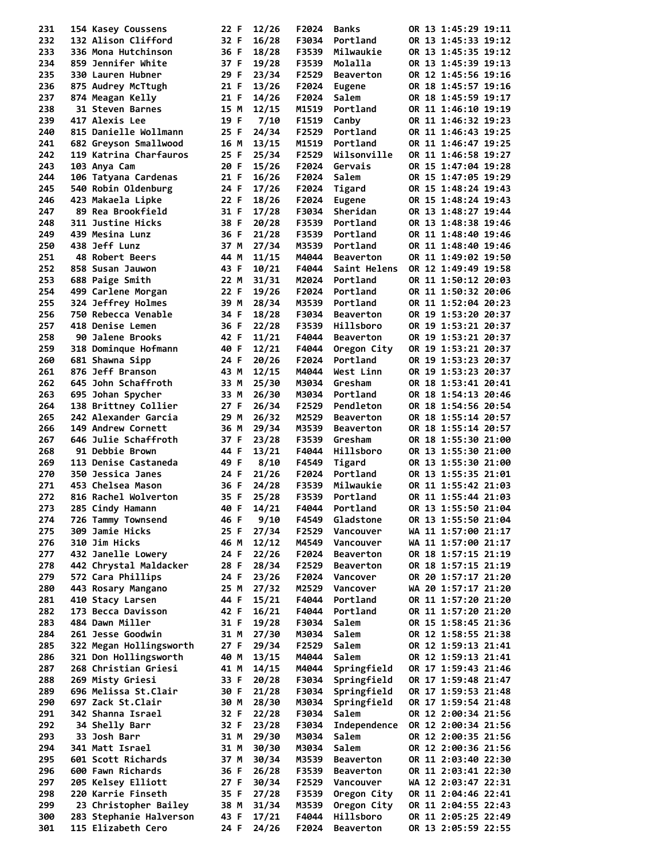| 231        |                   | 154 Kasey Coussens      | 22 F         | 12/26          | F2024          | <b>Banks</b>          |  | OR 13 1:45:29 19:11                        |  |
|------------|-------------------|-------------------------|--------------|----------------|----------------|-----------------------|--|--------------------------------------------|--|
| 232        |                   | 132 Alison Clifford     | 32 F         | 16/28          | F3034          | Portland              |  | OR 13 1:45:33 19:12                        |  |
| 233        |                   | 336 Mona Hutchinson     | 36 F         | 18/28          | F3539          | Milwaukie             |  | OR 13 1:45:35 19:12                        |  |
| 234        |                   | 859 Jennifer White      | 37 F         | 19/28          | F3539          | Molalla               |  | OR 13 1:45:39 19:13                        |  |
| 235        | 330 Lauren Hubner |                         | 29 F         | 23/34          | F2529          | <b>Beaverton</b>      |  | OR 12 1:45:56 19:16                        |  |
| 236        |                   | 875 Audrey McTtugh      | 21 F         | 13/26          | F2024          | Eugene                |  | OR 18 1:45:57 19:16                        |  |
| 237        | 874 Meagan Kelly  |                         | 21 F         | 14/26          | F2024          | Salem                 |  | OR 18 1:45:59 19:17                        |  |
| 238        |                   | 31 Steven Barnes        | 15 M         | 12/15          | M1519          | Portland              |  | OR 11 1:46:10 19:19                        |  |
| 239<br>240 | 417 Alexis Lee    | 815 Danielle Wollmann   | 19 F         | 7/10           | F1519<br>F2529 | Canby<br>Portland     |  | OR 11 1:46:32 19:23                        |  |
| 241        |                   | 682 Greyson Smallwood   | 25 F<br>16 M | 24/34<br>13/15 | M1519          | Portland              |  | OR 11 1:46:43 19:25<br>OR 11 1:46:47 19:25 |  |
| 242        |                   | 119 Katrina Charfauros  | 25 F         | 25/34          | F2529          | Wilsonville           |  | OR 11 1:46:58 19:27                        |  |
| 243        | 103 Anya Cam      |                         | 20 F         | 15/26          | F2024          | Gervais               |  | OR 15 1:47:04 19:28                        |  |
| 244        |                   | 106 Tatyana Cardenas    | 21 F         | 16/26          | F2024          | Salem                 |  | OR 15 1:47:05 19:29                        |  |
| 245        |                   | 540 Robin Oldenburg     | 24 F         | 17/26          | F2024          | Tigard                |  | OR 15 1:48:24 19:43                        |  |
| 246        | 423 Makaela Lipke |                         | 22 F         | 18/26          | F2024          | Eugene                |  | OR 15 1:48:24 19:43                        |  |
| 247        |                   | 89 Rea Brookfield       | 31 F         | 17/28          | F3034          | Sheridan              |  | OR 13 1:48:27 19:44                        |  |
| 248        | 311 Justine Hicks |                         | 38 F         | 20/28          | F3539          | Portland              |  | OR 13 1:48:38 19:46                        |  |
| 249        | 439 Mesina Lunz   |                         | 36 F         | 21/28          | F3539          | Portland              |  | OR 11 1:48:40 19:46                        |  |
| 250        | 438 Jeff Lunz     |                         | 37 M         | 27/34          | M3539          | Portland              |  | OR 11 1:48:40 19:46                        |  |
| 251        | 48 Robert Beers   |                         | 44 M         | 11/15          | M4044          | <b>Beaverton</b>      |  | OR 11 1:49:02 19:50                        |  |
| 252        | 858 Susan Jauwon  |                         | 43 F         | 10/21          | F4044          | Saint Helens          |  | OR 12 1:49:49 19:58                        |  |
| 253        | 688 Paige Smith   |                         | 22 M         | 31/31          | M2024          | Portland              |  | OR 11 1:50:12 20:03                        |  |
| 254        |                   | 499 Carlene Morgan      | 22 F         | 19/26          | F2024          | Portland              |  | OR 11 1:50:32 20:06                        |  |
| 255        |                   | 324 Jeffrey Holmes      | 39 M         | 28/34          | M3539          | Portland              |  | OR 11 1:52:04 20:23                        |  |
| 256        |                   | 750 Rebecca Venable     | 34 F         | 18/28          | F3034          | <b>Beaverton</b>      |  | OR 19 1:53:20 20:37                        |  |
| 257        | 418 Denise Lemen  |                         | 36 F         | 22/28          | F3539          | Hillsboro             |  | OR 19 1:53:21 20:37                        |  |
| 258        |                   | 90 Jalene Brooks        | 42 F         | 11/21          | F4044          | <b>Beaverton</b>      |  | OR 19 1:53:21 20:37                        |  |
| 259        |                   | 318 Dominque Hofmann    | 40 F         | 12/21          | F4044          | Oregon City           |  | OR 19 1:53:21 20:37                        |  |
| 260        | 681 Shawna Sipp   |                         | 24 F         | 20/26          | F2024          | Portland              |  | OR 19 1:53:23 20:37                        |  |
| 261        | 876 Jeff Branson  |                         | 43 M         | 12/15          | M4044          | West Linn             |  | OR 19 1:53:23 20:37                        |  |
| 262        |                   | 645 John Schaffroth     | 33 M         | 25/30<br>26/30 | M3034<br>M3034 | Gresham               |  | OR 18 1:53:41 20:41                        |  |
| 263<br>264 | 695 Johan Spycher | 138 Brittney Collier    | 33 M<br>27 F | 26/34          | F2529          | Portland<br>Pendleton |  | OR 18 1:54:13 20:46<br>OR 18 1:54:56 20:54 |  |
| 265        |                   | 242 Alexander Garcia    | 29 M         | 26/32          | M2529          | <b>Beaverton</b>      |  | OR 18 1:55:14 20:57                        |  |
| 266        |                   | 149 Andrew Cornett      | 36 M         | 29/34          | M3539          | <b>Beaverton</b>      |  | OR 18 1:55:14 20:57                        |  |
| 267        |                   | 646 Julie Schaffroth    | 37 F         | 23/28          | F3539          | Gresham               |  | OR 18 1:55:30 21:00                        |  |
| 268        | 91 Debbie Brown   |                         | 44 F         | 13/21          | F4044          | Hillsboro             |  | OR 13 1:55:30 21:00                        |  |
| 269        |                   | 113 Denise Castaneda    | 49 F         | 8/10           | F4549          | Tigard                |  | OR 13 1:55:30 21:00                        |  |
| 270        | 350 Jessica Janes |                         | 24 F         | 21/26          | F2024          | Portland              |  | OR 13 1:55:35 21:01                        |  |
| 271        | 453 Chelsea Mason |                         | 36 F         | 24/28          | F3539          | Milwaukie             |  | OR 11 1:55:42 21:03                        |  |
| 272        |                   | 816 Rachel Wolverton    | 35 F         | 25/28          | F3539          | Portland              |  | OR 11 1:55:44 21:03                        |  |
| 273        | 285 Cindy Hamann  |                         |              | 40 F 14/21     |                | F4044 Portland        |  | OR 13 1:55:50 21:04                        |  |
| 274        |                   | 726 Tammy Townsend      | 46 F         | 9/10           | F4549          | Gladstone             |  | OR 13 1:55:50 21:04                        |  |
| 275        | 309 Jamie Hicks   |                         | 25 F         | 27/34          | F2529          | Vancouver             |  | WA 11 1:57:00 21:17                        |  |
| 276        | 310 Jim Hicks     |                         | 46 M         | 12/12          | M4549          | Vancouver             |  | WA 11 1:57:00 21:17                        |  |
| 277        |                   | 432 Janelle Lowery      | 24 F         | 22/26          | F2024          | <b>Beaverton</b>      |  | OR 18 1:57:15 21:19                        |  |
| 278        |                   | 442 Chrystal Maldacker  | 28 F         | 28/34          | F2529          | <b>Beaverton</b>      |  | OR 18 1:57:15 21:19                        |  |
| 279        | 572 Cara Phillips |                         | 24 F         | 23/26          | F2024          | Vancover              |  | OR 20 1:57:17 21:20                        |  |
| 280        |                   | 443 Rosary Mangano      | 25 M         | 27/32          | M2529          | Vancover              |  | WA 20 1:57:17 21:20                        |  |
| 281        | 410 Stacy Larsen  |                         | 44 F         | 15/21          | F4044          | Portland              |  | OR 11 1:57:20 21:20                        |  |
| 282        |                   | 173 Becca Davisson      | 42 F         | 16/21          | F4044          | Portland              |  | OR 11 1:57:20 21:20                        |  |
| 283        | 484 Dawn Miller   |                         | 31 F         | 19/28          | F3034          | Salem                 |  | OR 15 1:58:45 21:36                        |  |
| 284        | 261 Jesse Goodwin | 322 Megan Hollingsworth | 31 M         | 27/30          | M3034<br>F2529 | Salem                 |  | OR 12 1:58:55 21:38                        |  |
| 285<br>286 |                   | 321 Don Hollingsworth   | 27 F<br>40 M | 29/34<br>13/15 | M4044          | Salem<br>Salem        |  | OR 12 1:59:13 21:41<br>OR 12 1:59:13 21:41 |  |
| 287        |                   | 268 Christian Griesi    | 41 M         | 14/15          | M4044          | Springfield           |  | OR 17 1:59:43 21:46                        |  |
| 288        | 269 Misty Griesi  |                         | 33 F         | 20/28          | F3034          | Springfield           |  | OR 17 1:59:48 21:47                        |  |
| 289        |                   | 696 Melissa St.Clair    | 30 F         | 21/28          | F3034          | Springfield           |  | OR 17 1:59:53 21:48                        |  |
| 290        | 697 Zack St.Clair |                         | 30 M         | 28/30          | M3034          | Springfield           |  | OR 17 1:59:54 21:48                        |  |
| 291        | 342 Shanna Israel |                         | 32 F         | 22/28          | F3034          | Salem                 |  | OR 12 2:00:34 21:56                        |  |
| 292        | 34 Shelly Barr    |                         | 32 F         | 23/28          | F3034          | Independence          |  | OR 12 2:00:34 21:56                        |  |
| 293        | 33 Josh Barr      |                         | 31 M         | 29/30          | M3034          | Salem                 |  | OR 12 2:00:35 21:56                        |  |
| 294        | 341 Matt Israel   |                         | 31 M         | 30/30          | M3034          | Salem                 |  | OR 12 2:00:36 21:56                        |  |
| 295        |                   | 601 Scott Richards      | 37 M         | 30/34          | M3539          | <b>Beaverton</b>      |  | OR 11 2:03:40 22:30                        |  |
| 296        | 600 Fawn Richards |                         | 36 F         | 26/28          | F3539          | <b>Beaverton</b>      |  | OR 11 2:03:41 22:30                        |  |
| 297        |                   | 205 Kelsey Elliott      | 27 F         | 30/34          | F2529          | Vancouver             |  | WA 12 2:03:47 22:31                        |  |
| 298        |                   | 220 Karrie Finseth      | 35 F         | 27/28          | F3539          | Oregon City           |  | OR 11 2:04:46 22:41                        |  |
| 299        |                   | 23 Christopher Bailey   | 38 M         | 31/34          | M3539          | Oregon City           |  | OR 11 2:04:55 22:43                        |  |
| 300        |                   | 283 Stephanie Halverson | 43 F         | 17/21          | F4044          | Hillsboro             |  | OR 11 2:05:25 22:49                        |  |
| 301        |                   | 115 Elizabeth Cero      | 24 F         | 24/26          | F2024          | <b>Beaverton</b>      |  | OR 13 2:05:59 22:55                        |  |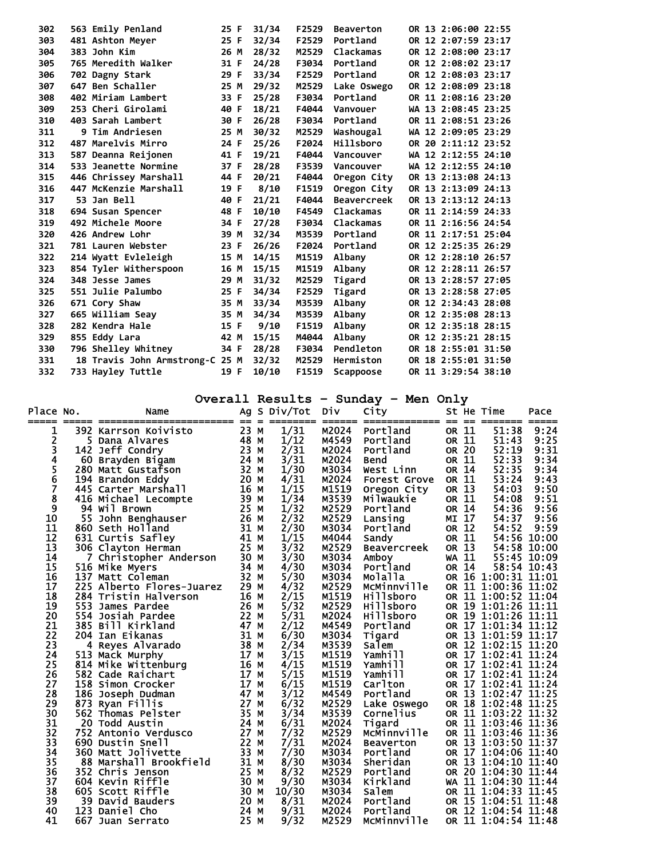| 302 | 563 Emily Penland               | 25 F | 31/34 | F2529 | <b>Beaverton</b>   |  | OR 13 2:06:00 22:55 |  |
|-----|---------------------------------|------|-------|-------|--------------------|--|---------------------|--|
| 303 | 481 Ashton Meyer                | 25 F | 32/34 | F2529 | Portland           |  | OR 12 2:07:59 23:17 |  |
| 304 | 383 John Kim                    | 26 M | 28/32 | M2529 | Clackamas          |  | OR 12 2:08:00 23:17 |  |
| 305 | 765 Meredith Walker             | 31 F | 24/28 | F3034 | Portland           |  | OR 12 2:08:02 23:17 |  |
| 306 | 702 Dagny Stark                 | 29 F | 33/34 | F2529 | Portland           |  | OR 12 2:08:03 23:17 |  |
| 307 | 647 Ben Schaller                | 25 M | 29/32 | M2529 | Lake Oswego        |  | OR 12 2:08:09 23:18 |  |
| 308 | 402 Miriam Lambert              | 33 F | 25/28 | F3034 | Portland           |  | OR 11 2:08:16 23:20 |  |
| 309 | 253 Cheri Girolami              | 40 F | 18/21 | F4044 | Vanvouer           |  | WA 13 2:08:45 23:25 |  |
| 310 | 403 Sarah Lambert               | 30 F | 26/28 | F3034 | Portland           |  | OR 11 2:08:51 23:26 |  |
| 311 | <b>9 Tim Andriesen</b>          | 25 M | 30/32 | M2529 | Washougal          |  | WA 12 2:09:05 23:29 |  |
| 312 | 487 Marelvis Mirro              | 24 F | 25/26 | F2024 | Hillsboro          |  | OR 20 2:11:12 23:52 |  |
| 313 | 587 Deanna Reijonen             | 41 F | 19/21 | F4044 | Vancouver          |  | WA 12 2:12:55 24:10 |  |
| 314 | 533 Jeanette Normine            | 37 F | 28/28 | F3539 | Vancouver          |  | WA 12 2:12:55 24:10 |  |
| 315 | 446 Chrissey Marshall           | 44 F | 20/21 | F4044 | Oregon City        |  | OR 13 2:13:08 24:13 |  |
| 316 | 447 McKenzie Marshall           | 19 F | 8/10  | F1519 | Oregon City        |  | OR 13 2:13:09 24:13 |  |
| 317 | 53 Jan Bell                     | 40 F | 21/21 | F4044 | <b>Beavercreek</b> |  | OR 13 2:13:12 24:13 |  |
| 318 | 694 Susan Spencer               | 48 F | 10/10 | F4549 | Clackamas          |  | OR 11 2:14:59 24:33 |  |
| 319 | 492 Michele Moore               | 34 F | 27/28 | F3034 | Clackamas          |  | OR 11 2:16:56 24:54 |  |
| 320 | 426 Andrew Lohr                 | 39 M | 32/34 | M3539 | Portland           |  | OR 11 2:17:51 25:04 |  |
| 321 | 781 Lauren Webster              | 23 F | 26/26 | F2024 | Portland           |  | OR 12 2:25:35 26:29 |  |
| 322 | 214 Wyatt Evleleigh             | 15 M | 14/15 | M1519 | Albany             |  | OR 12 2:28:10 26:57 |  |
| 323 | 854 Tyler Witherspoon           | 16 M | 15/15 | M1519 | Albany             |  | OR 12 2:28:11 26:57 |  |
| 324 | 348 Jesse James                 | 29 M | 31/32 | M2529 | Tigard             |  | OR 13 2:28:57 27:05 |  |
| 325 | 551 Julie Palumbo               | 25 F | 34/34 | F2529 | Tigard             |  | OR 13 2:28:58 27:05 |  |
| 326 | 671 Cory Shaw                   | 35 M | 33/34 | M3539 | Albany             |  | OR 12 2:34:43 28:08 |  |
| 327 | 665 William Seav                | 35 M | 34/34 | M3539 | Albany             |  | OR 12 2:35:08 28:13 |  |
| 328 | 282 Kendra Hale                 | 15 F | 9/10  | F1519 | Albany             |  | OR 12 2:35:18 28:15 |  |
| 329 | 855 Eddy Lara                   | 42 M | 15/15 | M4044 | Albany             |  | OR 12 2:35:21 28:15 |  |
| 330 | 796 Shelley Whitney             | 34 F | 28/28 | F3034 | Pendleton          |  | OR 18 2:55:01 31:50 |  |
| 331 | 18 Travis John Armstrong-C 25 M |      | 32/32 | M2529 | Hermiston          |  | OR 18 2:55:01 31:50 |  |
| 332 | 733 Hayley Tuttle               | 19 F | 10/10 | F1519 | Scappoose          |  | OR 11 3:29:54 38:10 |  |

**Overall Results – Sunday – Men Only** 

| Place No. |     | Name<br>---------------   | Ag<br>$==$ |          | S Div/Tot      | <b>DIV</b> | City<br>======== ====== ============= | $==$  | $==$         | St He Time<br>-------- | Pace        |
|-----------|-----|---------------------------|------------|----------|----------------|------------|---------------------------------------|-------|--------------|------------------------|-------------|
| 1         |     | 392 Karrson Koivisto      | 23 M       | $\equiv$ | 1/31           | M2024      | Portland                              |       | OR 11        | 51:38                  | 9:24        |
| 2         |     | 5 Dana Alvares            | 48 M       |          | 1/12           | M4549      | Portland                              |       | OR 11        | 51:43                  | 9:25        |
| 3         |     | 142 Jeff Condry           | 23 M       |          | $\frac{2}{31}$ | M2024      | Portland                              |       | OR 20        | 52:19                  | 9:31        |
| 4         |     | 60 Brayden Bigam          | 24 M       |          | 3/31           | M2024      | <b>Bend</b>                           |       | OR 11        | 52:33                  | 9:34        |
| 5<br>6    |     | 280 Matt Gustafson        | 32 M       |          | 1/30           | M3034      | West Linn                             |       | OR 14        | 52:35                  | 9:34        |
|           |     | 194 Brandon Eddy          | 20 M       |          | 4/31           | M2024      | Forest Grove                          |       | OR 11        | 53:24                  | 9:43        |
| 7         |     | 445 Carter Marshall       | 16 M       |          | 1/15           | M1519      | Oregon City                           |       | OR 13        | 54:03                  | 9:50        |
| 8         |     | 416 Michael Lecompte      | 39 M       |          | 1/34           | M3539      | <b>Milwaukie</b>                      |       | OR 11        | 54:08                  | 9:51        |
| 9         |     | 94 Wil Brown              | 25 M       |          | 1/32           | M2529      | Portland                              |       | OR 14        | 54:36                  | 9:56        |
| 10        |     | 55 John Benghauser        | 26 M       |          | 2/32           | M2529      | Lansing                               |       | MI 17        | 54:37                  | 9:56        |
| 11        |     | 860 Seth Holland          | 31 M       |          | 2/30           | M3034      | Portland                              |       | OR 12        | 54:52                  | 9:59        |
| 12        |     | 631 Curtis Safley         | 41 M       |          | 1/15           | M4044      | Sandy                                 | OR 11 |              |                        | 54:56 10:00 |
| 13        |     | 306 Clayton Herman        | 25 M       |          | 3/32           | M2529      | <b>Beavercreek</b>                    |       | OR 13        |                        | 54:58 10:00 |
| 14        |     | 7 Christopher Anderson    | 30 M       |          | 3/30           | M3034      | Amboy                                 |       | <b>WA 11</b> |                        | 55:45 10:09 |
| 15        |     | 516 Mike Myers            | 34 M       |          | 4/30           | M3034      | Portland                              |       | OR 14        | 58:54 10:43            |             |
| 16        |     | 137 Matt Coleman          | 32 M       |          | 5/30           | M3034      | Molalla                               |       |              | OR 16 1:00:31 11:01    |             |
| 17        |     | 225 Alberto Flores-Juarez | 29 M       |          | 4/32           | M2529      | McMinnville                           |       |              | OR 11 1:00:36 11:02    |             |
| 18        |     | 284 Tristin Halverson     | 16 M       |          | 2/15           | M1519      | Hillsboro                             |       |              | OR 11 1:00:52 11:04    |             |
| 19        | 553 | James Pardee              | 26 M       |          | 5/32           | M2529      | Hillsboro                             |       |              | OR 19 1:01:26 11:11    |             |
| 20        | 554 | Josiah Pardee             | 22         | M        | 5/31           | M2024      | Hillsboro                             |       |              | OR 19 1:01:26 11:11    |             |
| 21        |     | 385 Bill Kirkland         | 47         | M        | 2/12           | M4549      | Portland                              |       |              | OR 17 1:01:34 11:12    |             |
| 22        |     | 204 Ian Eikanas           | 31 M       |          | 6/30           | M3034      | Tigard                                |       |              | OR 13 1:01:59 11:17    |             |
| 23        |     | 4 Reyes Alvarado          | 38 M       |          | 2/34           | M3539      | salem                                 |       |              | OR 12 1:02:15 11:20    |             |
| 24        |     | 513 Mack Murphy           | 17         | M        | 3/15           | M1519      | Yamhill                               |       |              | OR 17 1:02:41 11:24    |             |
| 25        |     | 814 Mike Wittenburg       | 16 M       |          | 4/15           | M1519      | Yamhill                               |       |              | OR 17 1:02:41 11:24    |             |
| 26        |     | 582 Cade Raichart         | 17 M       |          | 5/15           | M1519      | Yamhill                               |       |              | OR 17 1:02:41 11:24    |             |
| 27        |     | 158 Simon Crocker         | 17         | M        | 6/15           | M1519      | Carlton                               |       |              | OR 17 1:02:41 11:24    |             |
| 28        |     | 186 Joseph Dudman         | 47         | M        | 3/12           | M4549      | Portland                              |       |              | OR 13 1:02:47 11:25    |             |
| 29        |     | 873 Ryan Fillis           | 27         | M        | 6/32           | M2529      | Lake Oswego                           |       |              | OR 18 1:02:48 11:25    |             |
| 30        |     | 562 Thomas Pelster        | 35         | M        | 3/34           | M3539      | Cornelius                             |       |              | OR 11 1:03:22 11:32    |             |
| 31        |     | 20 Todd Austin            | 24 M       |          | 6/31           | M2024      | Tigard                                |       |              | OR 11 1:03:46 11:36    |             |
| 32        |     | 752 Antonio Verdusco      | 27         | M        | 7/32           | M2529      | MCMinnville                           |       |              | OR 11 1:03:46 11:36    |             |
| 33        |     | 690 Dustin Snell          | 22 M       |          | 7/31           | M2024      | <b>Beaverton</b>                      |       |              | OR 13 1:03:50 11:37    |             |
| 34        |     | 360 Matt Jolivette        | 33 M       |          | 7/30           | M3034      | Portland                              |       |              | OR 17 1:04:06 11:40    |             |
| 35        |     | 88 Marshall Brookfield    | 31 M       |          | 8/30           | M3034      | Sheridan                              |       |              | OR 13 1:04:10 11:40    |             |
| 36        |     | 352 Chris Jenson          | 25         | M        | 8/32           | M2529      | Portland                              |       |              | OR 20 1:04:30 11:44    |             |
| 37        |     | 604 Kevin Riffle          | 30         | M        | 9/30           | M3034      | Kirkland                              |       |              | WA 11 1:04:30 11:44    |             |
| 38        |     | 605 Scott Riffle          | 30 M       |          | 10/30          | M3034      | Salem                                 |       |              | OR 11 1:04:33 11:45    |             |
| 39        | 39  | David Bauders             | 20         | м        | 8/31           | M2024      | Portland                              |       |              | OR 15 1:04:51 11:48    |             |
| 40        |     | 123 Daniel Cho            | 24         | M        | 9/31           | M2024      | Portland                              |       |              | OR 12 1:04:54 11:48    |             |
| 41        |     | 667 Juan Serrato          | 25         | M        | 9/32           | M2529      | MCMinnville                           |       |              | OR 11 1:04:54 11:48    |             |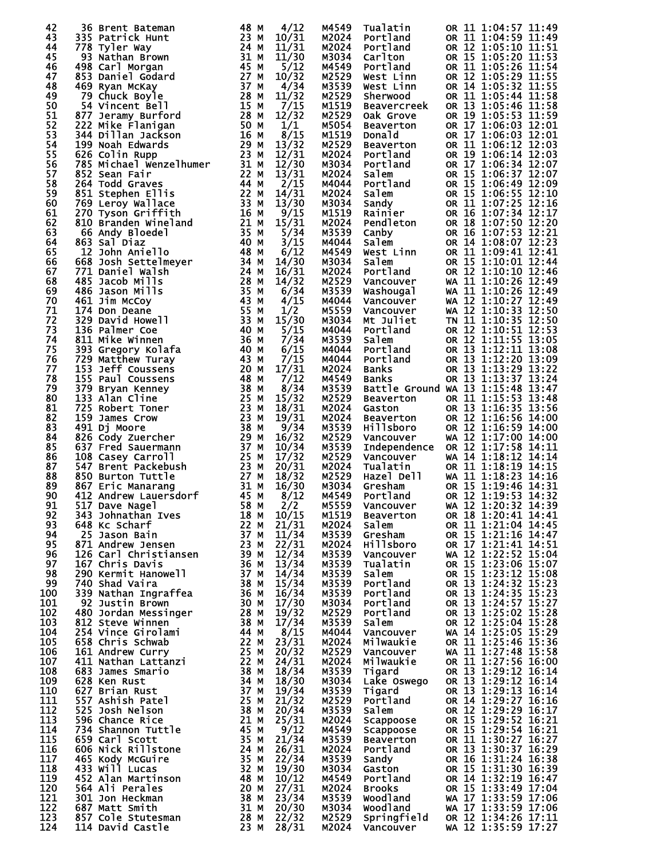| 42         | 36 Brent Bateman<br>36 Brent Bateman<br>335 Patrick Hunt<br>778 Tyler Way<br>93 Nathan Brown<br>498 Carl Morgan<br>853 Daniel Godard<br>469 Ryan McKay<br>79 Chuck Boyle<br>54 Vincent Bell<br>79 Chuck Boyle<br>79 Chuck Boyle<br>79 Chuck Boyle<br>79 Chuck Bell<br>79 28 | 48 M         | 4/12           | M4549          | Tualatin                  | OR 11 1:04:57 11:49                                               |
|------------|-----------------------------------------------------------------------------------------------------------------------------------------------------------------------------------------------------------------------------------------------------------------------------|--------------|----------------|----------------|---------------------------|-------------------------------------------------------------------|
| 43         |                                                                                                                                                                                                                                                                             |              | 10/31          | M2024          | Portland                  | OR 11 1:04:59 11:49                                               |
| 44<br>45   |                                                                                                                                                                                                                                                                             |              | 11/31          | M2024          | Portland                  | OR 12 1:05:10 11:51                                               |
| 46         |                                                                                                                                                                                                                                                                             |              | 11/30<br>5/12  | M3034<br>M4549 | Carlton<br>Portland       | OR 15 1:05:20 11:53<br>OR 11 1:05:26 11:54                        |
| 47         |                                                                                                                                                                                                                                                                             |              | 10/32          | M2529          | West Linn                 | OR 12 1:05:29 11:55                                               |
| 48         |                                                                                                                                                                                                                                                                             |              | 4/34           | M3539          | West Linn                 | OR 14 1:05:32 11:55                                               |
| 49         | 79 Chuck Boyle<br>54 Vincent Bell<br>877 Jenzawy Burford<br>222 Mike Flanigan<br>222 Mike Flanigan<br>344 Dillan Jackson<br>50 Noah Edwards<br>626 Colin Rupp<br>785 Michael Wenzelhumer<br>626 Colin Rupp<br>785 Michael Wenzelhumer<br>223 MM<br>223                      |              | 11/32          | M2529          | Sherwood                  | OR 11 1:05:44 11:58                                               |
| 50         |                                                                                                                                                                                                                                                                             |              | 7/15           | M1519          | <b>Beavercreek</b>        | OR 13 1:05:46 11:58                                               |
| 51         |                                                                                                                                                                                                                                                                             |              | 12/32          | M2529          | Oak Grove                 | OR 19 1:05:53 11:59                                               |
| 52         |                                                                                                                                                                                                                                                                             |              | 1/1            | M5054          | Beaverton                 | OR 17 1:06:03 12:01                                               |
| 53<br>54   |                                                                                                                                                                                                                                                                             |              | 8/15           | M1519          | <b>Donald</b>             | OR 17 1:06:03 12:01                                               |
| 55         |                                                                                                                                                                                                                                                                             |              | 13/32<br>12/31 | M2529<br>M2024 | Beaverton<br>Portland     | OR 11 1:06:12 12:03<br>OR 19 1:06:14 12:03                        |
| 56         |                                                                                                                                                                                                                                                                             |              | 12/30          | M3034          | Portland                  | OR 17 1:06:34 12:07                                               |
| 57         |                                                                                                                                                                                                                                                                             |              | 13/31          | M2024          | Salem                     | OR 15 1:06:37 12:07                                               |
| 58         |                                                                                                                                                                                                                                                                             |              | 2/15           | M4044          | Portland                  | OR 15 1:06:49 12:09                                               |
| 59         |                                                                                                                                                                                                                                                                             |              | 14/31          | M2024          | Salem                     | OR 15 1:06:55 12:10                                               |
| 60         |                                                                                                                                                                                                                                                                             |              | 13/30          | M3034          | Sandy<br>Sandy<br>Rainier | OR 11 1:07:25 12:16                                               |
| 61         |                                                                                                                                                                                                                                                                             |              | 9/15           | M1519          |                           | OR 16 1:07:34 12:17                                               |
| 62<br>63   |                                                                                                                                                                                                                                                                             |              | 15/31          | M2024          | Pendleton                 | OR 18 1:07:50 12:20<br>OR 16 1:07:53 12:21                        |
| 64         |                                                                                                                                                                                                                                                                             |              | 5/34<br>3/15   | M3539<br>M4044 | Canby<br>Salem            | OR 14 1:08:07 12:23                                               |
| 65         |                                                                                                                                                                                                                                                                             |              | 6/12           | M4549          | West Linn                 | OR 11 1:09:41 12:41                                               |
| 66         |                                                                                                                                                                                                                                                                             |              | 14/30          | M3034          | Salem                     | OR 15 1:10:01 12:44                                               |
| 67         |                                                                                                                                                                                                                                                                             |              | 16/31          | M2024          | Portland                  | OR 12 1:10:10 12:46                                               |
| 68         |                                                                                                                                                                                                                                                                             |              | 14/32          | M2529          | Vancouver                 | WA 11 1:10:26 12:49                                               |
| 69         |                                                                                                                                                                                                                                                                             |              | 6/34           | M3539          | Washougal                 | WA 11 1:10:26 12:49                                               |
| 70         |                                                                                                                                                                                                                                                                             |              | 4/15           | M4044          | Vancouver                 | WA 12 1:10:27 12:49                                               |
| 71         |                                                                                                                                                                                                                                                                             |              | 1/2            | M5559          | Vancouver                 | WA 12 1:10:33 12:50                                               |
| 72<br>73   |                                                                                                                                                                                                                                                                             |              | 15/30          | M3034          | Mt Juliet                 | TN 11 1:10:35 12:50<br>OR 12 1:10:51 12:53                        |
| 74         |                                                                                                                                                                                                                                                                             |              | 5/15<br>7/34   | M4044<br>M3539 | Portland<br>Salem         |                                                                   |
| 75         |                                                                                                                                                                                                                                                                             |              | 6/15           | M4044          |                           | OR 12 1:11:55 13:05<br>OR 13 1:12:11 13:08<br>OR 13 1:12:20 13:09 |
| 76         |                                                                                                                                                                                                                                                                             |              | 7/15           | M4044          | Portland<br>Portland      |                                                                   |
| 77         |                                                                                                                                                                                                                                                                             |              | 17/31          | M2024          | <b>Banks</b>              | OR 13 1:13:29 13:22<br>OR 13 1:13:37 13:24                        |
| 78         |                                                                                                                                                                                                                                                                             |              | 7/12           | M4549          | Banks                     |                                                                   |
| 79         |                                                                                                                                                                                                                                                                             |              | 8/34           | M3539          |                           | Battle Ground WA 13 1:15:48 13:47                                 |
| 80         |                                                                                                                                                                                                                                                                             |              | 15/32          | M2529          | Beaverton                 | OR 11 1:15:53 13:48                                               |
| 81         |                                                                                                                                                                                                                                                                             |              | 18/31          | M2024          | Gaston                    | OR 13 1:16:35 13:56                                               |
| 82<br>83   |                                                                                                                                                                                                                                                                             |              | 19/31<br>9/34  | M2024<br>M3539 | Beaverton<br>Hillsboro    | OR 12 1:16:56 14:00<br>OR 12 1:16:59 14:00                        |
| 84         |                                                                                                                                                                                                                                                                             |              | 16/32          | M2529          | Vancouver                 | WA 12 1:17:00 14:00                                               |
| 85         | 820 Cody Zuercher<br>637 Fred Sauermann<br>108 Casey Carroll<br>547 Brent Packebush<br>850 Burton Tuttle<br>867 Eric Manarang<br>412 Andrew Lauersdorf<br>517 Dave Nagel<br>58 M                                                                                            |              | 10/34          | M3539          |                           | Independence OR 12 1:17:58 14:11                                  |
| 86         |                                                                                                                                                                                                                                                                             |              | 17/32          | M2529          | Vancouver                 | WA 14 1:18:12 14:14                                               |
| 87         |                                                                                                                                                                                                                                                                             |              | 20/31          | M2024          | Tualatin <sub>,</sub>     | OR 11 1:18:19 14:15                                               |
| 88         |                                                                                                                                                                                                                                                                             |              | 18/32          | M2529          | Hazel Dell                | WA 11 1:18:23 14:16                                               |
| 89         |                                                                                                                                                                                                                                                                             |              | 16/30          | M3034          | Gresham                   | OR 15 1:19:46 14:31<br>OR 12 1:19:53 14:32                        |
| 90<br>91   |                                                                                                                                                                                                                                                                             | 58 M         | 8/12<br>2/2    | M4549<br>M5559 | Portland<br>Vancouver     | WA 12 1:20:32 14:39                                               |
| 92         | 517 Dave Nagel<br>343 Johnathan Ives                                                                                                                                                                                                                                        | 18 M         | 10/15          | M1519          | <b>Beaverton</b>          | OR 18 1:20:41 14:41                                               |
| 93         | 648 Kc Scharf                                                                                                                                                                                                                                                               | 22 M         | 21/31          | M2024          | Salem                     | OR 11 1:21:04 14:45                                               |
| 94         | 25 Jason Bain                                                                                                                                                                                                                                                               | 37 M         | 11/34          | M3539          | Gresham                   | OR 15 1:21:16 14:47                                               |
| 95         | 871 Andrew Jensen                                                                                                                                                                                                                                                           | 23 M         | 22/31          | M2024          | Hillsboro                 | OR 17 1:21:41 14:51<br>WA 12 1:22:52 15:04                        |
| 96         | 126 Carl Christiansen                                                                                                                                                                                                                                                       | 39 M         | 12/34          | M3539          | Vancouver                 |                                                                   |
| 97         | 167 Chris Davis                                                                                                                                                                                                                                                             | 36 M         | 13/34          | M3539          | Tualatin                  | OR 15 1:23:06 15:07<br>OR 15 1:23:12 15:08                        |
| 98<br>99   | 290 Kermit Hanowell                                                                                                                                                                                                                                                         | 37 M<br>38 M | 14/34          | M3539          | Salem                     | OR 13 1:24:32 15:23                                               |
| 100        | 740 Shad Vaira<br>339 Nathan Ingraffea                                                                                                                                                                                                                                      | 36 M         | 15/34<br>16/34 | M3539<br>M3539 | Portland<br>Portland      | OR 13 1:24:35 15:23                                               |
| 101        | 92 Justin Brown                                                                                                                                                                                                                                                             | 30 M         | 17/30          | M3034          | Portland                  |                                                                   |
| 102        | 480 Jordan Messinger                                                                                                                                                                                                                                                        | 28 M         | 19/32          | M2529          | Portland                  | OR 13 1:24:57 15:27<br>OR 13 1:25:02 15:28                        |
| 103        | 812 Steve Winnen                                                                                                                                                                                                                                                            | 38 M         | 17/34          | M3539          | Salem                     | OR 12 1:25:04 15:28                                               |
| 104        | 254 Vince Girolami                                                                                                                                                                                                                                                          | 44 M         | 8/15           | M4044          | Vancouver                 | WA 14 1:25:05 15:29                                               |
| 105        | 658 Chris Schwab                                                                                                                                                                                                                                                            | 22 M         | 23/31          | M2024          | Milwaukie                 | OR 11 1:25:46 15:36                                               |
| 106        | 161 Andrew Curry                                                                                                                                                                                                                                                            | 25 M         | 20/32          | M2529          | Vancouver                 | WA 11 1:27:48 15:58                                               |
| 107<br>108 | 411 Nathan Lattanzi<br>683 James Smario                                                                                                                                                                                                                                     | 22 M<br>38 M | 24/31<br>18/34 | M2024<br>M3539 | Milwaukie                 | OR 11 1:27:56 16:00<br>OR 13 1:29:12 16:14                        |
| 109        | 628 Ken Rust                                                                                                                                                                                                                                                                | 34 M         | 18/30          | M3034          | Tigard<br>Lake Oswego     | OR 13 1:29:12 16:14                                               |
| 110        | 627 Brian Rust                                                                                                                                                                                                                                                              | 37 M         | 19/34          | M3539          | Tigard                    | OR 13 1:29:13 16:14                                               |
| 111        | 557 Ashish Patel                                                                                                                                                                                                                                                            | 25 M         | 21/32          | M2529          | Portland                  | OR 14 1:29:27 16:16                                               |
| 112        | 525 Josh Nelson                                                                                                                                                                                                                                                             | 38 M         | 20/34          | M3539          | Salem                     | OR 12 1:29:29 16:17                                               |
| 113        | 596 Chance Rice                                                                                                                                                                                                                                                             | 21 M         | 25/31          | M2024          | Scappoose                 | OR 15 1:29:52 16:21                                               |
| 114        | 734 Shannon Tuttle                                                                                                                                                                                                                                                          | 45 M         | 9/12           | M4549          | Scappoose                 | OR 15 1:29:54 16:21                                               |
| 115        | 659 Carl Scott                                                                                                                                                                                                                                                              | 35 M         | 21/34          | M3539          | <b>Beaverton</b>          | OR 11 1:30:27 16:27                                               |
| 116<br>117 | 606 Nick Rillstone<br>465 Kody McGuire                                                                                                                                                                                                                                      | 24 M<br>35 M | 26/31<br>22/34 | M2024<br>M3539 | Portland<br>Sandy         | OR 13 1:30:37 16:29<br>OR 16 1:31:24 16:38                        |
| 118        | 433 Will Lucas                                                                                                                                                                                                                                                              | 32 M         | 19/30          | M3034          | Gaston                    | OR 15 1:31:30 16:39                                               |
| 119        | 452 Alan Martinson                                                                                                                                                                                                                                                          | 48 M         | 10/12          | M4549          | Portland                  |                                                                   |
| 120        | 564 Ali Perales                                                                                                                                                                                                                                                             | 20 M         | 27/31          | M2024          | <b>Brooks</b>             | OR 14 1:32:19 16:47<br>OR 15 1:33:49 17:04                        |
| 121        | 301 Jon Heckman                                                                                                                                                                                                                                                             | 38 M         | 23/34          | M3539          | <b>Woodland</b>           | WA 17 1:33:59 17:06                                               |
| 122        | 687 Matt Smith                                                                                                                                                                                                                                                              | 31 M         | 20/30          | M3034          | <b>Woodland</b>           | WA 17 1:33:59 17:06                                               |
| 123        | 857 Cole Stutesman                                                                                                                                                                                                                                                          | 28 M         | 22/32          | M2529          | Springfield               | OR 12 1:34:26 17:11                                               |
| 124        | 114 David Castle                                                                                                                                                                                                                                                            | 23 M         | 28/31          | M2024          | Vancouver                 | WA 12 1:35:59 17:27                                               |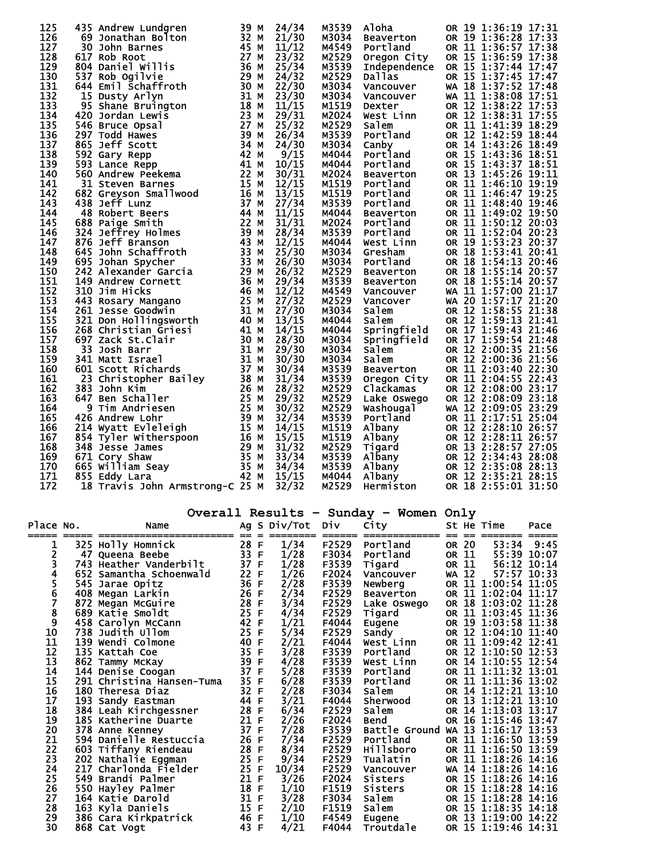| 125 |    | 435 Andrew Lundgren                                                                                                                                                                                                                                    | 39   | М | 24/34 | M3539 | Aloha                            | OR 19 1:36:19 17:31 |  |
|-----|----|--------------------------------------------------------------------------------------------------------------------------------------------------------------------------------------------------------------------------------------------------------|------|---|-------|-------|----------------------------------|---------------------|--|
| 126 |    | 69 Jonathan Bolton                                                                                                                                                                                                                                     | 32 M |   | 21/30 | M3034 | <b>Beaverton</b>                 | OR 19 1:36:28 17:33 |  |
| 127 |    | 30 John Barnes                                                                                                                                                                                                                                         | 45 M |   | 11/12 | M4549 | Portland                         | OR 11 1:36:57 17:38 |  |
| 128 |    | 617 Rob Root                                                                                                                                                                                                                                           | 27 M |   | 23/32 | M2529 | Oregon City                      | OR 15 1:36:59 17:38 |  |
| 129 |    | 804 Daniel Willis                                                                                                                                                                                                                                      | 36 M |   | 25/34 | M3539 | Independence OR 15 1:37:44 17:47 |                     |  |
| 130 |    | 537 Rob Ogilvie                                                                                                                                                                                                                                        | 29 M |   | 24/32 | M2529 | <b>Dallas</b>                    | OR 15 1:37:45 17:47 |  |
| 131 |    | 644 Emil Schaffroth                                                                                                                                                                                                                                    | 30 M |   | 22/30 | M3034 | Vancouver                        | WA 18 1:37:52 17:48 |  |
| 132 |    |                                                                                                                                                                                                                                                        | 31 M |   | 23/30 | M3034 | Vancouver                        | WA 11 1:38:08 17:51 |  |
| 133 |    |                                                                                                                                                                                                                                                        | 18 M |   | 11/15 | M1519 | Dexter                           | OR 12 1:38:22 17:53 |  |
| 134 |    |                                                                                                                                                                                                                                                        | 23 M |   | 29/31 | M2024 | West Linn                        | OR 12 1:38:31 17:55 |  |
| 135 |    |                                                                                                                                                                                                                                                        | 27   | м | 25/32 | M2529 | Salem                            | OR 11 1:41:39 18:29 |  |
| 136 |    |                                                                                                                                                                                                                                                        | 39   | М | 26/34 | M3539 | Portland                         | OR 12 1:42:59 18:44 |  |
| 137 |    |                                                                                                                                                                                                                                                        | 34 M |   | 24/30 | M3034 | Canby                            | OR 14 1:43:26 18:49 |  |
| 138 |    |                                                                                                                                                                                                                                                        | 42 M |   | 9/15  | M4044 | Portland                         | OR 15 1:43:36 18:51 |  |
| 139 |    |                                                                                                                                                                                                                                                        | 41 M |   | 10/15 | M4044 | Portland                         | OR 15 1:43:37 18:51 |  |
| 140 |    |                                                                                                                                                                                                                                                        | 22 M |   | 30/31 | M2024 | <b>Beaverton</b>                 | OR 13 1:45:26 19:11 |  |
| 141 |    |                                                                                                                                                                                                                                                        | 15 M |   | 12/15 | M1519 | Portland                         | OR 11 1:46:10 19:19 |  |
| 142 |    |                                                                                                                                                                                                                                                        | 16 M |   | 13/15 | M1519 | Portland                         | OR 11 1:46:47 19:25 |  |
| 143 |    | 044 Emil Scharffoth<br>15 Dusty Arlyn<br>95 Shane Bruington<br>546 Bruce Opsal<br>297 Todd Hawes<br>865 Jeff Scott<br>592 Gary Repp<br>593 Lance Repp<br>560 Andrew Peekema<br>31 Steven Barnes<br>682 Greyson Smallwood<br>438 Jeff Lunz              | 37 M |   | 27/34 | M3539 | Portland                         | OR 11 1:48:40 19:46 |  |
| 144 |    | 48 Robert Beers                                                                                                                                                                                                                                        | 44 M |   | 11/15 | M4044 | <b>Beaverton</b>                 | OR 11 1:49:02 19:50 |  |
| 145 |    |                                                                                                                                                                                                                                                        |      |   | 31/31 | M2024 | Portland                         | OR 11 1:50:12 20:03 |  |
| 146 |    |                                                                                                                                                                                                                                                        |      |   | 28/34 | M3539 | Portland                         | OR 11 1:52:04 20:23 |  |
| 147 |    |                                                                                                                                                                                                                                                        |      |   | 12/15 | M4044 | West Linn                        | OR 19 1:53:23 20:37 |  |
| 148 |    |                                                                                                                                                                                                                                                        |      |   | 25/30 | M3034 | Gresham                          | OR 18 1:53:41 20:41 |  |
| 149 |    |                                                                                                                                                                                                                                                        |      |   | 26/30 | M3034 | Portland                         | OR 18 1:54:13 20:46 |  |
| 150 |    | 22 M<br>324 Jeffrey Holmes<br>876 Jeff Branson<br>645 John Schaffroth<br>695 Johan Spycher<br>695 Johan Spycher<br>695 Johan Spycher<br>242 Alexander Garcia<br>149 Andrew Cornett<br>310 Jim Hicks<br>443 Rosary Manarity<br>443 Rosary Manarity<br>4 |      |   | 26/32 | M2529 | Beaverton                        | OR 18 1:55:14 20:57 |  |
| 151 |    |                                                                                                                                                                                                                                                        |      |   | 29/34 | M3539 | <b>Beaverton</b>                 | OR 18 1:55:14 20:57 |  |
| 152 |    |                                                                                                                                                                                                                                                        |      |   | 12/12 | M4549 | Vancouver                        | WA 11 1:57:00 21:17 |  |
| 153 |    | 443 Rosary Mangano                                                                                                                                                                                                                                     | 25 M |   | 27/32 | M2529 | Vancover                         | WA 20 1:57:17 21:20 |  |
| 154 |    | <b>310 Jum Hilcks</b><br>261 Jesse Goodwin<br>321 Don Hollingsworth<br>268 Christian Griesi<br>697 Zack St.Clair                                                                                                                                       | 31 M |   | 27/30 | M3034 | Salem                            | OR 12 1:58:55 21:38 |  |
| 155 |    |                                                                                                                                                                                                                                                        | 40 M |   | 13/15 | M4044 | Salem                            | OR 12 1:59:13 21:41 |  |
| 156 |    |                                                                                                                                                                                                                                                        | 41 M |   | 14/15 | M4044 | Springfield                      | OR 17 1:59:43 21:46 |  |
| 157 |    | 697 Zack St.Clair                                                                                                                                                                                                                                      | 30 M |   | 28/30 | M3034 | Springfield                      | OR 17 1:59:54 21:48 |  |
| 158 | 33 | Josh Barr                                                                                                                                                                                                                                              | 31 M |   | 29/30 | M3034 | <b>Salem</b>                     | OR 12 2:00:35 21:56 |  |
| 159 |    | 341 Matt Israel                                                                                                                                                                                                                                        | 31 M |   | 30/30 | M3034 | Salem                            | OR 12 2:00:36 21:56 |  |
| 160 |    | 601 Scott Richards                                                                                                                                                                                                                                     | 37 M |   | 30/34 | M3539 | <b>Beaverton</b>                 | OR 11 2:03:40 22:30 |  |
| 161 |    | 001 Scott Richards<br>23 Christopher Bailey<br>883 John Kim                                                                                                                                                                                            | 38 M |   | 31/34 | M3539 | Oregon City                      | OR 11 2:04:55 22:43 |  |
| 162 |    | 383 John Kim                                                                                                                                                                                                                                           | 26 M |   | 28/32 | M2529 | Clackamas                        | OR 12 2:08:00 23:17 |  |
| 163 |    | 647 Ben Schaller                                                                                                                                                                                                                                       |      |   | 29/32 | M2529 | Lake Oswego                      | OR 12 2:08:09 23:18 |  |
| 164 |    | 25 m<br>9 Tim Andriesen                                                                                                                                                                                                                                |      |   | 30/32 | M2529 | Washougal                        | WA 12 2:09:05 23:29 |  |
| 165 |    |                                                                                                                                                                                                                                                        |      |   | 32/34 | M3539 | Portland                         | OR 11 2:17:51 25:04 |  |
| 166 |    |                                                                                                                                                                                                                                                        |      |   | 14/15 | M1519 | Albany                           | OR 12 2:28:10 26:57 |  |
| 167 |    |                                                                                                                                                                                                                                                        |      |   | 15/15 | M1519 | Albany                           | OR 12 2:28:11 26:57 |  |
| 168 |    |                                                                                                                                                                                                                                                        |      |   | 31/32 | M2529 | Tigard                           | OR 13 2:28:57 27:05 |  |
| 169 |    |                                                                                                                                                                                                                                                        |      |   | 33/34 | M3539 | Albany                           | OR 12 2:34:43 28:08 |  |
| 170 |    |                                                                                                                                                                                                                                                        |      |   | 34/34 | M3539 | Albany                           | OR 12 2:35:08 28:13 |  |
| 171 |    |                                                                                                                                                                                                                                                        |      |   | 15/15 | M4044 | Albany                           | OR 12 2:35:21 28:15 |  |
| 172 |    | 25 M<br>214 Wyatt Evleleigh<br>854 Tyler Witherspoon<br>348 Jesse James<br>671 Cory Shaw<br>665 William Seay<br>855 Eddy Lara<br>18 Travis John                                                                                                        |      |   | 32/32 | M2529 | Hermiston                        | OR 18 2:55:01 31:50 |  |

|           |     |                           |      |              |                    |                 | Overall Results - Sunday - Women Only |           |              |                     |             |
|-----------|-----|---------------------------|------|--------------|--------------------|-----------------|---------------------------------------|-----------|--------------|---------------------|-------------|
| Place No. |     | Name                      |      |              | Ag S Div/Tot Div   |                 | City                                  |           |              | St He Time          | Pace        |
| 1         |     | 325 Holly Homnick         | 28 F |              | = ========<br>1/34 | ======<br>F2529 | ______________<br>Portland            | ==        | $=$<br>OR 20 | 53:34               | 9:45        |
| 2         |     | 47 Queena Beebe           | 33 F |              | 1/28               | F3034           | Portland                              |           | OR 11        | 55:39 10:07         |             |
| 3         |     | 743 Heather Vanderbilt    | 37 F |              | 1/28               | F3539           | Tigard                                |           | OR 11        | 56:12 10:14         |             |
| 4         |     | 652 Samantha Schoenwald   | 22   | F            | 1/26               | F2024           | Vancouver                             | WA        | 12           |                     | 57:57 10:33 |
| 5         |     | 545 Jarae Opitz           | 36   | $\mathsf F$  | 2/28               | F3539           | Newberg                               |           |              | OR 11 1:00:54 11:05 |             |
| 6         |     | 408 Megan Larkin          | 26   | F            | 2/34               | F2529           | Beaverton                             |           |              | OR 11 1:02:04 11:17 |             |
| 7         |     | 872 Megan McGuire         | 28   | F            | 3/34               | F2529           | Lake Oswego                           |           |              | OR 18 1:03:02 11:28 |             |
| 8         |     | 689 Katie Smoldt          | 25   | $\mathsf{F}$ | 4/34               | F2529           | Tigard                                |           |              | OR 11 1:03:45 11:36 |             |
| 9         |     | 458 Carolyn McCann        | 42   | F            | 1/21               | F4044           | Eugene                                |           |              | OR 19 1:03:58       | 11:38       |
| 10        |     | 738 Judith Ullom          | 25   | $\mathsf{F}$ | 5/34               | F2529           | Sandy                                 | <b>OR</b> |              | 12 1:04:10 11:40    |             |
| 11        |     | 139 Wendi Colmone         | 40   | F            | 2/21               | F4044           | West Linn                             |           |              | OR 11 1:09:42 12:41 |             |
| 12        |     | 135 Kattah Coe            | 35   | F            | 3/28               | F3539           | Portland                              |           |              | OR 12 1:10:50 12:53 |             |
| 13        |     | 862 Tammy McKay           | 39   | F            | 4/28               | F3539           | West Linn                             |           |              | OR 14 1:10:55 12:54 |             |
| 14        |     | 144 Denise Coogan         | 37   | $\mathsf F$  | 5/28               | F3539           | Portland                              |           |              | OR 11 1:11:32 13:01 |             |
| 15        |     | 291 Christina Hansen-Tuma | 35 F |              | 6/28               | F3539           | Portland                              |           |              | OR 11 1:11:36 13:02 |             |
| 16        |     | 180 Theresa Diaz          | 32 F |              | 2/28               | F3034           | Salem                                 |           |              | OR 14 1:12:21 13:10 |             |
| 17        |     | 193 Sandy Eastman         | 44 F |              | 3/21               | F4044           | Sherwood                              | <b>OR</b> |              | 13 1:12:21 13:10    |             |
| 18        |     | 384 Leah Kirchgessner     | 28   | F            | 6/34               | F2529           | Salem                                 |           |              | OR 14 1:13:03 13:17 |             |
| 19        |     | 185 Katherine Duarte      | 21 F |              | 2/26               | F2024           | <b>Bend</b>                           |           |              | OR 16 1:15:46 13:47 |             |
| 20        |     | 378 Anne Kenney           | 37 F |              | 7/28               | F3539           | Battle Ground                         | WA        |              | 13 1:16:17 13:53    |             |
| 21        |     | 594 Danielle Restuccia    | 26   | F            | 7/34               | F2529           | Portland                              |           |              | OR 11 1:16:50 13:59 |             |
| 22        |     | 603 Tiffany Riendeau      | 28   | F            | 8/34               | F2529           | Hillsboro                             |           |              | OR 11 1:16:50 13:59 |             |
| 23        |     | 202 Nathalie Eggman       | 25   | $\mathsf F$  | 9/34               | F2529           | Tualatin                              |           |              | OR 11 1:18:26 14:16 |             |
| 24        | 217 | Charlonda Fielder         | 25 F |              | 10/34              | F2529           | Vancouver                             | WA        |              | 14 1:18:26 14:16    |             |
| 25        |     | 549 Brandi Palmer         | 21 F |              | 3/26               | F2024           | Sisters                               |           |              | OR 15 1:18:26 14:16 |             |
| 26        |     | 550 Hayley Palmer         | 18   | F            | 1/10               | F1519           | <b>Sisters</b>                        |           |              | OR 15 1:18:28       | 14:16       |
| 27        |     | 164 Katie Darold          | 31 F |              | 3/28               | F3034           | Salem                                 |           |              | OR 15 1:18:28       | 14:16       |
| 28        |     | 163 Kyla Daniels          | 15   | F            | 2/10               | F1519           | Salem                                 |           |              | OR 15 1:18:35       | 14:18       |
| 29        |     | 386 Cara Kirkpatrick      | 46   | -F           | 1/10               | F4549           | Eugene                                |           |              | OR 13 1:19:00 14:22 |             |
| 30        |     | 868 Cat Vogt              | 43   | F            | 4/21               | F4044           | Troutdale                             |           |              | OR 15 1:19:46 14:31 |             |
|           |     |                           |      |              |                    |                 |                                       |           |              |                     |             |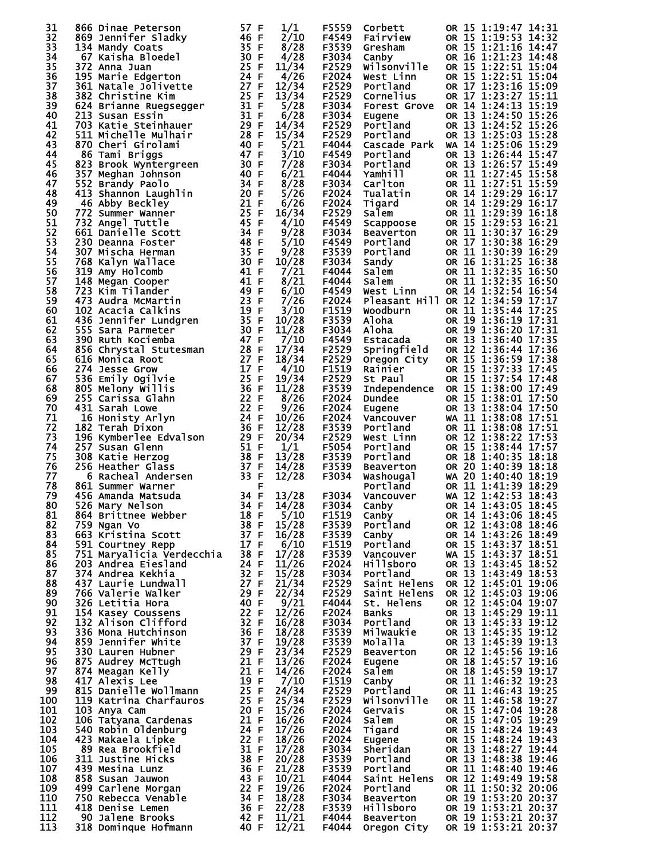| 31  | 866 Dinae Peterson<br>869 Jennifer Sladky<br>134 Mandy Coats<br>135 F<br>872 Apps Bloedel<br>30 F                                                                                                                                                         |                                                      | 1/1   | F5559 | Corbett             | OR 15 1:19:47 14:31                        |
|-----|-----------------------------------------------------------------------------------------------------------------------------------------------------------------------------------------------------------------------------------------------------------|------------------------------------------------------|-------|-------|---------------------|--------------------------------------------|
| 32  |                                                                                                                                                                                                                                                           |                                                      | 2/10  |       | F4549 Fairview      | OR 15 1:19:53 14:32                        |
| 33  |                                                                                                                                                                                                                                                           |                                                      |       |       |                     |                                            |
|     |                                                                                                                                                                                                                                                           |                                                      | 8/28  | F3539 | Gresham             | OR 15 1:21:16 14:47                        |
| 34  |                                                                                                                                                                                                                                                           |                                                      | 4/28  | F3034 | Canby               | OR 16 1:21:23 14:48                        |
| 35  | 372 Anna Juan<br>195 Marie Edgerton<br>195 Marie Edgerton<br>361 Natale Jolivette<br>382 Christine Kim<br>624 Brianne Ruegsegger<br>213 Susan Essin<br>213 Susan Essin<br>213 31 F                                                                        |                                                      | 11/34 | F2529 | Wilsonville         | OR 15 1:22:51 15:04                        |
| 36  |                                                                                                                                                                                                                                                           |                                                      | 4/26  | F2024 | West Linn           | OR 15 1:22:51 15:04<br>OR 17 1:23:16 15:09 |
| 37  |                                                                                                                                                                                                                                                           |                                                      | 12/34 | F2529 | Portland            |                                            |
| 38  |                                                                                                                                                                                                                                                           |                                                      | 13/34 | F2529 | Cornelius           | OR 17 1:23:27 15:11                        |
| 39  |                                                                                                                                                                                                                                                           |                                                      | 5/28  | F3034 | <b>Forest Grove</b> | OR 14 1:24:13 15:19                        |
| 40  |                                                                                                                                                                                                                                                           |                                                      | 6/28  | F3034 | Eugene              | OR 13 1:24:50 15:26                        |
| 41  | 703 Katie Steinhauer                                                                                                                                                                                                                                      |                                                      | 14/34 | F2529 | Portland            | OR 13 1:24:52 15:26                        |
| 42  | 511 Michelle Mulhair                                                                                                                                                                                                                                      |                                                      | 15/34 | F2529 | Portland            | OR 13 1:25:03 15:28                        |
| 43  |                                                                                                                                                                                                                                                           |                                                      |       | F4044 |                     |                                            |
|     | 870 Cheri Girolami                                                                                                                                                                                                                                        |                                                      | 5/21  |       |                     | Cascade Park WA 14 1:25:06 15:29           |
| 44  | 86 Tami Briggs                                                                                                                                                                                                                                            |                                                      | 3/10  | F4549 | <b>Portland</b>     | OR 13 1:26:44 15:47                        |
| 45  |                                                                                                                                                                                                                                                           |                                                      | 7/28  | F3034 | Portland            | OR 13 1:26:57 15:49                        |
| 46  |                                                                                                                                                                                                                                                           |                                                      | 6/21  | F4044 | Yamhill <b>Sam</b>  | OR 11 1:27:45 15:58                        |
| 47  | 86 Tami Briggs<br>823 Brook Wyntergreen<br>30 F<br>357 Meghan Johnson<br>552 Brandy Paolo<br>413 Shannon Laughlin<br>46 Abby Beckley<br>772 Summer Wanner<br>772 Summer Wanner<br>25 F                                                                    |                                                      | 8/28  | F3034 | Carlton             | OR 11 1:27:51 15:59                        |
| 48  |                                                                                                                                                                                                                                                           |                                                      | 5/26  | F2024 | Tualatin            | OR 14 1:29:29 16:17                        |
| 49  |                                                                                                                                                                                                                                                           |                                                      | 6/26  | F2024 | Tigard              | OR 14 1:29:29 16:17                        |
| 50  |                                                                                                                                                                                                                                                           |                                                      | 16/34 | F2529 | Salem               | OR 11 1:29:39 16:18                        |
| 51  |                                                                                                                                                                                                                                                           |                                                      |       | F4549 |                     | OR 15 1:29:53 16:21                        |
|     |                                                                                                                                                                                                                                                           |                                                      | 4/10  |       | Scappoose           |                                            |
| 52  |                                                                                                                                                                                                                                                           |                                                      | 9/28  | F3034 | Beaverton           | OR 11 1:30:37 16:29                        |
| 53  | 732 Angel Tuttle 145 F<br>661 Danielle Scott 134 F<br>730 Deanna Foster 148 F<br>730 Mischa Herman 135 F                                                                                                                                                  |                                                      | 5/10  | F4549 | Portland            | OR 17 1:30:38 16:29                        |
| 54  |                                                                                                                                                                                                                                                           |                                                      | 9/28  | F3539 | Portland            | OR 11 1:30:39 16:29                        |
| 55  | 30 F<br>41 F<br>768 Kalyn Wallace                                                                                                                                                                                                                         |                                                      | 10/28 | F3034 | Sandy               | OR 16 1:31:25 16:38                        |
| 56  | 319 Amy Holcomb                                                                                                                                                                                                                                           | 41 F                                                 | 7/21  | F4044 | Salem               | OR 11 1:32:35 16:50                        |
| 57  | 148 Megan Cooper                                                                                                                                                                                                                                          |                                                      | 8/21  | F4044 | Salem               | OR 11 1:32:35 16:50                        |
| 58  | $41 F$<br>$49 F$<br>723 Kim Tilander                                                                                                                                                                                                                      |                                                      | 6/10  | F4549 | West Linn           | OR 14 1:32:54 16:54                        |
| 59  |                                                                                                                                                                                                                                                           |                                                      | 7/26  | F2024 |                     | Pleasant Hill OR 12 1:34:59 17:17          |
|     |                                                                                                                                                                                                                                                           |                                                      |       |       |                     | OR 11 1:35:44 17:25                        |
| 60  |                                                                                                                                                                                                                                                           |                                                      | 3/10  | F1519 | Woodburn            |                                            |
| 61  |                                                                                                                                                                                                                                                           |                                                      | 10/28 | F3539 | Aloha               | OR 19 1:36:19 17:31                        |
| 62  |                                                                                                                                                                                                                                                           |                                                      | 11/28 | F3034 | Aloha               | OR 19 1:36:20 17:31                        |
| 63  |                                                                                                                                                                                                                                                           |                                                      | 7/10  | F4549 | Estacada            | OR 13 1:36:40 17:35                        |
| 64  |                                                                                                                                                                                                                                                           |                                                      | 17/34 | F2529 | Springfield         | OR 12 1:36:44 17:36                        |
| 65  |                                                                                                                                                                                                                                                           |                                                      | 18/34 | F2529 | Oregon City         | OR 15 1:36:59 17:38                        |
| 66  |                                                                                                                                                                                                                                                           |                                                      | 4/10  | F1519 | Rainier             | OR 15 1:37:33 17:45                        |
| 67  |                                                                                                                                                                                                                                                           |                                                      | 19/34 | F2529 | St Paul             | OR 15 1:37:54 17:48                        |
| 68  |                                                                                                                                                                                                                                                           |                                                      | 11/28 | F3539 |                     | Independence OR 15 1:38:00 17:49           |
| 69  |                                                                                                                                                                                                                                                           |                                                      |       |       |                     | OR 15 1:38:01 17:50                        |
|     |                                                                                                                                                                                                                                                           |                                                      | 8/26  | F2024 | Dundee              |                                            |
| 70  |                                                                                                                                                                                                                                                           |                                                      | 9/26  | F2024 | Eugene              | OR 13 1:38:04 17:50                        |
| 71  | 723 Kim Tilander 49 F<br>473 Audra McMartin 23 F<br>102 Acacia Calkins 19 F<br>436 Jennifer Lundgren 35 F<br>555 Sara Parmeter 30 F<br>555 Sara Parmeter 30 F<br>656 Chrystal Stutesman 28 F<br>616 Monica Root 27 F<br>616 Monica Root 27 F<br>536 Emily |                                                      | 10/26 | F2024 | Vancouver           | WA 11 1:38:08 17:51                        |
| 72  |                                                                                                                                                                                                                                                           |                                                      | 12/28 | F3539 | Portland            | OR 11 1:38:08 17:51                        |
| 73  |                                                                                                                                                                                                                                                           |                                                      | 20/34 | F2529 | West Linn           | OR 12 1:38:22 17:53                        |
| 74  |                                                                                                                                                                                                                                                           |                                                      | 1/1   | F5054 | Portland            | OR 15 1:38:44 17:57                        |
| 75  | $\frac{5}{38}$ F<br>37 F<br>308 Katie Herzog                                                                                                                                                                                                              |                                                      | 13/28 | F3539 | Portland            | OR 18 1:40:35 18:18                        |
| 76  | 256 Heather Glass                                                                                                                                                                                                                                         |                                                      | 14/28 | F3539 | Beaverton           | OR 20 1:40:39 18:18                        |
| 77  | 6 Racheal Andersen                                                                                                                                                                                                                                        |                                                      | 12/28 | F3034 |                     | WA 20 1:40:40 18:19                        |
|     |                                                                                                                                                                                                                                                           | 33 F                                                 |       |       | Washougal           |                                            |
| 78  | 861 Summer Warner                                                                                                                                                                                                                                         | F                                                    |       |       | Portland            | OR 11 1:41:39 18:29                        |
| 79  | 456 Amanda Matsuda                                                                                                                                                                                                                                        | 34 F                                                 | 13/28 | F3034 | Vancouver           | WA 12 1:42:53 18:43                        |
| 80  | 526 Mary Nelson                                                                                                                                                                                                                                           | $\frac{34}{12}$ F                                    | 14/28 | F3034 | Canby               | OR 14 1:43:05 18:45                        |
| 81  | 864 Brittnee Webber                                                                                                                                                                                                                                       | 18 F                                                 | 5/10  | F1519 | Canby               | OR 14 1:43:06 18:45                        |
| 82  | 759 Ngan Vo                                                                                                                                                                                                                                               | 38 F                                                 | 15/28 | F3539 | Portland            | OR 12 1:43:08 18:46                        |
| 83  | 663 Kristina Scott                                                                                                                                                                                                                                        |                                                      | 16/28 | F3539 | Canby               | OR 14 1:43:26 18:49                        |
| 84  | 591 Courtney Repp<br>751 Maryalicia Verdecchia 38 F<br>203 Andrea Ficaleria                                                                                                                                                                               | $\frac{37}{17}$ F                                    | 6/10  | F1519 | Portland            | OR 15 1:43:37 18:51                        |
| 85  |                                                                                                                                                                                                                                                           |                                                      | 17/28 | F3539 | Vancouver           | WA 15 1:43:37 18:51                        |
| 86  | 203 Andrea Eiesland                                                                                                                                                                                                                                       | 24 F                                                 | 11/26 | F2024 | <b>Hillsboro</b>    | OR 13 1:43:45 18:52                        |
|     |                                                                                                                                                                                                                                                           | 32 F                                                 |       |       |                     |                                            |
| 87  | 374 Andrea Kekhia                                                                                                                                                                                                                                         | $\frac{5}{27}$ F                                     | 15/28 | F3034 | Portland            | OR 13 1:43:49 18:53                        |
| 88  | 437 Laurie Lundwall                                                                                                                                                                                                                                       |                                                      | 21/34 | F2529 | Saint Helens        | OR 12 1:45:01 19:06                        |
| 89  | 766 Valerie Walker                                                                                                                                                                                                                                        | $\frac{29}{40}$ F                                    | 22/34 | F2529 | Saint Helens        | OR 12 1:45:03 19:06                        |
| 90  | 326 Letitia Hora                                                                                                                                                                                                                                          |                                                      | 9/21  | F4044 | St. Helens          | OR 12 1:45:04 19:07                        |
| 91  | 154 Kasey Coussens                                                                                                                                                                                                                                        | 22 F                                                 | 12/26 | F2024 | <b>Banks</b>        | OR 13 1:45:29 19:11                        |
| 92  | 132 Alison Clifford                                                                                                                                                                                                                                       | 32 F                                                 | 16/28 | F3034 | Portland            | OR 13 1:45:33 19:12                        |
| 93  | 336 Mona Hutchinson                                                                                                                                                                                                                                       | 36 F                                                 | 18/28 | F3539 | Milwaukie           | OR 13 1:45:35 19:12                        |
| 94  | 859 Jennifer White                                                                                                                                                                                                                                        | $\frac{36}{37}$ F                                    | 19/28 | F3539 | Molalla             | OR 13 1:45:39 19:13                        |
| 95  |                                                                                                                                                                                                                                                           |                                                      | 23/34 | F2529 |                     | OR 12 1:45:56 19:16                        |
|     |                                                                                                                                                                                                                                                           |                                                      |       |       | <b>Beaverton</b>    |                                            |
| 96  |                                                                                                                                                                                                                                                           |                                                      | 13/26 | F2024 | Eugene              | OR 18 1:45:57 19:16                        |
| 97  | 330 Lauren Hubner<br>330 Lauren Hubner<br>875 Audrey McTtugh<br>874 Meagan Kelly<br>815 Danielle Wollmann<br>815 Danielle Wollmann<br>25 F<br>815 Danielle Wollmann<br>25 F                                                                               |                                                      | 14/26 | F2024 | Salem               | OR 18 1:45:59 19:17                        |
| 98  |                                                                                                                                                                                                                                                           |                                                      | 7/10  | F1519 | Canby               | OR 11 1:46:32 19:23                        |
| 99  |                                                                                                                                                                                                                                                           |                                                      | 24/34 | F2529 | Portland            | OR 11 1:46:43 19:25                        |
| 100 | 119 Katrina Charfauros                                                                                                                                                                                                                                    | 25 F                                                 | 25/34 | F2529 | Wilsonville         | OR 11 1:46:58 19:27                        |
| 101 | 103 Anya Cam                                                                                                                                                                                                                                              | 20 F                                                 | 15/26 | F2024 | Gervais             | OR 15 1:47:04 19:28                        |
| 102 | 106 Tatyana Cardenas                                                                                                                                                                                                                                      | $\overline{21}$ F                                    | 16/26 | F2024 | Salem               | OR 15 1:47:05 19:29                        |
| 103 | 540 Robin Oldenburg                                                                                                                                                                                                                                       |                                                      | 17/26 | F2024 | Tigard              | OR 15 1:48:24 19:43                        |
| 104 | 423 Makaela Lipke                                                                                                                                                                                                                                         | $24$ F<br>22 F                                       | 18/26 | F2024 |                     | OR 15 1:48:24 19:43                        |
|     |                                                                                                                                                                                                                                                           |                                                      |       |       | Eugene              |                                            |
| 105 | 89 Rea Brookfield                                                                                                                                                                                                                                         | 31 F<br>38 F                                         | 17/28 | F3034 | Sheridan            | OR 13 1:48:27 19:44                        |
| 106 | 311 Justine Hicks                                                                                                                                                                                                                                         |                                                      | 20/28 | F3539 | Portland            | OR 13 1:48:38 19:46                        |
| 107 | 439 Mesina Lunz                                                                                                                                                                                                                                           |                                                      | 21/28 | F3539 | Portland            | OR 11 1:48:40 19:46                        |
| 108 | 858 Susan Jauwon                                                                                                                                                                                                                                          | $36$<br>$43$ F<br>$22$ F                             | 10/21 | F4044 | Saint Helens        | OR 12 1:49:49 19:58                        |
| 109 | 499 Carlene Morgan                                                                                                                                                                                                                                        |                                                      |       | F2024 | Portland            | OR 11 1:50:32 20:06                        |
| 110 | 750 Rebecca Venable                                                                                                                                                                                                                                       |                                                      |       | F3034 | Beaverton           | OR 19 1:53:20 20:37                        |
| 111 | 418 Denise Lemen                                                                                                                                                                                                                                          |                                                      |       | F3539 | <b>Hillsboro</b>    | OR 19 1:53:21 20:37                        |
| 112 | 90 Jalene Brooks                                                                                                                                                                                                                                          | 22 F 19/26<br>34 F 18/28<br>36 F 22/28<br>42 F 11/21 |       | F4044 | Beaverton           | OR 19 1:53:21 20:37                        |
| 113 | 318 Dominque Hofmann                                                                                                                                                                                                                                      | 40 F                                                 | 12/21 | F4044 | Oregon City         | OR 19 1:53:21 20:37                        |
|     |                                                                                                                                                                                                                                                           |                                                      |       |       |                     |                                            |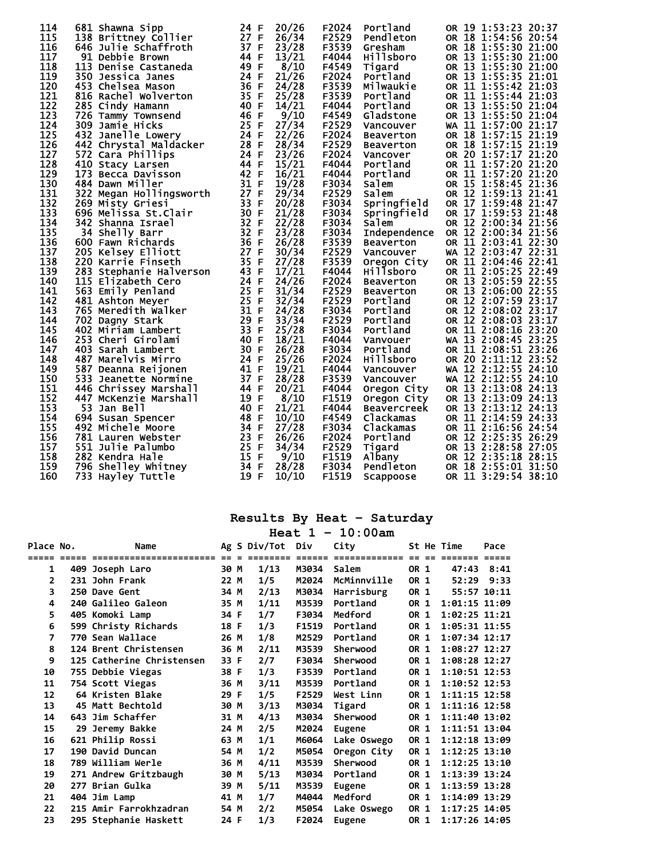| 114 | 681 Shawna Sipp         | 24 F    | 20/26 | F2024 | Portland            | OR 19 1:53:23 20:37    |
|-----|-------------------------|---------|-------|-------|---------------------|------------------------|
| 115 | 138 Brittney Collier    | 27 F    | 26/34 | F2529 | Pendleton           | OR 18 1:54:56 20:54    |
| 116 | 646 Julie Schaffroth    | 37 F    | 23/28 | F3539 | Gresham             | OR 18 1:55:30 21:00    |
| 117 | 91 Debbie Brown         | 44 F    | 13/21 | F4044 | <b>Hillsboro</b>    | OR 13 1:55:30 21:00    |
| 118 | 113<br>Denise Castaneda | 49 F    | 8/10  | F4549 | Tigard              | OR 13 1:55:30 21:00    |
| 119 | 350 Jessica Janes       | 24 F    | 21/26 | F2024 | Portland            | OR 13 1:55:35 21:01    |
| 120 | 453 Chelsea Mason       | 36 F    | 24/28 | F3539 | Milwaukie           | OR 11 1:55:42 21:03    |
| 121 | 816 Rachel Wolverton    | 35 F    | 25/28 | F3539 | Portland            | OR 11 1:55:44 21:03    |
|     |                         |         |       |       |                     | OR 13 1:55:50 21:04    |
| 122 | 285 Cindy Hamann        | 40 F    | 14/21 | F4044 | Portland            |                        |
| 123 | 726 Tammy Townsend      | 46 F    | 9/10  | F4549 | Gladstone           | OR 13 1:55:50 21:04    |
| 124 | 309 Jamie Hicks         | 25 F    | 27/34 | F2529 | Vancouver           | WA 11 1:57:00 21:17    |
| 125 | 432 Janelle Lowery      | 24 F    | 22/26 | F2024 | <b>Beaverton</b>    | OR 18 1:57:15 21:19    |
| 126 | 442 Chrystal Maldacker  | 28 F    | 28/34 | F2529 | <b>Beaverton</b>    | OR 18 1:57:15 21:19    |
| 127 | 572 Cara Phillips       | 24 F    | 23/26 | F2024 | Vancover            | OR 20 1:57:17 21:20    |
| 128 | 410 Stacy Larsen        | 44 F    | 15/21 | F4044 | Portland            | OR 11 1:57:20 21:20    |
| 129 | 173 Becca Davisson      | 42 F    | 16/21 | F4044 | Portland            | OR 11 1:57:20 21:20    |
| 130 | 484 Dawn Miller         | 31 F    | 19/28 | F3034 | Salem               | OR 15 1:58:45 21:36    |
| 131 | 322 Megan Hollingsworth | 27 F    | 29/34 | F2529 | Salem               | OR 12 1:59:13 21:41    |
| 132 | 269 Misty Griesi        | 33 F    | 20/28 | F3034 | Springfield         | OR 17 1:59:48 21:47    |
| 133 | 696 Melissa St.Clair    | 30 F    | 21/28 | F3034 | Springfield         | OR 17 1:59:53 21:48    |
| 134 | 342 Shanna Israel       | 32 F    | 22/28 | F3034 | <b>Salem</b>        | OR 12 2:00:34 21:56    |
| 135 | 34 Shelly Barr          | 32 F    | 23/28 | F3034 | <b>Independence</b> | OR 12 2:00:34 21:56    |
| 136 | 600 Fawn Richards       | 36 F    | 26/28 | F3539 | <b>Beaverton</b>    | OR 11 2:03:41 22:30    |
| 137 | 205 Kelsey Elliott      | 27 F    | 30/34 | F2529 | Vancouver           | WA 12 2:03:47 22:31    |
| 138 | 220 Karrie Finseth      | 35 F    | 27/28 | F3539 | Oregon City         | OR 11 2:04:46 22:41    |
| 139 | 283 Stephanie Halverson | 43 F    | 17/21 | F4044 | <b>Hillsboro</b>    | OR 11 2:05:25 22:49    |
| 140 | 115 Elizabeth Cero      | 24 F    | 24/26 | F2024 | <b>Beaverton</b>    | OR 13 2:05:59 22:55    |
| 141 | 563 Emily Penland       | 25 F    | 31/34 | F2529 | Beaverton           | OR 13 2:06:00 22:55    |
| 142 | 481 Ashton Meyer        | 25 F    | 32/34 | F2529 | Portland            | OR 12 2:07:59 23:17    |
| 143 | 765 Meredith Walker     | 31 F    | 24/28 | F3034 | Portland            | OR 12 2:08:02 23:17    |
| 144 |                         | 29 F    |       |       |                     |                        |
|     | 702 Dagny Stark         |         | 33/34 | F2529 | Portland            | OR 12 2:08:03 23:17    |
| 145 | 402 Miriam Lambert      | 33<br>F | 25/28 | F3034 | Portland            | OR 11 2:08:16 23:20    |
| 146 | 253 Cheri Girolami      | 40 F    | 18/21 | F4044 | Vanvouer            | WA 13 2:08:45 23:25    |
| 147 | 403 Sarah Lambert       | 30 F    | 26/28 | F3034 | Portland            | OR 11 2:08:51 23:26    |
| 148 | 487 Marelvis Mirro      | 24 F    | 25/26 | F2024 | <b>Hillsboro</b>    | OR 20 2:11:12 23:52    |
| 149 | 587 Deanna Reijonen     | 41 F    | 19/21 | F4044 | Vancouver           | WA 12 2:12:55 24:10    |
| 150 | 533<br>Jeanette Normine | 37 F    | 28/28 | F3539 | Vancouver           | WA 12 2:12:55 24:10    |
| 151 | 446 Chrissey Marshall   | 44 F    | 20/21 | F4044 | Oregon City         | OR 13 2:13:08 24:13    |
| 152 | 447 McKenzie Marshall   | 19 F    | 8/10  | F1519 | Oregon City         | OR 13 2:13:09 24:13    |
| 153 | 53 Jan Bell             | 40 F    | 21/21 | F4044 | <b>Beavercreek</b>  | OR 13 2:13:12 24:13    |
| 154 | 694 Susan Spencer       | 48<br>F | 10/10 | F4549 | Clackamas           | OR 11 2:14:59<br>24:33 |
| 155 | 492 Michele Moore       | 34 F    | 27/28 | F3034 | Clackamas           | OR 11 2:16:56 24:54    |
| 156 | 781 Lauren Webster      | 23 F    | 26/26 | F2024 | Portland            | OR 12 2:25:35 26:29    |
| 157 | 551 Julie Palumbo       | 25 F    | 34/34 | F2529 | Tigard              | OR 13 2:28:58 27:05    |
| 158 | 282 Kendra Hale         | 15 F    | 9/10  | F1519 | Albany              | OR 12 2:35:18 28:15    |
| 159 | 796 Shelley Whitney     | 34<br>F | 28/28 | F3034 | Pendleton           | OR 18 2:55:01 31:50    |
| 160 | 733 Hayley Tuttle       | 19 F    | 10/10 | F1519 | Scappoose           | OR 11 3:29:54 38:10    |
|     |                         |         |       |       |                     |                        |

|                |       |                           |        |              | Heat 1 | $-10:00am$    |      |     |                   |        |
|----------------|-------|---------------------------|--------|--------------|--------|---------------|------|-----|-------------------|--------|
| Place No.      |       | Name                      |        | Ag S Div/Tot | Div    | City          |      |     | St He Time        | Pace   |
| =====          | ===== | ========================= | $== =$ | ========     | ====== | ============= | $=$  | $=$ | =======           | ------ |
| 1              |       | 409 Joseph Laro           | 30 M   | 1/13         | M3034  | Salem         | OR 1 |     | 47:43             | 8:41   |
| $\mathbf{2}$   |       | 231 John Frank            | 22 M   | 1/5          | M2024  | McMinnville   | OR 1 |     | 52:29             | 9:33   |
| 3              |       | 250 Dave Gent             | 34 M   | 2/13         | M3034  | Harrisburg    | OR 1 |     | 55:57 10:11       |        |
| 4              |       | 240 Galileo Galeon        | 35 M   | 1/11         | M3539  | Portland      | OR 1 |     | $1:01:15$ $11:09$ |        |
| 5              |       | 405 Komoki Lamp           | 34 F   | 1/7          | F3034  | Medford       | OR 1 |     | $1:02:25$ $11:21$ |        |
| 6              |       | 599 Christy Richards      | 18 F   | 1/3          | F1519  | Portland      | OR 1 |     | $1:05:31$ $11:55$ |        |
| $\overline{ }$ |       | 770 Sean Wallace          | 26 M   | 1/8          | M2529  | Portland      | OR 1 |     | $1:07:34$ 12:17   |        |
| 8              |       | 124 Brent Christensen     | 36 M   | 2/11         | M3539  | Sherwood      | OR 1 |     | 1:08:27 12:27     |        |
| 9              |       | 125 Catherine Christensen | 33 F   | 2/7          | F3034  | Sherwood      | OR 1 |     | 1:08:28 12:27     |        |
| 10             |       | 755 Debbie Viegas         | 38 F   | 1/3          | F3539  | Portland      | OR 1 |     | $1:10:51$ $12:53$ |        |
| 11             |       | 754 Scott Viegas          | 36 M   | 3/11         | M3539  | Portland      | OR 1 |     | $1:10:52$ 12:53   |        |
| 12             |       | 64 Kristen Blake          | 29 F   | 1/5          | F2529  | West Linn     | OR 1 |     | $1:11:15$ $12:58$ |        |
| 13             |       | 45 Matt Bechtold          | 30 M   | 3/13         | M3034  | Tigard        | OR 1 |     | $1:11:16$ 12:58   |        |
| 14             |       | 643 Jim Schaffer          | 31 M   | 4/13         | M3034  | Sherwood      | OR 1 |     | 1:11:40 13:02     |        |
| 15             |       | 29 Jeremy Bakke           | 24 M   | 2/5          | M2024  | <b>Eugene</b> | OR 1 |     | 1:11:51 13:04     |        |
| 16             |       | 621 Philip Rossi          | 63 M   | 1/1          | M6064  | Lake Oswego   | OR 1 |     | 1:12:18 13:09     |        |
| 17             |       | 190 David Duncan          | 54 M   | 1/2          | M5054  | Oregon City   | OR 1 |     | $1:12:25$ $13:10$ |        |
| 18             |       | 789 William Werle         | 36 M   | 4/11         | M3539  | Sherwood      | OR 1 |     | $1:12:25$ $13:10$ |        |
| 19             |       | 271 Andrew Gritzbaugh     | 30 M   | 5/13         | M3034  | Portland      | OR 1 |     | $1:13:39$ $13:24$ |        |
| 20             |       | 277 Brian Gulka           | 39 M   | 5/11         | M3539  | Eugene        | OR 1 |     | $1:13:59$ $13:28$ |        |
| 21             |       | 404 Jim Lamp              | 41 M   | 1/7          | M4044  | Medford       | OR 1 |     | 1:14:09 13:29     |        |
| 22             |       | 215 Amir Farrokhzadran    | 54 M   | 2/2          | M5054  | Lake Oswego   | OR 1 |     | $1:17:25$ $14:05$ |        |
| 23             |       | 295 Stephanie Haskett     | 24 F   | 1/3          | F2024  | Eugene        | OR 1 |     | 1:17:26 14:05     |        |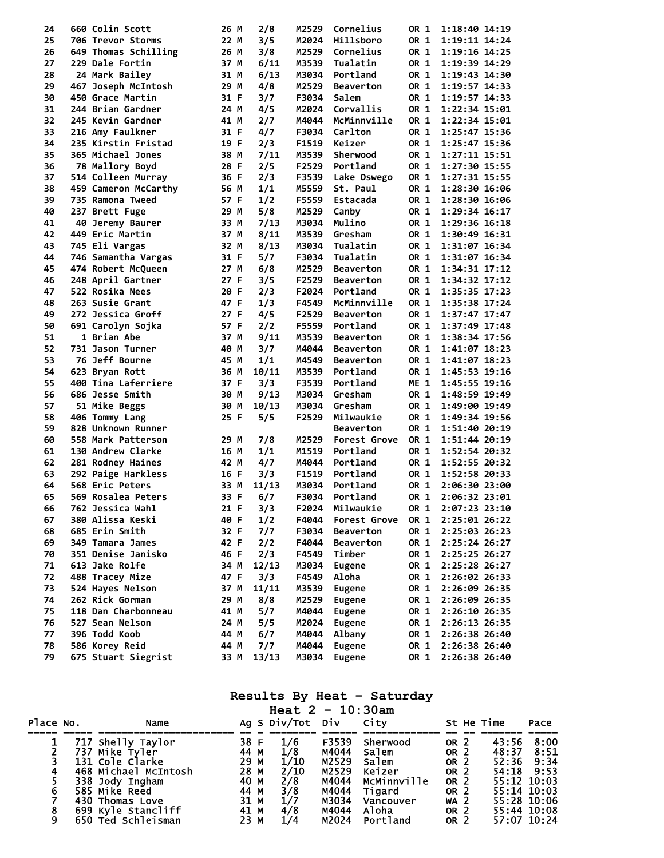| 24 | 660 Colin Scott      | 26 M | 2/8   | M2529 | Cornelius        | OR 1 | 1:18:40 14:19      |
|----|----------------------|------|-------|-------|------------------|------|--------------------|
| 25 | 706 Trevor Storms    | 22 M | 3/5   | M2024 | Hillsboro        | OR 1 | 1:19:11 14:24      |
| 26 | 649 Thomas Schilling | 26 M | 3/8   | M2529 | Cornelius        | OR 1 | 1:19:16 14:25      |
| 27 | 229 Dale Fortin      | 37 M | 6/11  | M3539 | Tualatin         | OR 1 | 1:19:39 14:29      |
| 28 | 24 Mark Bailey       | 31 M | 6/13  | M3034 | Portland         | OR 1 | 1:19:43 14:30      |
| 29 | 467 Joseph McIntosh  | 29 M | 4/8   | M2529 | <b>Beaverton</b> | OR 1 | 1:19:57 14:33      |
| 30 | 450 Grace Martin     | 31 F | 3/7   | F3034 | Salem            | OR 1 | $1:19:57$ $14:33$  |
| 31 | 244 Brian Gardner    | 24 M | 4/5   | M2024 | Corvallis        | OR 1 | 1:22:34 15:01      |
| 32 | 245 Kevin Gardner    | 41 M | 2/7   | M4044 | McMinnville      | OR 1 | 1:22:34 15:01      |
| 33 | 216 Amy Faulkner     | 31 F | 4/7   | F3034 | Carlton          | OR 1 | 1:25:47 15:36      |
| 34 | 235 Kirstin Fristad  | 19 F | 2/3   | F1519 | Keizer           | OR 1 | 1:25:47 15:36      |
| 35 | 365 Michael Jones    | 38 M | 7/11  | M3539 | Sherwood         | OR 1 | 1:27:11 15:51      |
| 36 | 78 Mallory Boyd      | 28 F | 2/5   | F2529 | Portland         | OR 1 | 1:27:30 15:55      |
| 37 | 514 Colleen Murray   | 36 F | 2/3   | F3539 | Lake Oswego      | OR 1 | $1:27:31$ $15:55$  |
| 38 | 459 Cameron McCarthy | 56 M | 1/1   | M5559 | St. Paul         | OR 1 | 1:28:30 16:06      |
| 39 | 735 Ramona Tweed     | 57 F | 1/2   | F5559 | Estacada         | OR 1 | 1:28:30 16:06      |
| 40 | 237 Brett Fuge       | 29 M | 5/8   | M2529 | Canby            | OR 1 | 1:29:34 16:17      |
| 41 | 40 Jeremy Baurer     | 33 M | 7/13  | M3034 | Mulino           | OR 1 | 1:29:36 16:18      |
| 42 | 449 Eric Martin      | 37 M | 8/11  | M3539 | Gresham          | OR 1 | 1:30:49 16:31      |
| 43 |                      |      | 8/13  | M3034 | Tualatin         | OR 1 | 1:31:07 16:34      |
|    | 745 Eli Vargas       | 32 M |       |       |                  |      |                    |
| 44 | 746 Samantha Vargas  | 31 F | 5/7   | F3034 | Tualatin         | OR 1 | 1:31:07 16:34      |
| 45 | 474 Robert McQueen   | 27 M | 6/8   | M2529 | <b>Beaverton</b> | OR 1 | 1:34:31 17:12      |
| 46 | 248 April Gartner    | 27 F | 3/5   | F2529 | <b>Beaverton</b> | OR 1 | 1:34:32 17:12      |
| 47 | 522 Rosika Nees      | 20 F | 2/3   | F2024 | Portland         | OR 1 | 1:35:35 17:23      |
| 48 | 263 Susie Grant      | 47 F | 1/3   | F4549 | McMinnville      | OR 1 | 1:35:38 17:24      |
| 49 | 272 Jessica Groff    | 27 F | 4/5   | F2529 | <b>Beaverton</b> | OR 1 | $1:37:47$ $17:47$  |
| 50 | 691 Carolyn Sojka    | 57 F | 2/2   | F5559 | Portland         | OR 1 | $1:37:49$ 17:48    |
| 51 | 1 Brian Abe          | 37 M | 9/11  | M3539 | <b>Beaverton</b> | OR 1 | 1:38:34 17:56      |
| 52 | 731 Jason Turner     | 40 M | 3/7   | M4044 | <b>Beaverton</b> | OR 1 | 1:41:07 18:23      |
| 53 | 76 Jeff Bourne       | 45 M | 1/1   | M4549 | Beaverton        | OR 1 | 1:41:07 18:23      |
| 54 | 623 Bryan Rott       | 36 M | 10/11 | M3539 | Portland         | OR 1 | 1:45:53 19:16      |
| 55 | 400 Tina Laferriere  | 37 F | 3/3   | F3539 | Portland         | ME 1 | 1:45:55 19:16      |
| 56 | 686 Jesse Smith      | 30 M | 9/13  | M3034 | Gresham          | OR 1 | 1:48:59 19:49      |
| 57 | 51 Mike Beggs        | 30 M | 10/13 | M3034 | Gresham          | OR 1 | 1:49:00 19:49      |
| 58 | 406 Tommy Lang       | 25 F | 5/5   | F2529 | Milwaukie        | OR 1 | 1:49:34 19:56      |
| 59 | 828 Unknown Runner   |      |       |       | <b>Beaverton</b> | OR 1 | 1:51:40 20:19      |
| 60 | 558 Mark Patterson   | 29 M | 7/8   | M2529 | Forest Grove     | OR 1 | 1:51:44 20:19      |
| 61 | 130 Andrew Clarke    | 16 M | 1/1   | M1519 | Portland         | OR 1 | 1:52:54 20:32      |
| 62 | 281 Rodney Haines    | 42 M | 4/7   | M4044 | Portland         | OR 1 | 1:52:55 20:32      |
| 63 | 292 Paige Harkless   | 16 F | 3/3   | F1519 | Portland         | OR 1 | 1:52:58 20:33      |
| 64 | 568 Eric Peters      | 33 M | 11/13 | M3034 | Portland         | OR 1 | 2:06:30 23:00      |
| 65 | 569 Rosalea Peters   | 33 F | 6/7   | F3034 | Portland         | OR 1 | 2:06:32 23:01      |
| 66 | 762 Jessica Wahl     | 21 F | 3/3   | F2024 | Milwaukie        |      | OR 1 2:07:23 23:10 |
| 67 | 380 Alissa Keski     | 40 F | 1/2   | F4044 | Forest Grove     | OR 1 | 2:25:01 26:22      |
| 68 | 685 Erin Smith       | 32 F | 7/7   | F3034 | <b>Beaverton</b> | OR 1 | 2:25:03 26:23      |
| 69 | 349 Tamara James     | 42 F | 2/2   | F4044 | <b>Beaverton</b> | OR 1 | 2:25:24 26:27      |
| 70 | 351 Denise Janisko   | 46 F | 2/3   | F4549 | Timber           | OR 1 | 2:25:25 26:27      |
| 71 | 613 Jake Rolfe       | 34 M | 12/13 | M3034 | <b>Eugene</b>    | OR 1 | 2:25:28 26:27      |
| 72 | 488 Tracey Mize      | 47 F | 3/3   | F4549 | Aloha            | OR 1 | 2:26:02 26:33      |
| 73 | 524 Hayes Nelson     | 37 M | 11/11 | M3539 | <b>Eugene</b>    | OR 1 | 2:26:09 26:35      |
| 74 | 262 Rick Gorman      | 29 M | 8/8   | M2529 | <b>Eugene</b>    | OR 1 | 2:26:09 26:35      |
| 75 | 118 Dan Charbonneau  | 41 M | 5/7   | M4044 | <b>Eugene</b>    | OR 1 | 2:26:10 26:35      |
| 76 | 527 Sean Nelson      | 24 M | 5/5   | M2024 | <b>Eugene</b>    | OR 1 | 2:26:13 26:35      |
| 77 | 396 Todd Koob        | 44 M | 6/7   | M4044 | Albany           | OR 1 | 2:26:38 26:40      |
| 78 | 586 Korey Reid       | 44 M | 7/7   | M4044 | <b>Eugene</b>    | OR 1 | 2:26:38 26:40      |
| 79 | 675 Stuart Siegrist  | 33 M | 13/13 | M3034 | <b>Eugene</b>    | OR 1 | 2:26:38 26:40      |
|    |                      |      |       |       |                  |      |                    |

|           |                                                                                                                    |                                              | Heat $2 - 10:30am$                                                            |                                                    |                                                               |                                                                                                     |                                                                    |                              |
|-----------|--------------------------------------------------------------------------------------------------------------------|----------------------------------------------|-------------------------------------------------------------------------------|----------------------------------------------------|---------------------------------------------------------------|-----------------------------------------------------------------------------------------------------|--------------------------------------------------------------------|------------------------------|
| Place No. | Name                                                                                                               |                                              | Ag S Div/Tot Div City                                                         |                                                    |                                                               |                                                                                                     | St He Time                                                         | Pace                         |
|           | 717 Shelly Taylor<br>737 Mike Tyler<br>131 Cole Clarke<br>468 Michael McIntosh<br>338 Jody Ingham<br>585 Mike Reed | 38 F<br>44 M<br>29 M<br>28 M<br>40 M<br>44 M | 1/6<br>1/8<br>1/10<br>2/10<br>$\frac{2}{3}$<br>$\frac{3}{8}$<br>$\frac{1}{7}$ | F3539<br>M4044<br>M2529<br>M2529<br>M4044<br>M4044 | Sherwood<br>salem<br>salem<br>Keizer<br>McMinnville<br>Tigard | OR 2<br>OR <sub>2</sub><br>OR <sub>2</sub><br>OR <sub>2</sub><br>OR <sub>2</sub><br>OR <sub>2</sub> | 43:56<br>48:37<br>52:36<br>54:18<br>$55:12$ 10:03<br>$55:14$ 10:03 | 8:00<br>8:51<br>9:34<br>9:53 |
| 9         | 430 Thomas Love<br>699 Kyle Stancliff<br>650 Ted Schleisman                                                        | 31 M<br>41 M<br>23 M                         | 4/8<br>1/4                                                                    | M3034<br>M4044                                     | Vancouver<br>Aloha<br>M2024 Portland                          | WA <sub>2</sub><br>OR 2<br><b>OR 2</b>                                                              | 55:28 10:06<br>55:44 10:08<br>57:07 10:24                          |                              |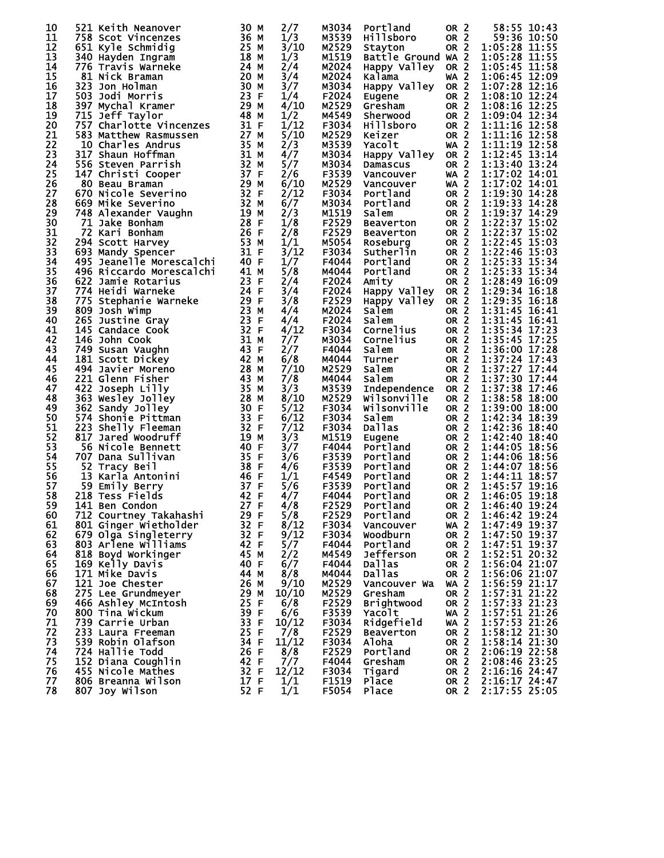| 10 |    | 521 Keith Neanover       | 30 M    | 2/7   | M3034 | Portland            | OR <sub>2</sub> | 58:55 10:43                           |
|----|----|--------------------------|---------|-------|-------|---------------------|-----------------|---------------------------------------|
| 11 |    | 758 Scot Vincenzes       | 36 M    | 1/3   | M3539 | Hillsboro           | OR <sub>2</sub> | 59:36 10:50                           |
| 12 |    | 651 Kyle Schmidig        | 25 M    | 3/10  | M2529 | Stayton             | OR <sub>2</sub> | 1:05:28 11:55                         |
| 13 |    | 340 Hayden Ingram        | 18 M    | 1/3   | M1519 | Battle Ground WA 2  |                 | 1:05:28 11:55                         |
| 14 |    | 776 Travis Warneke       | 24 M    | 2/4   | M2024 | Happy Valley        | OR <sub>2</sub> | 1:05:45 11:58                         |
| 15 |    | 81 Nick Braman           | 20 M    | 3/4   | M2024 | Kalama              | <b>WA 2</b>     | 1:06:45 12:09                         |
| 16 |    | 323 Jon Holman           | 30 M    | 3/7   | M3034 | Happy Valley        | OR <sub>2</sub> | 1:07:28 12:16                         |
| 17 |    | 503 Jodi Morris          | 23 F    | 1/4   | F2024 | Eugene              | OR <sub>2</sub> | 1:08:10 12:24                         |
| 18 |    | 397 Mychal Kramer        | 29 M    | 4/10  | M2529 | Gresham             | OR <sub>2</sub> | 1:08:16 12:25                         |
| 19 |    | 715 Jeff Taylor          | 48 M    | 1/2   | M4549 | Sherwood            | OR <sub>2</sub> | 1:09:04 12:34                         |
| 20 |    | 757 Charlotte Vincenzes  | 31 F    | 1/12  | F3034 | <b>Hillsboro</b>    | OR 2            | 1:11:16 12:58                         |
| 21 |    | 583 Matthew Rasmussen    | 27 M    | 5/10  | M2529 | Keizer              | OR <sub>2</sub> | 1:11:16 12:58                         |
| 22 |    | 10 Charles Andrus        | 35 M    | 2/3   | M3539 | Yacolt              | <b>WA 2</b>     | $1:11:19$ 12:58                       |
| 23 |    | <b>317 Shaun Hoffman</b> | 31 M    | 4/7   | M3034 | Happy Valley        | OR <sub>2</sub> | 1:12:45 13:14                         |
| 24 |    | 556 Steven Parrish       | 32 M    | 5/7   | M3034 | Damascus            | OR 2            | $1:13:40$ 13:24                       |
| 25 |    | 147 Christi Cooper       | 37 F    | 2/6   | F3539 | Vancouver           | WA <sub>2</sub> | 1:17:02 14:01                         |
| 26 |    | 80 Beau Braman           | 29 M    | 6/10  | M2529 | Vancouver           | <b>WA 2</b>     | 1:17:02 14:01                         |
| 27 |    | 670 Nicole Severino      | 32 F    | 2/12  | F3034 | Portland            | OR <sub>2</sub> | 1:19:30 14:28                         |
| 28 |    | 669 Mike Severino        | 32 M    | 6/7   | M3034 | Portland            | OR <sub>2</sub> | 1:19:33 14:28                         |
| 29 |    | 748 Alexander Vaughn     | 19 M    | 2/3   | M1519 | Salem               | OR <sub>2</sub> | 1:19:37 14:29                         |
| 30 |    | 71 Jake Bonham           | 28 F    | 1/8   | F2529 | <b>Beaverton</b>    | OR <sub>2</sub> | $\overline{1:}2\overline{2:}37$ 15:02 |
| 31 |    | 72 Kari Bonham           | 26 F    | 2/8   | F2529 | <b>Beaverton</b>    | OR <sub>2</sub> | 1:22:37 15:02                         |
| 32 |    | 294 Scott Harvey         | 53 M    | 1/1   | M5054 | Roseburg            | <b>OR 2</b>     | 1:22:45 15:03                         |
| 33 |    | 693 Mandy Spencer        | 31 F    | 3/12  | F3034 | Sutherlin           | OR 2            | 1:22:46 15:03                         |
| 34 |    | 495 Jeanelle Morescalchi | 40 F    | 1/7   | F4044 | Portland            | OR <sub>2</sub> | 1:25:33 15:34                         |
| 35 |    | 496 Riccardo Morescalchi | 41 M    | 5/8   | M4044 | Portland            | OR <sub>2</sub> | 1:25:33 15:34                         |
| 36 |    |                          | 23 F    |       | F2024 |                     | OR 2            | 1:28:49 16:09                         |
|    |    | 622 Jamie Rotarius       |         | 2/4   |       | Amity               |                 |                                       |
| 37 |    | 774 Heidi Warneke        | 24 F    | 3/4   | F2024 | Happy Valley        | OR <sub>2</sub> | 1:29:34 16:18                         |
| 38 |    | 775 Stephanie Warneke    | 29 F    | 3/8   | F2529 | Happy Valley        | OR <sub>2</sub> | 1:29:35 16:18                         |
| 39 |    | 809 Josh Wimp            | 23 M    | 4/4   | M2024 | Salem               | OR <sub>2</sub> | 1:31:45 16:41                         |
| 40 |    | 265 Justine Gray         | 23 F    | 4/4   | F2024 | Salem               | OR 2            | 1:31:45 16:41                         |
| 41 |    | 145 Candace Cook         | 32 F    | 4/12  | F3034 | Cornelius           | OR 2            | 1:35:34 17:23                         |
| 42 |    | 146 John Cook            | 31 M    | 7/7   | M3034 | Cornelius           | OR <sub>2</sub> | 1:35:45 17:25                         |
| 43 |    | 749 Susan Vaughn         | 43 F    | 2/7   | F4044 | Salem               | OR <sub>2</sub> | 1:36:00 17:28                         |
| 44 |    | 181 Scott Dickey         | 42 M    | 6/8   | M4044 | Turner              | OR 2            | 1:37:24 17:43                         |
| 45 |    | 494 Javier Moreno        | 28<br>М | 7/10  | M2529 | Salem               | OR <sub>2</sub> | 1:37:27 17:44                         |
| 46 |    | 221 Glenn Fisher         | 43<br>М | 7/8   | M4044 | Salem               | OR 2            | 1:37:30 17:44                         |
| 47 |    | 422 Joseph Lilly         | 35 M    | 3/3   | M3539 | <b>Independence</b> | OR <sub>2</sub> | 1:37:38 17:46                         |
| 48 |    | 363 Wesley Jolley        | 28 M    | 8/10  | M2529 | Wilsonville         | <b>OR 2</b>     | 1:38:58 18:00                         |
| 49 |    | 362 Sandy Jolley         | 30 F    | 5/12  | F3034 | Wilsonville         | OR <sub>2</sub> | 1:39:00 18:00                         |
| 50 |    | 574 Shonie Pittman       | 33 F    | 6/12  | F3034 | Salem               | OR <sub>2</sub> | 1:42:34 18:39                         |
| 51 |    | 223 Shelly Fleeman       | 32 F    | 7/12  | F3034 | <b>Dallas</b>       | OR <sub>2</sub> | 1:42:36 18:40                         |
| 52 |    | 817 Jared Woodruff       | 19 M    | 3/3   | M1519 | Eugene              | OR <sub>2</sub> | 1:42:40 18:40                         |
| 53 |    | 56 Nicole Bennett        | 40 F    | 3/7   | F4044 | Portland            | OR <sub>2</sub> | 1:44:05 18:56                         |
| 54 |    | 707 Dana Sullivan        | 35 F    | 3/6   | F3539 | Portland            | OR <sub>2</sub> | 1:44:06 18:56                         |
| 55 |    | 52 Tracy Beil            | 38 F    | 4/6   | F3539 | Portland            | OR <sub>2</sub> | 1:44:07 18:56                         |
| 56 | 13 | Karla Antonini           | 46 F    | 1/1   | F4549 | Portland            | OR <sub>2</sub> | 1:44:11 18:57                         |
| 57 |    | 59 Emily Berry           | 37 F    | 5/6   | F3539 | Portland            | OR <sub>2</sub> | 1:45:57 19:16                         |
| 58 |    | 218 Tess Fields          | 42 F    | 4/7   | F4044 | Portland            | OR <sub>2</sub> | 1:46:05 19:18                         |
| 59 |    | 141 Ben Condon           | 27 F    | 4/8   | F2529 | Portland            | OR 2            | 1:46:40 19:24                         |
| 60 |    | 712 Courtney Takahashi   | 29 F    | 5/8   | F2529 | Portland            | OR <sub>2</sub> | 1:46:42 19:24                         |
| 61 |    | 801 Ginger Wietholder    | 32 F    | 8/12  | F3034 | Vancouver           | WA 2            | 1:47:49 19:37                         |
| 62 |    | 679 Olga Singleterry     | 32 F    | 9/12  | F3034 | Woodburn            | OR <sub>2</sub> | 1:47:50 19:37                         |
| 63 |    | 803 Arlene Williams      | 42 F    | 5/7   | F4044 | Portland            | OR <sub>2</sub> | 1:47:51 19:37                         |
| 64 |    | 818 Boyd Workinger       | 45 M    | 2/2   | M4549 | Jefferson           | OR <sub>2</sub> | 1:52:51 20:32                         |
| 65 |    | 169 Kelly Davis          | 40 F    | 6/7   | F4044 | Dallas              | OR <sub>2</sub> | 1:56:04 21:07                         |
| 66 |    | 171 Mike Davis           | 44 M    | 8/8   | M4044 | Dallas              | OR <sub>2</sub> | 1:56:06 21:07                         |
| 67 |    | 121 Joe Chester          | 26 M    | 9/10  | M2529 | Vancouver Wa        | WA <sub>2</sub> | 1:56:59 21:17                         |
| 68 |    | 275 Lee Grundmeyer       | 29 M    | 10/10 | M2529 | Gresham             | OR <sub>2</sub> | 1:57:31 21:22                         |
| 69 |    | 466 Ashley McIntosh      | 25 F    | 6/8   | F2529 | <b>Brightwood</b>   | OR <sub>2</sub> | 1:57:33 21:23                         |
| 70 |    | 800 Tina Wickum          | 39 F    | 6/6   | F3539 | Yacolt              | <b>WA 2</b>     | 1:57:51 21:26                         |
| 71 |    | 739 Carrie Urban         | 33 F    | 10/12 | F3034 | Ridgefield          | WA 2            | 1:57:53 21:26                         |
| 72 |    | 233 Laura Freeman        | 25 F    | 7/8   | F2529 | <b>Beaverton</b>    | OR <sub>2</sub> | 1:58:12 21:30                         |
| 73 |    | 539 Robin Olafson        | 34 F    | 11/12 | F3034 | Aloha               | OR <sub>2</sub> | 1:58:14 21:30                         |
| 74 |    | 724 Hallie Todd          | 26 F    | 8/8   | F2529 | Portland            | <b>OR 2</b>     | 2:06:19 22:58                         |
| 75 |    | 152 Diana Coughlin       | 42 F    | 7/7   | F4044 | Gresham             | OR <sub>2</sub> | 2:08:46 23:25                         |
| 76 |    | 455 Nicole Mathes        | 32 F    | 12/12 | F3034 | Tigard              | OR <sub>2</sub> | 2:16:16 24:47                         |
| 77 |    | 806 Breanna Wilson       | 17 F    | 1/1   | F1519 | <b>Place</b>        | OR <sub>2</sub> | 2:16:17 24:47                         |
| 78 |    | 807 Joy Wilson           | 52 F    | 1/1   | F5054 | Place               | OR 2            | 2:17:55 25:05                         |
|    |    |                          |         |       |       |                     |                 |                                       |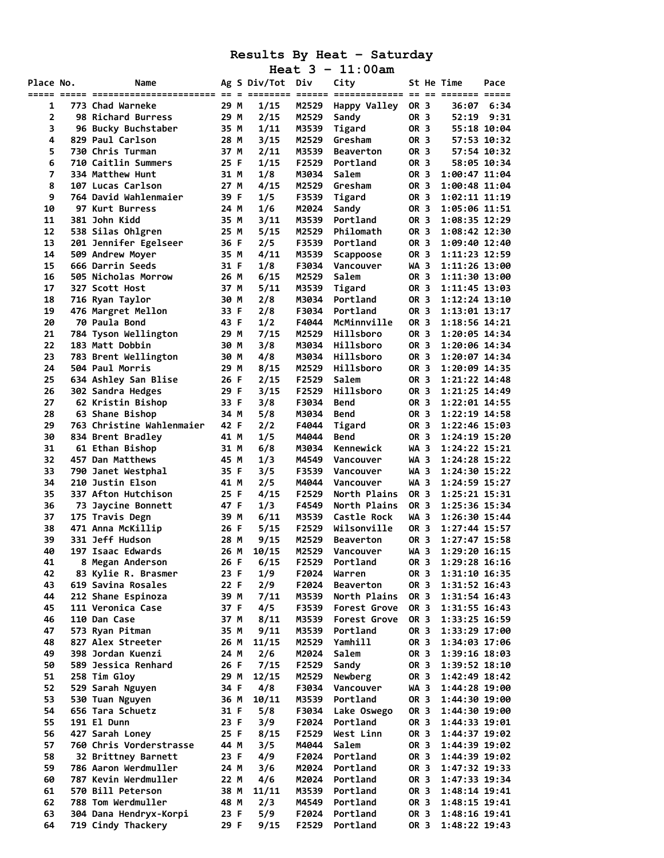|                |                                      |              |                  |                | Heat $3 - 11:00$ am                                             |                     |      |                                  |             |
|----------------|--------------------------------------|--------------|------------------|----------------|-----------------------------------------------------------------|---------------------|------|----------------------------------|-------------|
| Place No.      | Name                                 |              | Ag S Div/Tot Div |                | City<br><u>so o oponono opono oponononono se se oponon opon</u> |                     |      | St He Time                       | Pace        |
| 1              | 773 Chad Warneke                     | 29 M         | 1/15             | M2529          | Happy Valley                                                    | <b>OR 3</b>         |      | 36:07                            | 6:34        |
| $\overline{2}$ | 98 Richard Burress                   | 29 M         | 2/15             | M2529          | Sandy                                                           | <b>OR 3</b>         |      | 52:19                            | 9:31        |
| 3              | 96 Bucky Buchstaber                  | 35 M         | 1/11             | M3539          | Tigard                                                          | <b>OR 3</b>         |      |                                  | 55:18 10:04 |
| 4              | 829 Paul Carlson                     | 28 M         | 3/15             | M2529          | Gresham                                                         | <b>OR 3</b>         |      |                                  | 57:53 10:32 |
| 5              | 730 Chris Turman                     | 37 M         | 2/11             | M3539          | <b>Beaverton</b>                                                | OR 3                |      |                                  | 57:54 10:32 |
| 6              | 710 Caitlin Summers                  | 25 F         | 1/15             | F2529          | Portland                                                        | <b>OR 3</b>         |      |                                  | 58:05 10:34 |
| 7              | 334 Matthew Hunt                     | 31 M         | 1/8              | M3034          | Salem                                                           | OR 3                |      | 1:00:47 11:04                    |             |
| 8              | 107 Lucas Carlson                    | 27 M         | 4/15             | M2529          | Gresham                                                         | OR 3                |      | 1:00:48 11:04                    |             |
| 9              | 764 David Wahlenmaier                | 39 F         | 1/5              | F3539          | Tigard                                                          | OR 3                |      | $1:02:11$ $11:19$                |             |
| 10             | 97 Kurt Burress                      | 24 M         | 1/6              | M2024          | Sandy                                                           | OR 3                |      | 1:05:06 11:51                    |             |
| 11             | 381 John Kidd                        | 35 M         | 3/11             | M3539          | Portland                                                        | OR 3                |      | 1:08:35 12:29                    |             |
| 12             | 538 Silas Ohlgren                    | 25 M         | 5/15             | M2529          | Philomath                                                       | OR 3                |      | 1:08:42 12:30                    |             |
| 13             | 201 Jennifer Egelseer                | 36 F         | 2/5              | F3539          | Portland                                                        | OR 3                |      | 1:09:40 12:40                    |             |
| 14             | 509 Andrew Moyer                     | 35 M         | 4/11             | M3539          | Scappoose                                                       | OR 3                |      | 1:11:23 12:59                    |             |
| 15             | 666 Darrin Seeds                     | 31 F         | 1/8              | F3034          | Vancouver                                                       | WA 3                |      | 1:11:26 13:00                    |             |
| 16             | 505 Nicholas Morrow                  | 26 M         | 6/15             | M2529          | Salem                                                           | OR 3                |      | 1:11:30 13:00                    |             |
| 17             | 327 Scott Host                       | 37 M         | 5/11             | M3539          | Tigard                                                          | OR 3                |      | 1:11:45 13:03                    |             |
| 18             | 716 Ryan Taylor                      | 30 M         | 2/8              | M3034          | Portland                                                        | OR 3                |      | 1:12:24 13:10                    |             |
| 19             | 476 Margret Mellon                   | 33 F         | 2/8              | F3034          | Portland                                                        | OR 3                |      | 1:13:01 13:17                    |             |
| 20             | 70 Paula Bond                        | 43 F         | 1/2              | F4044          | McMinnville                                                     | OR 3                |      | 1:18:56 14:21                    |             |
| 21             | 784 Tyson Wellington                 | 29 M         | 7/15             | M2529          | Hillsboro                                                       | OR 3                |      | 1:20:05 14:34                    |             |
| 22             | 183 Matt Dobbin                      | 30 M         | 3/8              | M3034          | Hillsboro                                                       | <b>OR 3</b>         |      | 1:20:06 14:34                    |             |
| 23             | 783 Brent Wellington                 | 30 M         | 4/8              | M3034          | Hillsboro                                                       | OR 3                |      | 1:20:07 14:34                    |             |
| 24             | 504 Paul Morris                      | 29 M         | 8/15             | M2529          | Hillsboro                                                       | OR 3                |      | 1:20:09 14:35                    |             |
| 25             | 634 Ashley San Blise                 | 26 F         | 2/15             | F2529          | Salem                                                           | <b>OR 3</b>         |      | 1:21:22 14:48                    |             |
| 26             | 302 Sandra Hedges                    | 29 F         | 3/15             | F2529          | Hillsboro                                                       | <b>OR 3</b>         |      | 1:21:25 14:49                    |             |
| 27             | 62 Kristin Bishop                    | 33 F         | 3/8              | F3034          | Bend                                                            | <b>OR 3</b>         |      | 1:22:01 14:55                    |             |
| 28             | 63 Shane Bishop                      | 34 M         | 5/8              | M3034          | <b>Bend</b>                                                     | OR 3                |      | $1:22:19$ $14:58$                |             |
| 29             | 763 Christine Wahlenmaier            | 42 F         | 2/2              | F4044          |                                                                 | OR 3                |      | 1:22:46 15:03                    |             |
| 30             | 834 Brent Bradley                    | 41 M         | 1/5              | M4044          | Tigard<br><b>Bend</b>                                           | <b>OR 3</b>         |      | 1:24:19 15:20                    |             |
| 31             |                                      |              | 6/8              |                | Kennewick                                                       | WA 3                |      | 1:24:22 15:21                    |             |
|                | 61 Ethan Bishop                      | 31 M         |                  | M3034          |                                                                 |                     |      |                                  |             |
| 32             | 457 Dan Matthews                     | 45 M         | 1/3              | M4549          | Vancouver                                                       | WA 3                |      | 1:24:28 15:22                    |             |
| 33             | 790 Janet Westphal                   | 35 F         | 3/5              | F3539          | Vancouver                                                       | WA 3                |      | 1:24:30 15:22                    |             |
| 34             | 210 Justin Elson                     | 41 M         | 2/5              | M4044          | Vancouver                                                       | WA 3                |      | 1:24:59 15:27                    |             |
| 35             | 337 Afton Hutchison                  | 25 F<br>47 F | 4/15             | F2529          | North Plains<br>North Plains                                    | OR 3<br><b>OR 3</b> |      | 1:25:21 15:31<br>1:25:36 15:34   |             |
| 36             | 73 Jaycine Bonnett                   | 39 M         | 1/3              | F4549          |                                                                 | WA 3                |      | 1:26:30 15:44                    |             |
| 37             | 175 Travis Degn                      | 26 F         | 6/11             | M3539<br>F2529 | Castle Rock<br>Wilsonville                                      | OR 3                |      |                                  |             |
| 38<br>39       | 471 Anna McKillip<br>331 Jeff Hudson |              | 5/15<br>9/15     | M2529          |                                                                 | <b>OR 3</b>         |      | $1:27:44$ 15:57<br>1:27:47 15:58 |             |
| 40             | 197 Isaac Edwards                    | 28 M<br>26 M |                  |                | <b>Beaverton</b>                                                |                     |      |                                  |             |
|                |                                      |              | 10/15            | F2529          | M2529 Vancouver                                                 |                     | WA 3 | 1:29:20 16:15<br>1:29:28 16:16   |             |
| 41             | 8 Megan Anderson                     | 26 F         | 6/15             |                | Portland                                                        | OR 3                |      |                                  |             |
| 42             | 83 Kylie R. Brasmer                  | 23 F         | 1/9              | F2024          | Warren                                                          | OR 3                |      | 1:31:10 16:35                    |             |
| 43             | 619 Savina Rosales                   | 22 F         | 2/9              | F2024          | <b>Beaverton</b>                                                | OR 3                |      | 1:31:52 16:43                    |             |
| 44             | 212 Shane Espinoza                   | 39 M         | 7/11             | M3539          | North Plains                                                    | OR 3                |      | 1:31:54 16:43                    |             |
| 45             | 111 Veronica Case                    | 37 F         | 4/5              | F3539          | Forest Grove                                                    | OR 3<br>OR 3        |      | 1:31:55 16:43                    |             |
| 46             | 110 Dan Case                         | 37 M         | 8/11             | M3539          | <b>Forest Grove</b>                                             |                     |      | 1:33:25 16:59                    |             |
| 47             | 573 Ryan Pitman                      | 35 M         | 9/11             | M3539          | Portland                                                        | OR 3                |      | 1:33:29 17:00                    |             |
| 48             | 827 Alex Streeter                    | 26 M         | 11/15            | M2529          | Yamhill                                                         | OR 3                |      | 1:34:03 17:06                    |             |
| 49             | 398 Jordan Kuenzi                    | 24 M         | 2/6              | M2024          | Salem                                                           | OR 3                |      | 1:39:16 18:03                    |             |
| 50             | 589 Jessica Renhard                  | 26 F         | 7/15             | F2529          | Sandy                                                           | OR 3                |      | 1:39:52 18:10                    |             |
| 51             | 258 Tim Gloy                         | 29 M         | 12/15            | M2529          | Newberg                                                         | OR 3                |      | 1:42:49 18:42                    |             |
| 52             | 529 Sarah Nguyen                     | 34 F         | 4/8              | F3034          | Vancouver                                                       | WA 3                |      | 1:44:28 19:00                    |             |
| 53             | 530 Tuan Nguyen                      | 36 M         | 10/11            | M3539          | Portland                                                        | OR 3                |      | 1:44:30 19:00                    |             |
| 54             | 656 Tara Schuetz                     | 31 F         | 5/8              | F3034          | Lake Oswego                                                     | OR 3                |      | 1:44:30 19:00                    |             |
| 55             | 191 El Dunn                          | 23 F         | 3/9              | F2024          | Portland                                                        | OR 3                |      | 1:44:33 19:01                    |             |
| 56             | 427 Sarah Loney                      | 25 F         | 8/15             | F2529          | West Linn                                                       | OR 3                |      | 1:44:37 19:02                    |             |
| 57             | 760 Chris Vorderstrasse              | 44 M         | 3/5              | M4044          | Salem                                                           | OR 3                |      | 1:44:39 19:02                    |             |
| 58             | 32 Brittney Barnett                  | 23 F         | 4/9              | F2024          | Portland                                                        | OR 3                |      | 1:44:39 19:02                    |             |
| 59             | 786 Aaron Werdmuller                 | 24 M         | 3/6              | M2024          | Portland                                                        | OR 3                |      | 1:47:32 19:33                    |             |
| 60             | 787 Kevin Werdmuller                 | 22 M         | 4/6              | M2024          | Portland                                                        | OR 3                |      | 1:47:33 19:34                    |             |
| 61             | 570 Bill Peterson                    | 38 M         | 11/11            | M3539          | Portland                                                        | OR 3                |      | 1:48:14 19:41                    |             |
| 62             | 788 Tom Werdmuller                   | 48 M         | 2/3              | M4549          | Portland                                                        | OR 3                |      | 1:48:15 19:41                    |             |
| 63             | 304 Dana Hendryx-Korpi               | 23 F         | 5/9              | F2024          | Portland                                                        | OR 3                |      | 1:48:16 19:41                    |             |
| 64             | 719 Cindy Thackery                   | 29 F         | 9/15             | F2529          | Portland                                                        | OR 3                |      | 1:48:22 19:43                    |             |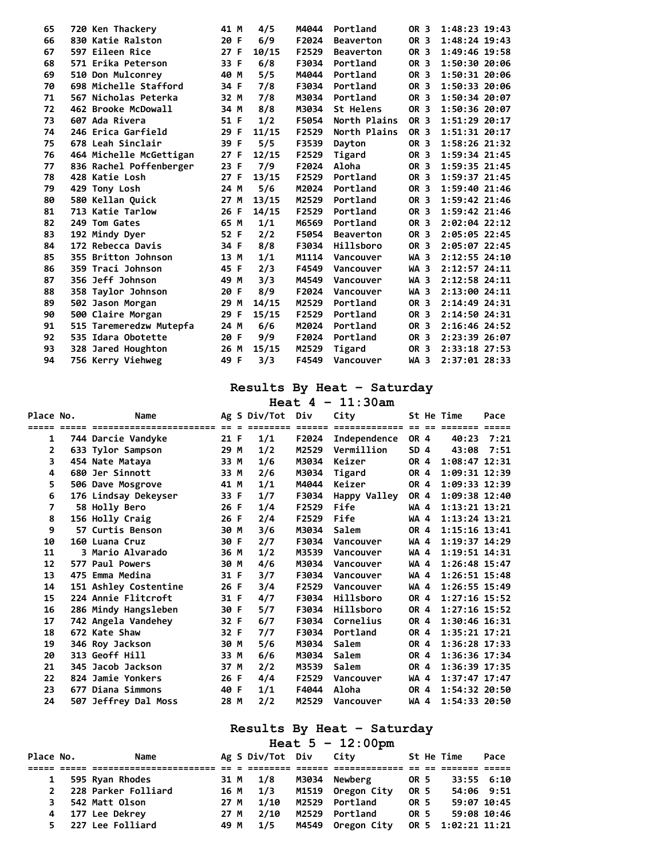| 65 | 720 Ken Thackery        | 41 M | 4/5   | M4044 | Portland         | OR 3        | $1:48:23$ $19:43$ |
|----|-------------------------|------|-------|-------|------------------|-------------|-------------------|
| 66 | 830 Katie Ralston       | 20 F | 6/9   | F2024 | <b>Beaverton</b> | OR 3        | 1:48:24 19:43     |
| 67 | 597 Eileen Rice         | 27 F | 10/15 | F2529 | <b>Beaverton</b> | OR 3        | 1:49:46 19:58     |
| 68 | 571 Erika Peterson      | 33 F | 6/8   | F3034 | Portland         | OR 3        | 1:50:30 20:06     |
| 69 | 510 Don Mulconrey       | 40 M | 5/5   | M4044 | Portland         | <b>OR 3</b> | $1:50:31$ 20:06   |
| 70 | 698 Michelle Stafford   | 34 F | 7/8   | F3034 | Portland         | OR 3        | 1:50:33 20:06     |
| 71 | 567 Nicholas Peterka    | 32 M | 7/8   | M3034 | Portland         | OR 3        | 1:50:34 20:07     |
| 72 | 462 Brooke McDowall     | 34 M | 8/8   | M3034 | St Helens        | OR 3        | 1:50:36 20:07     |
| 73 | 607 Ada Rivera          | 51 F | 1/2   | F5054 | North Plains     | OR 3        | 1:51:29 20:17     |
| 74 | 246 Erica Garfield      | 29 F | 11/15 | F2529 | North Plains     | <b>OR 3</b> | 1:51:31 20:17     |
| 75 | 678 Leah Sinclair       | 39 F | 5/5   | F3539 | Dayton           | <b>OR 3</b> | $1:58:26$ $21:32$ |
| 76 | 464 Michelle McGettigan | 27 F | 12/15 | F2529 | Tigard           | OR 3        | 1:59:34 21:45     |
| 77 | 836 Rachel Poffenberger | 23 F | 7/9   | F2024 | Aloha            | <b>OR 3</b> | $1:59:35$ $21:45$ |
| 78 | 428 Katie Losh          | 27 F | 13/15 | F2529 | Portland         | OR 3        | 1:59:37 21:45     |
| 79 | 429 Tony Losh           | 24 M | 5/6   | M2024 | Portland         | OR 3        | 1:59:40 21:46     |
| 80 | 580 Kellan Quick        | 27 M | 13/15 | M2529 | Portland         | OR 3        | 1:59:42 21:46     |
| 81 | 713 Katie Tarlow        | 26 F | 14/15 | F2529 | Portland         | OR 3        | 1:59:42 21:46     |
| 82 | 249 Tom Gates           | 65 M | 1/1   | M6569 | Portland         | OR 3        | 2:02:04 22:12     |
| 83 | 192 Mindy Dyer          | 52 F | 2/2   | F5054 | <b>Beaverton</b> | OR 3        | 2:05:05 22:45     |
| 84 | 172 Rebecca Davis       | 34 F | 8/8   | F3034 | Hillsboro        | OR 3        | 2:05:07 22:45     |
| 85 | 355 Britton Johnson     | 13 M | 1/1   | M1114 | Vancouver        | WA 3        | 2:12:55 24:10     |
| 86 | 359 Traci Johnson       | 45 F | 2/3   | F4549 | Vancouver        | WA 3        | 2:12:57 24:11     |
| 87 | 356 Jeff Johnson        | 49 M | 3/3   | M4549 | Vancouver        | WA 3        | 2:12:58 24:11     |
| 88 | 358 Taylor Johnson      | 20 F | 8/9   | F2024 | Vancouver        | WA 3        | 2:13:00 24:11     |
| 89 | 502 Jason Morgan        | 29 M | 14/15 | M2529 | Portland         | <b>OR 3</b> | 2:14:49 24:31     |
| 90 | 500 Claire Morgan       | 29 F | 15/15 | F2529 | Portland         | OR 3        | 2:14:50 24:31     |
| 91 | 515 Taremeredzw Mutepfa | 24 M | 6/6   | M2024 | Portland         | OR 3        | 2:16:46 24:52     |
| 92 | 535 Idara Obotette      | 20 F | 9/9   | F2024 | Portland         | OR 3        | 2:23:39 26:07     |
| 93 | 328 Jared Houghton      | 26 M | 15/15 | M2529 | Tigard           | OR 3        | 2:33:18 27:53     |
| 94 | 756 Kerry Viehweg       | 49 F | 3/3   | F4549 | Vancouver        | WA 3        | 2:37:01 28:33     |
|    |                         |      |       |       |                  |             |                   |

|           |                         |      |                  |        | Heat $4 - 11:30am$                |                 |                   |      |
|-----------|-------------------------|------|------------------|--------|-----------------------------------|-----------------|-------------------|------|
| Place No. | Name                    |      | Ag S Div/Tot Div |        | City                              |                 | St He Time        | Pace |
| =====     |                         |      |                  | ====== | ============= == == ======= ===== |                 |                   |      |
| 1         | 744 Darcie Vandyke      | 21 F | 1/1              | F2024  | Independence                      | <b>OR 4</b>     | 40:23             | 7:21 |
| 2         | 633 Tylor Sampson       | 29 M | 1/2              | M2529  | Vermillion                        | SD <sub>4</sub> | 43:08             | 7:51 |
| 3         | 454 Nate Mataya         | 33 M | 1/6              | M3034  | Keizer                            | <b>OR 4</b>     | $1:08:47$ $12:31$ |      |
| 4         | 680 Jer Sinnott         | 33 M | 2/6              | M3034  | Tigard                            | <b>OR 4</b>     | 1:09:31 12:39     |      |
| 5         | 506 Dave Mosgrove       | 41 M | 1/1              | M4044  | Keizer                            | <b>OR 4</b>     | 1:09:33 12:39     |      |
| 6         | 176 Lindsay Dekeyser    | 33 F | 1/7              | F3034  | Happy Valley                      | <b>OR 4</b>     | 1:09:38 12:40     |      |
| 7         | 58 Holly Bero           | 26 F | 1/4              | F2529  | Fife                              | WA 4            | $1:13:21$ $13:21$ |      |
| 8         | 156 Holly Craig         | 26 F | 2/4              | F2529  | Fife                              | WA 4            | 1:13:24 13:21     |      |
| 9         | 57 Curtis Benson        | 30 M | 3/6              | M3034  | Salem                             | <b>OR 4</b>     | 1:15:16 13:41     |      |
| 10        | 160 Luana Cruz          | 30 F | 2/7              | F3034  | Vancouver                         | WA 4            | 1:19:37 14:29     |      |
| 11        | <b>3 Mario Alvarado</b> | 36 M | 1/2              | M3539  | Vancouver                         | WA 4            | 1:19:51 14:31     |      |
| 12        | 577 Paul Powers         | 30 M | 4/6              | M3034  | Vancouver                         | WA 4            | $1:26:48$ 15:47   |      |
| 13        | 475 Emma Medina         | 31 F | 3/7              | F3034  | Vancouver                         | WA 4            | $1:26:51$ $15:48$ |      |
| 14        | 151 Ashley Costentine   | 26 F | 3/4              | F2529  | Vancouver                         | WA 4            | 1:26:55 15:49     |      |
| 15        | 224 Annie Flitcroft     | 31 F | 4/7              | F3034  | Hillsboro                         | OR 4            | $1:27:16$ 15:52   |      |
| 16        | 286 Mindy Hangsleben    | 30 F | 5/7              | F3034  | Hillsboro                         | <b>OR 4</b>     | $1:27:16$ 15:52   |      |
| 17        | 742 Angela Vandehey     | 32 F | 6/7              | F3034  | Cornelius                         | <b>OR 4</b>     | 1:30:46 16:31     |      |
| 18        | 672 Kate Shaw           | 32 F | 7/7              | F3034  | Portland                          | OR 4            | $1:35:21$ $17:21$ |      |
| 19        | 346 Roy Jackson         | 30 M | 5/6              | M3034  | Salem                             | <b>OR 4</b>     | $1:36:28$ 17:33   |      |
| 20        | 313 Geoff Hill          | 33 M | 6/6              | M3034  | Salem                             | <b>OR 4</b>     | 1:36:36 17:34     |      |
| 21        | 345 Jacob Jackson       | 37 M | 2/2              | M3539  | Salem                             | <b>OR 4</b>     | 1:36:39 17:35     |      |
| 22        | 824 Jamie Yonkers       | 26 F | 4/4              | F2529  | Vancouver                         | WA 4            | $1:37:47$ 17:47   |      |
| 23        | 677 Diana Simmons       | 40 F | 1/1              | F4044  | Aloha                             | <b>OR 4</b>     | $1:54:32$ 20:50   |      |
| 24        | 507 Jeffrey Dal Moss    | 28 M | 2/2              | M2529  | Vancouver                         | WA 4            | 1:54:33 20:50     |      |

### **Results By Heat – Saturday**

**Heat 5 – 12:00pm**  Place No. Name Ag S Div/Tot Div City St He Time Pace **===== ===== ======================= == = ======== ====== ============= == == ======= ===== 1 595 Ryan Rhodes 31 M 1/8 M3034 Newberg OR 5 33:55 6:10 2 228 Parker Folliard 16 M 1/3 M1519 Oregon City OR 5 54:06 9:51 3 542 Matt Olson 27 M 1/10 M2529 Portland OR 5 59:07 10:45 4 177 Lee Dekrey 27 M 2/10 M2529 Portland OR 5 59:08 10:46 5 227 Lee Folliard 49 M 1/5 M4549 Oregon City OR 5 1:02:21 11:21**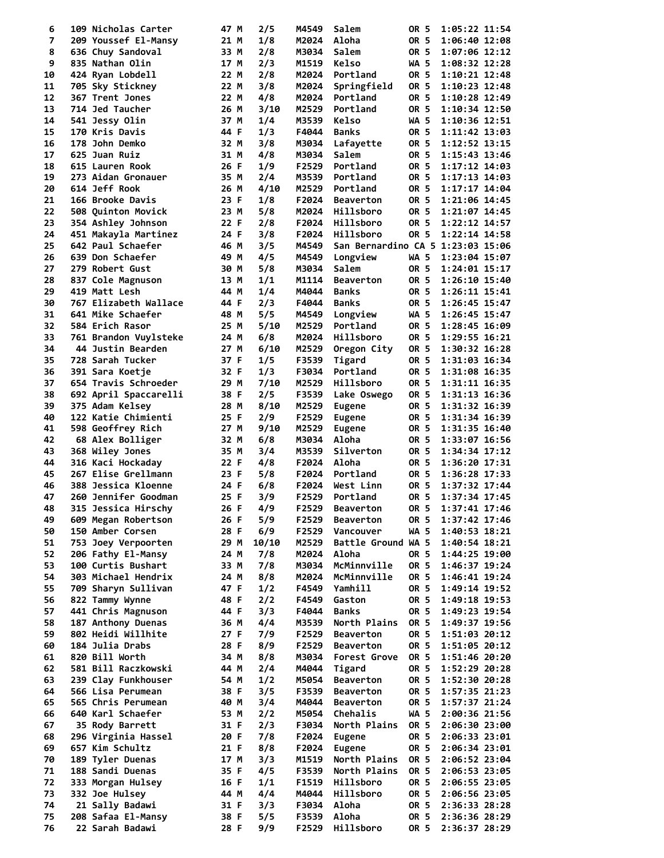| 6  | 109 Nicholas Carter        | 47 M | 2/5   | M4549 | Salem                             | OR 5        | 1:05:22 11:54      |  |
|----|----------------------------|------|-------|-------|-----------------------------------|-------------|--------------------|--|
| 7  | 209 Youssef El-Mansy       | 21 M | 1/8   | M2024 | Aloha                             | OR 5        | 1:06:40 12:08      |  |
| 8  | 636 Chuy Sandoval          | 33 M | 2/8   | M3034 | Salem                             | OR 5        | 1:07:06 12:12      |  |
| 9  | 835 Nathan Olin            | 17 M | 2/3   | M1519 | Kelso                             | <b>WA 5</b> | 1:08:32 12:28      |  |
| 10 | 424 Ryan Lobdell           | 22 M | 2/8   | M2024 | Portland                          | OR 5        | 1:10:21 12:48      |  |
| 11 | 705 Sky Stickney           | 22 M | 3/8   | M2024 | Springfield                       | OR 5        | 1:10:23 12:48      |  |
| 12 | 367 Trent Jones            | 22 M | 4/8   | M2024 | Portland                          | OR 5        | 1:10:28 12:49      |  |
| 13 | 714 Jed Taucher            | 26 M | 3/10  | M2529 | Portland                          | <b>OR 5</b> | 1:10:34 12:50      |  |
| 14 | 541 Jessy Olin             | 37 M | 1/4   | M3539 | Kelso                             | <b>WA 5</b> | 1:10:36 12:51      |  |
| 15 | 170 Kris Davis             | 44 F | 1/3   | F4044 | <b>Banks</b>                      | OR 5        | 1:11:42 13:03      |  |
|    |                            |      |       |       |                                   |             |                    |  |
| 16 | 178 John Demko             | 32 M | 3/8   | M3034 | Lafayette                         | OR 5        | 1:12:52 13:15      |  |
| 17 | 625 Juan Ruiz              | 31 M | 4/8   | M3034 | Salem                             | OR 5        | 1:15:43 13:46      |  |
| 18 | 615 Lauren Rook            | 26 F | 1/9   | F2529 | Portland                          | OR 5        | $1:17:12$ $14:03$  |  |
| 19 | 273 Aidan Gronauer         | 35 M | 2/4   | M3539 | Portland                          | OR 5        | $1:17:13$ $14:03$  |  |
| 20 | 614 Jeff Rook              | 26 M | 4/10  | M2529 | Portland                          | OR 5        | 1:17:17 14:04      |  |
| 21 | 166 Brooke Davis           | 23 F | 1/8   | F2024 | Beaverton                         | OR 5        | 1:21:06 14:45      |  |
| 22 | 508 Quinton Movick         | 23 M | 5/8   | M2024 | Hillsboro                         | OR 5        | 1:21:07 14:45      |  |
| 23 | 354 Ashley Johnson         | 22 F | 2/8   | F2024 | Hillsboro                         | OR 5        | 1:22:12 14:57      |  |
| 24 | 451 Makayla Martinez       | 24 F | 3/8   | F2024 | Hillsboro                         | OR 5        | 1:22:14 14:58      |  |
| 25 | 642 Paul Schaefer          | 46 M | 3/5   | M4549 | San Bernardino CA 5 1:23:03 15:06 |             |                    |  |
| 26 | 639 Don Schaefer           | 49 M | 4/5   | M4549 | Longview                          | WA 5        | 1:23:04 15:07      |  |
| 27 | 279 Robert Gust            | 30 M | 5/8   | M3034 | Salem                             | OR 5        | 1:24:01 15:17      |  |
| 28 | 837 Cole Magnuson          | 13 M | 1/1   | M1114 | <b>Beaverton</b>                  | OR 5        | $1:26:10$ $15:40$  |  |
| 29 | 419 Matt Lesh              | 44 M | 1/4   | M4044 | <b>Banks</b>                      | OR 5        | 1:26:11 15:41      |  |
| 30 | 767 Elizabeth Wallace      | 44 F | 2/3   | F4044 | <b>Banks</b>                      | OR 5        | 1:26:45 15:47      |  |
|    |                            |      |       |       |                                   |             |                    |  |
| 31 | 641 Mike Schaefer          | 48 M | 5/5   | M4549 | Longview                          | WA 5        | 1:26:45 15:47      |  |
| 32 | 584 Erich Rasor            | 25 M | 5/10  | M2529 | Portland                          | OR 5        | 1:28:45 16:09      |  |
| 33 | 761 Brandon Vuylsteke      | 24 M | 6/8   | M2024 | Hillsboro                         | OR 5        | 1:29:55 16:21      |  |
| 34 | 44 Justin Bearden          | 27 M | 6/10  | M2529 | Oregon City                       | OR 5        | 1:30:32 16:28      |  |
| 35 | 728 Sarah Tucker           | 37 F | 1/5   | F3539 | Tigard                            | OR 5        | 1:31:03 16:34      |  |
| 36 | 391 Sara Koetje            | 32 F | 1/3   | F3034 | Portland                          | OR 5        | 1:31:08 16:35      |  |
| 37 | 654 Travis Schroeder       | 29 M | 7/10  | M2529 | Hillsboro                         | OR 5        | 1:31:11 16:35      |  |
| 38 | 692 April Spaccarelli      | 38 F | 2/5   | F3539 | Lake Oswego                       | OR 5        | 1:31:13 16:36      |  |
| 39 | 375 Adam Kelsey            | 28 M | 8/10  | M2529 | Eugene                            | OR 5        | 1:31:32 16:39      |  |
| 40 | 122 Katie Chimienti        | 25 F | 2/9   | F2529 | <b>Eugene</b>                     | OR 5        | 1:31:34 16:39      |  |
| 41 | 598 Geoffrey Rich          | 27 M | 9/10  | M2529 | <b>Eugene</b>                     | OR 5        | 1:31:35 16:40      |  |
| 42 | 68 Alex Bolliger           | 32 M | 6/8   | M3034 | Aloha                             | OR 5        | 1:33:07 16:56      |  |
| 43 | 368 Wiley Jones            | 35 M | 3/4   | M3539 | Silverton                         | OR 5        | 1:34:34 17:12      |  |
| 44 | 316 Kaci Hockaday          | 22 F | 4/8   | F2024 | Aloha                             | OR 5        | 1:36:20 17:31      |  |
|    |                            |      |       |       |                                   |             |                    |  |
| 45 | 267 Elise Grellmann        | 23 F | 5/8   | F2024 | Portland                          | OR 5        | $1:36:28$ 17:33    |  |
| 46 | <b>388 Jessica Kloenne</b> | 24 F | 6/8   | F2024 | West Linn                         | OR 5        | 1:37:32 17:44      |  |
| 47 | 260 Jennifer Goodman       | 25 F | 3/9   | F2529 | Portland                          | OR 5        | 1:37:34 17:45      |  |
| 48 | 315 Jessica Hirschy        | 26 F | 4/9   |       | F2529 Beaverton                   |             | OR 5 1:37:41 17:46 |  |
| 49 | 609 Megan Robertson        | 26 F | 5/9   | F2529 | <b>Beaverton</b>                  | OR 5        | 1:37:42 17:46      |  |
| 50 | 150 Amber Corsen           | 28 F | 6/9   | F2529 | Vancouver                         | <b>WA 5</b> | 1:40:53 18:21      |  |
| 51 | 753 Joey Verpoorten        | 29 M | 10/10 | M2529 | Battle Ground WA 5                |             | 1:40:54 18:21      |  |
| 52 | 206 Fathy El-Mansy         | 24 M | 7/8   | M2024 | Aloha                             | OR 5        | 1:44:25 19:00      |  |
| 53 | 100 Curtis Bushart         | 33 M | 7/8   | M3034 | McMinnville                       | <b>OR 5</b> | 1:46:37 19:24      |  |
| 54 | 303 Michael Hendrix        | 24 M | 8/8   | M2024 | McMinnville                       | OR 5        | 1:46:41 19:24      |  |
| 55 | 709 Sharyn Sullivan        | 47 F | 1/2   | F4549 | Yamhill                           | OR 5        | 1:49:14 19:52      |  |
| 56 | 822 Tammy Wynne            | 48 F | 2/2   | F4549 | Gaston                            | OR 5        | 1:49:18 19:53      |  |
| 57 | 441 Chris Magnuson         | 44 F | 3/3   | F4044 | <b>Banks</b>                      | OR 5        | 1:49:23 19:54      |  |
| 58 | 187 Anthony Duenas         | 36 M | 4/4   | M3539 | North Plains                      | OR 5        | 1:49:37 19:56      |  |
| 59 | 802 Heidi Willhite         | 27 F | 7/9   | F2529 | <b>Beaverton</b>                  | OR 5        | 1:51:03 20:12      |  |
| 60 | 184 Julia Drabs            | 28 F | 8/9   | F2529 | <b>Beaverton</b>                  | OR 5        | 1:51:05 20:12      |  |
|    |                            |      |       |       |                                   |             |                    |  |
| 61 | 820 Bill Worth             | 34 M | 8/8   | M3034 | Forest Grove                      | OR 5        | 1:51:46 20:20      |  |
| 62 | 581 Bill Raczkowski        | 44 M | 2/4   | M4044 | Tigard                            | OR 5        | 1:52:29 20:28      |  |
| 63 | 239 Clay Funkhouser        | 54 M | 1/2   | M5054 | <b>Beaverton</b>                  | OR 5        | 1:52:30 20:28      |  |
| 64 | 566 Lisa Perumean          | 38 F | 3/5   | F3539 | <b>Beaverton</b>                  | OR 5        | 1:57:35 21:23      |  |
| 65 | 565 Chris Perumean         | 40 M | 3/4   | M4044 | Beaverton                         | OR 5        | 1:57:37 21:24      |  |
| 66 | 640 Karl Schaefer          | 53 M | 2/2   | M5054 | Chehalis                          | WA 5        | 2:00:36 21:56      |  |
| 67 | 35 Rody Barrett            | 31 F | 2/3   | F3034 | North Plains                      | OR 5        | 2:06:30 23:00      |  |
| 68 | 296 Virginia Hassel        | 20 F | 7/8   | F2024 | <b>Eugene</b>                     | OR 5        | 2:06:33 23:01      |  |
| 69 | 657 Kim Schultz            | 21 F | 8/8   | F2024 | Eugene                            | OR 5        | 2:06:34 23:01      |  |
| 70 | 189 Tyler Duenas           | 17 M | 3/3   | M1519 | North Plains                      | OR 5        | 2:06:52 23:04      |  |
| 71 | 188 Sandi Duenas           | 35 F | 4/5   | F3539 | North Plains                      | OR 5        | 2:06:53 23:05      |  |
| 72 | 333 Morgan Hulsey          | 16 F | 1/1   | F1519 | Hillsboro                         | OR 5        | 2:06:55 23:05      |  |
| 73 | 332 Joe Hulsey             | 44 M | 4/4   | M4044 | Hillsboro                         | OR 5        | 2:06:56 23:05      |  |
| 74 | 21 Sally Badawi            | 31 F | 3/3   | F3034 | Aloha                             | OR 5        | 2:36:33 28:28      |  |
| 75 | 208 Safaa El-Mansy         |      |       | F3539 | Aloha                             | OR 5        |                    |  |
| 76 |                            | 38 F | 5/5   |       |                                   |             | 2:36:36 28:29      |  |
|    | 22 Sarah Badawi            | 28 F | 9/9   | F2529 | Hillsboro                         | OR 5        | 2:36:37 28:29      |  |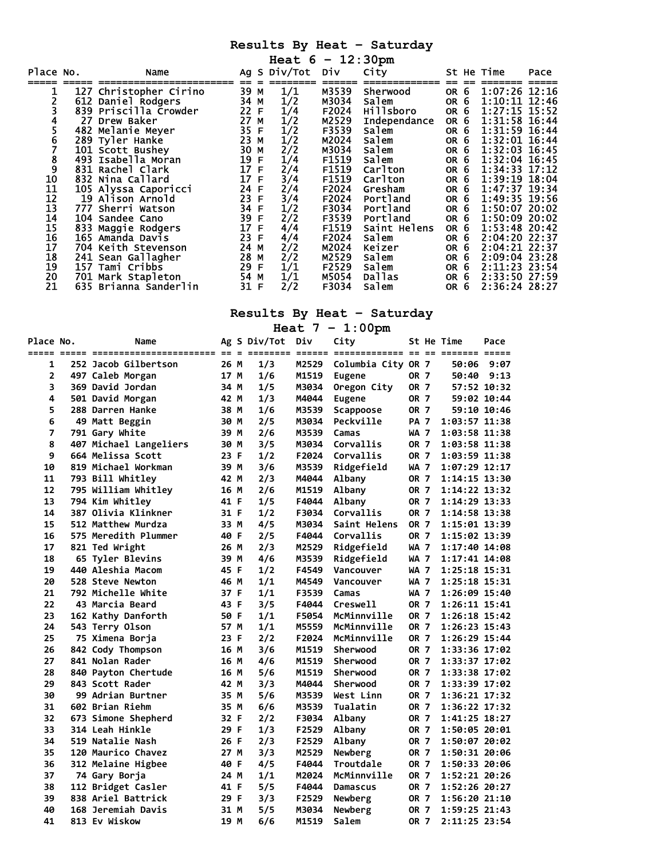|           |                        |                   |              | Heat $6 - 12:30 \text{pm}$ |       |                     |                 |                   |      |
|-----------|------------------------|-------------------|--------------|----------------------------|-------|---------------------|-----------------|-------------------|------|
| Place No. | Name                   |                   |              | Ag S Div/Tot Div           |       | City                |                 | St He Time        | Pace |
|           | 127 Christopher Cirino | 39 M              |              | 1/1                        | M3539 | Sherwood            | OR <sub>6</sub> | 1:07:26 12:16     |      |
|           | 612 Daniel Rodgers     | 34 M<br>22 F      |              | 1/2                        | M3034 | Salem               | OR <sub>6</sub> | $1:10:11$ $12:46$ |      |
|           | 839 Priscilla Crowder  |                   |              | 1/4                        | F2024 | <b>Hillsboro</b>    | OR 6            | 1:27:15 15:52     |      |
| 4         | 27 Drew Baker          | 27 M              |              | 1/2                        | M2529 | <b>Independance</b> | OR 6            | 1:31:58 16:44     |      |
| 5         | 482 Melanie Meyer      | 35 F              |              | 1/2                        | F3539 | Salem               | OR 6            | 1:31:59 16:44     |      |
| 6         | 289 Tyler Hanke        | 23 M              |              | 1/2                        | M2024 | Salem               | OR 6            | 1:32:01 16:44     |      |
|           | 101 Scott Bushey       | 30 M              |              | 2/2                        | M3034 | Salem               | OR 6            | 1:32:03 16:45     |      |
| 8         | 493 Isabella Moran     | 19 F              |              | 1/4                        | F1519 | Salem               | OR <sub>6</sub> | 1:32:04 16:45     |      |
| 9         | 831 Rachel Clark       | 17                | $\mathsf{F}$ | 2/4                        | F1519 | Carlton             | OR <sub>6</sub> | 1:34:33 17:12     |      |
| 10<br>11  | 832 Nina Callard       | 17 F              |              | 3/4                        | F1519 | Carlton             | OR 6            | 1:39:19 18:04     |      |
|           | 105 Alyssa Caporicci   | 24 F              |              | 2/4                        | F2024 | Gresham             | OR 6            | 1:47:37 19:34     |      |
| 12        | 19 Alison Arnold       | 23 F              |              | 3/4                        | F2024 | Portland            | OR 6            | 1:49:35 19:56     |      |
| 13        | 777 Sherri Watson      | 34 F              |              | 1/2                        | F3034 | Portland            | OR 6            | 1:50:07 20:02     |      |
| 14        | 104 Sandee Cano        | 39 F              |              | 2/2                        | F3539 | Portland            | OR <sub>6</sub> | 1:50:09 20:02     |      |
| 15        | 833 Maggie Rodgers     | $\frac{17}{23}$ F |              | 4/4                        | F1519 | Saint Helens        | OR 6            | 1:53:48 20:42     |      |
| 16        | 165 Amanda Davis       |                   |              | 4/4                        | F2024 | Salem               | OR 6            | 2:04:20 22:37     |      |
| 17        | 704 Keith Stevenson    | 24 M              |              | 2/2                        | M2024 | Keizer              | OR 6            | 2:04:21 22:37     |      |
| 18        | 241 Sean Gallagher     | 28 M              |              | 2/2                        | M2529 | Salem               | OR 6            | 2:09:04 23:28     |      |
| 19        | 157 Tami Cribbs        | 29 F              |              | 1/1                        | F2529 | Salem               | OR 6            | 2:11:23 23:54     |      |
| 20        | 701 Mark Stapleton     | 54 M              |              | 1/1                        | M5054 | <b>Dallas</b>       | OR 6            | 2:33:50 27:59     |      |
| 21        | 635 Brianna Sanderlin  | 31 F              |              | 2/2                        | F3034 | Salem               | OR <sub>6</sub> | 2:36:24 28:27     |      |

# **Results By Heat – Saturday**

**Heat 7 – 1:00pm** 

| Place No.      | Name                     |      | Ag S Div/Tot | Div   | City               |             | St He Time        | Pace        |
|----------------|--------------------------|------|--------------|-------|--------------------|-------------|-------------------|-------------|
|                |                          |      |              |       |                    |             |                   |             |
| 1              | 252 Jacob Gilbertson     | 26 M | 1/3          | M2529 | Columbia City OR 7 |             | 50:06             | 9:07        |
| $\overline{2}$ | 497 Caleb Morgan         | 17 M | 1/6          | M1519 | <b>Eugene</b>      | <b>OR 7</b> | 50:40             | 9:13        |
| 3              | 369 David Jordan         | 34 M | 1/5          | M3034 | Oregon City        | OR 7        |                   | 57:52 10:32 |
| 4              | 501 David Morgan         | 42 M | 1/3          | M4044 | <b>Eugene</b>      | OR 7        |                   | 59:02 10:44 |
| 5              | 288 Darren Hanke         | 38 M | 1/6          | M3539 | Scappoose          | <b>OR 7</b> |                   | 59:10 10:46 |
| 6              | 49 Matt Beggin           | 30 M | 2/5          | M3034 | Peckville          | PA 7        | 1:03:57 11:38     |             |
| 7              | 791 Gary White           | 39 M | 2/6          | M3539 | Camas              | WA 7        | 1:03:58 11:38     |             |
| 8              | 407 Michael Langeliers   | 30 M | 3/5          | M3034 | Corvallis          | <b>OR 7</b> | 1:03:58 11:38     |             |
| 9              | 664 Melissa Scott        | 23 F | 1/2          | F2024 | Corvallis          | <b>OR 7</b> | 1:03:59 11:38     |             |
| 10             | 819 Michael Workman      | 39 M | 3/6          | M3539 | Ridgefield         | WA 7        | 1:07:29 12:17     |             |
| 11             | 793 Bill Whitley         | 42 M | 2/3          | M4044 | Albany             | <b>OR 7</b> | 1:14:15 13:30     |             |
| 12             | 795 William Whitley      | 16 M | 2/6          | M1519 | Albany             | OR 7        | 1:14:22 13:32     |             |
| 13             | 794 Kim Whitley          | 41 F | 1/5          | F4044 | Albany             | <b>OR 7</b> | 1:14:29 13:33     |             |
| 14             | 387 Olivia Klinkner      | 31 F | 1/2          | F3034 | Corvallis          | <b>OR 7</b> | 1:14:58 13:38     |             |
| 15             | 512 Matthew Murdza       | 33 M | 4/5          | M3034 | Saint Helens       | <b>OR 7</b> | 1:15:01 13:39     |             |
| 16             | 575 Meredith Plummer     | 40 F | 2/5          | F4044 | Corvallis          | <b>OR 7</b> | 1:15:02 13:39     |             |
| 17             | 821 Ted Wright           | 26 M | 2/3          | M2529 | Ridgefield         | <b>WA 7</b> | 1:17:40 14:08     |             |
| 18             | 65 Tyler Blevins         | 39 M | 4/6          | M3539 | Ridgefield         | WA 7        | 1:17:41 14:08     |             |
| 19             | 440 Aleshia Macom        | 45 F | 1/2          | F4549 | Vancouver          | WA 7        | 1:25:18 15:31     |             |
| 20             | 528 Steve Newton         | 46 M | 1/1          | M4549 | Vancouver          | WA 7        | 1:25:18 15:31     |             |
| 21             | 792 Michelle White       | 37 F | 1/1          | F3539 | Camas              | WA 7        | 1:26:09 15:40     |             |
| 22             | 43 Marcia Beard          | 43 F | 3/5          | F4044 | Creswell           | OR 7        | 1:26:11 15:41     |             |
| 23             | 162 Kathy Danforth       | 50 F | 1/1          | F5054 | McMinnville        | <b>OR 7</b> | $1:26:18$ $15:42$ |             |
| 24             | 543 Terry Olson          | 57 M | 1/1          | M5559 | McMinnville        | <b>OR 7</b> | 1:26:23 15:43     |             |
| 25             | 75 Ximena Borja          | 23 F | 2/2          | F2024 | McMinnville        | <b>OR 7</b> | 1:26:29 15:44     |             |
| 26             | 842 Cody Thompson        | 16 M | 3/6          | M1519 | Sherwood           | OR 7        | 1:33:36 17:02     |             |
| 27             | 841 Nolan Rader          | 16 M | 4/6          | M1519 | Sherwood           | OR 7        | 1:33:37 17:02     |             |
| 28             | 840 Payton Chertude      | 16 M | 5/6          | M1519 | Sherwood           | <b>OR 7</b> | 1:33:38 17:02     |             |
| 29             | 843 Scott Rader          | 42 M | 3/3          | M4044 | Sherwood           | OR 7        | 1:33:39 17:02     |             |
| 30             | <b>99 Adrian Burtner</b> | 35 M | 5/6          | M3539 | West Linn          | <b>OR 7</b> | 1:36:21 17:32     |             |
| 31             | 602 Brian Riehm          | 35 M | 6/6          | M3539 | Tualatin           | <b>OR 7</b> | 1:36:22 17:32     |             |
| 32             | 673 Simone Shepherd      | 32 F | 2/2          | F3034 | Albany             | <b>OR 7</b> | 1:41:25 18:27     |             |
| 33             | 314 Leah Hinkle          | 29 F | 1/3          | F2529 | <b>Albany</b>      | OR 7        | 1:50:05 20:01     |             |
| 34             | 519 Natalie Nash         | 26 F | 2/3          | F2529 | Albany             | OR 7        | 1:50:07 20:02     |             |
| 35             | 120 Maurico Chavez       | 27 M | 3/3          | M2529 | Newberg            | <b>OR 7</b> | 1:50:31 20:06     |             |
| 36             | 312 Melaine Higbee       | 40 F | 4/5          | F4044 | Troutdale          | <b>OR 7</b> | 1:50:33 20:06     |             |
| 37             | 74 Gary Borja            | 24 M | 1/1          | M2024 | McMinnville        | <b>OR 7</b> | 1:52:21 20:26     |             |
| 38             | 112 Bridget Casler       | 41 F | 5/5          | F4044 | <b>Damascus</b>    | OR 7        | 1:52:26 20:27     |             |
| 39             | 838 Ariel Battrick       | 29 F | 3/3          | F2529 | Newberg            | <b>OR 7</b> | 1:56:20 21:10     |             |
| 40             | 168 Jeremiah Davis       | 31 M | 5/5          | M3034 | Newberg            | OR 7        | 1:59:25 21:43     |             |
| 41             | 813 Ev Wiskow            | 19 M | 6/6          | M1519 | Salem              | <b>OR 7</b> | 2:11:25 23:54     |             |
|                |                          |      |              |       |                    |             |                   |             |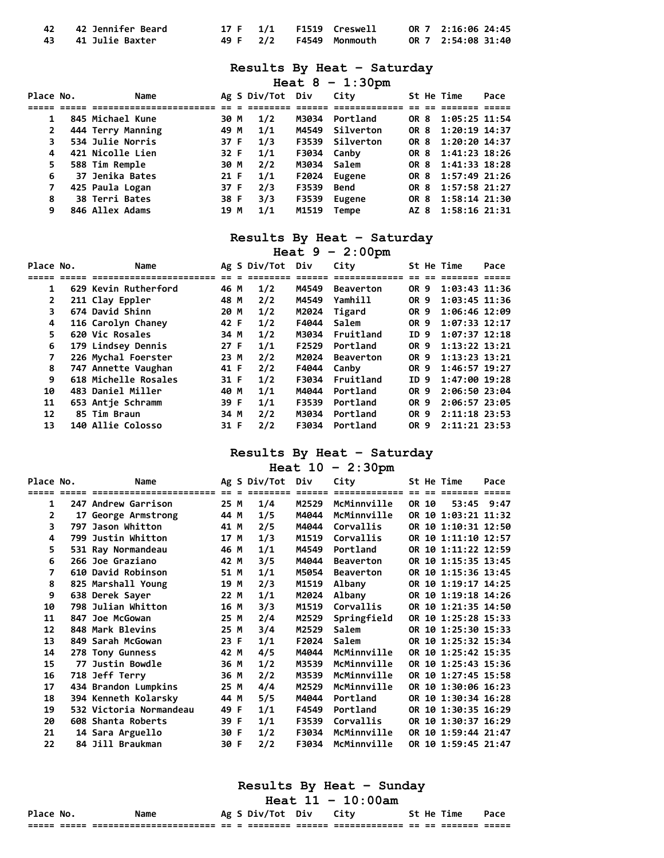| 42 42 Jennifer Beard |  | 17 F 1/1 F1519 Creswell | OR 7 2:16:06 24:45 |
|----------------------|--|-------------------------|--------------------|
| 43 41 Julie Baxter   |  | 49 F 2/2 F4549 Monmouth | OR 7 2:54:08 31:40 |

| Heat 8 |  |  | 1:30 <sub>pm</sub> |
|--------|--|--|--------------------|
|--------|--|--|--------------------|

| Place No.      | Name              |      | Ag S Div/Tot Div |             | City            |      | St He Time         | Pace |
|----------------|-------------------|------|------------------|-------------|-----------------|------|--------------------|------|
|                |                   |      |                  |             |                 |      |                    |      |
|                | 845 Michael Kune  | 30 M | 1/2              | M3034       | Portland        | OR 8 | 1:05:25 11:54      |      |
| $\overline{2}$ | 444 Terry Manning | 49 M | 1/1              |             | M4549 Silverton | OR 8 | 1:20:19 14:37      |      |
| 3              | 534 Julie Norris  | 37 F | 1/3              |             | F3539 Silverton |      | OR 8 1:20:20 14:37 |      |
| 4              | 421 Nicolle Lien  | 32 F | 1/1              | F3034 Canby |                 |      | OR 8 1:41:23 18:26 |      |
| 5.             | 588 Tim Remple    | 30 M | 2/2              | M3034 Salem |                 |      | OR 8 1:41:33 18:28 |      |
| 6              | 37 Jenika Bates   | 21 F | 1/1              | F2024       | Eugene          | OR 8 | 1:57:49 21:26      |      |
| 7              | 425 Paula Logan   | 37 F | 2/3              | F3539       | Bend            | OR 8 | 1:57:58 21:27      |      |
| 8              | 38 Terri Bates    | 38 F | 3/3              | F3539       | Eugene          | OR 8 | 1:58:14 21:30      |      |
| 9              | 846 Allex Adams   | 19 M | 1/1              | M1519       | Tempe           |      | AZ 8 1:58:16 21:31 |      |

## **Results By Heat – Saturday**

**Heat 9 – 2:00pm** 

| Place No.      | Name                 |      | Ag S Div/Tot | Div   | City             |      |    | St He Time         | Pace |
|----------------|----------------------|------|--------------|-------|------------------|------|----|--------------------|------|
|                |                      |      |              |       |                  |      |    |                    |      |
| 1              | 629 Kevin Rutherford | 46 M | 1/2          | M4549 | <b>Beaverton</b> | OR.  | -9 | $1:03:43$ $11:36$  |      |
| $\overline{2}$ | 211 Clay Eppler      | 48 M | 2/2          | M4549 | Yamhill          | OR 9 |    | $1:03:45$ $11:36$  |      |
| 3              | 674 David Shinn      | 20 M | 1/2          | M2024 | Tigard           | OR 9 |    | 1:06:46 12:09      |      |
| 4              | 116 Carolyn Chaney   | 42 F | 1/2          | F4044 | Salem            | OR 9 |    | 1:07:33 12:17      |      |
| 5.             | 620 Vic Rosales      | 34 M | 1/2          | M3034 | Fruitland        | ID 9 |    | 1:07:37 12:18      |      |
| 6              | 179 Lindsey Dennis   | 27 F | 1/1          | F2529 | Portland         | OR 9 |    | 1:13:22 13:21      |      |
| 7              | 226 Mychal Foerster  | 23 M | 2/2          | M2024 | <b>Beaverton</b> | OR 9 |    | 1:13:23 13:21      |      |
| 8              | 747 Annette Vaughan  | 41 F | 2/2          | F4044 | Canby            | OR 9 |    | 1:46:57 19:27      |      |
| 9              | 618 Michelle Rosales | 31 F | 1/2          | F3034 | Fruitland        | ID.  | 9  | 1:47:00 19:28      |      |
| 10             | 483 Daniel Miller    | 40 M | 1/1          | M4044 | Portland         | OR 9 |    | 2:06:50 23:04      |      |
| 11             | 653 Antie Schramm    | 39 F | 1/1          | F3539 | Portland         | OR 9 |    | 2:06:57 23:05      |      |
| 12             | 85 Tim Braun         | 34 M | 2/2          | M3034 | Portland         | OR 9 |    | 2:11:18 23:53      |      |
| 13             | 140 Allie Colosso    | 31 F | 2/2          | F3034 | Portland         |      |    | OR 9 2:11:21 23:53 |      |

# **Results By Heat – Saturday**

**Heat 10 – 2:30pm** 

| Place No. | Name                    |      | Ag S Div/Tot | Div   | City             |       | St He Time          | Pace |
|-----------|-------------------------|------|--------------|-------|------------------|-------|---------------------|------|
|           | =====================   |      |              |       | =========        |       |                     |      |
| 1         | 247 Andrew Garrison     | 25 M | 1/4          | M2529 | McMinnville      | OR 10 | 53:45 9:47          |      |
| 2         | 17 George Armstrong     | 44 M | 1/5          | M4044 | McMinnville      |       | OR 10 1:03:21 11:32 |      |
| 3         | 797 Jason Whitton       | 41 M | 2/5          | M4044 | Corvallis        |       | OR 10 1:10:31 12:50 |      |
| 4         | 799 Justin Whitton      | 17 M | 1/3          | M1519 | Corvallis        |       | OR 10 1:11:10 12:57 |      |
| 5         | 531 Ray Normandeau      | 46 M | 1/1          | M4549 | Portland         |       | OR 10 1:11:22 12:59 |      |
| 6         | 266 Joe Graziano        | 42 M | 3/5          | M4044 | <b>Beaverton</b> |       | OR 10 1:15:35 13:45 |      |
| 7         | 610 David Robinson      | 51 M | 1/1          | M5054 | <b>Beaverton</b> |       | OR 10 1:15:36 13:45 |      |
| 8         | 825 Marshall Young      | 19 M | 2/3          | M1519 | Albany           |       | OR 10 1:19:17 14:25 |      |
| 9         | 638 Derek Sayer         | 22 M | 1/1          | M2024 | Albany           |       | OR 10 1:19:18 14:26 |      |
| 10        | 798 Julian Whitton      | 16 M | 3/3          | M1519 | Corvallis        |       | OR 10 1:21:35 14:50 |      |
| 11        | 847 Joe McGowan         | 25 M | 2/4          | M2529 | Springfield      |       | OR 10 1:25:28 15:33 |      |
| 12        | 848 Mark Blevins        | 25 M | 3/4          | M2529 | Salem            |       | OR 10 1:25:30 15:33 |      |
| 13        | 849 Sarah McGowan       | 23 F | 1/1          | F2024 | Salem            |       | OR 10 1:25:32 15:34 |      |
| 14        | 278 Tony Gunness        | 42 M | 4/5          | M4044 | McMinnville      |       | OR 10 1:25:42 15:35 |      |
| 15        | 77 Justin Bowdle        | 36 M | 1/2          | M3539 | McMinnville      |       | OR 10 1:25:43 15:36 |      |
| 16        | 718 Jeff Terry          | 36 M | 2/2          | M3539 | McMinnville      |       | OR 10 1:27:45 15:58 |      |
| 17        | 434 Brandon Lumpkins    | 25 M | 4/4          | M2529 | McMinnville      |       | OR 10 1:30:06 16:23 |      |
| 18        | 394 Kenneth Kolarsky    | 44 M | 5/5          | M4044 | Portland         |       | OR 10 1:30:34 16:28 |      |
| 19        | 532 Victoria Normandeau | 49 F | 1/1          | F4549 | Portland         |       | OR 10 1:30:35 16:29 |      |
| 20        | 608 Shanta Roberts      | 39 F | 1/1          | F3539 | Corvallis        |       | OR 10 1:30:37 16:29 |      |
| 21        | 14 Sara Arguello        | 30 F | 1/2          | F3034 | McMinnville      |       | OR 10 1:59:44 21:47 |      |
| 22        | 84 Jill Braukman        | 30 F | 2/2          | F3034 | McMinnville      |       | OR 10 1:59:45 21:47 |      |

**Results By Heat – Sunday** 

## **Heat 11 – 10:00am**

| Place No. |                | Name                                                 |            |                          | Ag S Div/Tot | Div               |                                 |            | St He | ime      | Pace           |
|-----------|----------------|------------------------------------------------------|------------|--------------------------|--------------|-------------------|---------------------------------|------------|-------|----------|----------------|
| ______    | -----<br>_____ | ------------------------<br>________________________ | --<br>$ -$ | $\overline{\phantom{a}}$ | ________     | ------<br>_______ | -------------<br>______________ | --<br>$ -$ | $ -$  | ________ | -----<br>_____ |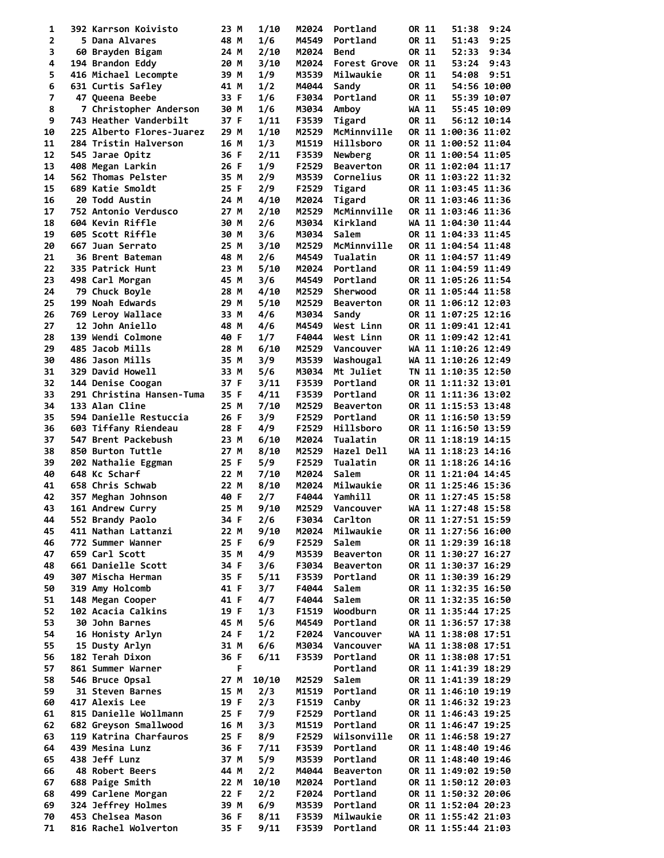| 1              | 392 Karrson Koivisto      | 23 M | 1/10  | M2024 | Portland         | OR 11 | 51:38               | 9:24        |
|----------------|---------------------------|------|-------|-------|------------------|-------|---------------------|-------------|
| $\mathbf{2}$   | 5 Dana Alvares            | 48 M | 1/6   | M4549 | Portland         | OR 11 | 51:43               | 9:25        |
| 3              | 60 Brayden Bigam          | 24 M | 2/10  | M2024 | Bend             | OR 11 | 52:33               | 9:34        |
| 4              | 194 Brandon Eddy          | 20 M | 3/10  | M2024 | Forest Grove     | OR 11 | 53:24               | 9:43        |
| 5              | 416 Michael Lecompte      | 39 M | 1/9   | M3539 | Milwaukie        | OR 11 | 54:08               | 9:51        |
| 6              | 631 Curtis Safley         | 41 M | 1/2   | M4044 | Sandy            | OR 11 |                     | 54:56 10:00 |
| $\overline{7}$ | 47 Queena Beebe           | 33 F | 1/6   | F3034 | Portland         | OR 11 |                     | 55:39 10:07 |
| 8              | 7 Christopher Anderson    | 30 M | 1/6   | M3034 | Amboy            | WA 11 |                     | 55:45 10:09 |
| 9              | 743 Heather Vanderbilt    | 37 F | 1/11  | F3539 | Tigard           | OR 11 |                     | 56:12 10:14 |
| 10             | 225 Alberto Flores-Juarez | 29 M | 1/10  | M2529 | McMinnville      |       | OR 11 1:00:36 11:02 |             |
| 11             | 284 Tristin Halverson     | 16 M | 1/3   | M1519 | Hillsboro        |       | OR 11 1:00:52 11:04 |             |
| 12             | 545 Jarae Opitz           | 36 F | 2/11  | F3539 | Newberg          |       | OR 11 1:00:54 11:05 |             |
| 13             | 408 Megan Larkin          | 26 F | 1/9   | F2529 | <b>Beaverton</b> |       | OR 11 1:02:04 11:17 |             |
| 14             | 562 Thomas Pelster        | 35 M | 2/9   | M3539 | Cornelius        |       | OR 11 1:03:22 11:32 |             |
| 15             | 689 Katie Smoldt          | 25 F | 2/9   | F2529 | Tigard           |       | OR 11 1:03:45 11:36 |             |
| 16             | <b>20 Todd Austin</b>     | 24 M | 4/10  | M2024 | Tigard           |       | OR 11 1:03:46 11:36 |             |
| 17             | 752 Antonio Verdusco      | 27 M | 2/10  | M2529 | McMinnville      |       | OR 11 1:03:46 11:36 |             |
| 18             | 604 Kevin Riffle          | 30 M | 2/6   | M3034 | Kirkland         |       | WA 11 1:04:30 11:44 |             |
| 19             | 605 Scott Riffle          | 30 M | 3/6   | M3034 | Salem            |       | OR 11 1:04:33 11:45 |             |
| 20             | 667 Juan Serrato          | 25 M | 3/10  | M2529 | McMinnville      |       | OR 11 1:04:54 11:48 |             |
| 21             | 36 Brent Bateman          | 48 M | 2/6   | M4549 | Tualatin         |       | OR 11 1:04:57 11:49 |             |
| 22             | 335 Patrick Hunt          | 23 M | 5/10  | M2024 | Portland         |       | OR 11 1:04:59 11:49 |             |
| 23             |                           |      |       |       | Portland         |       | OR 11 1:05:26 11:54 |             |
|                | 498 Carl Morgan           | 45 M | 3/6   | M4549 |                  |       |                     |             |
| 24             | 79 Chuck Boyle            | 28 M | 4/10  | M2529 | Sherwood         |       | OR 11 1:05:44 11:58 |             |
| 25             | 199 Noah Edwards          | 29 M | 5/10  | M2529 | <b>Beaverton</b> |       | OR 11 1:06:12 12:03 |             |
| 26             | 769 Leroy Wallace         | 33 M | 4/6   | M3034 | Sandy            |       | OR 11 1:07:25 12:16 |             |
| 27             | <b>12 John Aniello</b>    | 48 M | 4/6   | M4549 | West Linn        |       | OR 11 1:09:41 12:41 |             |
| 28             | 139 Wendi Colmone         | 40 F | 1/7   | F4044 | West Linn        |       | OR 11 1:09:42 12:41 |             |
| 29             | 485 Jacob Mills           | 28 M | 6/10  | M2529 | Vancouver        |       | WA 11 1:10:26 12:49 |             |
| 30             | 486 Jason Mills           | 35 M | 3/9   | M3539 | Washougal        |       | WA 11 1:10:26 12:49 |             |
| 31             | 329 David Howell          | 33 M | 5/6   | M3034 | Mt Juliet        |       | TN 11 1:10:35 12:50 |             |
| 32             | 144 Denise Coogan         | 37 F | 3/11  | F3539 | Portland         |       | OR 11 1:11:32 13:01 |             |
| 33             | 291 Christina Hansen-Tuma | 35 F | 4/11  | F3539 | Portland         |       | OR 11 1:11:36 13:02 |             |
| 34             | 133 Alan Cline            | 25 M | 7/10  | M2529 | <b>Beaverton</b> |       | OR 11 1:15:53 13:48 |             |
| 35             | 594 Danielle Restuccia    | 26 F | 3/9   | F2529 | Portland         |       | OR 11 1:16:50 13:59 |             |
| 36             | 603 Tiffany Riendeau      | 28 F | 4/9   | F2529 | Hillsboro        |       | OR 11 1:16:50 13:59 |             |
| 37             | 547 Brent Packebush       | 23 M | 6/10  | M2024 | Tualatin         |       | OR 11 1:18:19 14:15 |             |
| 38             | 850 Burton Tuttle         | 27 M | 8/10  | M2529 | Hazel Dell       |       | WA 11 1:18:23 14:16 |             |
| 39             | 202 Nathalie Eggman       | 25 F | 5/9   | F2529 | Tualatin         |       | OR 11 1:18:26 14:16 |             |
| 40             | 648 Kc Scharf             | 22 M | 7/10  | M2024 | Salem            |       | OR 11 1:21:04 14:45 |             |
| 41             | 658 Chris Schwab          | 22 M | 8/10  | M2024 | Milwaukie        |       | OR 11 1:25:46 15:36 |             |
| 42             | 357 Meghan Johnson        | 40 F | 2/7   | F4044 | Yamhill          |       | OR 11 1:27:45 15:58 |             |
| 43             | 161 Andrew Curry          | 25 M | 9/10  |       | M2529 Vancouver  |       | WA 11 1:27:48 15:58 |             |
| 44             | 552 Brandy Paolo          | 34 F | 2/6   | F3034 | Carlton          |       | OR 11 1:27:51 15:59 |             |
| 45             | 411 Nathan Lattanzi       | 22 M | 9/10  | M2024 | Milwaukie        |       | OR 11 1:27:56 16:00 |             |
| 46             | 772 Summer Wanner         | 25 F | 6/9   | F2529 | Salem            |       | OR 11 1:29:39 16:18 |             |
| 47             | 659 Carl Scott            | 35 M | 4/9   | M3539 | <b>Beaverton</b> |       | OR 11 1:30:27 16:27 |             |
| 48             | 661 Danielle Scott        | 34 F | 3/6   | F3034 | <b>Beaverton</b> |       | OR 11 1:30:37 16:29 |             |
| 49             | 307 Mischa Herman         | 35 F | 5/11  | F3539 | Portland         |       | OR 11 1:30:39 16:29 |             |
| 50             | 319 Amy Holcomb           | 41 F | 3/7   | F4044 | Salem            |       | OR 11 1:32:35 16:50 |             |
| 51             | 148 Megan Cooper          | 41 F | 4/7   | F4044 | Salem            |       | OR 11 1:32:35 16:50 |             |
| 52             | 102 Acacia Calkins        | 19 F | 1/3   | F1519 | Woodburn         |       | OR 11 1:35:44 17:25 |             |
| 53             | 30 John Barnes            | 45 M | 5/6   | M4549 | Portland         |       | OR 11 1:36:57 17:38 |             |
| 54             | 16 Honisty Arlyn          | 24 F | 1/2   | F2024 | Vancouver        |       | WA 11 1:38:08 17:51 |             |
| 55             | 15 Dusty Arlyn            | 31 M | 6/6   | M3034 | Vancouver        |       | WA 11 1:38:08 17:51 |             |
| 56             | 182 Terah Dixon           | 36 F | 6/11  | F3539 | Portland         |       | OR 11 1:38:08 17:51 |             |
| 57             | 861 Summer Warner         | F    |       |       | Portland         |       | OR 11 1:41:39 18:29 |             |
| 58             | 546 Bruce Opsal           | 27 M | 10/10 | M2529 | Salem            |       | OR 11 1:41:39 18:29 |             |
| 59             | 31 Steven Barnes          | 15 M | 2/3   | M1519 | Portland         |       | OR 11 1:46:10 19:19 |             |
| 60             | 417 Alexis Lee            | 19 F | 2/3   |       | Canby            |       | OR 11 1:46:32 19:23 |             |
|                |                           |      |       | F1519 |                  |       |                     |             |
| 61             | 815 Danielle Wollmann     | 25 F | 7/9   | F2529 | Portland         |       | OR 11 1:46:43 19:25 |             |
| 62             | 682 Greyson Smallwood     | 16 M | 3/3   | M1519 | Portland         |       | OR 11 1:46:47 19:25 |             |
| 63             | 119 Katrina Charfauros    | 25 F | 8/9   | F2529 | Wilsonville      |       | OR 11 1:46:58 19:27 |             |
| 64             | 439 Mesina Lunz           | 36 F | 7/11  | F3539 | Portland         |       | OR 11 1:48:40 19:46 |             |
| 65             | 438 Jeff Lunz             | 37 M | 5/9   | M3539 | Portland         |       | OR 11 1:48:40 19:46 |             |
| 66             | 48 Robert Beers           | 44 M | 2/2   | M4044 | <b>Beaverton</b> |       | OR 11 1:49:02 19:50 |             |
| 67             | 688 Paige Smith           | 22 M | 10/10 | M2024 | Portland         |       | OR 11 1:50:12 20:03 |             |
| 68             | 499 Carlene Morgan        | 22 F | 2/2   | F2024 | Portland         |       | OR 11 1:50:32 20:06 |             |
| 69             | 324 Jeffrey Holmes        | 39 M | 6/9   | M3539 | Portland         |       | OR 11 1:52:04 20:23 |             |
| 70             | 453 Chelsea Mason         | 36 F | 8/11  | F3539 | Milwaukie        |       | OR 11 1:55:42 21:03 |             |
| 71             | 816 Rachel Wolverton      | 35 F | 9/11  | F3539 | Portland         |       | OR 11 1:55:44 21:03 |             |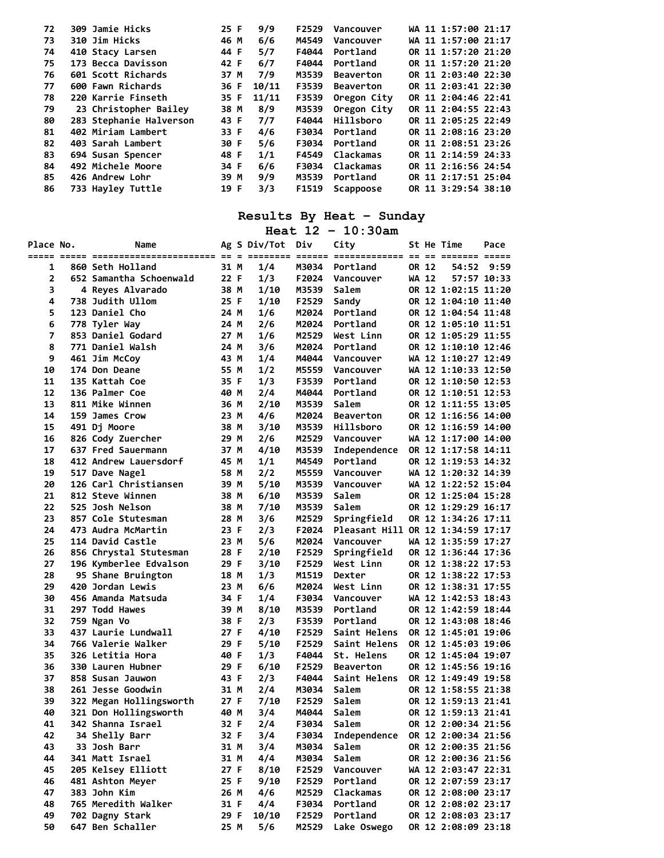| 72 | 309 Jamie Hicks         | 25 F | 9/9<br>F2529   | Vancouver        | WA 11 1:57:00 21:17 |
|----|-------------------------|------|----------------|------------------|---------------------|
| 73 | 310 Jim Hicks           | 46 M | 6/6<br>M4549   | Vancouver        | WA 11 1:57:00 21:17 |
| 74 | 410 Stacy Larsen        | 44 F | 5/7<br>F4044   | Portland         | OR 11 1:57:20 21:20 |
| 75 | 173 Becca Davisson      | 42 F | 6/7<br>F4044   | Portland         | OR 11 1:57:20 21:20 |
| 76 | 601 Scott Richards      | 37 M | 7/9<br>M3539   | <b>Beaverton</b> | OR 11 2:03:40 22:30 |
| 77 | 600 Fawn Richards       | 36 F | 10/11<br>F3539 | <b>Beaverton</b> | OR 11 2:03:41 22:30 |
| 78 | 220 Karrie Finseth      | 35 F | 11/11<br>F3539 | Oregon City      | OR 11 2:04:46 22:41 |
| 79 | 23 Christopher Bailey   | 38 M | 8/9<br>M3539   | Oregon City      | OR 11 2:04:55 22:43 |
| 80 | 283 Stephanie Halverson | 43 F | 7/7<br>F4044   | Hillsboro        | OR 11 2:05:25 22:49 |
| 81 | 402 Miriam Lambert      | 33 F | 4/6<br>F3034   | Portland         | OR 11 2:08:16 23:20 |
| 82 | 403 Sarah Lambert       | 30 F | 5/6<br>F3034   | Portland         | OR 11 2:08:51 23:26 |
| 83 | 694 Susan Spencer       | 48 F | 1/1<br>F4549   | Clackamas        | OR 11 2:14:59 24:33 |
| 84 | 492 Michele Moore       | 34 F | 6/6<br>F3034   | Clackamas        | OR 11 2:16:56 24:54 |
| 85 | 426 Andrew Lohr         | 39 M | 9/9<br>M3539   | Portland         | OR 11 2:17:51 25:04 |
| 86 | 733 Hayley Tuttle       | 19 F | 3/3<br>F1519   | Scappoose        | OR 11 3:29:54 38:10 |
|    |                         |      |                |                  |                     |

|                | results by neat -<br>Sunuay |      |  |                  |       |                                   |  |              |                     |             |  |  |
|----------------|-----------------------------|------|--|------------------|-------|-----------------------------------|--|--------------|---------------------|-------------|--|--|
|                |                             |      |  |                  |       | Heat $12 - 10:30$ am              |  |              |                     |             |  |  |
| Place No.      | Name                        |      |  | Ag S Div/Tot Div |       | City                              |  |              | St He Time          | Pace        |  |  |
|                |                             |      |  |                  |       |                                   |  |              |                     |             |  |  |
| 1              | 860 Seth Holland            | 31 M |  | 1/4              | M3034 | Portland                          |  | OR 12        |                     | 54:52 9:59  |  |  |
| $\overline{2}$ | 652 Samantha Schoenwald     | 22 F |  | 1/3              | F2024 | Vancouver                         |  | <b>WA 12</b> |                     | 57:57 10:33 |  |  |
| 3              | 4 Reyes Alvarado            | 38 M |  | 1/10             | M3539 | Salem                             |  |              | OR 12 1:02:15 11:20 |             |  |  |
| 4              | 738 Judith Ullom            | 25 F |  | 1/10             | F2529 | Sandy                             |  |              | OR 12 1:04:10 11:40 |             |  |  |
| 5              | 123 Daniel Cho              | 24 M |  | 1/6              | M2024 | Portland                          |  |              | OR 12 1:04:54 11:48 |             |  |  |
| 6              | 778 Tyler Way               | 24 M |  | 2/6              | M2024 | Portland                          |  |              | OR 12 1:05:10 11:51 |             |  |  |
| $\overline{7}$ | 853 Daniel Godard           | 27 M |  | 1/6              | M2529 | West Linn                         |  |              | OR 12 1:05:29 11:55 |             |  |  |
| 8              | 771 Daniel Walsh            | 24 M |  | 3/6              | M2024 | Portland                          |  |              | OR 12 1:10:10 12:46 |             |  |  |
| 9              | 461 Jim McCoy               | 43 M |  | 1/4              | M4044 | Vancouver                         |  |              | WA 12 1:10:27 12:49 |             |  |  |
| 10             | 174 Don Deane               | 55 M |  | 1/2              | M5559 | Vancouver                         |  |              | WA 12 1:10:33 12:50 |             |  |  |
| 11             | 135 Kattah Coe              | 35 F |  | 1/3              | F3539 | Portland                          |  |              | OR 12 1:10:50 12:53 |             |  |  |
| 12             | 136 Palmer Coe              | 40 M |  | 2/4              | M4044 | Portland                          |  |              | OR 12 1:10:51 12:53 |             |  |  |
| 13             | 811 Mike Winnen             | 36 M |  | 2/10             | M3539 | Salem                             |  |              | OR 12 1:11:55 13:05 |             |  |  |
| 14             | 159 James Crow              | 23 M |  | 4/6              | M2024 | <b>Beaverton</b>                  |  |              | OR 12 1:16:56 14:00 |             |  |  |
| 15             | 491 Dj Moore                | 38 M |  | 3/10             | M3539 | Hillsboro                         |  |              | OR 12 1:16:59 14:00 |             |  |  |
| 16             | 826 Cody Zuercher           | 29 M |  | 2/6              | M2529 | Vancouver                         |  |              | WA 12 1:17:00 14:00 |             |  |  |
| 17             | 637 Fred Sauermann          | 37 M |  | 4/10             | M3539 | Independence                      |  |              | OR 12 1:17:58 14:11 |             |  |  |
| 18             | 412 Andrew Lauersdorf       | 45 M |  | 1/1              | M4549 | Portland                          |  |              | OR 12 1:19:53 14:32 |             |  |  |
| 19             | 517 Dave Nagel              | 58 M |  | 2/2              | M5559 | Vancouver                         |  |              | WA 12 1:20:32 14:39 |             |  |  |
| 20             | 126 Carl Christiansen       | 39 M |  | 5/10             | M3539 | Vancouver                         |  |              | WA 12 1:22:52 15:04 |             |  |  |
| 21             | 812 Steve Winnen            | 38 M |  | 6/10             | M3539 | Salem                             |  |              | OR 12 1:25:04 15:28 |             |  |  |
| 22             | 525 Josh Nelson             | 38 M |  | 7/10             | M3539 | Salem                             |  |              | OR 12 1:29:29 16:17 |             |  |  |
| 23             | 857 Cole Stutesman          | 28 M |  | 3/6              | M2529 | Springfield                       |  |              | OR 12 1:34:26 17:11 |             |  |  |
| 24             | 473 Audra McMartin          | 23 F |  | 2/3              | F2024 | Pleasant Hill OR 12 1:34:59 17:17 |  |              |                     |             |  |  |
| 25             | 114 David Castle            | 23 M |  | 5/6              | M2024 | Vancouver                         |  |              | WA 12 1:35:59 17:27 |             |  |  |
| 26             | 856 Chrystal Stutesman      | 28 F |  | 2/10             | F2529 | Springfield                       |  |              | OR 12 1:36:44 17:36 |             |  |  |
| 27             | 196 Kymberlee Edvalson      | 29 F |  | 3/10             | F2529 | West Linn                         |  |              | OR 12 1:38:22 17:53 |             |  |  |
| 28             | 95 Shane Bruington          | 18 M |  | 1/3              | M1519 | Dexter                            |  |              | OR 12 1:38:22 17:53 |             |  |  |
| 29             | 420 Jordan Lewis            | 23 M |  | 6/6              | M2024 | West Linn                         |  |              | OR 12 1:38:31 17:55 |             |  |  |
| 30             | 456 Amanda Matsuda          | 34 F |  | 1/4              | F3034 | Vancouver                         |  |              | WA 12 1:42:53 18:43 |             |  |  |
| 31             | 297 Todd Hawes              | 39 M |  | 8/10             | M3539 | Portland                          |  |              | OR 12 1:42:59 18:44 |             |  |  |
| 32             | 759 Ngan Vo                 | 38 F |  | 2/3              | F3539 | Portland                          |  |              | OR 12 1:43:08 18:46 |             |  |  |
| 33             | 437 Laurie Lundwall         | 27 F |  | 4/10             | F2529 | Saint Helens                      |  |              | OR 12 1:45:01 19:06 |             |  |  |
| 34             | 766 Valerie Walker          | 29 F |  | 5/10             | F2529 | Saint Helens                      |  |              | OR 12 1:45:03 19:06 |             |  |  |
| 35             | 326 Letitia Hora            | 40 F |  | 1/3              | F4044 | St. Helens                        |  |              | OR 12 1:45:04 19:07 |             |  |  |
| 36             | 330 Lauren Hubner           | 29 F |  | 6/10             | F2529 | <b>Beaverton</b>                  |  |              | OR 12 1:45:56 19:16 |             |  |  |
| 37             | 858 Susan Jauwon            | 43 F |  | 2/3              | F4044 | Saint Helens                      |  |              | OR 12 1:49:49 19:58 |             |  |  |
| 38             | 261 Jesse Goodwin           | 31 M |  | 2/4              | M3034 | Salem                             |  |              | OR 12 1:58:55 21:38 |             |  |  |
| 39             | 322 Megan Hollingsworth     | 27 F |  | 7/10             | F2529 | Salem                             |  |              | OR 12 1:59:13 21:41 |             |  |  |
| 40             | 321 Don Hollingsworth       | 40 M |  | 3/4              | M4044 | Salem                             |  |              | OR 12 1:59:13 21:41 |             |  |  |
| 41             | 342 Shanna Israel           | 32 F |  | 2/4              | F3034 | Salem                             |  |              | OR 12 2:00:34 21:56 |             |  |  |
| 42             | 34 Shelly Barr              | 32 F |  | 3/4              | F3034 | Independence                      |  |              | OR 12 2:00:34 21:56 |             |  |  |
| 43             | 33 Josh Barr                | 31 M |  | 3/4              | M3034 | Salem                             |  |              | OR 12 2:00:35 21:56 |             |  |  |
| 44             | 341 Matt Israel             | 31 M |  | 4/4              | M3034 | Salem                             |  |              | OR 12 2:00:36 21:56 |             |  |  |
| 45             | 205 Kelsey Elliott          | 27 F |  | 8/10             | F2529 | Vancouver                         |  |              | WA 12 2:03:47 22:31 |             |  |  |
| 46             | 481 Ashton Meyer            | 25 F |  | 9/10             | F2529 | Portland                          |  |              | OR 12 2:07:59 23:17 |             |  |  |
| 47             | 383 John Kim                | 26 M |  | 4/6              | M2529 | Clackamas                         |  |              | OR 12 2:08:00 23:17 |             |  |  |

 **47 383 John Kim 26 M 4/6 M2529 Clackamas OR 12 2:08:00 23:17 48 765 Meredith Walker 31 F 4/4 F3034 Portland OR 12 2:08:02 23:17** 

 **50 647 Ben Schaller 25 M 5/6 M2529 Lake Oswego OR 12 2:08:09 23:18** 

 **49 702 Dagny Stark 29 F 10/10 F2529 Portland 147 Ben Schaller** 25 M 5/6 M2529 Lake Oswe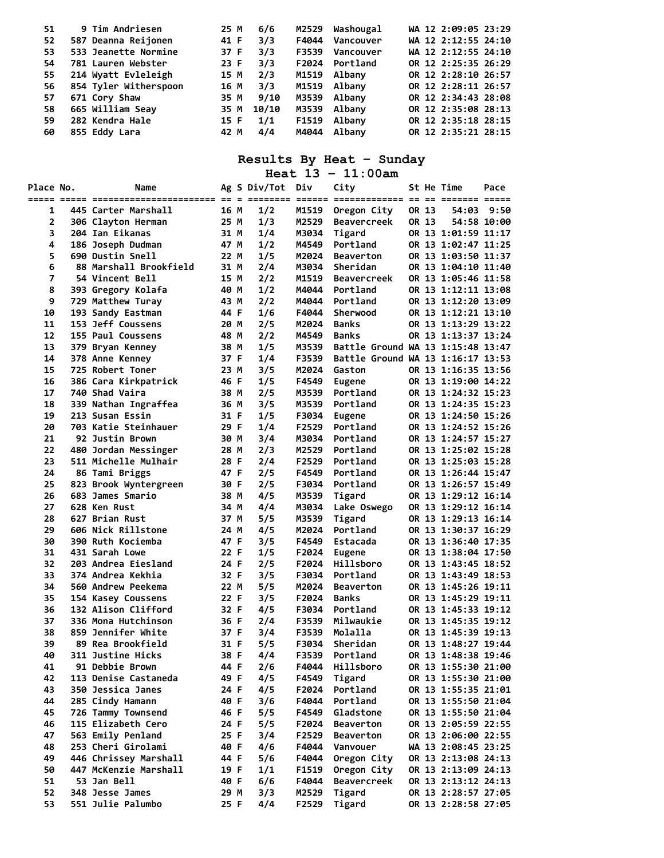| 51 | 9 Tim Andriesen       | 6/6<br>25 M   | M2529           | WA 12 2:09:05 23:29<br>Washougal |
|----|-----------------------|---------------|-----------------|----------------------------------|
| 52 | 587 Deanna Reijonen   | 3/3<br>41 F   | F4044 Vancouver | WA 12 2:12:55 24:10              |
| 53 | 533 Jeanette Normine  | 3/3<br>37 F   | F3539 Vancouver | WA 12 2:12:55 24:10              |
| 54 | 781 Lauren Webster    | 3/3<br>23 F   | F2024 Portland  | OR 12 2:25:35 26:29              |
| 55 | 214 Wyatt Evleleigh   | 2/3<br>15 M   | M1519 Albany    | OR 12 2:28:10 26:57              |
| 56 | 854 Tyler Witherspoon | 3/3<br>16 M   | M1519 Albany    | OR 12 2:28:11 26:57              |
| 57 | 671 Cory Shaw         | 9/10<br>35 M  | M3539 Albany    | OR 12 2:34:43 28:08              |
| 58 | 665 William Seav      | 10/10<br>35 M | M3539 Albany    | OR 12 2:35:08 28:13              |
| 59 | 282 Kendra Hale       | 1/1<br>15 F   | F1519 Albany    | OR 12 2:35:18 28:15              |
| 60 | 855 Eddy Lara         | 4/4<br>42 M   | M4044 Albany    | OR 12 2:35:21 28:15              |

**Heat 13 – 11:00am** 

| Place No. | Name                     |      | Ag S Div/Tot Div |       | City                              |       | St He Time          | Pace        |
|-----------|--------------------------|------|------------------|-------|-----------------------------------|-------|---------------------|-------------|
|           |                          |      |                  |       |                                   |       |                     |             |
| 1         | 445 Carter Marshall      | 16 M | 1/2              | M1519 | Oregon City                       | OR 13 | 54:03               | 9:50        |
| 2         | 306 Clayton Herman       | 25 M | 1/3              | M2529 | <b>Beavercreek</b>                | OR 13 |                     | 54:58 10:00 |
| 3         | 204 Ian Eikanas          | 31 M | 1/4              | M3034 | Tigard                            |       | OR 13 1:01:59 11:17 |             |
| 4         | 186 Joseph Dudman        | 47 M | 1/2              | M4549 | Portland                          |       | OR 13 1:02:47 11:25 |             |
| 5         | 690 Dustin Snell         | 22 M | 1/5              | M2024 | <b>Beaverton</b>                  |       | OR 13 1:03:50 11:37 |             |
| 6         | 88 Marshall Brookfield   | 31 M | 2/4              | M3034 | Sheridan                          |       | OR 13 1:04:10 11:40 |             |
| 7         | 54 Vincent Bell          | 15 M | 2/2              | M1519 | <b>Beavercreek</b>                |       | OR 13 1:05:46 11:58 |             |
| 8         | 393 Gregory Kolafa       | 40 M | 1/2              | M4044 | Portland                          |       | OR 13 1:12:11 13:08 |             |
| 9         | 729 Matthew Turay        | 43 M | 2/2              | M4044 | Portland                          |       | OR 13 1:12:20 13:09 |             |
| 10        | 193 Sandy Eastman        | 44 F | 1/6              | F4044 | Sherwood                          |       | OR 13 1:12:21 13:10 |             |
| 11        | 153 Jeff Coussens        | 20 M | 2/5              | M2024 | <b>Banks</b>                      |       | OR 13 1:13:29 13:22 |             |
| 12        | 155 Paul Coussens        | 48 M | 2/2              | M4549 | <b>Banks</b>                      |       | OR 13 1:13:37 13:24 |             |
| 13        | 379 Bryan Kenney         | 38 M | 1/5              | M3539 | Battle Ground WA 13 1:15:48 13:47 |       |                     |             |
| 14        | 378 Anne Kenney          | 37 F | 1/4              | F3539 | Battle Ground WA 13 1:16:17 13:53 |       |                     |             |
| 15        | 725 Robert Toner         | 23 M | 3/5              | M2024 | Gaston                            |       | OR 13 1:16:35 13:56 |             |
| 16        | 386 Cara Kirkpatrick     | 46 F | 1/5              | F4549 | Eugene                            |       | OR 13 1:19:00 14:22 |             |
| 17        | 740 Shad Vaira           | 38 M | 2/5              | M3539 | Portland                          |       | OR 13 1:24:32 15:23 |             |
| 18        | 339 Nathan Ingraffea     | 36 M | 3/5              | M3539 | Portland                          |       | OR 13 1:24:35 15:23 |             |
| 19        | 213 Susan Essin          | 31 F | 1/5              | F3034 | <b>Eugene</b>                     |       | OR 13 1:24:50 15:26 |             |
| 20        | 703 Katie Steinhauer     | 29 F | 1/4              | F2529 | Portland                          |       | OR 13 1:24:52 15:26 |             |
| 21        | 92 Justin Brown          | 30 M | 3/4              | M3034 | Portland                          |       | OR 13 1:24:57 15:27 |             |
| 22        | 480 Jordan Messinger     | 28 M | 2/3              | M2529 | Portland                          |       | OR 13 1:25:02 15:28 |             |
| 23        | 511 Michelle Mulhair     | 28 F | 2/4              | F2529 | Portland                          |       | OR 13 1:25:03 15:28 |             |
| 24        | 86 Tami Briggs           | 47 F | 2/5              | F4549 | Portland                          |       | OR 13 1:26:44 15:47 |             |
| 25        | 823 Brook Wyntergreen    | 30 F | 2/5              | F3034 | Portland                          |       | OR 13 1:26:57 15:49 |             |
| 26        | 683 James Smario         | 38 M | 4/5              | M3539 | Tigard                            |       | OR 13 1:29:12 16:14 |             |
| 27        | 628 Ken Rust             | 34 M | 4/4              | M3034 | Lake Oswego                       |       | OR 13 1:29:12 16:14 |             |
| 28        | 627 Brian Rust           | 37 M | 5/5              | M3539 | Tigard                            |       | OR 13 1:29:13 16:14 |             |
| 29        | 606 Nick Rillstone       | 24 M | 4/5              | M2024 | Portland                          |       | OR 13 1:30:37 16:29 |             |
| 30        | 390 Ruth Kociemba        | 47 F | 3/5              | F4549 | Estacada                          |       | OR 13 1:36:40 17:35 |             |
| 31        | 431 Sarah Lowe           | 22 F | 1/5              | F2024 | Eugene                            |       | OR 13 1:38:04 17:50 |             |
| 32        | 203 Andrea Eiesland      | 24 F | 2/5              | F2024 | Hillsboro                         |       | OR 13 1:43:45 18:52 |             |
| 33        | 374 Andrea Kekhia        | 32 F | 3/5              | F3034 | Portland                          |       | OR 13 1:43:49 18:53 |             |
| 34        | 560 Andrew Peekema       | 22 M | 5/5              | M2024 | <b>Beaverton</b>                  |       | OR 13 1:45:26 19:11 |             |
| 35        | 154 Kasey Coussens       | 22 F | 3/5              | F2024 | <b>Banks</b>                      |       | OR 13 1:45:29 19:11 |             |
| 36        | 132 Alison Clifford      | 32 F | 4/5              | F3034 | Portland                          |       | OR 13 1:45:33 19:12 |             |
| 37        | 336 Mona Hutchinson      | 36 F | 2/4              | F3539 | Milwaukie                         |       | OR 13 1:45:35 19:12 |             |
| 38        | 859 Jennifer White       | 37 F | 3/4              | F3539 | Molalla                           |       | OR 13 1:45:39 19:13 |             |
| 39        | 89 Rea Brookfield        | 31 F | 5/5              | F3034 | Sheridan                          |       | OR 13 1:48:27 19:44 |             |
| 40        | <b>311 Justine Hicks</b> | 38 F | 4/4              | F3539 | Portland                          |       | OR 13 1:48:38 19:46 |             |
| 41        | 91 Debbie Brown          | 44 F | 2/6              |       | F4044 Hillsboro                   |       | OR 13 1:55:30 21:00 |             |
| 42        | 113 Denise Castaneda     | 49 F | 4/5              | F4549 | Tigard                            |       | OR 13 1:55:30 21:00 |             |
| 43        | 350 Jessica Janes        | 24 F | 4/5              | F2024 | Portland                          |       | OR 13 1:55:35 21:01 |             |
| 44        | 285 Cindy Hamann         | 40 F | 3/6              | F4044 | Portland                          |       | OR 13 1:55:50 21:04 |             |
| 45        | 726 Tammy Townsend       | 46 F | 5/5              | F4549 | Gladstone                         |       | OR 13 1:55:50 21:04 |             |
| 46        | 115 Elizabeth Cero       | 24 F | 5/5              | F2024 | <b>Beaverton</b>                  |       | OR 13 2:05:59 22:55 |             |
| 47        | 563 Emily Penland        | 25 F | 3/4              | F2529 | <b>Beaverton</b>                  |       | OR 13 2:06:00 22:55 |             |
| 48        | 253 Cheri Girolami       | 40 F | 4/6              | F4044 | Vanvouer                          |       | WA 13 2:08:45 23:25 |             |
| 49        | 446 Chrissey Marshall    | 44 F | 5/6              | F4044 | Oregon City                       |       | OR 13 2:13:08 24:13 |             |
| 50        | 447 McKenzie Marshall    | 19 F | 1/1              | F1519 | Oregon City                       |       | OR 13 2:13:09 24:13 |             |
| 51        | 53 Jan Bell              | 40 F | 6/6              | F4044 | <b>Beavercreek</b>                |       | OR 13 2:13:12 24:13 |             |
| 52        | 348 Jesse James          | 29 M | 3/3              | M2529 | Tigard                            |       | OR 13 2:28:57 27:05 |             |
| 53        | 551 Julie Palumbo        | 25 F | 4/4              | F2529 | Tigard                            |       | OR 13 2:28:58 27:05 |             |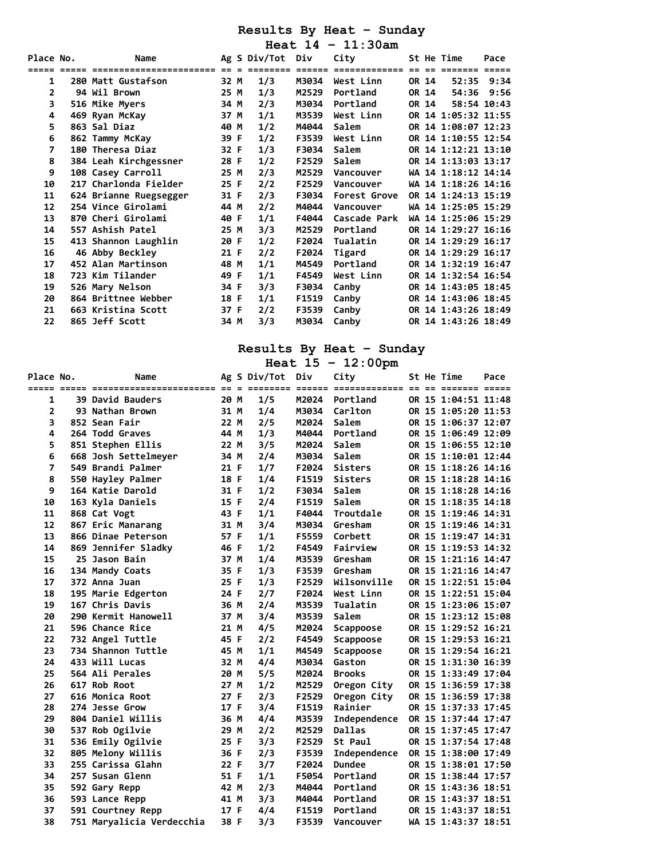**Heat 14 – 11:30am** 

| <b>Place No.</b> | Name                   |        | Ag S Div/Tot    | Div   | City         |       | St He Time          | Pace |
|------------------|------------------------|--------|-----------------|-------|--------------|-------|---------------------|------|
|                  | ====================== | $== =$ | <b>EEEEEEEE</b> |       | ===========  |       |                     |      |
| 1                | 280 Matt Gustafson     | 32 M   | 1/3             | M3034 | West Linn    | OR 14 | 52:35 9:34          |      |
| 2                | 94 Wil Brown           | 25 M   | 1/3             | M2529 | Portland     | OR 14 | 54:36               | 9:56 |
| 3                | 516 Mike Myers         | 34 M   | 2/3             | M3034 | Portland     | OR 14 | 58:54 10:43         |      |
| 4                | 469 Ryan McKay         | 37 M   | 1/1             | M3539 | West Linn    |       | OR 14 1:05:32 11:55 |      |
| 5                | 863 Sal Diaz           | 40 M   | 1/2             | M4044 | Salem        |       | OR 14 1:08:07 12:23 |      |
| 6                | 862 Tammy McKay        | 39 F   | 1/2             | F3539 | West Linn    |       | OR 14 1:10:55 12:54 |      |
| 7                | 180 Theresa Diaz       | 32 F   | 1/3             | F3034 | Salem        |       | OR 14 1:12:21 13:10 |      |
| 8                | 384 Leah Kirchgessner  | 28 F   | 1/2             | F2529 | Salem        |       | OR 14 1:13:03 13:17 |      |
| 9                | 108 Casey Carroll      | 25 M   | 2/3             | M2529 | Vancouver    |       | WA 14 1:18:12 14:14 |      |
| 10               | 217 Charlonda Fielder  | 25 F   | 2/2             | F2529 | Vancouver    |       | WA 14 1:18:26 14:16 |      |
| 11               | 624 Brianne Ruegsegger | 31 F   | 2/3             | F3034 | Forest Grove |       | OR 14 1:24:13 15:19 |      |
| 12               | 254 Vince Girolami     | 44 M   | 2/2             | M4044 | Vancouver    |       | WA 14 1:25:05 15:29 |      |
| 13               | 870 Cheri Girolami     | 40 F   | 1/1             | F4044 | Cascade Park |       | WA 14 1:25:06 15:29 |      |
| 14               | 557 Ashish Patel       | 25 M   | 3/3             | M2529 | Portland     |       | OR 14 1:29:27 16:16 |      |
| 15               | 413 Shannon Laughlin   | 20 F   | 1/2             | F2024 | Tualatin     |       | OR 14 1:29:29 16:17 |      |
| 16               | 46 Abby Beckley        | 21 F   | 2/2             | F2024 | Tigard       |       | OR 14 1:29:29 16:17 |      |
| 17               | 452 Alan Martinson     | 48 M   | 1/1             | M4549 | Portland     |       | OR 14 1:32:19 16:47 |      |
| 18               | 723 Kim Tilander       | 49 F   | 1/1             | F4549 | West Linn    |       | OR 14 1:32:54 16:54 |      |
| 19               | 526 Mary Nelson        | 34 F   | 3/3             | F3034 | Canby        |       | OR 14 1:43:05 18:45 |      |
| 20               | 864 Brittnee Webber    | 18 F   | 1/1             | F1519 | Canby        |       | OR 14 1:43:06 18:45 |      |
| 21               | 663 Kristina Scott     | 37 F   | 2/2             | F3539 | Canby        |       | OR 14 1:43:26 18:49 |      |
| 22               | 865 Jeff Scott         | 34 M   | 3/3             | M3034 | Canby        |       | OR 14 1:43:26 18:49 |      |

### **Results By Heat – Sunday**

**Heat 15 – 12:00pm** 

| Place No.      | Name                      |      | Ag S Div/Tot | Div   | City           |  | St He Time          | Pace |
|----------------|---------------------------|------|--------------|-------|----------------|--|---------------------|------|
| 1              | 39 David Bauders          | 20 M | 1/5          | M2024 | Portland       |  | OR 15 1:04:51 11:48 |      |
| 2              | 93 Nathan Brown           | 31 M | 1/4          | M3034 | Carlton        |  | OR 15 1:05:20 11:53 |      |
| 3              | 852 Sean Fair             | 22 M | 2/5          | M2024 | Salem          |  | OR 15 1:06:37 12:07 |      |
| 4              | 264 Todd Graves           | 44 M | 1/3          | M4044 | Portland       |  | OR 15 1:06:49 12:09 |      |
| 5              | 851 Stephen Ellis         | 22 M | 3/5          | M2024 | Salem          |  | OR 15 1:06:55 12:10 |      |
| 6              | 668 Josh Settelmeyer      | 34 M | 2/4          | M3034 | Salem          |  | OR 15 1:10:01 12:44 |      |
| $\overline{7}$ | 549 Brandi Palmer         | 21 F | 1/7          | F2024 | <b>Sisters</b> |  | OR 15 1:18:26 14:16 |      |
| 8              | 550 Hayley Palmer         | 18 F | 1/4          | F1519 | <b>Sisters</b> |  | OR 15 1:18:28 14:16 |      |
| 9              | 164 Katie Darold          | 31 F | 1/2          | F3034 | Salem          |  | OR 15 1:18:28 14:16 |      |
| 10             | 163 Kyla Daniels          | 15 F | 2/4          | F1519 | Salem          |  | OR 15 1:18:35 14:18 |      |
| 11             | 868 Cat Vogt              | 43 F | 1/1          | F4044 | Troutdale      |  | OR 15 1:19:46 14:31 |      |
| 12             | 867 Eric Manarang         | 31 M | 3/4          | M3034 | Gresham        |  | OR 15 1:19:46 14:31 |      |
| 13             | 866 Dinae Peterson        | 57 F | 1/1          | F5559 | Corbett        |  | OR 15 1:19:47 14:31 |      |
| 14             | 869 Jennifer Sladky       | 46 F | 1/2          | F4549 | Fairview       |  | OR 15 1:19:53 14:32 |      |
| 15             | 25 Jason Bain             | 37 M | 1/4          | M3539 | Gresham        |  | OR 15 1:21:16 14:47 |      |
| 16             | 134 Mandy Coats           | 35 F | 1/3          | F3539 | Gresham        |  | OR 15 1:21:16 14:47 |      |
| 17             | 372 Anna Juan             | 25 F | 1/3          | F2529 | Wilsonville    |  | OR 15 1:22:51 15:04 |      |
| 18             | 195 Marie Edgerton        | 24 F | 2/7          | F2024 | West Linn      |  | OR 15 1:22:51 15:04 |      |
| 19             | 167 Chris Davis           | 36 M | 2/4          | M3539 | Tualatin       |  | OR 15 1:23:06 15:07 |      |
| 20             | 290 Kermit Hanowell       | 37 M | 3/4          | M3539 | Salem          |  | OR 15 1:23:12 15:08 |      |
| 21             | 596 Chance Rice           | 21 M | 4/5          | M2024 | Scappoose      |  | OR 15 1:29:52 16:21 |      |
| 22             | 732 Angel Tuttle          | 45 F | 2/2          | F4549 | Scappoose      |  | OR 15 1:29:53 16:21 |      |
| 23             | 734 Shannon Tuttle        | 45 M | 1/1          | M4549 | Scappoose      |  | OR 15 1:29:54 16:21 |      |
| 24             | 433 Will Lucas            | 32 M | 4/4          | M3034 | Gaston         |  | OR 15 1:31:30 16:39 |      |
| 25             | 564 Ali Perales           | 20 M | 5/5          | M2024 | <b>Brooks</b>  |  | OR 15 1:33:49 17:04 |      |
| 26             | 617 Rob Root              | 27 M | 1/2          | M2529 | Oregon City    |  | OR 15 1:36:59 17:38 |      |
| 27             | 616 Monica Root           | 27 F | 2/3          | F2529 | Oregon City    |  | OR 15 1:36:59 17:38 |      |
| 28             | 274 Jesse Grow            | 17 F | 3/4          | F1519 | Rainier        |  | OR 15 1:37:33 17:45 |      |
| 29             | 804 Daniel Willis         | 36 M | 4/4          | M3539 | Independence   |  | OR 15 1:37:44 17:47 |      |
| 30             | 537 Rob Ogilvie           | 29 M | 2/2          | M2529 | <b>Dallas</b>  |  | OR 15 1:37:45 17:47 |      |
| 31             | 536 Emily Ogilvie         | 25 F | 3/3          | F2529 | St Paul        |  | OR 15 1:37:54 17:48 |      |
| 32             | 805 Melony Willis         | 36 F | 2/3          | F3539 | Independence   |  | OR 15 1:38:00 17:49 |      |
| 33             | 255 Carissa Glahn         | 22 F | 3/7          | F2024 | <b>Dundee</b>  |  | OR 15 1:38:01 17:50 |      |
| 34             | 257 Susan Glenn           | 51 F | 1/1          | F5054 | Portland       |  | OR 15 1:38:44 17:57 |      |
| 35             | 592 Gary Repp             | 42 M | 2/3          | M4044 | Portland       |  | OR 15 1:43:36 18:51 |      |
| 36             | 593 Lance Repp            | 41 M | 3/3          | M4044 | Portland       |  | OR 15 1:43:37 18:51 |      |
| 37             | 591 Courtney Repp         | 17 F | 4/4          | F1519 | Portland       |  | OR 15 1:43:37 18:51 |      |
| 38             | 751 Maryalicia Verdecchia | 38 F | 3/3          | F3539 | Vancouver      |  | WA 15 1:43:37 18:51 |      |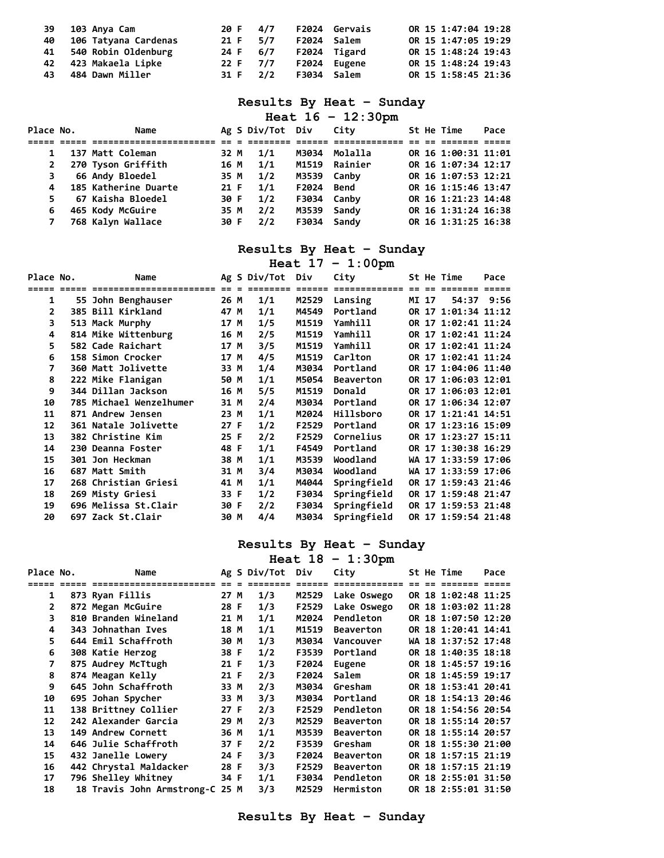| 39 103 Anya Cam         |            | 20 F 4/7 F2024 Gervais |             | OR 15 1:47:04 19:28 |
|-------------------------|------------|------------------------|-------------|---------------------|
| 40 106 Tatyana Cardenas | 21 F 5/7   |                        | F2024 Salem | OR 15 1:47:05 19:29 |
| 41 540 Robin Oldenburg  | 24 F 6/7   | F2024 Tigard           |             | OR 15 1:48:24 19:43 |
| 42 423 Makaela Lipke    | 22 F 7/7   | F2024 Eugene           |             | OR 15 1:48:24 19:43 |
| 43 484 Dawn Miller      | 31 F $2/2$ | F3034 Salem            |             | OR 15 1:58:45 21:36 |

|  |  |  | Heat $16 - 12:30 \text{pm}$ |
|--|--|--|-----------------------------|
|--|--|--|-----------------------------|

| Place No.    |  | Name                   |      | Ag S Div/Tot Div |             | City          |  | St He Time          | Pace |
|--------------|--|------------------------|------|------------------|-------------|---------------|--|---------------------|------|
|              |  |                        |      |                  |             |               |  |                     |      |
|              |  | 137 Matt Coleman       | 32 M | 1/1              | M3034       | Molalla       |  | OR 16 1:00:31 11:01 |      |
| $\mathbf{2}$ |  | 270 Tyson Griffith     | 16 M | 1/1              |             | M1519 Rainier |  | OR 16 1:07:34 12:17 |      |
|              |  | <b>66 Andy Bloedel</b> | 35 M | 1/2              | M3539 Canby |               |  | OR 16 1:07:53 12:21 |      |
| 4            |  | 185 Katherine Duarte   | 21 F | 1/1              | F2024 Bend  |               |  | OR 16 1:15:46 13:47 |      |
|              |  | 67 Kaisha Bloedel      | 30 F | 1/2              | F3034 Canby |               |  | OR 16 1:21:23 14:48 |      |
| 6            |  | 465 Kody McGuire       | 35 M | 2/2              | M3539 Sandy |               |  | OR 16 1:31:24 16:38 |      |
|              |  | 768 Kalyn Wallace      | 30 F | 2/2              | F3034 Sandy |               |  | OR 16 1:31:25 16:38 |      |

# **Results By Heat – Sunday**

|              |                         |      |                  |       | Heat $17 - 1:00$ pm |     |       |                     |      |
|--------------|-------------------------|------|------------------|-------|---------------------|-----|-------|---------------------|------|
| Place No.    | Name                    |      | Ag S Div/Tot Div |       | City                |     |       | St He Time          | Pace |
|              | ================        |      | =======          |       | ===========         | $=$ |       | $====$              |      |
| 1            | 55 John Benghauser      | 26 M | 1/1              | M2529 | Lansing             |     | MI 17 | 54:37 9:56          |      |
| $\mathbf{2}$ | 385 Bill Kirkland       | 47 M | 1/1              | M4549 | Portland            |     |       | OR 17 1:01:34 11:12 |      |
| 3            | 513 Mack Murphy         | 17 M | 1/5              | M1519 | Yamhill             |     |       | OR 17 1:02:41 11:24 |      |
| 4            | 814 Mike Wittenburg     | 16 M | 2/5              | M1519 | Yamhill             |     |       | OR 17 1:02:41 11:24 |      |
| 5            | 582 Cade Raichart       | 17 M | 3/5              | M1519 | Yamhill             |     |       | OR 17 1:02:41 11:24 |      |
| 6            | 158 Simon Crocker       | 17 M | 4/5              | M1519 | Carlton             |     |       | OR 17 1:02:41 11:24 |      |
| 7            | 360 Matt Jolivette      | 33 M | 1/4              | M3034 | Portland            |     |       | OR 17 1:04:06 11:40 |      |
| 8            | 222 Mike Flanigan       | 50 M | 1/1              | M5054 | <b>Beaverton</b>    |     |       | OR 17 1:06:03 12:01 |      |
| 9            | 344 Dillan Jackson      | 16 M | 5/5              | M1519 | Donald              |     |       | OR 17 1:06:03 12:01 |      |
| 10           | 785 Michael Wenzelhumer | 31 M | 2/4              | M3034 | Portland            |     |       | OR 17 1:06:34 12:07 |      |
| 11           | 871 Andrew Jensen       | 23 M | 1/1              | M2024 | Hillsboro           |     |       | OR 17 1:21:41 14:51 |      |
| 12           | 361 Natale Jolivette    | 27 F | 1/2              | F2529 | Portland            |     |       | OR 17 1:23:16 15:09 |      |
| 13           | 382 Christine Kim       | 25 F | 2/2              | F2529 | Cornelius           |     |       | OR 17 1:23:27 15:11 |      |
| 14           | 230 Deanna Foster       | 48 F | 1/1              | F4549 | Portland            |     |       | OR 17 1:30:38 16:29 |      |
| 15           | 301 Jon Heckman         | 38 M | 1/1              | M3539 | Woodland            |     |       | WA 17 1:33:59 17:06 |      |
| 16           | 687 Matt Smith          | 31 M | 3/4              | M3034 | Woodland            |     |       | WA 17 1:33:59 17:06 |      |
| 17           | 268 Christian Griesi    | 41 M | 1/1              | M4044 | Springfield         |     |       | OR 17 1:59:43 21:46 |      |
| 18           | 269 Misty Griesi        | 33 F | 1/2              | F3034 | Springfield         |     |       | OR 17 1:59:48 21:47 |      |
| 19           | 696 Melissa St.Clair    | 30 F | 2/2              | F3034 | Springfield         |     |       | OR 17 1:59:53 21:48 |      |
| 20           | 697 Zack St.Clair       | 30 M | 4/4              | M3034 | Springfield         |     |       | OR 17 1:59:54 21:48 |      |

### **Results By Heat – Sunday**

|           | Heat $18 - 1:30$ pm             |      |  |                  |       |                  |  |  |                     |      |  |
|-----------|---------------------------------|------|--|------------------|-------|------------------|--|--|---------------------|------|--|
| Place No. | Name                            |      |  | Ag S Div/Tot Div |       | City             |  |  | St He Time          | Pace |  |
|           | ======================          |      |  |                  |       | =============    |  |  |                     |      |  |
| 1         | 873 Ryan Fillis                 | 27 M |  | 1/3              | M2529 | Lake Oswego      |  |  | OR 18 1:02:48 11:25 |      |  |
| 2         | 872 Megan McGuire               | 28 F |  | 1/3              | F2529 | Lake Oswego      |  |  | OR 18 1:03:02 11:28 |      |  |
| 3         | 810 Branden Wineland            | 21 M |  | 1/1              | M2024 | Pendleton        |  |  | OR 18 1:07:50 12:20 |      |  |
| 4         | 343 Johnathan Ives              | 18 M |  | 1/1              | M1519 | <b>Beaverton</b> |  |  | OR 18 1:20:41 14:41 |      |  |
| 5         | 644 Emil Schaffroth             | 30 M |  | 1/3              | M3034 | Vancouver        |  |  | WA 18 1:37:52 17:48 |      |  |
| 6         | 308 Katie Herzog                | 38 F |  | 1/2              | F3539 | Portland         |  |  | OR 18 1:40:35 18:18 |      |  |
| 7         | 875 Audrey McTtugh              | 21 F |  | 1/3              | F2024 | Eugene           |  |  | OR 18 1:45:57 19:16 |      |  |
| 8         | 874 Meagan Kelly                | 21 F |  | 2/3              | F2024 | Salem            |  |  | OR 18 1:45:59 19:17 |      |  |
| 9         | 645 John Schaffroth             | 33 M |  | 2/3              | M3034 | Gresham          |  |  | OR 18 1:53:41 20:41 |      |  |
| 10        | 695 Johan Spycher               | 33 M |  | 3/3              | M3034 | Portland         |  |  | OR 18 1:54:13 20:46 |      |  |
| 11        | 138 Brittney Collier            | 27 F |  | 2/3              | F2529 | Pendleton        |  |  | OR 18 1:54:56 20:54 |      |  |
| 12        | 242 Alexander Garcia            | 29 M |  | 2/3              | M2529 | <b>Beaverton</b> |  |  | OR 18 1:55:14 20:57 |      |  |
| 13        | 149 Andrew Cornett              | 36 M |  | 1/1              | M3539 | <b>Beaverton</b> |  |  | OR 18 1:55:14 20:57 |      |  |
| 14        | 646 Julie Schaffroth            | 37 F |  | 2/2              | F3539 | Gresham          |  |  | OR 18 1:55:30 21:00 |      |  |
| 15        | 432 Janelle Lowery              | 24 F |  | 3/3              | F2024 | <b>Beaverton</b> |  |  | OR 18 1:57:15 21:19 |      |  |
| 16        | 442 Chrystal Maldacker          | 28 F |  | 3/3              | F2529 | <b>Beaverton</b> |  |  | OR 18 1:57:15 21:19 |      |  |
| 17        | 796 Shelley Whitney             | 34 F |  | 1/1              | F3034 | Pendleton        |  |  | OR 18 2:55:01 31:50 |      |  |
| 18        | 18 Travis John Armstrong-C 25 M |      |  | 3/3              | M2529 | Hermiston        |  |  | OR 18 2:55:01 31:50 |      |  |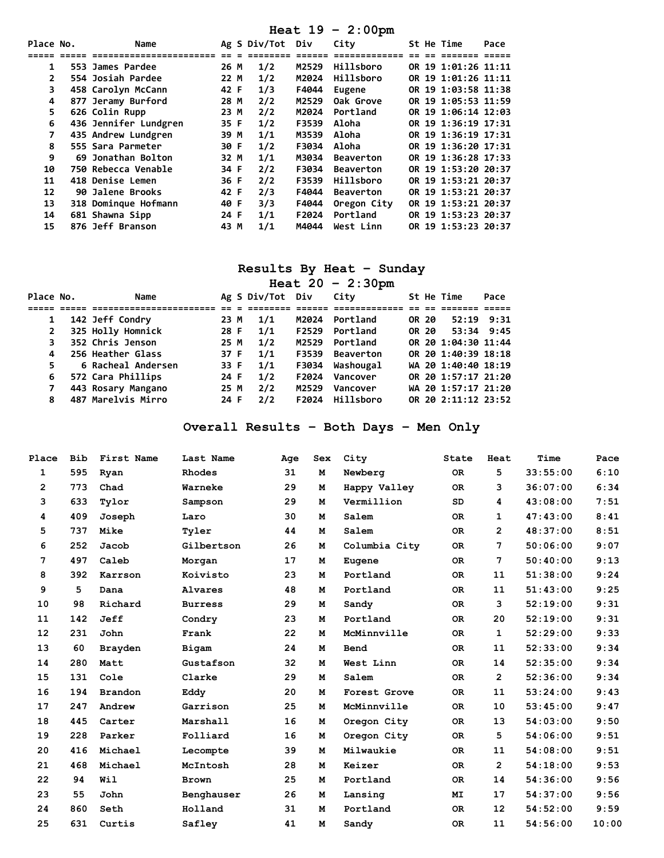|              | Heat $19 - 2:00 \text{pm}$ |      |  |                  |       |                  |  |  |                     |      |
|--------------|----------------------------|------|--|------------------|-------|------------------|--|--|---------------------|------|
| Place No.    | Name                       |      |  | Ag S Div/Tot Div |       | City             |  |  | St He Time          | Pace |
|              | =======================    |      |  | -------          |       | =============    |  |  |                     |      |
| 1            | 553 James Pardee           | 26 M |  | 1/2              | M2529 | Hillsboro        |  |  | OR 19 1:01:26 11:11 |      |
| $\mathbf{2}$ | 554 Josiah Pardee          | 22 M |  | 1/2              | M2024 | Hillsboro        |  |  | OR 19 1:01:26 11:11 |      |
| 3            | 458 Carolyn McCann         | 42 F |  | 1/3              | F4044 | Eugene           |  |  | OR 19 1:03:58 11:38 |      |
| 4            | 877 Jeramy Burford         | 28 M |  | 2/2              | M2529 | Oak Grove        |  |  | OR 19 1:05:53 11:59 |      |
| 5            | 626 Colin Rupp             | 23 M |  | 2/2              | M2024 | Portland         |  |  | OR 19 1:06:14 12:03 |      |
| 6            | 436 Jennifer Lundgren      | 35 F |  | 1/2              | F3539 | Aloha            |  |  | OR 19 1:36:19 17:31 |      |
| 7            | 435 Andrew Lundgren        | 39 M |  | 1/1              | M3539 | Aloha            |  |  | OR 19 1:36:19 17:31 |      |
| 8            | 555 Sara Parmeter          | 30 F |  | 1/2              | F3034 | Aloha            |  |  | OR 19 1:36:20 17:31 |      |
| 9            | 69 Jonathan Bolton         | 32 M |  | 1/1              | M3034 | <b>Beaverton</b> |  |  | OR 19 1:36:28 17:33 |      |
| 10           | 750 Rebecca Venable        | 34 F |  | 2/2              | F3034 | <b>Beaverton</b> |  |  | OR 19 1:53:20 20:37 |      |
| 11           | 418 Denise Lemen           | 36 F |  | 2/2              | F3539 | Hillsboro        |  |  | OR 19 1:53:21 20:37 |      |
| 12           | 90 Jalene Brooks           | 42 F |  | 2/3              | F4044 | <b>Beaverton</b> |  |  | OR 19 1:53:21 20:37 |      |
| 13           | 318 Dominque Hofmann       | 40 F |  | 3/3              | F4044 | Oregon City      |  |  | OR 19 1:53:21 20:37 |      |
| 14           | 681 Shawna Sipp            | 24 F |  | 1/1              | F2024 | Portland         |  |  | OR 19 1:53:23 20:37 |      |
| 15           | 876 Jeff Branson           | 43 M |  | 1/1              | M4044 | West Linn        |  |  | OR 19 1:53:23 20:37 |      |

| Place No.    |  | Name               |      | Ag S Div/Tot Div |       | City      |       | St He Time          | Pace           |
|--------------|--|--------------------|------|------------------|-------|-----------|-------|---------------------|----------------|
|              |  |                    |      |                  |       |           |       |                     |                |
| $\mathbf{1}$ |  | 142 Jeff Condry    | 23 M | 1/1              | M2024 | Portland  | OR 20 |                     | $52:19$ $9:31$ |
| $\mathbf{2}$ |  | 325 Holly Homnick  | 28 F | 1/1              | F2529 | Portland  | OR 20 | $53:34$ 9:45        |                |
| 3            |  | 352 Chris Jenson   | 25 M | 1/2              | M2529 | Portland  |       | OR 20 1:04:30 11:44 |                |
| 4            |  | 256 Heather Glass  | 37 F | 1/1              | F3539 | Beaverton |       | OR 20 1:40:39 18:18 |                |
| 5.           |  | 6 Racheal Andersen | 33 F | 1/1              | F3034 | Washougal |       | WA 20 1:40:40 18:19 |                |
| 6            |  | 572 Cara Phillips  | 24 F | 1/2              | F2024 | Vancover  |       | OR 20 1:57:17 21:20 |                |
| 7            |  | 443 Rosary Mangano | 25 M | 2/2              | M2529 | Vancover  |       | WA 20 1:57:17 21:20 |                |
| 8            |  | 487 Marelvis Mirro | 24 F | 2/2              | F2024 | Hillsboro |       | OR 20 2:11:12 23:52 |                |

**Overall Results – Both Days – Men Only** 

| Place          | <b>Bib</b> | First Name     | Last Name      | Age | Sex | City          | State     | Heat           | Time     | Pace  |
|----------------|------------|----------------|----------------|-----|-----|---------------|-----------|----------------|----------|-------|
| $\mathbf{1}$   | 595        | Ryan           | Rhodes         | 31  | M   | Newberg       | <b>OR</b> | 5              | 33:55:00 | 6:10  |
| $\overline{2}$ | 773        | Chad           | Warneke        | 29  | М   | Happy Valley  | <b>OR</b> | 3              | 36:07:00 | 6:34  |
| 3              | 633        | Tylor          | Sampson        | 29  | M   | Vermillion    | SD        | 4              | 43:08:00 | 7:51  |
| 4              | 409        | Joseph         | Laro           | 30  | M   | Salem         | <b>OR</b> | 1              | 47:43:00 | 8:41  |
| 5              | 737        | Mike           | Tyler          | 44  | M   | Salem         | OR.       | $\overline{2}$ | 48:37:00 | 8:51  |
| 6              | 252        | Jacob          | Gilbertson     | 26  | M   | Columbia City | OR.       | 7              | 50:06:00 | 9:07  |
| 7              | 497        | Caleb          | Morgan         | 17  | М   | Eugene        | OR.       | 7              | 50:40:00 | 9:13  |
| 8              | 392        | Karrson        | Koivisto       | 23  | М   | Portland      | <b>OR</b> | 11             | 51:38:00 | 9:24  |
| 9              | 5          | Dana           | Alvares        | 48  | М   | Portland      | <b>OR</b> | 11             | 51:43:00 | 9:25  |
| 10             | 98         | Richard        | <b>Burress</b> | 29  | М   | Sandy         | <b>OR</b> | 3              | 52:19:00 | 9:31  |
| 11             | 142        | Jeff           | Condry         | 23  | М   | Portland      | <b>OR</b> | 20             | 52:19:00 | 9:31  |
| 12             | 231        | John           | Frank          | 22  | M   | McMinnville   | <b>OR</b> | 1              | 52:29:00 | 9:33  |
| 13             | 60         | Brayden        | Bigam          | 24  | М   | Bend          | <b>OR</b> | 11             | 52:33:00 | 9:34  |
| 14             | 280        | Matt           | Gustafson      | 32  | M   | West Linn     | <b>OR</b> | 14             | 52:35:00 | 9:34  |
| 15             | 131        | Cole           | Clarke         | 29  | М   | Salem         | <b>OR</b> | $\overline{2}$ | 52:36:00 | 9:34  |
| 16             | 194        | <b>Brandon</b> | Eddy           | 20  | М   | Forest Grove  | <b>OR</b> | 11             | 53:24:00 | 9:43  |
| 17             | 247        | Andrew         | Garrison       | 25  | M   | McMinnville   | <b>OR</b> | 10             | 53:45:00 | 9:47  |
| 18             | 445        | Carter         | Marshall       | 16  | М   | Oregon City   | <b>OR</b> | 13             | 54:03:00 | 9:50  |
| 19             | 228        | Parker         | Folliard       | 16  | M   | Oregon City   | OR.       | 5              | 54:06:00 | 9:51  |
| 20             | 416        | Michael        | Lecompte       | 39  | М   | Milwaukie     | OR.       | 11             | 54:08:00 | 9:51  |
| 21             | 468        | Michael        | McIntosh       | 28  | M   | Keizer        | <b>OR</b> | $\overline{2}$ | 54:18:00 | 9:53  |
| 22             | 94         | Wil            | <b>Brown</b>   | 25  | М   | Portland      | <b>OR</b> | 14             | 54:36:00 | 9:56  |
| 23             | 55         | John           | Benghauser     | 26  | М   | Lansing       | MI        | 17             | 54:37:00 | 9:56  |
| 24             | 860        | Seth           | Holland        | 31  | М   | Portland      | <b>OR</b> | 12             | 54:52:00 | 9:59  |
| 25             | 631        | Curtis         | Safley         | 41  | М   | Sandy         | <b>OR</b> | 11             | 54:56:00 | 10:00 |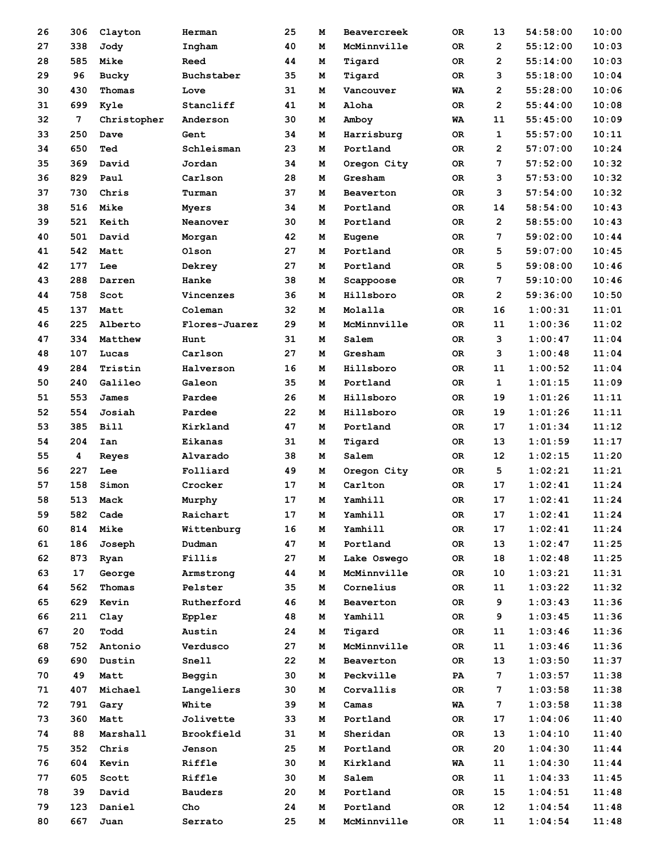| 26 | 306 | Clayton     | Herman         | 25 | Μ | <b>Beavercreek</b> | 0R | 13             | 54:58:00 | 10:00 |
|----|-----|-------------|----------------|----|---|--------------------|----|----------------|----------|-------|
| 27 | 338 | Jody        | Ingham         | 40 | M | McMinnville        | 0R | $\mathbf{2}$   | 55:12:00 | 10:03 |
| 28 | 585 | Mike        | Reed           | 44 | М | Tigard             | 0R | $\overline{2}$ | 55:14:00 | 10:03 |
| 29 | 96  | Bucky       | Buchstaber     | 35 | м | Tigard             | 0R | 3              | 55:18:00 | 10:04 |
| 30 | 430 | Thomas      | Love           | 31 | М | Vancouver          | WA | $\overline{2}$ | 55:28:00 | 10:06 |
| 31 | 699 | Kyle        | Stancliff      | 41 | М | Aloha              | 0R | $\overline{2}$ | 55:44:00 | 10:08 |
| 32 | 7   | Christopher | Anderson       | 30 | Μ | Amboy              | WA | 11             | 55:45:00 | 10:09 |
| 33 | 250 | Dave        | Gent           | 34 | Μ | Harrisburg         | 0R | $\mathbf{1}$   | 55:57:00 | 10:11 |
| 34 | 650 | Ted         | Schleisman     | 23 | М | Portland           | 0R | $\overline{2}$ | 57:07:00 | 10:24 |
| 35 | 369 | David       | Jordan         | 34 | М | Oregon City        | 0R | 7              | 57:52:00 | 10:32 |
| 36 | 829 | Paul        | Carlson        | 28 | М | Gresham            | 0R | 3              | 57:53:00 | 10:32 |
| 37 | 730 | Chris       | Turman         | 37 | М | Beaverton          | 0R | 3              | 57:54:00 | 10:32 |
| 38 | 516 | Mike        | Myers          | 34 | м | Portland           | 0R | 14             | 58:54:00 | 10:43 |
| 39 | 521 | Keith       | Neanover       | 30 | Μ | Portland           | 0R | $\overline{2}$ | 58:55:00 | 10:43 |
| 40 | 501 | David       | Morgan         | 42 | Μ | Eugene             | 0R | 7              | 59:02:00 | 10:44 |
| 41 | 542 | Matt        | Olson          | 27 | Μ | Portland           | 0R | 5              | 59:07:00 | 10:45 |
| 42 | 177 | Lee         | Dekrey         | 27 | M | Portland           | 0R | 5              | 59:08:00 | 10:46 |
| 43 | 288 | Darren      | Hanke          | 38 | М | Scappoose          | 0R | 7              | 59:10:00 | 10:46 |
| 44 | 758 | Scot        | Vincenzes      | 36 | м | Hillsboro          | 0R | $\overline{2}$ | 59:36:00 | 10:50 |
| 45 | 137 | Matt        | Coleman        | 32 | М | Molalla            | 0R | 16             | 1:00:31  | 11:01 |
| 46 | 225 | Alberto     | Flores-Juarez  | 29 | М | McMinnville        | 0R | 11             | 1:00:36  | 11:02 |
| 47 | 334 | Matthew     | Hunt           | 31 | Μ | Salem              | 0R | 3              | 1:00:47  | 11:04 |
| 48 | 107 | Lucas       | Carlson        | 27 | M | Gresham            | 0R | з              | 1:00:48  | 11:04 |
| 49 | 284 | Tristin     | Halverson      | 16 | Μ | Hillsboro          | 0R | 11             | 1:00:52  | 11:04 |
| 50 | 240 | Galileo     | Galeon         | 35 | М | Portland           | 0R | $\mathbf{1}$   | 1:01:15  | 11:09 |
| 51 | 553 |             | Pardee         | 26 | М | Hillsboro          | 0R | 19             | 1:01:26  | 11:11 |
|    |     | James       |                |    |   |                    |    |                | 1:01:26  | 11:11 |
| 52 | 554 | Josiah      | Pardee         | 22 | м | Hillsboro          | 0R | 19             |          |       |
| 53 | 385 | <b>Bill</b> | Kirkland       | 47 | М | Portland           | 0R | 17             | 1:01:34  | 11:12 |
| 54 | 204 | Ian         | Eikanas        | 31 | м | Tigard             | 0R | 13             | 1:01:59  | 11:17 |
| 55 | 4   | Reyes       | Alvarado       | 38 | Μ | Salem              | 0R | 12             | 1:02:15  | 11:20 |
| 56 | 227 | Lee         | Folliard       | 49 | м | Oregon City        | 0R | 5              | 1:02:21  | 11:21 |
| 57 | 158 | Simon       | Crocker        | 17 | м | Carlton            | 0R | 17             | 1:02:41  | 11:24 |
| 58 | 513 | Mack        | Murphy         | 17 | М | Yamhill            | 0R | 17             | 1:02:41  | 11:24 |
| 59 | 582 | Cade        | Raichart       | 17 | M | Yamhill            | 0R | 17             | 1:02:41  | 11:24 |
| 60 | 814 | Mike        | Wittenburg     | 16 | м | Yamhill            | OR | 17             | 1:02:41  | 11:24 |
| 61 | 186 | Joseph      | Dudman         | 47 | м | Portland           | OR | 13             | 1:02:47  | 11:25 |
| 62 | 873 | Ryan        | Fillis         | 27 | м | Lake Oswego        | 0R | 18             | 1:02:48  | 11:25 |
| 63 | 17  | George      | Armstrong      | 44 | м | McMinnville        | OR | 10             | 1:03:21  | 11:31 |
| 64 | 562 | Thomas      | Pelster        | 35 | м | Cornelius          | OR | 11             | 1:03:22  | 11:32 |
| 65 | 629 | Kevin       | Rutherford     | 46 | м | Beaverton          | 0R | 9              | 1:03:43  | 11:36 |
| 66 | 211 | Clay        | Eppler         | 48 | м | Yamhill            | 0R | 9              | 1:03:45  | 11:36 |
| 67 | 20  | Todd        | Austin         | 24 | м | Tigard             | OR | 11             | 1:03:46  | 11:36 |
| 68 | 752 | Antonio     | Verdusco       | 27 | м | McMinnville        | OR | 11             | 1:03:46  | 11:36 |
| 69 | 690 | Dustin      | Snell          | 22 | м | Beaverton          | OR | 13             | 1:03:50  | 11:37 |
| 70 | 49  | Matt        | Beggin         | 30 | м | Peckville          | PA | $\overline{7}$ | 1:03:57  | 11:38 |
| 71 | 407 | Michael     | Langeliers     | 30 | м | Corvallis          | OR | 7              | 1:03:58  | 11:38 |
| 72 | 791 | Gary        | White          | 39 | м | Camas              | WA | 7              | 1:03:58  | 11:38 |
| 73 | 360 | Matt        | Jolivette      | 33 | м | Portland           | OR | 17             | 1:04:06  | 11:40 |
| 74 | 88  | Marshall    | Brookfield     | 31 | м | Sheridan           | OR | 13             | 1:04:10  | 11:40 |
| 75 | 352 | Chris       | Jenson         | 25 | м | Portland           | OR | 20             | 1:04:30  | 11:44 |
| 76 | 604 | Kevin       | Riffle         | 30 | М | Kirkland           | WA | 11             | 1:04:30  | 11:44 |
| 77 | 605 | Scott       | Riffle         | 30 | м | Salem              | OR | 11             | 1:04:33  | 11:45 |
| 78 | 39  | David       | <b>Bauders</b> | 20 | м | Portland           | OR | 15             | 1:04:51  | 11:48 |
| 79 | 123 | Daniel      | Cho            | 24 | М | Portland           | OR | 12             | 1:04:54  | 11:48 |
| 80 | 667 | Juan        | Serrato        | 25 | М | McMinnville        | OR | 11             | 1:04:54  | 11:48 |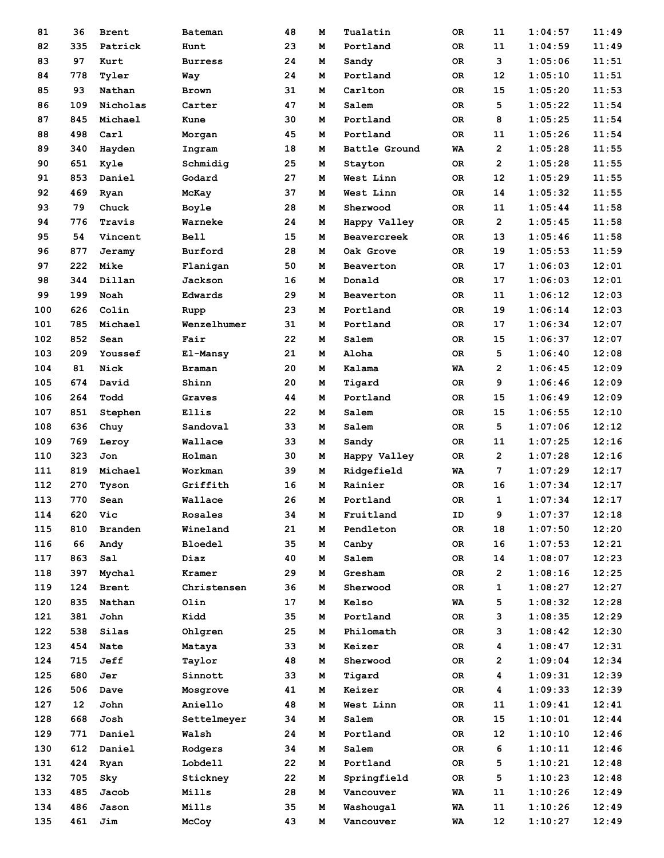| 81  | 36  | <b>Brent</b> | <b>Bateman</b>            | 48 | м | Tualatin      | 0R  | 11             | 1:04:57 | 11:49 |
|-----|-----|--------------|---------------------------|----|---|---------------|-----|----------------|---------|-------|
| 82  | 335 | Patrick      | Hunt                      | 23 | м | Portland      | 0R  | 11             | 1:04:59 | 11:49 |
| 83  | 97  | Kurt         | <b>Burress</b>            | 24 | м | Sandy         | 0R  | 3              | 1:05:06 | 11:51 |
| 84  | 778 | Tyler        | Way                       | 24 | м | Portland      | 0R  | 12             | 1:05:10 | 11:51 |
| 85  | 93  | Nathan       | <b>Brown</b>              | 31 | м | Carlton       | 0R  | 15             | 1:05:20 | 11:53 |
| 86  | 109 | Nicholas     | Carter                    | 47 | м | Salem         | 0R  | 5              | 1:05:22 | 11:54 |
| 87  | 845 | Michael      | Kune                      | 30 | м | Portland      | 0R  | 8              | 1:05:25 | 11:54 |
| 88  | 498 | Carl         | Morgan                    | 45 | м | Portland      | 0R  | 11             | 1:05:26 | 11:54 |
| 89  | 340 | Hayden       | Ingram                    | 18 | м | Battle Ground | WA  | $\overline{2}$ | 1:05:28 | 11:55 |
| 90  | 651 | Kyle         | Schmidig                  | 25 | м | Stayton       | 0R  | $\overline{2}$ | 1:05:28 | 11:55 |
| 91  | 853 | Daniel       | Godard                    | 27 | м | West Linn     | 0R  | 12             | 1:05:29 | 11:55 |
| 92  | 469 | Ryan         | McKay                     | 37 | м | West Linn     | 0R  | 14             | 1:05:32 | 11:55 |
| 93  | 79  | Chuck        | Boyle                     | 28 | м | Sherwood      | 0R  | 11             | 1:05:44 | 11:58 |
| 94  | 776 | Travis       | Warneke                   | 24 | м | Happy Valley  | 0R  | $\overline{2}$ | 1:05:45 | 11:58 |
| 95  | 54  | Vincent      | Bell                      | 15 | м | Beavercreek   | 0R  | 13             | 1:05:46 | 11:58 |
| 96  | 877 | Jeramy       | Burford                   | 28 | м | Oak Grove     | 0R  | 19             | 1:05:53 | 11:59 |
| 97  | 222 | Mike         | Flanigan                  | 50 | м | Beaverton     | 0R  | 17             | 1:06:03 | 12:01 |
| 98  | 344 | Dillan       | Jackson                   | 16 | м | Donald        | 0R  | 17             | 1:06:03 | 12:01 |
| 99  | 199 | Noah         | Edwards                   | 29 | м | Beaverton     | 0R  | 11             | 1:06:12 | 12:03 |
| 100 | 626 | Colin        | Rupp                      | 23 | м | Portland      | 0R  | 19             | 1:06:14 | 12:03 |
| 101 | 785 | Michael      | Wenzelhumer               | 31 | м | Portland      | 0R  | 17             | 1:06:34 | 12:07 |
| 102 | 852 | Sean         | Fair                      | 22 | м | Salem         | 0R  | 15             | 1:06:37 | 12:07 |
| 103 | 209 | Youssef      |                           | 21 | м | Aloha         | 0R  | 5              | 1:06:40 | 12:08 |
| 104 | 81  | Nick         | El-Mansy<br><b>Braman</b> | 20 | м | Kalama        |     | $\overline{2}$ | 1:06:45 | 12:09 |
|     |     |              |                           |    |   |               | WA  |                |         | 12:09 |
| 105 | 674 | David        | Shinn                     | 20 | м | Tigard        | 0R  | 9              | 1:06:46 |       |
| 106 | 264 | Todd         | Graves                    | 44 | м | Portland      | 0R  | 15             | 1:06:49 | 12:09 |
| 107 | 851 | Stephen      | Ellis                     | 22 | м | Salem         | 0R  | 15             | 1:06:55 | 12:10 |
| 108 | 636 | Chuy         | Sandoval                  | 33 | м | Salem         | 0R  | 5              | 1:07:06 | 12:12 |
| 109 | 769 | Leroy        | Wallace                   | 33 | м | Sandy         | 0R  | 11             | 1:07:25 | 12:16 |
| 110 | 323 | Jon          | Holman                    | 30 | м | Happy Valley  | 0R  | $\mathbf{2}$   | 1:07:28 | 12:16 |
| 111 | 819 | Michael      | Workman                   | 39 | м | Ridgefield    | WA  | 7              | 1:07:29 | 12:17 |
| 112 | 270 | Tyson        | Griffith                  | 16 | м | Rainier       | 0R  | 16             | 1:07:34 | 12:17 |
| 113 | 770 | Sean         | Wallace                   | 26 | м | Portland      | 0R  | 1              | 1:07:34 | 12:17 |
| 114 | 620 | Vic          | Rosales                   | 34 | м | Fruitland     | ID  | 9              | 1:07:37 | 12:18 |
| 115 | 810 | Branden      | Wineland                  | 21 | м | Pendleton     | OR  | 18             | 1:07:50 | 12:20 |
| 116 | 66  | Andy         | <b>Bloedel</b>            | 35 | м | Canby         | OR  | 16             | 1:07:53 | 12:21 |
| 117 | 863 | Sal          | Diaz                      | 40 | м | Salem         | OR  | 14             | 1:08:07 | 12:23 |
| 118 | 397 | Mychal       | Kramer                    | 29 | м | Gresham       | OR  | $\mathbf{2}$   | 1:08:16 | 12:25 |
| 119 | 124 | <b>Brent</b> | Christensen               | 36 | м | Sherwood      | OR  | 1              | 1:08:27 | 12:27 |
| 120 | 835 | Nathan       | Olin                      | 17 | м | Kelso         | WA  | 5              | 1:08:32 | 12:28 |
| 121 | 381 | John         | Kidd                      | 35 | м | Portland      | OR  | з              | 1:08:35 | 12:29 |
| 122 | 538 | Silas        | Ohlgren                   | 25 | м | Philomath     | 0R  | 3              | 1:08:42 | 12:30 |
| 123 | 454 | Nate         | Mataya                    | 33 | м | Keizer        | OR. | 4              | 1:08:47 | 12:31 |
| 124 | 715 | Jeff         | Taylor                    | 48 | м | Sherwood      | OR  | $\mathbf{2}$   | 1:09:04 | 12:34 |
| 125 | 680 | Jer          | Sinnott                   | 33 | м | Tigard        | OR  | 4              | 1:09:31 | 12:39 |
| 126 | 506 | Dave         | Mosgrove                  | 41 | м | Keizer        | OR  | 4              | 1:09:33 | 12:39 |
| 127 | 12  | John         | Aniello                   | 48 | м | West Linn     | OR  | 11             | 1:09:41 | 12:41 |
| 128 | 668 | Josh         | Settelmeyer               | 34 | м | Salem         | OR  | 15             | 1:10:01 | 12:44 |
| 129 | 771 | Daniel       | Walsh                     | 24 | м | Portland      | OR  | 12             | 1:10:10 | 12:46 |
| 130 | 612 | Daniel       | Rodgers                   | 34 | м | Salem         | OR  | 6              | 1:10:11 | 12:46 |
| 131 | 424 | Ryan         | Lobdell                   | 22 | м | Portland      | OR. | 5              | 1:10:21 | 12:48 |
| 132 | 705 | Sky          | Stickney                  | 22 | м | Springfield   | OR  | 5              | 1:10:23 | 12:48 |
| 133 | 485 | Jacob        | Mills                     | 28 | м | Vancouver     | WA  | 11             | 1:10:26 | 12:49 |
| 134 | 486 | Jason        | Mills                     | 35 | М | Washougal     | WA  | 11             | 1:10:26 | 12:49 |
| 135 | 461 | Jim          | McCoy                     | 43 | м | Vancouver     | WA  | 12             | 1:10:27 | 12:49 |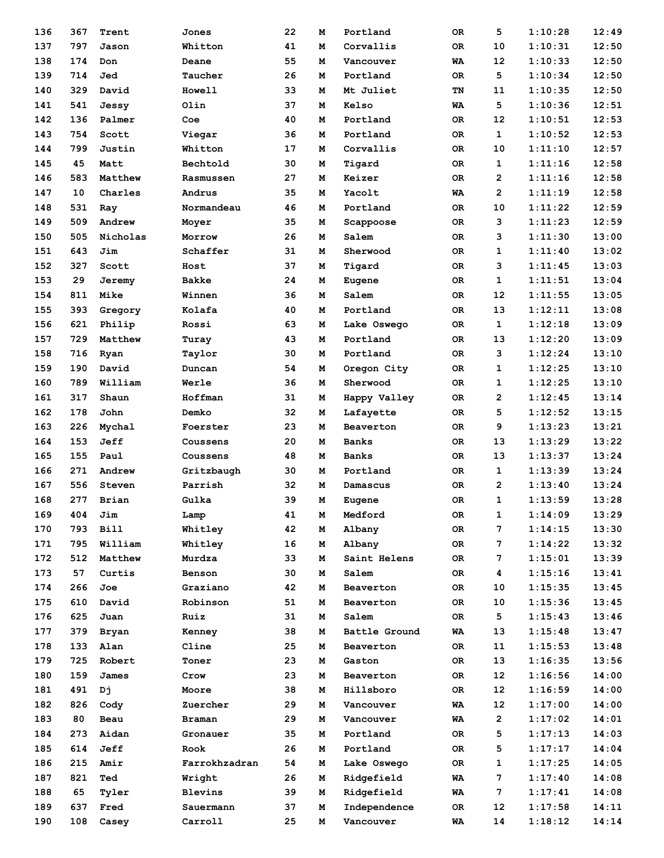| 136 | 367 | Trent        | Jones          | 22       | м | Portland                     | 0R        | 5                   | 1:10:28 | 12:49 |
|-----|-----|--------------|----------------|----------|---|------------------------------|-----------|---------------------|---------|-------|
| 137 | 797 | Jason        | Whitton        | 41       | м | Corvallis                    | 0R        | 10                  | 1:10:31 | 12:50 |
| 138 | 174 | Don          | Deane          | 55       | M | Vancouver                    | WA        | 12                  | 1:10:33 | 12:50 |
| 139 | 714 | Jed          | Taucher        | 26       | м | Portland                     | 0R        | 5                   | 1:10:34 | 12:50 |
| 140 | 329 | David        | Howell         | 33       | м | Mt Juliet                    | TN        | 11                  | 1:10:35 | 12:50 |
| 141 | 541 | Jessy        | Olin           | 37       | м | Kelso                        | WA        | 5                   | 1:10:36 | 12:51 |
| 142 | 136 | Palmer       | Coe            | 40       | м | Portland                     | 0R        | $12 \overline{ }$   | 1:10:51 | 12:53 |
| 143 | 754 | Scott        | Viegar         | 36       | M | Portland                     | 0R        | $\mathbf{1}$        | 1:10:52 | 12:53 |
| 144 | 799 | Justin       | Whitton        | 17       | м | Corvallis                    | 0R        | 10                  | 1:11:10 | 12:57 |
| 145 | 45  | Matt         | Bechtold       | 30       | м | Tigard                       | 0R        | 1                   | 1:11:16 | 12:58 |
| 146 | 583 | Matthew      | Rasmussen      | 27       | м | Keizer                       | 0R        | $\overline{2}$      | 1:11:16 | 12:58 |
| 147 | 10  | Charles      | Andrus         | 35       | м | Yacolt                       | WA        | $\overline{2}$      | 1:11:19 | 12:58 |
| 148 | 531 | Ray          | Normandeau     | 46       | м | Portland                     | 0R        | 10                  | 1:11:22 | 12:59 |
| 149 | 509 | Andrew       | Moyer          | 35       | м | Scappoose                    | 0R        | 3                   | 1:11:23 | 12:59 |
| 150 | 505 | Nicholas     | Morrow         | 26       | м | Salem                        | 0R        | 3                   | 1:11:30 | 13:00 |
| 151 | 643 | Jim          | Schaffer       | 31       | м | Sherwood                     | 0R        | $\mathbf{1}$        | 1:11:40 | 13:02 |
| 152 | 327 | Scott        | Host           | 37       | м | Tigard                       | 0R        | 3                   | 1:11:45 | 13:03 |
| 153 | 29  | Jeremy       | <b>Bakke</b>   | 24       | м | Eugene                       | 0R        | $\mathbf{1}$        | 1:11:51 | 13:04 |
| 154 | 811 | Mike         | Winnen         | 36       | м | Salem                        | 0R        | 12                  | 1:11:55 | 13:05 |
| 155 | 393 | Gregory      | Kolafa         | 40       | м | Portland                     | 0R        | 13                  | 1:12:11 | 13:08 |
| 156 | 621 | Philip       | Rossi          | 63       | м | Lake Oswego                  | <b>OR</b> | 1                   | 1:12:18 | 13:09 |
| 157 | 729 | Matthew      | Turay          | 43       | м | Portland                     | 0R        | 13                  | 1:12:20 | 13:09 |
| 158 | 716 | Ryan         | Taylor         | 30       | м | Portland                     | 0R        | 3                   | 1:12:24 | 13:10 |
| 159 | 190 | David        | Duncan         | 54       | м | Oregon City                  | 0R        | $\mathbf{1}$        | 1:12:25 | 13:10 |
| 160 | 789 | William      | Werle          | 36       | м | Sherwood                     | 0R        | 1                   | 1:12:25 | 13:10 |
| 161 | 317 | Shaun        | Hoffman        | 31       | м | Happy Valley                 | 0R        | $\overline{2}$      | 1:12:45 | 13:14 |
| 162 | 178 | John         | Demko          | 32       | м | Lafayette                    | 0R        | 5                   | 1:12:52 | 13:15 |
| 163 | 226 | Mychal       |                | 23       | м |                              |           | 9                   | 1:13:23 | 13:21 |
| 164 | 153 | Jeff         | Foerster       | 20       | м | Beaverton                    | 0R<br>0R  | 13                  | 1:13:29 | 13:22 |
| 165 | 155 |              | Coussens       | 48       | м | <b>Banks</b><br><b>Banks</b> |           | 13                  | 1:13:37 | 13:24 |
| 166 | 271 | Paul         | Coussens       |          |   |                              | 0R        |                     | 1:13:39 | 13:24 |
|     |     | Andrew       | Gritzbaugh     | 30<br>32 | м | Portland                     | 0R        | 1<br>$\overline{2}$ |         | 13:24 |
| 167 | 556 | Steven       | Parrish        | 39       | м | Damascus                     | 0R        |                     | 1:13:40 |       |
| 168 | 277 | Brian        | Gulka          |          | М | Eugene                       | 0R        | 1                   | 1:13:59 | 13:28 |
| 169 | 404 | Jim          | Lamp           | 41       | M | Medford                      | OR        | 1                   | 1:14:09 | 13:29 |
| 170 | 793 | <b>Bill</b>  | Whitley        | 42       | м | Albany                       | OR        | 7                   | 1:14:15 | 13:30 |
| 171 | 795 | William      | Whitley        | 16       | м | Albany                       | OR        | 7                   | 1:14:22 | 13:32 |
| 172 | 512 | Matthew      | Murdza         | 33       | м | Saint Helens                 | OR        | 7                   | 1:15:01 | 13:39 |
| 173 | 57  | Curtis       | Benson         | 30       | м | Salem                        | OR        | 4                   | 1:15:16 | 13:41 |
| 174 | 266 | Joe          | Graziano       | 42       | м | Beaverton                    | OR        | 10                  | 1:15:35 | 13:45 |
| 175 | 610 | David        | Robinson       | 51       | м | Beaverton                    | OR        | 10                  | 1:15:36 | 13:45 |
| 176 | 625 | Juan         | Ruiz           | 31       | м | Salem                        | OR        | 5                   | 1:15:43 | 13:46 |
| 177 | 379 | <b>Bryan</b> | Kenney         | 38       | м | Battle Ground                | WA        | 13                  | 1:15:48 | 13:47 |
| 178 | 133 | Alan         | Cline          | 25       | М | Beaverton                    | OR        | 11                  | 1:15:53 | 13:48 |
| 179 | 725 | Robert       | Toner          | 23       | м | Gaston                       | OR        | 13                  | 1:16:35 | 13:56 |
| 180 | 159 | James        | Crow           | 23       | м | Beaverton                    | OR        | 12                  | 1:16:56 | 14:00 |
| 181 | 491 | Dj           | Moore          | 38       | м | Hillsboro                    | OR        | 12                  | 1:16:59 | 14:00 |
| 182 | 826 | Cody         | Zuercher       | 29       | м | Vancouver                    | WA        | 12                  | 1:17:00 | 14:00 |
| 183 | 80  | Beau         | Braman         | 29       | м | Vancouver                    | WA        | $\mathbf{2}$        | 1:17:02 | 14:01 |
| 184 | 273 | Aidan        | Gronauer       | 35       | м | Portland                     | 0R        | 5                   | 1:17:13 | 14:03 |
| 185 | 614 | Jeff         | Rook           | 26       | М | Portland                     | OR        | 5                   | 1:17:17 | 14:04 |
| 186 | 215 | Amir         | Farrokhzadran  | 54       | м | Lake Oswego                  | OR        | 1                   | 1:17:25 | 14:05 |
| 187 | 821 | Ted          | Wright         | 26       | м | Ridgefield                   | WA        | 7                   | 1:17:40 | 14:08 |
| 188 | 65  | Tyler        | <b>Blevins</b> | 39       | м | Ridgefield                   | WA        | 7                   | 1:17:41 | 14:08 |
| 189 | 637 | Fred         | Sauermann      | 37       | м | Independence                 | OR        | 12                  | 1:17:58 | 14:11 |
| 190 | 108 | Casey        | Carroll        | 25       | м | Vancouver                    | WA        | 14                  | 1:18:12 | 14:14 |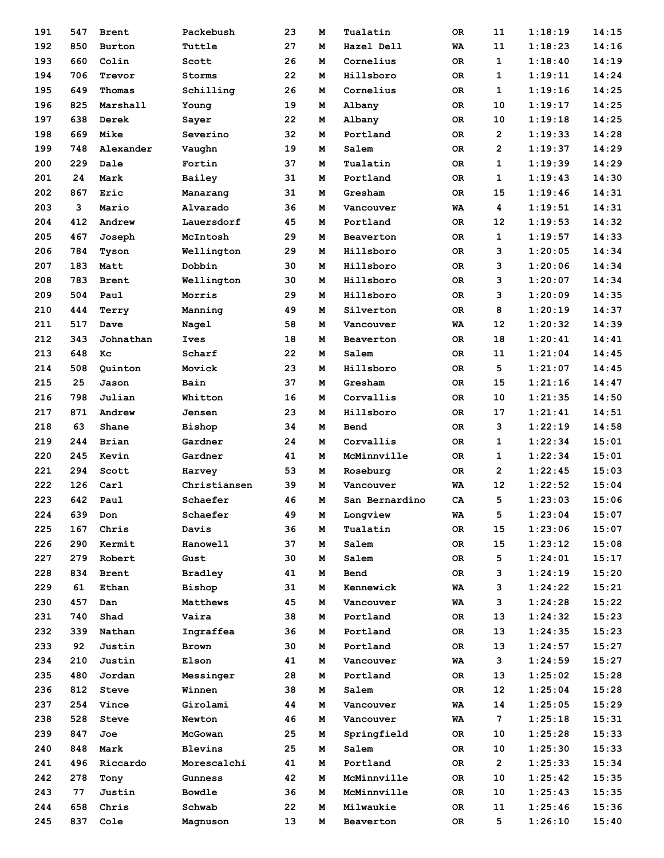| 191 | 547 | <b>Brent</b> | Packebush       | 23 | м | Tualatin       | 0R        | 11              | 1:18:19 | 14:15 |
|-----|-----|--------------|-----------------|----|---|----------------|-----------|-----------------|---------|-------|
| 192 | 850 | Burton       | Tuttle          | 27 | M | Hazel Dell     | WA        | 11              | 1:18:23 | 14:16 |
| 193 | 660 | Colin        | Scott           | 26 | M | Cornelius      | 0R        | $\mathbf 1$     | 1:18:40 | 14:19 |
| 194 | 706 | Trevor       | Storms          | 22 | м | Hillsboro      | <b>OR</b> | 1               | 1:19:11 | 14:24 |
| 195 | 649 | Thomas       | Schilling       | 26 | м | Cornelius      | OR        | 1               | 1:19:16 | 14:25 |
| 196 | 825 | Marshall     | Young           | 19 | м | Albany         | OR        | 10              | 1:19:17 | 14:25 |
| 197 | 638 | Derek        | Sayer           | 22 | м | Albany         | 0R        | 10              | 1:19:18 | 14:25 |
| 198 | 669 | Mike         | Severino        | 32 | м | Portland       | <b>OR</b> | $\overline{2}$  | 1:19:33 | 14:28 |
| 199 | 748 | Alexander    | Vaughn          | 19 | м | Salem          | 0R        | $\overline{2}$  | 1:19:37 | 14:29 |
| 200 | 229 | Dale         | Fortin          | 37 | м | Tualatin       | 0R        | 1               | 1:19:39 | 14:29 |
| 201 | 24  | Mark         | Bailey          | 31 | м | Portland       | 0R        | 1               | 1:19:43 | 14:30 |
| 202 | 867 | Eric         | Manarang        | 31 | м | Gresham        | <b>OR</b> | 15              | 1:19:46 | 14:31 |
| 203 | 3   | Mario        | Alvarado        | 36 | м | Vancouver      | WA        | 4               | 1:19:51 | 14:31 |
| 204 | 412 | Andrew       | Lauersdorf      | 45 | м | Portland       | 0R        | 12              | 1:19:53 | 14:32 |
| 205 | 467 | Joseph       | McIntosh        | 29 | м | Beaverton      | 0R        | 1               | 1:19:57 | 14:33 |
| 206 | 784 | Tyson        | Wellington      | 29 | M | Hillsboro      | <b>OR</b> | 3               | 1:20:05 | 14:34 |
| 207 | 183 | Matt         | Dobbin          | 30 | м | Hillsboro      | OR        | 3               | 1:20:06 | 14:34 |
| 208 | 783 | <b>Brent</b> | Wellington      | 30 | м | Hillsboro      | 0R        | 3               | 1:20:07 | 14:34 |
| 209 | 504 | Paul         | Morris          | 29 | м | Hillsboro      | 0R        | 3               | 1:20:09 | 14:35 |
| 210 | 444 | Terry        | Manning         | 49 | м | Silverton      | 0R        | 8               | 1:20:19 | 14:37 |
| 211 | 517 | Dave         | Nagel           | 58 | м | Vancouver      | WA        | 12              | 1:20:32 | 14:39 |
| 212 | 343 | Johnathan    | Ives            | 18 | м | Beaverton      | 0R        | 18              | 1:20:41 | 14:41 |
| 213 | 648 | Kc           | Scharf          | 22 | м | Salem          | 0R        | 11              | 1:21:04 | 14:45 |
| 214 |     |              |                 | 23 |   |                |           | 5               | 1:21:07 | 14:45 |
|     | 508 | Quinton      | Movick          |    | м | Hillsboro      | <b>OR</b> |                 |         |       |
| 215 | 25  | Jason        | Bain            | 37 | м | Gresham        | 0R        | 15              | 1:21:16 | 14:47 |
| 216 | 798 | Julian       | Whitton         | 16 | м | Corvallis      | 0R        | 10              | 1:21:35 | 14:50 |
| 217 | 871 | Andrew       | Jensen          | 23 | м | Hillsboro      | ОR        | 17              | 1:21:41 | 14:51 |
| 218 | 63  | Shane        | Bishop          | 34 | м | Bend           | 0R        | 3               | 1:22:19 | 14:58 |
| 219 | 244 | <b>Brian</b> | Gardner         | 24 | м | Corvallis      | OR        | 1               | 1:22:34 | 15:01 |
| 220 | 245 | Kevin        | Gardner         | 41 | м | McMinnville    | 0R        | 1               | 1:22:34 | 15:01 |
| 221 | 294 | Scott        | Harvey          | 53 | м | Roseburg       | OR.       | $\overline{2}$  | 1:22:45 | 15:03 |
| 222 | 126 | Carl         | Christiansen    | 39 | M | Vancouver      | <b>WA</b> | 12              | 1:22:52 | 15:04 |
| 223 | 642 | Paul         | Schaefer        | 46 | м | San Bernardino | CA        | 5               | 1:23:03 | 15:06 |
| 224 | 639 | Don          | Schaefer        | 49 | М | Longview       | WA        | 5               | 1:23:04 | 15:07 |
| 225 | 167 | Chris        | Davis           | 36 | М | Tualatin       | OR        | 15              | 1:23:06 | 15:07 |
| 226 | 290 | Kermit       | <b>Hanowell</b> | 37 | м | Salem          | OR        | 15              | 1:23:12 | 15:08 |
| 227 | 279 | Robert       | Gust            | 30 | м | Salem          | OR        | 5               | 1:24:01 | 15:17 |
| 228 | 834 | <b>Brent</b> | <b>Bradley</b>  | 41 | м | Bend           | OR        | 3               | 1:24:19 | 15:20 |
| 229 | 61  | Ethan        | Bishop          | 31 | м | Kennewick      | WA        | 3               | 1:24:22 | 15:21 |
| 230 | 457 | Dan          | Matthews        | 45 | М | Vancouver      | WA        | 3               | 1:24:28 | 15:22 |
| 231 | 740 | Shad         | Vaira           | 38 | М | Portland       | OR        | 13              | 1:24:32 | 15:23 |
| 232 | 339 | Nathan       | Ingraffea       | 36 | м | Portland       | OR        | 13              | 1:24:35 | 15:23 |
| 233 | 92  | Justin       | <b>Brown</b>    | 30 | м | Portland       | OR        | 13              | 1:24:57 | 15:27 |
| 234 | 210 | Justin       | Elson           | 41 | М | Vancouver      | WA        | 3               | 1:24:59 | 15:27 |
| 235 | 480 | Jordan       | Messinger       | 28 | М | Portland       | OR        | 13              | 1:25:02 | 15:28 |
| 236 | 812 | Steve        | Winnen          | 38 | м | Salem          | OR        | 12 <sup>2</sup> | 1:25:04 | 15:28 |
| 237 | 254 | Vince        | Girolami        | 44 | М | Vancouver      | WA        | 14              | 1:25:05 | 15:29 |
| 238 | 528 | Steve        | Newton          | 46 | м | Vancouver      | WA        | 7               | 1:25:18 | 15:31 |
| 239 | 847 | Joe          | McGowan         | 25 | М | Springfield    | OR        | 10              | 1:25:28 | 15:33 |
| 240 | 848 | Mark         | Blevins         | 25 | м | Salem          | OR        | 10              | 1:25:30 | 15:33 |
| 241 | 496 | Riccardo     | Morescalchi     | 41 | м | Portland       | OR        | $\overline{2}$  | 1:25:33 | 15:34 |
| 242 | 278 | Tony         | Gunness         | 42 | М | McMinnville    | OR        | 10              | 1:25:42 | 15:35 |
| 243 | 77  | Justin       | Bowdle          | 36 | м | McMinnville    | OR        | 10              | 1:25:43 | 15:35 |
| 244 | 658 | Chris        | Schwab          | 22 | м | Milwaukie      | OR        | 11              | 1:25:46 | 15:36 |
| 245 | 837 | Cole         | Magnuson        | 13 | М | Beaverton      | OR        | 5               | 1:26:10 | 15:40 |
|     |     |              |                 |    |   |                |           |                 |         |       |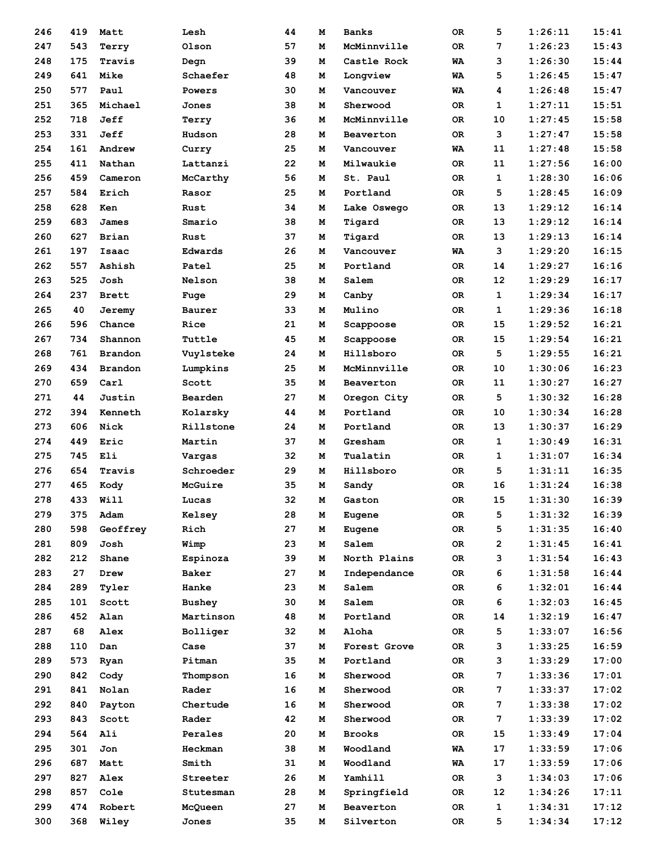| 246 | 419 | Matt           | Lesh          | 44       | м | <b>Banks</b>  | 0R        | 5           | 1:26:11 | 15:41          |
|-----|-----|----------------|---------------|----------|---|---------------|-----------|-------------|---------|----------------|
| 247 | 543 | Terry          | Olson         | 57       | м | McMinnville   | 0R        | 7           | 1:26:23 | 15:43          |
| 248 | 175 | Travis         | Degn          | 39       | м | Castle Rock   | WA        | 3           | 1:26:30 | 15:44          |
| 249 | 641 | Mike           | Schaefer      | 48       | м | Longview      | WA        | 5           | 1:26:45 | 15:47          |
| 250 | 577 | Paul           | Powers        | 30       | м | Vancouver     | WA        | 4           | 1:26:48 | 15:47          |
| 251 | 365 | Michael        | Jones         | 38       | м | Sherwood      | 0R        | 1           | 1:27:11 | 15:51          |
| 252 | 718 | Jeff           | Terry         | 36       | м | McMinnville   | 0R        | 10          | 1:27:45 | 15:58          |
| 253 | 331 | Jeff           | Hudson        | 28       | м | Beaverton     | <b>OR</b> | 3           | 1:27:47 | 15:58          |
| 254 | 161 | Andrew         | Curry         | 25       | м | Vancouver     | WA        | 11          | 1:27:48 | 15:58          |
| 255 | 411 | Nathan         | Lattanzi      | 22       | м | Milwaukie     | 0R        | 11          | 1:27:56 | 16:00          |
| 256 | 459 | Cameron        | McCarthy      | 56       | м | St. Paul      | 0R        | $\mathbf 1$ | 1:28:30 | 16:06          |
| 257 | 584 | Erich          | Rasor         | 25       | м | Portland      | ОR        | 5           | 1:28:45 | 16:09          |
| 258 | 628 | Ken            | Rust          | 34       | м | Lake Oswego   | ОR        | 13          | 1:29:12 | 16:14          |
| 259 | 683 | James          | Smario        | 38       | м | Tigard        | 0R        | 13          | 1:29:12 | 16:14          |
| 260 | 627 | Brian          | Rust          | 37       | м | Tigard        | 0R        | 13          | 1:29:13 | 16:14          |
| 261 | 197 | Isaac          | Edwards       | 26       | м | Vancouver     | WA        | 3           | 1:29:20 | 16:15          |
| 262 | 557 | Ashish         | Patel         | 25       | м | Portland      | 0R        | 14          | 1:29:27 | 16:16          |
| 263 | 525 | Josh           | Nelson        | 38       | м | Salem         | 0R        | 12          | 1:29:29 | 16:17          |
| 264 | 237 | <b>Brett</b>   | Fuge          | 29       | м | Canby         | 0R        | $\mathbf 1$ | 1:29:34 | 16:17          |
| 265 | 40  | Jeremy         | Baurer        | 33       | м | Mulino        | ОR        | 1           | 1:29:36 | 16:18          |
| 266 | 596 | Chance         | Rice          | 21       | м | Scappoose     | OR        | 15          | 1:29:52 | 16:21          |
| 267 | 734 | Shannon        | Tuttle        | 45       | м | Scappoose     | 0R        | 15          | 1:29:54 | 16:21          |
| 268 | 761 | <b>Brandon</b> |               | 24       | м | Hillsboro     | 0R        | 5           | 1:29:55 | 16:21          |
| 269 | 434 | <b>Brandon</b> | Vuylsteke     | 25       | м | McMinnville   | <b>OR</b> | 10          | 1:30:06 | 16:23          |
|     | 659 | Carl           | Lumpkins      |          |   |               |           | 11          |         | 16:27          |
| 270 | 44  |                | Scott         | 35<br>27 | м | Beaverton     | OR        | 5           | 1:30:27 | 16:28          |
| 271 |     | Justin         | Bearden       |          | м | Oregon City   | ОR        |             | 1:30:32 |                |
| 272 | 394 | Kenneth        | Kolarsky      | 44       | м | Portland      | 0R        | 10          | 1:30:34 | 16:28<br>16:29 |
| 273 | 606 | Nick           | Rillstone     | 24       | м | Portland      | 0R        | 13          | 1:30:37 |                |
| 274 | 449 | Eric           | Martin        | 37       | м | Gresham       | OR        | 1           | 1:30:49 | 16:31          |
| 275 | 745 | Eli            | Vargas        | 32       | м | Tualatin      | 0R        | 1           | 1:31:07 | 16:34          |
| 276 | 654 | Travis         | Schroeder     | 29       | м | Hillsboro     | 0R        | 5           | 1:31:11 | 16:35          |
| 277 | 465 | Kody           | McGuire       | 35       | м | Sandy         | OR.       | 16          | 1:31:24 | 16:38          |
| 278 | 433 | Will           | Lucas         | 32       | м | Gaston        | OR        | 15          | 1:31:30 | 16:39          |
| 279 | 375 | Adam           | Kelsey        | 28       | М | Eugene        | OR        | 5           | 1:31:32 | 16:39          |
| 280 | 598 | Geoffrey       | Rich          | 27       | м | Eugene        | OR        | 5           | 1:31:35 | 16:40          |
| 281 | 809 | Josh           | Wimp          | 23       | м | Salem         | OR        | 2           | 1:31:45 | 16:41          |
| 282 | 212 | Shane          | Espinoza      | 39       | м | North Plains  | OR        | 3           | 1:31:54 | 16:43          |
| 283 | 27  | Drew           | Baker         | 27       | М | Independance  | OR        | 6           | 1:31:58 | 16:44          |
| 284 | 289 | Tyler          | Hanke         | 23       | М | Salem         | OR        | 6           | 1:32:01 | 16:44          |
| 285 | 101 | Scott          | <b>Bushey</b> | 30       | м | Salem         | OR        | 6           | 1:32:03 | 16:45          |
| 286 | 452 | Alan           | Martinson     | 48       | м | Portland      | OR        | 14          | 1:32:19 | 16:47          |
| 287 | 68  | Alex           | Bolliger      | 32       | м | Aloha         | ОR        | 5           | 1:33:07 | 16:56          |
| 288 | 110 | Dan            | Case          | 37       | м | Forest Grove  | ОR        | з           | 1:33:25 | 16:59          |
| 289 | 573 | Ryan           | Pitman        | 35       | М | Portland      | OR        | з           | 1:33:29 | 17:00          |
| 290 | 842 | Cody           | Thompson      | 16       | М | Sherwood      | OR        | 7           | 1:33:36 | 17:01          |
| 291 | 841 | Nolan          | Rader         | 16       | М | Sherwood      | OR        | 7           | 1:33:37 | 17:02          |
| 292 | 840 | Payton         | Chertude      | 16       | М | Sherwood      | OR        | 7           | 1:33:38 | 17:02          |
| 293 | 843 | Scott          | Rader         | 42       | М | Sherwood      | OR        | 7           | 1:33:39 | 17:02          |
| 294 | 564 | Ali            | Perales       | 20       | м | <b>Brooks</b> | OR        | 15          | 1:33:49 | 17:04          |
| 295 | 301 | Jon            | Heckman       | 38       | м | Woodland      | WA        | 17          | 1:33:59 | 17:06          |
| 296 | 687 | Matt           | Smith         | 31       | м | Woodland      | WA        | 17          | 1:33:59 | 17:06          |
| 297 | 827 | Alex           | Streeter      | 26       | М | Yamhill       | OR        | 3           | 1:34:03 | 17:06          |
| 298 | 857 | Cole           | Stutesman     | 28       | М | Springfield   | OR        | 12          | 1:34:26 | 17:11          |
| 299 | 474 | Robert         | McQueen       | 27       | м | Beaverton     | OR        | 1           | 1:34:31 | 17:12          |
| 300 | 368 | Wiley          | Jones         | 35       | М | Silverton     | OR        | 5           | 1:34:34 | 17:12          |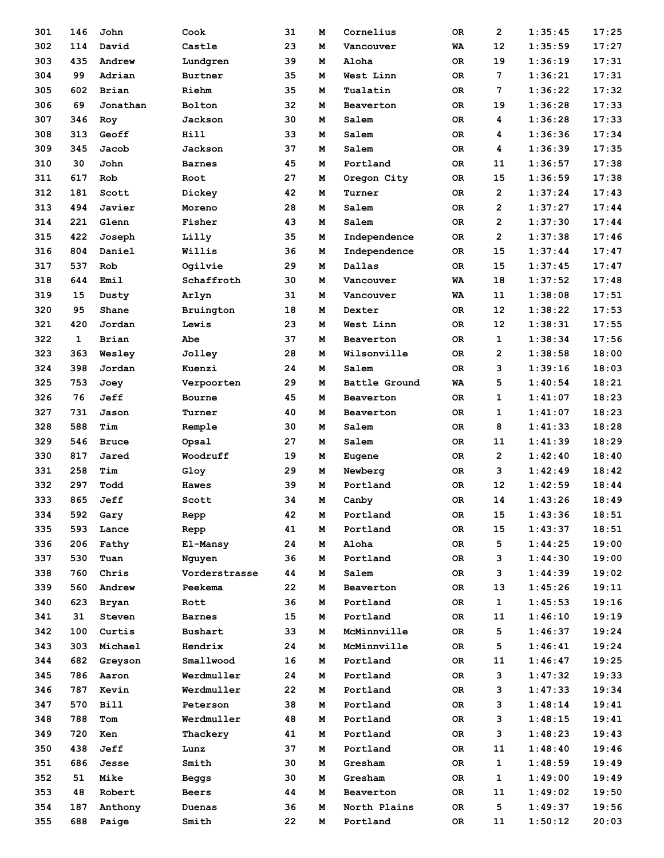| 301        | 146          | John         | Cook           | 31 | м | Cornelius     | ОR | $\overline{2}$ | 1:35:45            | 17:25          |
|------------|--------------|--------------|----------------|----|---|---------------|----|----------------|--------------------|----------------|
| 302        | 114          | David        | Castle         | 23 | м | Vancouver     | WA | 12             | 1:35:59            | 17:27          |
| 303        | 435          | Andrew       | Lundgren       | 39 | м | Aloha         | 0R | 19             | 1:36:19            | 17:31          |
| 304        | 99           | Adrian       | Burtner        | 35 | м | West Linn     | 0R | 7              | 1:36:21            | 17:31          |
| 305        | 602          | Brian        | Riehm          | 35 | м | Tualatin      | 0R | 7              | 1:36:22            | 17:32          |
| 306        | 69           | Jonathan     | Bolton         | 32 | м | Beaverton     | 0R | 19             | 1:36:28            | 17:33          |
| 307        | 346          | Roy          | Jackson        | 30 | м | Salem         | 0R | 4              | 1:36:28            | 17:33          |
| 308        | 313          | Geoff        | Hill           | 33 | м | Salem         | 0R | 4              | 1:36:36            | 17:34          |
| 309        | 345          | Jacob        | Jackson        | 37 | м | Salem         | 0R | 4              | 1:36:39            | 17:35          |
| 310        | 30           | John         | <b>Barnes</b>  | 45 | м | Portland      | 0R | 11             | 1:36:57            | 17:38          |
| 311        | 617          | Rob          | Root           | 27 | м | Oregon City   | ОR | 15             | 1:36:59            | 17:38          |
| 312        | 181          | Scott        | Dickey         | 42 | м | Turner        | 0R | $\overline{2}$ | 1:37:24            | 17:43          |
| 313        | 494          | Javier       | Moreno         | 28 | м | Salem         | 0R | 2              | 1:37:27            | 17:44          |
| 314        | 221          | Glenn        | Fisher         | 43 | м | Salem         | 0R | 2              | 1:37:30            | 17:44          |
| 315        | 422          | Joseph       | Lilly          | 35 | м | Independence  | 0R | $\overline{2}$ | 1:37:38            | 17:46          |
| 316        | 804          | Daniel       | Willis         | 36 | М | Independence  | 0R | 15             | 1:37:44            | 17:47          |
| 317        | 537          | Rob          | Ogilvie        | 29 | М | Dallas        | 0R | 15             | 1:37:45            | 17:47          |
| 318        | 644          | Emil         | Schaffroth     | 30 | м | Vancouver     | WA | 18             | 1:37:52            | 17:48          |
| 319        | 15           | Dusty        | Arlyn          | 31 | м | Vancouver     | WA | 11             | 1:38:08            | 17:51          |
| 320        | 95           | Shane        | Bruington      | 18 | М | Dexter        | 0R | $12 \,$        | 1:38:22            | 17:53          |
| 321        | 420          | Jordan       | Lewis          | 23 | м | West Linn     | 0R | 12             | 1:38:31            | 17:55          |
| 322        | $\mathbf{1}$ | Brian        | Abe            | 37 | М | Beaverton     | 0R | 1              | 1:38:34            | 17:56          |
| 323        | 363          | Wesley       | Jolley         | 28 | М | Wilsonville   | 0R | 2              | 1:38:58            | 18:00          |
| 324        | 398          | Jordan       | Kuenzi         | 24 | М | Salem         | 0R | 3              | 1:39:16            | 18:03          |
| 325        | 753          | Joey         | Verpoorten     | 29 | м | Battle Ground | WA | 5              | 1:40:54            | 18:21          |
| 326        | 76           | Jeff         | Bourne         | 45 | М | Beaverton     | 0R | 1              | 1:41:07            | 18:23          |
|            |              |              |                |    |   |               |    |                |                    |                |
| 327<br>328 | 731          | Jason        | Turner         | 40 | м | Beaverton     | 0R | 1              | 1:41:07            | 18:23<br>18:28 |
|            | 588          | Tim          | Remple         | 30 | м | Salem         | 0R | 8              | 1:41:33            |                |
| 329        | 546          | <b>Bruce</b> | Opsal          | 27 | м | Salem         | 0R | 11             | 1:41:39<br>1:42:40 | 18:29          |
| 330        | 817          | Jared        | Woodruff       | 19 | м | Eugene        | 0R | 2              |                    | 18:40          |
| 331        | 258          | Tim          | Gloy           | 29 | М | Newberg       | 0R | 3              | 1:42:49            | 18:42          |
| 332        | 297          | Todd         | Hawes          | 39 | м | Portland      | 0R | 12             | 1:42:59            | 18:44          |
| 333        | 865          | Jeff         | Scott          | 34 | м | Canby         | 0R | 14             | 1:43:26            | 18:49          |
| 334        | 592          | Gary         | Repp           | 42 | м | Portland      | 0R | 15             | 1:43:36            | 18:51          |
| 335        | 593          | Lance        | Repp           | 41 | м | Portland      | OR | 15             | 1:43:37            | 18:51          |
| 336        | 206          | Fathy        | El-Mansy       | 24 | М | Aloha         | OR | 5              | 1:44:25            | 19:00          |
| 337        | 530          | Tuan         | Nguyen         | 36 | м | Portland      | OR | з              | 1:44:30            | 19:00          |
| 338        | 760          | Chris        | Vorderstrasse  | 44 | м | Salem         | OR | 3              | 1:44:39            | 19:02          |
| 339        | 560          | Andrew       | Peekema        | 22 | м | Beaverton     | OR | 13             | 1:45:26            | 19:11          |
| 340        | 623          | <b>Bryan</b> | Rott           | 36 | М | Portland      | OR | $\mathbf{1}$   | 1:45:53            | 19:16          |
| 341        | 31           | Steven       | <b>Barnes</b>  | 15 | м | Portland      | OR | 11             | 1:46:10            | 19:19          |
| 342        | 100          | Curtis       | <b>Bushart</b> | 33 | м | McMinnville   | OR | 5              | 1:46:37            | 19:24          |
| 343        | 303          | Michael      | Hendrix        | 24 | м | McMinnville   | OR | 5              | 1:46:41            | 19:24          |
| 344        | 682          | Greyson      | Smallwood      | 16 | М | Portland      | OR | 11             | 1:46:47            | 19:25          |
| 345        | 786          | Aaron        | Werdmuller     | 24 | м | Portland      | OR | 3              | 1:47:32            | 19:33          |
| 346        | 787          | Kevin        | Werdmuller     | 22 | м | Portland      | OR | з              | 1:47:33            | 19:34          |
| 347        | 570          | <b>Bill</b>  | Peterson       | 38 | м | Portland      | OR | з              | 1:48:14            | 19:41          |
| 348        | 788          | Tom          | Werdmuller     | 48 | М | Portland      | OR | з              | 1:48:15            | 19:41          |
| 349        | 720          | Ken          | Thackery       | 41 | м | Portland      | OR | 3              | 1:48:23            | 19:43          |
| 350        | 438          | Jeff         | Lunz           | 37 | м | Portland      | ОR | 11             | 1:48:40            | 19:46          |
| 351        | 686          | Jesse        | Smith          | 30 | м | Gresham       | OR | 1              | 1:48:59            | 19:49          |
| 352        | 51           | Mike         | Beggs          | 30 | М | Gresham       | OR | 1              | 1:49:00            | 19:49          |
| 353        | 48           | Robert       | <b>Beers</b>   | 44 | м | Beaverton     | OR | 11             | 1:49:02            | 19:50          |
| 354        | 187          | Anthony      | Duenas         | 36 | м | North Plains  | OR | 5              | 1:49:37            | 19:56          |
| 355        | 688          | Paige        | Smith          | 22 | м | Portland      | OR | 11             | 1:50:12            | 20:03          |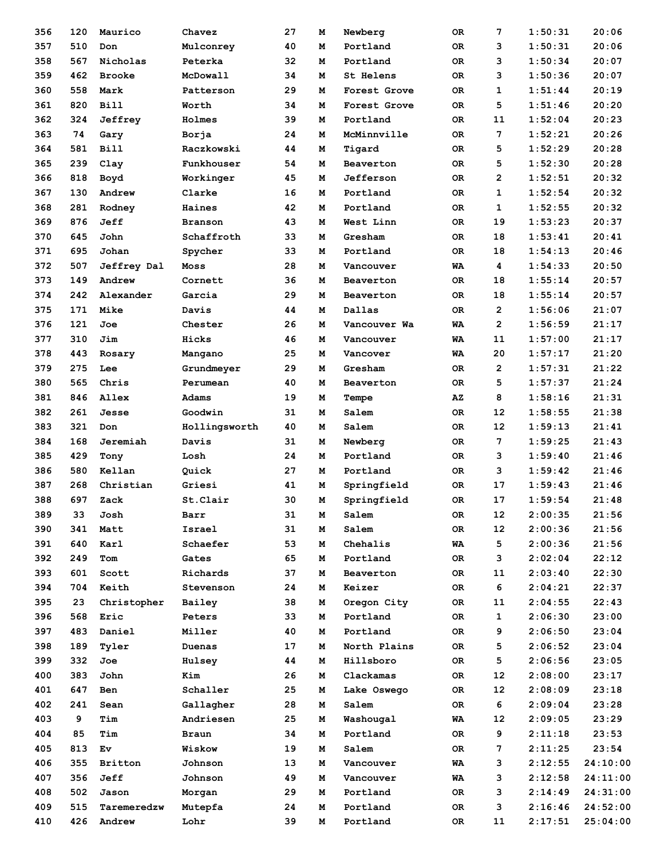| 356 | 120 | Maurico        | Chavez        | 27 | м | Newberg      | 0R  | 7              | 1:50:31 | 20:06    |
|-----|-----|----------------|---------------|----|---|--------------|-----|----------------|---------|----------|
| 357 | 510 | Don            | Mulconrey     | 40 | м | Portland     | 0R  | 3              | 1:50:31 | 20:06    |
| 358 | 567 | Nicholas       | Peterka       | 32 | м | Portland     | 0R  | 3              | 1:50:34 | 20:07    |
| 359 | 462 | <b>Brooke</b>  | McDowall      | 34 | м | St Helens    | OR. | 3              | 1:50:36 | 20:07    |
| 360 | 558 | Mark           | Patterson     | 29 | м | Forest Grove | 0R  | 1              | 1:51:44 | 20:19    |
| 361 | 820 | <b>Bill</b>    | Worth         | 34 | м | Forest Grove | OR. | 5              | 1:51:46 | 20:20    |
| 362 | 324 | Jeffrey        | Holmes        | 39 | м | Portland     | OR. | 11             | 1:52:04 | 20:23    |
| 363 | 74  | Gary           | Borja         | 24 | м | McMinnville  | 0R  | 7              | 1:52:21 | 20:26    |
| 364 | 581 | <b>Bill</b>    | Raczkowski    | 44 | м | Tigard       | 0R  | 5              | 1:52:29 | 20:28    |
| 365 | 239 | Clay           | Funkhouser    | 54 | м | Beaverton    | OR. | 5              | 1:52:30 | 20:28    |
| 366 | 818 | Boyd           | Workinger     | 45 | м | Jefferson    | OR. | $\overline{2}$ | 1:52:51 | 20:32    |
| 367 | 130 | Andrew         | Clarke        | 16 | м | Portland     | OR. | $\mathbf 1$    | 1:52:54 | 20:32    |
| 368 | 281 | Rodney         | Haines        | 42 | м | Portland     | 0R  | 1              | 1:52:55 | 20:32    |
| 369 | 876 | Jeff           | Branson       | 43 | м | West Linn    | OR. | 19             | 1:53:23 | 20:37    |
| 370 | 645 | John           | Schaffroth    | 33 | м | Gresham      | OR. | 18             | 1:53:41 | 20:41    |
| 371 | 695 | Johan          | Spycher       | 33 | м | Portland     | OR. | 18             | 1:54:13 | 20:46    |
| 372 | 507 | Jeffrey Dal    | Moss          | 28 | м | Vancouver    | WA  | 4              | 1:54:33 | 20:50    |
| 373 | 149 | Andrew         | Cornett       | 36 | M | Beaverton    | OR. | 18             | 1:55:14 | 20:57    |
| 374 | 242 | Alexander      | Garcia        | 29 | м | Beaverton    | OR. | 18             | 1:55:14 | 20:57    |
| 375 | 171 | Mike           | Davis         | 44 | м | Dallas       | OR. | $\overline{2}$ | 1:56:06 | 21:07    |
| 376 | 121 | Joe            | Chester       | 26 | м | Vancouver Wa | WA  | $\overline{2}$ | 1:56:59 | 21:17    |
| 377 | 310 | Jim            | Hicks         | 46 | м | Vancouver    | WA  | 11             | 1:57:00 | 21:17    |
| 378 | 443 |                |               | 25 | м | Vancover     | WA  | 20             | 1:57:17 | 21:20    |
| 379 | 275 | Rosary<br>Lee  | Mangano       | 29 | м | Gresham      | OR. | $\overline{2}$ | 1:57:31 | 21:22    |
|     | 565 | Chris          | Grundmeyer    |    |   |              |     | 5              |         | 21:24    |
| 380 |     |                | Perumean      | 40 | м | Beaverton    | 0R  |                | 1:57:37 |          |
| 381 | 846 | Allex          | Adams         | 19 | м | Tempe        | AZ  | 8              | 1:58:16 | 21:31    |
| 382 | 261 | Jesse          | Goodwin       | 31 | м | Salem        | OR. | 12             | 1:58:55 | 21:38    |
| 383 | 321 | Don            | Hollingsworth | 40 | м | Salem        | OR. | 12             | 1:59:13 | 21:41    |
| 384 | 168 | Jeremiah       | Davis         | 31 | м | Newberg      | 0R  | 7              | 1:59:25 | 21:43    |
| 385 | 429 | Tony           | Losh          | 24 | м | Portland     | OR. | 3              | 1:59:40 | 21:46    |
| 386 | 580 | Kellan         | Quick         | 27 | м | Portland     | OR. | 3              | 1:59:42 | 21:46    |
| 387 | 268 | Christian      | Griesi        | 41 | м | Springfield  | OR. | 17             | 1:59:43 | 21:46    |
| 388 | 697 | Zack           | St.Clair      | 30 | м | Springfield  | 0R  | 17             | 1:59:54 | 21:48    |
| 389 | 33  | Josh           | Barr          | 31 | M | Salem        | OR  | 12             | 2:00:35 | 21:56    |
| 390 | 341 | Matt           | Israel        | 31 | м | Salem        | 0R  | 12             | 2:00:36 | 21:56    |
| 391 | 640 | Karl           | Schaefer      | 53 | м | Chehalis     | WA  | 5              | 2:00:36 | 21:56    |
| 392 | 249 | Tom            | Gates         | 65 | м | Portland     | OR  | 3              | 2:02:04 | 22:12    |
| 393 | 601 | Scott          | Richards      | 37 | м | Beaverton    | OR. | 11             | 2:03:40 | 22:30    |
| 394 | 704 | Keith          | Stevenson     | 24 | м | Keizer       | OR  | 6              | 2:04:21 | 22:37    |
| 395 | 23  | Christopher    | Bailey        | 38 | м | Oregon City  | OR  | 11             | 2:04:55 | 22:43    |
| 396 | 568 | Eric           | Peters        | 33 | м | Portland     | OR  | 1              | 2:06:30 | 23:00    |
| 397 | 483 | Daniel         | Miller        | 40 | м | Portland     | OR. | 9              | 2:06:50 | 23:04    |
| 398 | 189 | Tyler          | Duenas        | 17 | м | North Plains | 0R  | 5              | 2:06:52 | 23:04    |
| 399 | 332 | Joe            | Hulsey        | 44 | м | Hillsboro    | OR  | 5              | 2:06:56 | 23:05    |
| 400 | 383 | John           | Kim           | 26 | м | Clackamas    | OR  | 12             | 2:08:00 | 23:17    |
| 401 | 647 | Ben            | Schaller      | 25 | м | Lake Oswego  | OR  | 12             | 2:08:09 | 23:18    |
| 402 | 241 | Sean           | Gallagher     | 28 | м | Salem        | OR  | 6              | 2:09:04 | 23:28    |
| 403 | 9   | Tim            | Andriesen     | 25 | м | Washougal    | WA  | 12             | 2:09:05 | 23:29    |
| 404 | 85  | Tim            | Braun         | 34 | м | Portland     | OR  | 9              | 2:11:18 | 23:53    |
| 405 | 813 | Ev             | Wiskow        | 19 | м | Salem        | OR  | 7              | 2:11:25 | 23:54    |
| 406 | 355 | <b>Britton</b> | Johnson       | 13 | м | Vancouver    | WA  | з              | 2:12:55 | 24:10:00 |
| 407 | 356 | Jeff           | Johnson       | 49 | м | Vancouver    | WA  | з              | 2:12:58 | 24:11:00 |
| 408 | 502 | Jason          | Morgan        | 29 | м | Portland     | OR  | 3              | 2:14:49 | 24:31:00 |
| 409 | 515 | Taremeredzw    | Mutepfa       | 24 | м | Portland     | OR  | 3              | 2:16:46 | 24:52:00 |
| 410 | 426 | Andrew         | Lohr          | 39 | м | Portland     | OR  | 11             | 2:17:51 | 25:04:00 |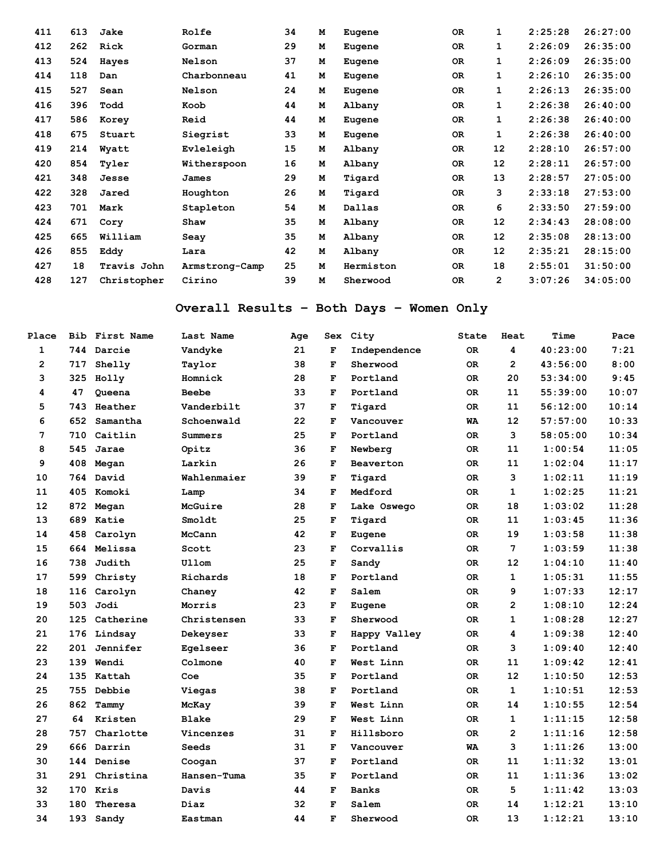| 411 | 613 | Jake        | Rolfe          | 34 | M | Eugene    | <b>OR</b> | 1               | 2:25:28 | 26:27:00 |
|-----|-----|-------------|----------------|----|---|-----------|-----------|-----------------|---------|----------|
| 412 | 262 | Rick        | Gorman         | 29 | M | Eugene    | <b>OR</b> | 1               | 2:26:09 | 26:35:00 |
| 413 | 524 | Hayes       | <b>Nelson</b>  | 37 | M | Eugene    | <b>OR</b> | 1               | 2:26:09 | 26:35:00 |
| 414 | 118 | Dan         | Charbonneau    | 41 | М | Eugene    | <b>OR</b> | 1               | 2:26:10 | 26:35:00 |
| 415 | 527 | Sean        | <b>Nelson</b>  | 24 | M | Eugene    | <b>OR</b> | 1               | 2:26:13 | 26:35:00 |
| 416 | 396 | Todd        | Koob           | 44 | M | Albany    | <b>OR</b> | 1               | 2:26:38 | 26:40:00 |
| 417 | 586 | Korey       | Reid           | 44 | М | Eugene    | <b>OR</b> | 1               | 2:26:38 | 26:40:00 |
| 418 | 675 | Stuart      | Siegrist       | 33 | М | Eugene    | <b>OR</b> | 1               | 2:26:38 | 26:40:00 |
| 419 | 214 | Wyatt       | Evleleigh      | 15 | М | Albany    | <b>OR</b> | 12              | 2:28:10 | 26:57:00 |
| 420 | 854 | Tyler       | Witherspoon    | 16 | M | Albany    | <b>OR</b> | 12              | 2:28:11 | 26:57:00 |
| 421 | 348 | Jesse       | James          | 29 | M | Tigard    | <b>OR</b> | 13              | 2:28:57 | 27:05:00 |
| 422 | 328 | Jared       | Houghton       | 26 | M | Tigard    | <b>OR</b> | 3               | 2:33:18 | 27:53:00 |
| 423 | 701 | Mark        | Stapleton      | 54 | M | Dallas    | <b>OR</b> | 6               | 2:33:50 | 27:59:00 |
| 424 | 671 | Cory        | Shaw           | 35 | M | Albany    | <b>OR</b> | 12 <sub>2</sub> | 2:34:43 | 28:08:00 |
| 425 | 665 | William     | Seay           | 35 | м | Albany    | <b>OR</b> | 12              | 2:35:08 | 28:13:00 |
| 426 | 855 | Eddy        | Lara           | 42 | M | Albany    | OR.       | 12              | 2:35:21 | 28:15:00 |
| 427 | 18  | Travis John | Armstrong-Camp | 25 | M | Hermiston | <b>OR</b> | 18              | 2:55:01 | 31:50:00 |
| 428 | 127 | Christopher | Cirino         | 39 | M | Sherwood  | <b>OR</b> | $\overline{2}$  | 3:07:26 | 34:05:00 |

# **Overall Results – Both Days – Women Only**

| Place          |     | Bib First Name | Last Name    | Age |             | Sex City     | State     | Heat           | Time     | Pace  |
|----------------|-----|----------------|--------------|-----|-------------|--------------|-----------|----------------|----------|-------|
| $\mathbf{1}$   |     | 744 Darcie     | Vandyke      | 21  | F           | Independence | 0R        | 4              | 40:23:00 | 7:21  |
| $\overline{2}$ | 717 | Shelly         | Taylor       | 38  | F           | Sherwood     | 0R        | $\overline{2}$ | 43:56:00 | 8:00  |
| 3              | 325 | Holly          | Homnick      | 28  | F           | Portland     | 0R        | 20             | 53:34:00 | 9:45  |
| 4              | 47  | Queena         | <b>Beebe</b> | 33  | F           | Portland     | 0R        | 11             | 55:39:00 | 10:07 |
| 5              | 743 | Heather        | Vanderbilt   | 37  | F           | Tigard       | <b>OR</b> | 11             | 56:12:00 | 10:14 |
| 6              | 652 | Samantha       | Schoenwald   | 22  | F           | Vancouver    | WA        | 12             | 57:57:00 | 10:33 |
| 7              | 710 | Caitlin        | Summers      | 25  | F           | Portland     | 0R        | 3              | 58:05:00 | 10:34 |
| 8              | 545 | Jarae          | Opitz        | 36  | F           | Newberg      | 0R        | 11             | 1:00:54  | 11:05 |
| 9              | 408 | Megan          | Larkin       | 26  | F           | Beaverton    | 0R        | 11             | 1:02:04  | 11:17 |
| 10             | 764 | David          | Wahlenmaier  | 39  | F           | Tigard       | <b>OR</b> | 3              | 1:02:11  | 11:19 |
| 11             | 405 | Komoki         | Lamp         | 34  | F           | Medford      | 0R        | 1              | 1:02:25  | 11:21 |
| 12             | 872 | Megan          | McGuire      | 28  | F           | Lake Oswego  | 0R        | 18             | 1:03:02  | 11:28 |
| 13             | 689 | Katie          | Smoldt       | 25  | F           | Tigard       | <b>OR</b> | 11             | 1:03:45  | 11:36 |
| 14             | 458 | Carolyn        | McCann       | 42  | F           | Eugene       | <b>OR</b> | 19             | 1:03:58  | 11:38 |
| 15             |     | 664 Melissa    | Scott        | 23  | F           | Corvallis    | 0R        | 7              | 1:03:59  | 11:38 |
| 16             | 738 | Judith         | Ullom        | 25  | F           | Sandy        | 0R        | 12             | 1:04:10  | 11:40 |
| 17             | 599 | Christy        | Richards     | 18  | $\mathbf F$ | Portland     | 0R        | 1              | 1:05:31  | 11:55 |
| 18             | 116 | Carolyn        | Chaney       | 42  | F           | Salem        | 0R        | 9              | 1:07:33  | 12:17 |
| 19             | 503 | Jodi           | Morris       | 23  | F           | Eugene       | <b>OR</b> | $\overline{2}$ | 1:08:10  | 12:24 |
| 20             | 125 | Catherine      | Christensen  | 33  | F           | Sherwood     | 0R        | 1              | 1:08:28  | 12:27 |
| 21             | 176 | Lindsay        | Dekeyser     | 33  | F           | Happy Valley | 0R        | 4              | 1:09:38  | 12:40 |
| 22             | 201 | Jennifer       | Eqelseer     | 36  | F           | Portland     | 0R        | 3              | 1:09:40  | 12:40 |
| 23             | 139 | Wendi          | Colmone      | 40  | F           | West Linn    | 0R        | 11             | 1:09:42  | 12:41 |
| 24             | 135 | Kattah         | Coe          | 35  | $\mathbf F$ | Portland     | 0R        | 12             | 1:10:50  | 12:53 |
| 25             | 755 | Debbie         | Viegas       | 38  | F           | Portland     | 0R        | 1              | 1:10:51  | 12:53 |
| 26             | 862 | Tammy          | McKay        | 39  | F           | West Linn    | 0R        | 14             | 1:10:55  | 12:54 |
| 27             | 64  | Kristen        | <b>Blake</b> | 29  | F           | West Linn    | <b>OR</b> | $\mathbf{1}$   | 1:11:15  | 12:58 |
| 28             | 757 | Charlotte      | Vincenzes    | 31  | F           | Hillsboro    | <b>OR</b> | $\overline{2}$ | 1:11:16  | 12:58 |
| 29             | 666 | Darrin         | Seeds        | 31  | F           | Vancouver    | WA        | 3              | 1:11:26  | 13:00 |
| 30             |     | 144 Denise     | Coogan       | 37  | F           | Portland     | 0R        | 11             | 1:11:32  | 13:01 |
| 31             | 291 | Christina      | Hansen-Tuma  | 35  | $\mathbf F$ | Portland     | 0R        | 11             | 1:11:36  | 13:02 |
| 32             |     | 170 Kris       | Davis        | 44  | F           | <b>Banks</b> | 0R        | 5              | 1:11:42  | 13:03 |
| 33             | 180 | Theresa        | Diaz         | 32  | F           | Salem        | <b>OR</b> | 14             | 1:12:21  | 13:10 |
| 34             |     | 193 Sandy      | Eastman      | 44  | F           | Sherwood     | 0R        | 13             | 1:12:21  | 13:10 |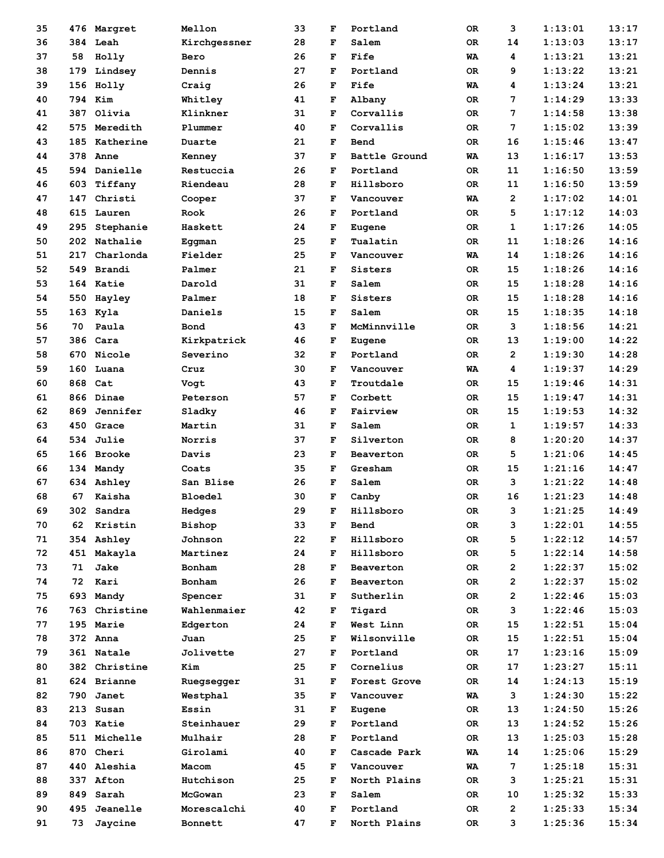| 35 |     | 476 Margret   | Mellon         | 33 | F | Portland      | 0R | 3              | 1:13:01 | 13:17 |
|----|-----|---------------|----------------|----|---|---------------|----|----------------|---------|-------|
| 36 |     | 384 Leah      | Kirchgessner   | 28 | F | Salem         | 0R | 14             | 1:13:03 | 13:17 |
| 37 | 58  | Holly         | Bero           | 26 | F | Fife          | WA | 4              | 1:13:21 | 13:21 |
| 38 | 179 | Lindsey       | Dennis         | 27 | F | Portland      | 0R | 9              | 1:13:22 | 13:21 |
| 39 | 156 | Holly         | Craig          | 26 | F | Fife          | WA | 4              | 1:13:24 | 13:21 |
| 40 | 794 | Kim           | Whitley        | 41 | F | Albany        | 0R | 7              | 1:14:29 | 13:33 |
| 41 | 387 | Olivia        | Klinkner       | 31 | F | Corvallis     | 0R | 7              | 1:14:58 | 13:38 |
| 42 | 575 | Meredith      | Plummer        | 40 | F | Corvallis     | 0R | 7              | 1:15:02 | 13:39 |
| 43 | 185 | Katherine     | Duarte         | 21 | F | <b>Bend</b>   | ОR | 16             | 1:15:46 | 13:47 |
| 44 | 378 | Anne          | Kenney         | 37 | F | Battle Ground | WA | 13             | 1:16:17 | 13:53 |
| 45 | 594 | Danielle      | Restuccia      | 26 | F | Portland      | 0R | 11             | 1:16:50 | 13:59 |
| 46 | 603 | Tiffany       | Riendeau       | 28 | F | Hillsboro     | 0R | 11             | 1:16:50 | 13:59 |
| 47 | 147 | Christi       | Cooper         | 37 | F | Vancouver     | WA | $\overline{2}$ | 1:17:02 | 14:01 |
| 48 | 615 | Lauren        | Rook           | 26 | F | Portland      | 0R | 5              | 1:17:12 | 14:03 |
| 49 | 295 | Stephanie     | Haskett        | 24 | F | Eugene        | 0R | 1              | 1:17:26 | 14:05 |
| 50 | 202 | Nathalie      | Eggman         | 25 | F | Tualatin      | ОR | 11             | 1:18:26 | 14:16 |
| 51 | 217 | Charlonda     | Fielder        | 25 | F | Vancouver     | WA | 14             | 1:18:26 | 14:16 |
| 52 | 549 | Brandi        | Palmer         | 21 | F | Sisters       | 0R | 15             | 1:18:26 | 14:16 |
| 53 | 164 | Katie         | Darold         | 31 | F | Salem         | ОR | 15             | 1:18:28 | 14:16 |
| 54 | 550 | Hayley        | Palmer         | 18 | F | Sisters       | ОR | 15             | 1:18:28 | 14:16 |
| 55 | 163 | Kyla          | Daniels        | 15 | F | Salem         | 0R | 15             | 1:18:35 | 14:18 |
| 56 | 70  | Paula         | Bond           | 43 | F | McMinnville   | 0R | 3              | 1:18:56 | 14:21 |
| 57 | 386 | Cara          | Kirkpatrick    | 46 | F | Eugene        | ОR | 13             | 1:19:00 | 14:22 |
| 58 | 670 | Nicole        | Severino       | 32 | F | Portland      | ОR | $\overline{2}$ | 1:19:30 | 14:28 |
| 59 | 160 | Luana         | Cruz           | 30 | F | Vancouver     | WA | 4              | 1:19:37 | 14:29 |
| 60 | 868 | Cat           | Vogt           | 43 | F | Troutdale     | 0R | 15             | 1:19:46 | 14:31 |
| 61 | 866 | Dinae         | Peterson       | 57 | F | Corbett       | ОR | 15             | 1:19:47 | 14:31 |
| 62 | 869 | Jennifer      | Sladky         | 46 | F | Fairview      | ОR | 15             | 1:19:53 | 14:32 |
| 63 | 450 | Grace         | Martin         | 31 | F | Salem         | 0R | 1              | 1:19:57 | 14:33 |
| 64 | 534 | Julie         | Norris         | 37 | F | Silverton     | 0R | 8              | 1:20:20 | 14:37 |
| 65 | 166 | <b>Brooke</b> | Davis          | 23 | F | Beaverton     | ОR | 5              | 1:21:06 | 14:45 |
| 66 | 134 | Mandy         | Coats          | 35 | F | Gresham       | 0R | 15             | 1:21:16 | 14:47 |
| 67 | 634 | Ashley        | San Blise      | 26 | F | Salem         | 0R | 3              | 1:21:22 | 14:48 |
| 68 | 67  | Kaisha        | <b>Bloedel</b> | 30 | F | Canby         | ОR | 16             | 1:21:23 | 14:48 |
| 69 | 302 | Sandra        | Hedges         | 29 | F | Hillsboro     | 0R | 3              | 1:21:25 | 14:49 |
| 70 | 62  | Kristin       | Bishop         | 33 | F | Bend          | OR | 3              | 1:22:01 | 14:55 |
| 71 | 354 | Ashley        | Johnson        | 22 | F | Hillsboro     | OR | 5              | 1:22:12 | 14:57 |
| 72 | 451 | Makayla       | Martinez       | 24 | F | Hillsboro     | OR | 5              | 1:22:14 | 14:58 |
| 73 | 71  | Jake          | Bonham         | 28 | F | Beaverton     | OR | $\overline{2}$ | 1:22:37 | 15:02 |
| 74 | 72  | Kari          | Bonham         | 26 | F | Beaverton     | OR | $\overline{2}$ | 1:22:37 | 15:02 |
| 75 | 693 | Mandy         | Spencer        | 31 | F | Sutherlin     | OR | $\mathbf{2}$   | 1:22:46 | 15:03 |
| 76 | 763 | Christine     | Wahlenmaier    | 42 | F | Tigard        | OR | 3              | 1:22:46 | 15:03 |
| 77 | 195 | Marie         | Edgerton       | 24 | F | West Linn     | OR | 15             | 1:22:51 | 15:04 |
| 78 |     | 372 Anna      | Juan           | 25 | F | Wilsonville   | OR | 15             | 1:22:51 | 15:04 |
| 79 |     | 361 Natale    | Jolivette      | 27 | F | Portland      | OR | 17             | 1:23:16 | 15:09 |
| 80 |     | 382 Christine | Kim            | 25 | F | Cornelius     | OR | 17             | 1:23:27 | 15:11 |
| 81 |     | 624 Brianne   | Ruegsegger     | 31 | F | Forest Grove  | OR | 14             | 1:24:13 | 15:19 |
| 82 | 790 | Janet         | Westphal       | 35 | F | Vancouver     | WA | 3              | 1:24:30 | 15:22 |
| 83 | 213 | Susan         | Essin          | 31 | F | Eugene        | OR | 13             | 1:24:50 | 15:26 |
| 84 |     | 703 Katie     | Steinhauer     | 29 | F | Portland      | OR | 13             | 1:24:52 | 15:26 |
| 85 |     | 511 Michelle  | Mulhair        | 28 | F | Portland      | OR | 13             | 1:25:03 | 15:28 |
| 86 |     | 870 Cheri     | Girolami       | 40 | F | Cascade Park  | WA | 14             | 1:25:06 | 15:29 |
| 87 | 440 | Aleshia       | Macom          | 45 | F | Vancouver     | WA | 7              | 1:25:18 | 15:31 |
| 88 | 337 | Afton         | Hutchison      | 25 | F | North Plains  | OR | 3              | 1:25:21 | 15:31 |
| 89 | 849 | Sarah         | McGowan        | 23 | F | Salem         | OR | 10             | 1:25:32 | 15:33 |
| 90 | 495 | Jeanelle      | Morescalchi    | 40 | F | Portland      | OR | $\overline{2}$ | 1:25:33 | 15:34 |
| 91 | 73  | Jaycine       | Bonnett        | 47 | F | North Plains  | OR | 3              | 1:25:36 | 15:34 |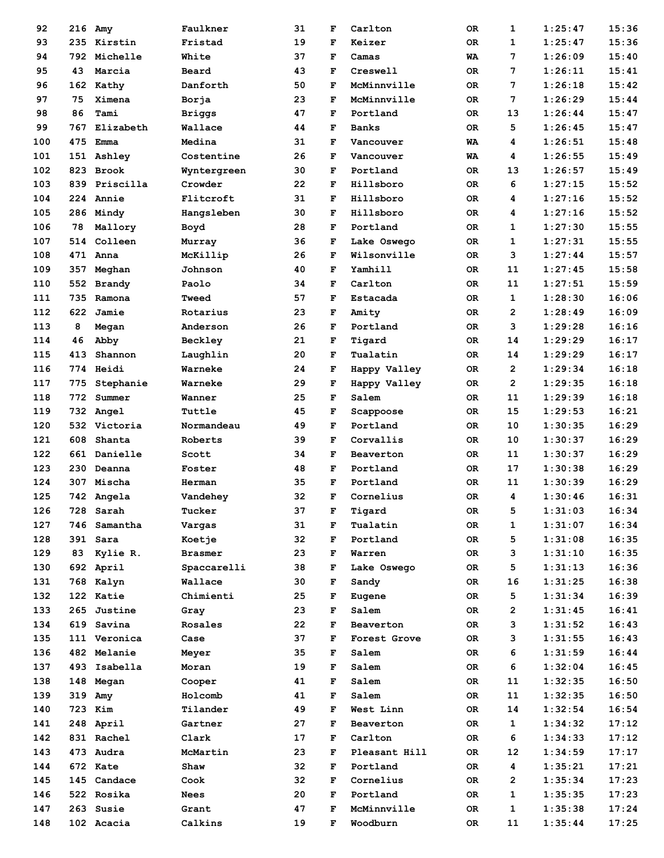| 92  | 216  | Amy              | Faulkner      | 31 | F           | Carlton       | 0R        | 1              | 1:25:47 | 15:36 |
|-----|------|------------------|---------------|----|-------------|---------------|-----------|----------------|---------|-------|
| 93  | 235  | Kirstin          | Fristad       | 19 | F           | Keizer        | 0R        | 1              | 1:25:47 | 15:36 |
| 94  | 792. | Michelle         | White         | 37 | F           | Camas         | WA        | 7              | 1:26:09 | 15:40 |
| 95  | 43   | Marcia           | Beard         | 43 | F           | Creswell      | 0R        | 7              | 1:26:11 | 15:41 |
| 96  |      | 162 Kathy        | Danforth      | 50 | F           | McMinnville   | 0R        | 7              | 1:26:18 | 15:42 |
| 97  | 75   | Ximena           | Borja         | 23 | F           | McMinnville   | 0R        | 7              | 1:26:29 | 15:44 |
| 98  | 86   | Tami             | <b>Briggs</b> | 47 | F           | Portland      | 0R        | 13             | 1:26:44 | 15:47 |
| 99  | 767  | Elizabeth        | Wallace       | 44 | F           | <b>Banks</b>  | <b>OR</b> | 5              | 1:26:45 | 15:47 |
| 100 | 475  | Emma             | Medina        | 31 | F           | Vancouver     | WA        | 4              | 1:26:51 | 15:48 |
| 101 |      | 151 Ashley       | Costentine    | 26 | F           | Vancouver     | WA        | 4              | 1:26:55 | 15:49 |
| 102 | 823  | Brook            | Wyntergreen   | 30 | $\mathbf F$ | Portland      | 0R        | 13             | 1:26:57 | 15:49 |
| 103 | 839  | Priscilla        | Crowder       | 22 | F           | Hillsboro     | 0R        | 6              | 1:27:15 | 15:52 |
| 104 |      | <b>224 Annie</b> | Flitcroft     | 31 | F           | Hillsboro     | 0R        | 4              | 1:27:16 | 15:52 |
| 105 |      | 286 Mindy        | Hangsleben    | 30 | F           | Hillsboro     | 0R        | 4              | 1:27:16 | 15:52 |
| 106 | 78   | Mallory          | Boyd          | 28 | F           | Portland      | 0R        | 1              | 1:27:30 | 15:55 |
| 107 | 514  | Colleen          | Murray        | 36 | F           | Lake Oswego   | 0R        | 1              | 1:27:31 | 15:55 |
| 108 |      | 471 Anna         | McKillip      | 26 | F           | Wilsonville   | 0R        | 3              | 1:27:44 | 15:57 |
| 109 | 357  | Meghan           | Johnson       | 40 | F           | Yamhill       | 0R        | 11             | 1:27:45 | 15:58 |
| 110 | 552  | <b>Brandy</b>    | Paolo         | 34 | F           | Carlton       | 0R        | 11             | 1:27:51 | 15:59 |
| 111 | 735  | Ramona           | Tweed         | 57 | F           | Estacada      | 0R        | 1              | 1:28:30 | 16:06 |
| 112 | 622  | Jamie            | Rotarius      | 23 | F           | Amity         | 0R        | $\overline{2}$ | 1:28:49 | 16:09 |
| 113 | 8    | Megan            | Anderson      | 26 | F           | Portland      | 0R        | 3              | 1:29:28 | 16:16 |
| 114 | 46   | Abby             | Beckley       | 21 | F           | Tigard        | 0R        | 14             | 1:29:29 | 16:17 |
| 115 | 413  | Shannon          | Laughlin      | 20 | F           | Tualatin      | 0R        | 14             | 1:29:29 | 16:17 |
| 116 |      | 774 Heidi        | Warneke       | 24 | F           | Happy Valley  | 0R        | $\overline{2}$ | 1:29:34 | 16:18 |
| 117 | 775  | Stephanie        | Warneke       | 29 | F           | Happy Valley  | 0R        | $\overline{2}$ | 1:29:35 | 16:18 |
| 118 | 772  | Summer           | Wanner        | 25 | F           | Salem         | 0R        | 11             | 1:29:39 | 16:18 |
| 119 |      | 732 Angel        | Tuttle        | 45 | F           | Scappoose     | 0R        | 15             | 1:29:53 | 16:21 |
| 120 |      | 532 Victoria     | Normandeau    | 49 | F           | Portland      | 0R        | 10             | 1:30:35 | 16:29 |
| 121 | 608  | Shanta           | Roberts       | 39 | F           | Corvallis     | 0R        | 10             | 1:30:37 | 16:29 |
| 122 |      | 661 Danielle     | Scott         | 34 | F           | Beaverton     | 0R        | 11             | 1:30:37 | 16:29 |
| 123 | 230  | Deanna           | Foster        | 48 | F           | Portland      | 0R        | 17             | 1:30:38 | 16:29 |
| 124 | 307  | Mischa           | Herman        | 35 | F           | Portland      | 0R        | 11             | 1:30:39 | 16:29 |
| 125 |      | 742 Angela       | Vandehey      | 32 | F           | Cornelius     | 0R        | 4              | 1:30:46 | 16:31 |
| 126 | 728  | Sarah            | Tucker        | 37 | F           | Tigard        | 0R        | 5              | 1:31:03 | 16:34 |
| 127 |      | 746 Samantha     | Vargas        | 31 | F           | Tualatin      | OR        | 1              | 1:31:07 | 16:34 |
| 128 |      | 391 Sara         | Koetje        | 32 | F           | Portland      | OR        | 5              | 1:31:08 | 16:35 |
| 129 | 83   | Kylie R.         | Brasmer       | 23 | F           | Warren        | 0R        | з              | 1:31:10 | 16:35 |
| 130 |      | 692 April        | Spaccarelli   | 38 | F           | Lake Oswego   | OR.       | 5              | 1:31:13 | 16:36 |
| 131 |      | 768 Kalyn        | Wallace       | 30 | F           | Sandy         | OR        | 16             | 1:31:25 | 16:38 |
| 132 |      | 122 Katie        | Chimienti     | 25 | F           | Eugene        | OR        | 5              | 1:31:34 | 16:39 |
| 133 |      | 265 Justine      | Gray          | 23 | F           | Salem         | 0R        | 2              | 1:31:45 | 16:41 |
| 134 |      | 619 Savina       | Rosales       | 22 | F           | Beaverton     | 0R        | 3              | 1:31:52 | 16:43 |
| 135 |      | 111 Veronica     | Case          | 37 | F           | Forest Grove  | OR        | 3              | 1:31:55 | 16:43 |
| 136 |      | 482 Melanie      | Meyer         | 35 | F           | Salem         | OR        | 6              | 1:31:59 | 16:44 |
| 137 |      | 493 Isabella     | Moran         | 19 | F           | Salem         | 0R        | 6              | 1:32:04 | 16:45 |
| 138 |      | 148 Megan        | Cooper        | 41 | F           | Salem         | 0R        | 11             | 1:32:35 | 16:50 |
| 139 | 319  | Amy              | Holcomb       | 41 | F           | Salem         | 0R        | 11             | 1:32:35 | 16:50 |
| 140 |      | 723 Kim          | Tilander      | 49 | F           | West Linn     | 0R        | 14             | 1:32:54 | 16:54 |
| 141 |      | 248 April        | Gartner       | 27 | F           | Beaverton     | 0R        | 1              | 1:34:32 | 17:12 |
| 142 |      | 831 Rachel       | Clark         | 17 | F           | Carlton       | OR        | 6              | 1:34:33 | 17:12 |
| 143 |      | 473 Audra        | McMartin      | 23 | F           | Pleasant Hill | OR        | 12             | 1:34:59 | 17:17 |
| 144 |      | 672 Kate         | Shaw          | 32 | F           | Portland      | 0R        | 4              | 1:35:21 | 17:21 |
| 145 |      | 145 Candace      | Cook          | 32 | F           | Cornelius     | 0R        | $\mathbf{2}$   | 1:35:34 | 17:23 |
| 146 |      | 522 Rosika       | <b>Nees</b>   | 20 | F           | Portland      | OR        | $\mathbf{1}$   | 1:35:35 | 17:23 |
| 147 |      | 263 Susie        | Grant         | 47 | F           | McMinnville   | 0R        | 1              | 1:35:38 | 17:24 |
| 148 |      | 102 Acacia       | Calkins       | 19 | F           | Woodburn      | OR        | 11             | 1:35:44 | 17:25 |
|     |      |                  |               |    |             |               |           |                |         |       |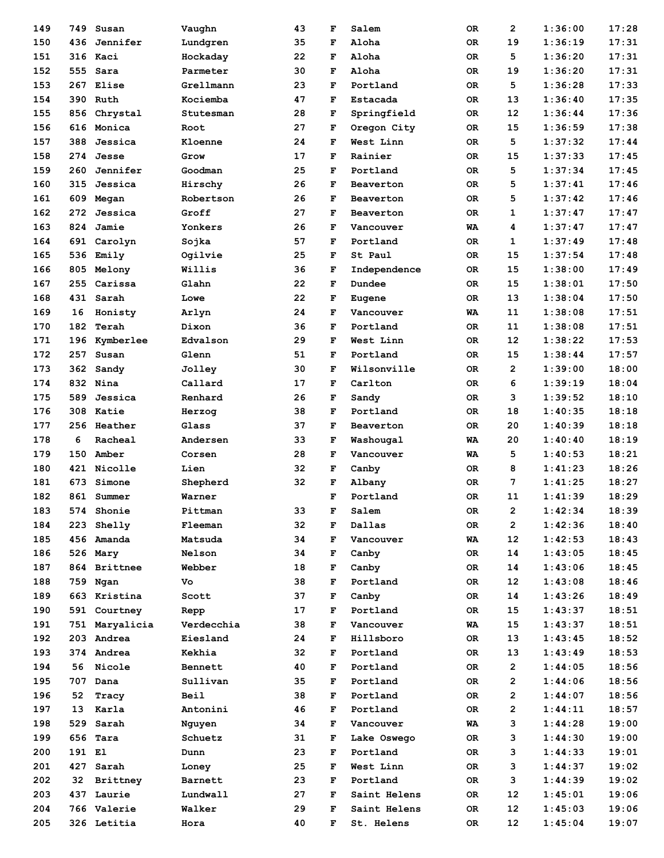| 149 | 749    | Susan           | Vaughn      | 43 | F | Salem                  | 0R        | 2              | 1:36:00 | 17:28 |
|-----|--------|-----------------|-------------|----|---|------------------------|-----------|----------------|---------|-------|
| 150 |        | 436 Jennifer    | Lundgren    | 35 | F | Aloha                  | 0R        | 19             | 1:36:19 | 17:31 |
| 151 |        | 316 Kaci        | Hockaday    | 22 | F | Aloha                  | 0R        | 5              | 1:36:20 | 17:31 |
| 152 |        | 555 Sara        | Parmeter    | 30 | F | Aloha                  | <b>OR</b> | 19             | 1:36:20 | 17:31 |
| 153 |        | 267 Elise       | Grellmann   | 23 | F | Portland               | 0R        | 5              | 1:36:28 | 17:33 |
| 154 | 390    | Ruth            | Kociemba    | 47 | F | Estacada               | 0R        | 13             | 1:36:40 | 17:35 |
| 155 | 856    | Chrystal        | Stutesman   | 28 | F | Springfield            | 0R        | 12             | 1:36:44 | 17:36 |
| 156 |        | 616 Monica      | Root        | 27 | F | Oregon City            | 0R        | 15             | 1:36:59 | 17:38 |
| 157 | 388    | Jessica         | Kloenne     | 24 | F | West Linn              | 0R        | 5              | 1:37:32 | 17:44 |
| 158 | 274    | Jesse           | Grow        | 17 | F | Rainier                | 0R        | 15             | 1:37:33 | 17:45 |
| 159 | 260    | Jennifer        | Goodman     | 25 | F | Portland               | OR        | 5              | 1:37:34 | 17:45 |
| 160 | 315    | Jessica         | Hirschy     | 26 | F | Beaverton              | <b>OR</b> | 5              | 1:37:41 | 17:46 |
| 161 |        | 609 Megan       | Robertson   | 26 | F | Beaverton              | 0R        | 5              | 1:37:42 | 17:46 |
| 162 | 272    | Jessica         | Groff       | 27 | F | Beaverton              | 0R        | 1              | 1:37:47 | 17:47 |
| 163 | 824    | Jamie           | Yonkers     | 26 | F | Vancouver              | WA        | 4              | 1:37:47 | 17:47 |
| 164 |        | 691 Carolyn     | Sojka       | 57 | F | Portland               | 0R        | 1              | 1:37:49 | 17:48 |
| 165 |        | 536 Emily       | Ogilvie     | 25 | F | St Paul                | 0R        | 15             | 1:37:54 | 17:48 |
| 166 | 805    | Melony          | Willis      | 36 | F | Independence           | 0R        | 15             | 1:38:00 | 17:49 |
| 167 | 255    | Carissa         | Glahn       | 22 | F | Dundee                 | 0R        | 15             | 1:38:01 | 17:50 |
| 168 |        | 431 Sarah       | Lowe        | 22 | F | Eugene                 | 0R        | 13             | 1:38:04 | 17:50 |
| 169 | 16     | Honisty         | Arlyn       | 24 | F | Vancouver              | WA        | 11             | 1:38:08 | 17:51 |
| 170 | 182    | Terah           | Dixon       | 36 | F | Portland               | OR.       | 11             | 1:38:08 | 17:51 |
| 171 | 196    | Kymberlee       | Edvalson    | 29 | F | West Linn              | 0R        | 12             | 1:38:22 | 17:53 |
| 172 |        | 257 Susan       | Glenn       | 51 | F | Portland               | 0R        | 15             | 1:38:44 | 17:57 |
| 173 |        | 362 Sandy       | Jolley      | 30 | F | Wilsonville            | 0R        | $\overline{2}$ | 1:39:00 | 18:00 |
| 174 |        | 832 Nina        | Callard     | 17 | F | Carlton                | 0R        | 6              | 1:39:19 | 18:04 |
| 175 |        | 589 Jessica     | Renhard     | 26 | F | Sandy                  | 0R        | 3              | 1:39:52 | 18:10 |
| 176 | 308    | Katie           | Herzog      | 38 | F | Portland               | 0R        | 18             | 1:40:35 | 18:18 |
| 177 |        | 256 Heather     | Glass       | 37 | F | Beaverton              | 0R        | 20             | 1:40:39 | 18:18 |
| 178 | 6      | Racheal         | Andersen    | 33 | F |                        | <b>WA</b> | 20             | 1:40:40 | 18:19 |
| 179 | 150    | Amber           | Corsen      | 28 | F | Washougal<br>Vancouver | WA        | 5              | 1:40:53 | 18:21 |
| 180 | 421    | Nicolle         | Lien        | 32 | F | Canby                  | 0R        | 8              | 1:41:23 | 18:26 |
| 181 | 673    | Simone          |             | 32 | F | Albany                 |           | 7              | 1:41:25 | 18:27 |
| 182 |        | 861 Summer      | Shepherd    |    | F | Portland               | 0R        | 11             |         | 18:29 |
|     |        |                 | Warner      |    |   |                        | 0R        |                | 1:41:39 |       |
| 183 |        | 574 Shonie      | Pittman     | 33 | F | Salem                  | 0R        | 2              | 1:42:34 | 18:39 |
| 184 |        | 223 Shelly      | Fleeman     | 32 | F | Dallas                 | OR        | $\mathbf{2}$   | 1:42:36 | 18:40 |
| 185 |        | 456 Amanda      | Matsuda     | 34 | F | Vancouver              | WA        | 12             | 1:42:53 | 18:43 |
| 186 |        | 526 Mary        | Nelson      | 34 | F | Canby                  | 0R        | 14             | 1:43:05 | 18:45 |
| 187 |        | 864 Brittnee    | Webber      | 18 | F | Canby                  | OR        | 14             | 1:43:06 | 18:45 |
| 188 |        | 759 Ngan        | Vo          | 38 | F | Portland               | OR        | 12             | 1:43:08 | 18:46 |
| 189 |        | 663 Kristina    | Scott       | 37 | F | Canby                  | OR        | 14             | 1:43:26 | 18:49 |
| 190 |        | 591 Courtney    | Repp        | 17 | F | Portland               | 0R        | 15             | 1:43:37 | 18:51 |
| 191 |        | 751 Maryalicia  | Verdecchia  | 38 | F | Vancouver              | WA        | 15             | 1:43:37 | 18:51 |
| 192 |        | 203 Andrea      | Eiesland    | 24 | F | Hillsboro              | OR        | 13             | 1:43:45 | 18:52 |
| 193 |        | 374 Andrea      | Kekhia      | 32 | F | Portland               | OR        | 13             | 1:43:49 | 18:53 |
| 194 | 56     | Nicole          | Bennett     | 40 | F | Portland               | 0R        | $\mathbf{2}$   | 1:44:05 | 18:56 |
| 195 | 707    | Dana            | Sullivan    | 35 | F | Portland               | 0R        | 2              | 1:44:06 | 18:56 |
| 196 | 52     | Tracy           | <b>Beil</b> | 38 | F | Portland               | OR        | $\overline{2}$ | 1:44:07 | 18:56 |
| 197 | 13     | Karla           | Antonini    | 46 | F | Portland               | OR.       | $\mathbf{2}$   | 1:44:11 | 18:57 |
| 198 | 529    | Sarah           | Nguyen      | 34 | F | Vancouver              | WA        | з              | 1:44:28 | 19:00 |
| 199 |        | 656 Tara        | Schuetz     | 31 | F | Lake Oswego            | OR        | 3              | 1:44:30 | 19:00 |
| 200 | 191 El |                 | Dunn        | 23 | F | Portland               | OR.       | з              | 1:44:33 | 19:01 |
| 201 |        | 427 Sarah       | Loney       | 25 | F | West Linn              | OR.       | з              | 1:44:37 | 19:02 |
| 202 | 32     | <b>Brittney</b> | Barnett     | 23 | F | Portland               | OR.       | 3              | 1:44:39 | 19:02 |
| 203 |        | 437 Laurie      | Lundwall    | 27 | F | Saint Helens           | 0R        | 12             | 1:45:01 | 19:06 |
| 204 |        | 766 Valerie     | Walker      | 29 | F | Saint Helens           | OR        | 12             | 1:45:03 | 19:06 |
| 205 |        | 326 Letitia     | Hora        | 40 | F | St. Helens             | OR        | 12             | 1:45:04 | 19:07 |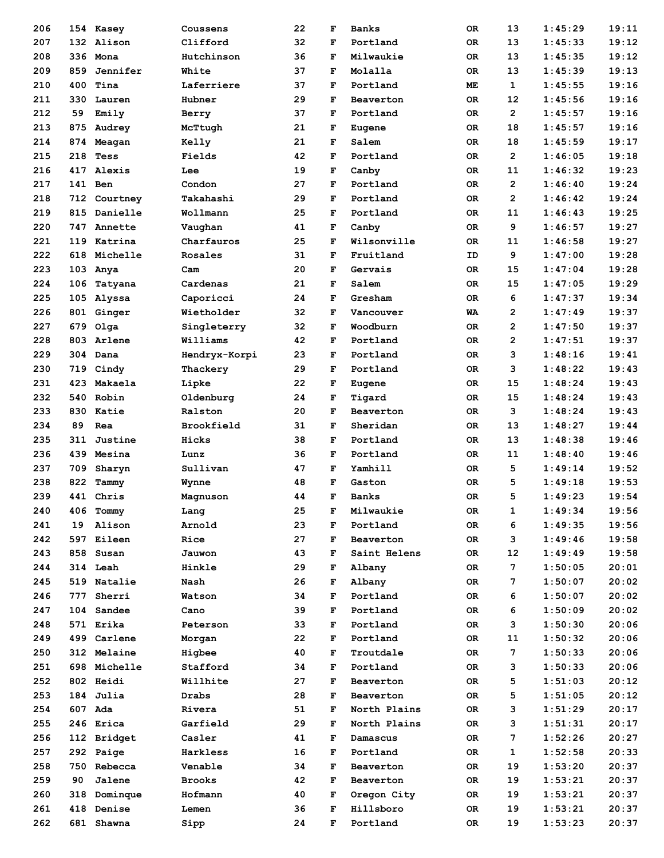| 206        |         | 154 Kasey              | Coussens      | 22       | F      | <b>Banks</b>          | 0R        | 13             | 1:45:29            | 19:11          |
|------------|---------|------------------------|---------------|----------|--------|-----------------------|-----------|----------------|--------------------|----------------|
| 207        |         | 132 Alison             | Clifford      | 32       | F      | Portland              | 0R        | 13             | 1:45:33            | 19:12          |
| 208        |         | 336 Mona               | Hutchinson    | 36       | F      | Milwaukie             | 0R        | 13             | 1:45:35            | 19:12          |
| 209        | 859     | Jennifer               | White         | 37       | F      | Molalla               | <b>OR</b> | 13             | 1:45:39            | 19:13          |
| 210        | 400     | Tina                   | Laferriere    | 37       | F      | Portland              | МE        | $\mathbf 1$    | 1:45:55            | 19:16          |
| 211        | 330     | Lauren                 | Hubner        | 29       | F      | Beaverton             | 0R        | 12             | 1:45:56            | 19:16          |
| 212        | 59      | Emily                  | Berry         | 37       | F      | Portland              | 0R        | $\overline{2}$ | 1:45:57            | 19:16          |
| 213        | 875     | Audrey                 | McTtugh       | 21       | F      | Eugene                | 0R        | 18             | 1:45:57            | 19:16          |
| 214        | 874     | Meagan                 | Kelly         | 21       | F      | Salem                 | <b>OR</b> | 18             | 1:45:59            | 19:17          |
| 215        | 218     | Tess                   | Fields        | 42       | F      | Portland              | 0R        | $\overline{2}$ | 1:46:05            | 19:18          |
| 216        | 417     | Alexis                 | Lee           | 19       | F      | Canby                 | 0R        | 11             | 1:46:32            | 19:23          |
| 217        | 141 Ben |                        | Condon        | 27       | F      | Portland              | 0R        | $\overline{2}$ | 1:46:40            | 19:24          |
| 218        |         | 712 Courtney           | Takahashi     | 29       | F      | Portland              | 0R        | $\overline{2}$ | 1:46:42            | 19:24          |
| 219        |         | 815 Danielle           | Wollmann      | 25       | F      | Portland              | 0R        | 11             | 1:46:43            | 19:25          |
| 220        |         | 747 Annette            | Vaughan       | 41       | F      | Canby                 | 0R        | 9              | 1:46:57            | 19:27          |
| 221        |         | 119 Katrina            | Charfauros    | 25       | F      | Wilsonville           | 0R        | 11             | 1:46:58            | 19:27          |
| 222        | 618     | Michelle               | Rosales       | 31       | F      | Fruitland             | ID        | 9              | 1:47:00            | 19:28          |
| 223        |         | 103 Anya               | Cam           | 20       | F      | Gervais               | 0R        | 15             | 1:47:04            | 19:28          |
| 224        | 106     | Tatyana                | Cardenas      | 21       | F      | Salem                 | <b>OR</b> | 15             | 1:47:05            | 19:29          |
| 225        | 105     | Alyssa                 | Caporicci     | 24       | F      | Gresham               | <b>OR</b> | 6              | 1:47:37            | 19:34          |
| 226        |         | 801 Ginger             | Wietholder    | 32       | F      | Vancouver             | WA        | $\mathbf{2}$   | 1:47:49            | 19:37          |
| 227        |         | 679 Olga               | Singleterry   | 32       | F      | Woodburn              | 0R        | $\overline{2}$ | 1:47:50            | 19:37          |
| 228        |         | 803 Arlene             | Williams      | 42       | F      | Portland              | 0R        | $\overline{2}$ | 1:47:51            | 19:37          |
| 229        |         | 304 Dana               | Hendryx-Korpi | 23       | F      | Portland              | 0R        | 3              | 1:48:16            | 19:41          |
| 230        |         | 719 Cindy              | Thackery      | 29       | F      | Portland              | 0R        | з              | 1:48:22            | 19:43          |
| 231        |         | 423 Makaela            | Lipke         | 22       | F      | Eugene                | 0R        | 15             | 1:48:24            | 19:43          |
| 232        |         | 540 Robin              | Oldenburg     | 24       | F      | Tigard                | 0R        | 15             | 1:48:24            | 19:43          |
| 233        | 830     | Katie                  | Ralston       | 20       | F      | Beaverton             | 0R        | 3              | 1:48:24            | 19:43          |
| 234        | 89      | Rea                    | Brookfield    | 31       | F      | Sheridan              | 0R        | 13             | 1:48:27            | 19:44          |
| 235        | 311     | Justine                | Hicks         | 38       | F      | Portland              | 0R        | 13             | 1:48:38            | 19:46          |
| 236        |         | 439 Mesina             | Lunz          | 36       | F      | Portland              | <b>OR</b> | 11             | 1:48:40            | 19:46          |
| 237        | 709     | Sharyn                 | Sullivan      | 47       | F      | Yamhill               | 0R        | 5              | 1:49:14            | 19:52          |
| 238        | 822     | Tammy                  | Wynne         | 48       | F      | Gaston                | 0R        | 5              | 1:49:18            | 19:53          |
| 239        |         | 441 Chris              | Magnuson      | 44       | F      | <b>Banks</b>          | 0R        | 5              | 1:49:23            | 19:54          |
| 240        | 406     | Tommy                  | Lang          | 25       | F      | Milwaukie             | OR        | 1              | 1:49:34            | 19:56          |
| 241        | 19      | Alison                 | Arnold        | 23       | F      | Portland              | 0R        | 6              | 1:49:35            | 19:56          |
| 242        |         | 597 Eileen             | Rice          | 27       | F      | Beaverton             | 0R        | 3              | 1:49:46            | 19:58          |
| 243        |         | 858 Susan              | Jauwon        | 43       | F      | Saint Helens          | OR        | 12             | 1:49:49            | 19:58          |
| 244        |         | 314 Leah               | Hinkle        | 29       | F      | Albany                | OR        | 7              | 1:50:05            | 20:01          |
| 245        |         | 519 Natalie            | Nash          | 26       | F      | Albany                | OR.       | 7              | 1:50:07            | 20:02          |
| 246        | 777     | Sherri                 | Watson        | 34       | F      | Portland              | OR        | 6              | 1:50:07            | 20:02          |
| 247        | 104     | Sandee                 | Cano          | 39       | F      | Portland              | OR        | 6              | 1:50:09            | 20:02          |
| 248        |         | 571 Erika              | Peterson      | 33       | F      | Portland              | OR        | 3              | 1:50:30            | 20:06          |
| 249        |         | 499 Carlene            | Morgan        | 22       | F      | Portland              | OR        | 11             | 1:50:32            | 20:06          |
| 250        |         | 312 Melaine            | Higbee        | 40       | F      | Troutdale             | 0R        | 7              | 1:50:33            | 20:06          |
| 251        |         | 698 Michelle           | Stafford      | 34       | F      | Portland              | OR        | з              | 1:50:33            | 20:06          |
| 252        |         | 802 Heidi              | Willhite      | 27       | F      | Beaverton             | 0R        | 5              | 1:51:03            | 20:12          |
| 253        |         | 184 Julia              | Drabs         | 28       | F      | Beaverton             | 0R        | 5              | 1:51:05            | 20:12          |
| 254        | 607 Ada |                        | Rivera        | 51       | F      | North Plains          | OR        | з              | 1:51:29            | 20:17          |
| 255        |         | 246 Erica              | Garfield      | 29       | F      | North Plains          | OR.       | 3              | 1:51:31            | 20:17          |
| 256        |         | 112 Bridget            | Casler        | 41       | F      | Damascus              | OR.       | 7              | 1:52:26            | 20:27          |
| 257        |         | 292 Paige              | Harkless      | 16       | F      | Portland              | OR        | 1              | 1:52:58            | 20:33          |
| 258        |         | 750 Rebecca            | Venable       | 34       | F      | Beaverton             | OR.       | 19             | 1:53:20            | 20:37          |
| 259        | 90      | Jalene                 | <b>Brooks</b> | 42       | F      | Beaverton             | 0R        | 19             | 1:53:21            | 20:37          |
| 260        | 318     | Dominque<br>418 Denise | Hofmann       | 40       | F      | Oregon City           | OR        | 19             | 1:53:21            | 20:37          |
| 261<br>262 |         | 681 Shawna             | Lemen         | 36<br>24 | F<br>F | Hillsboro<br>Portland | OR        | 19<br>19       | 1:53:21<br>1:53:23 | 20:37<br>20:37 |
|            |         |                        | Sipp          |          |        |                       | OR        |                |                    |                |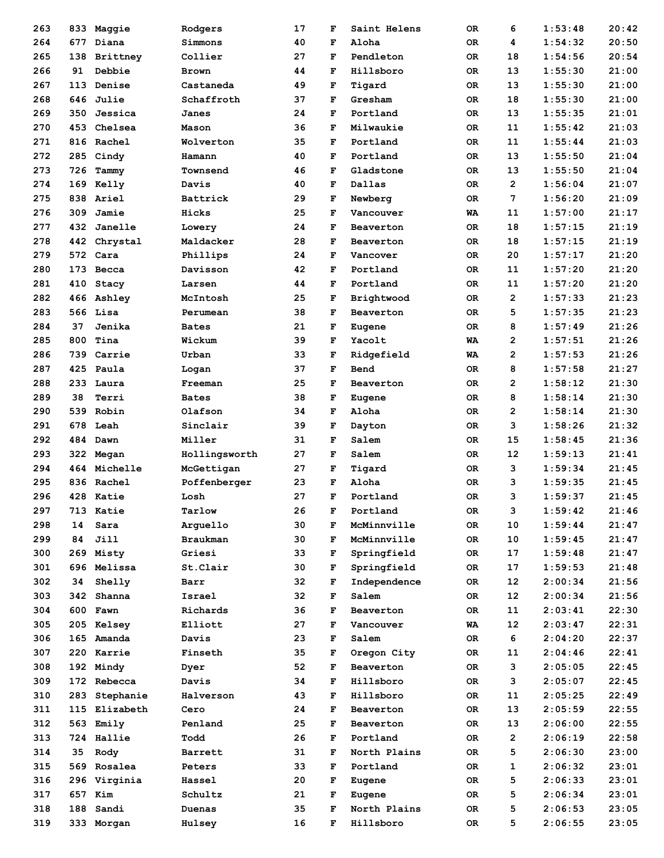| 263 |     | 833 Maggie      | Rodgers         | 17 | F      | Saint Helens       | OR.       | 6              | 1:53:48 | 20:42 |
|-----|-----|-----------------|-----------------|----|--------|--------------------|-----------|----------------|---------|-------|
| 264 |     | 677 Diana       | Simmons         | 40 | F      | Aloha              | 0R        | 4              | 1:54:32 | 20:50 |
| 265 | 138 | <b>Brittney</b> | Collier         | 27 | F      | Pendleton          | 0R        | 18             | 1:54:56 | 20:54 |
| 266 | 91  | Debbie          | <b>Brown</b>    | 44 | F      | Hillsboro          | 0R        | 13             | 1:55:30 | 21:00 |
| 267 | 113 | Denise          | Castaneda       | 49 | F      | Tigard             | 0R        | 13             | 1:55:30 | 21:00 |
| 268 | 646 | <b>Julie</b>    | Schaffroth      | 37 | F      | Gresham            | 0R        | 18             | 1:55:30 | 21:00 |
| 269 | 350 | Jessica         | Janes           | 24 | F      | Portland           | 0R        | 13             | 1:55:35 | 21:01 |
| 270 | 453 | Chelsea         | Mason           | 36 | F      | Milwaukie          | 0R        | 11             | 1:55:42 | 21:03 |
| 271 |     | 816 Rachel      | Wolverton       | 35 | F      | Portland           | 0R        | 11             | 1:55:44 | 21:03 |
| 272 | 285 | Cindy           | Hamann          | 40 | F      | Portland           | <b>OR</b> | 13             | 1:55:50 | 21:04 |
| 273 | 726 | Tammy           | Townsend        | 46 | F      | Gladstone          | <b>OR</b> | 13             | 1:55:50 | 21:04 |
| 274 |     | 169 Kelly       | Davis           | 40 | F      | Dallas             | 0R        | $\overline{2}$ | 1:56:04 | 21:07 |
| 275 |     | 838 Ariel       | Battrick        | 29 | F      | Newberg            | 0R        | 7              | 1:56:20 | 21:09 |
| 276 | 309 | Jamie           | Hicks           | 25 | F      | Vancouver          | WA        | 11             | 1:57:00 | 21:17 |
| 277 | 432 | Janelle         | Lowery          | 24 | F      | Beaverton          | 0R        | 18             | 1:57:15 | 21:19 |
| 278 |     | 442 Chrystal    | Maldacker       | 28 | F      | Beaverton          | 0R        | 18             | 1:57:15 | 21:19 |
| 279 |     | 572 Cara        | Phillips        | 24 | F      | Vancover           | 0R        | 20             | 1:57:17 | 21:20 |
| 280 | 173 | Becca           | Davisson        | 42 | F      | Portland           | 0R        | 11             | 1:57:20 | 21:20 |
| 281 | 410 | Stacy           | Larsen          | 44 | F      | Portland           | OR        | 11             | 1:57:20 | 21:20 |
| 282 |     | 466 Ashley      | McIntosh        | 25 | F      | Brightwood         | 0R        | 2              | 1:57:33 | 21:23 |
| 283 |     | 566 Lisa        | Perumean        | 38 | F      | Beaverton          | 0R        | 5              | 1:57:35 | 21:23 |
| 284 | 37  | Jenika          | <b>Bates</b>    | 21 | F      | Eugene             | <b>OR</b> | 8              | 1:57:49 | 21:26 |
| 285 | 800 | Tina            | Wickum          | 39 | F      | Yacolt             | WA        | $\overline{2}$ | 1:57:51 | 21:26 |
| 286 |     | 739 Carrie      | Urban           | 33 | F      | Ridgefield         | WA        | 2              | 1:57:53 | 21:26 |
| 287 |     | 425 Paula       | Logan           | 37 | F      | Bend               | <b>OR</b> | 8              | 1:57:58 | 21:27 |
| 288 |     | 233 Laura       | Freeman         | 25 | F      | Beaverton          | <b>OR</b> | $\overline{2}$ | 1:58:12 | 21:30 |
| 289 | 38  | Terri           | <b>Bates</b>    | 38 | F      | Eugene             | 0R        | 8              | 1:58:14 | 21:30 |
| 290 | 539 | Robin           | Olafson         | 34 | F      | Aloha              | 0R        | $\mathbf{2}$   | 1:58:14 | 21:30 |
| 291 | 678 | Leah            | Sinclair        | 39 | F      | Dayton             | <b>OR</b> | з              | 1:58:26 | 21:32 |
| 292 |     | 484 Dawn        | Miller          | 31 | F      | Salem              | 0R        | 15             | 1:58:45 | 21:36 |
| 293 |     | 322 Megan       | Hollingsworth   | 27 | F      | Salem              | 0R        | 12             | 1:59:13 | 21:41 |
| 294 |     | 464 Michelle    | McGettigan      | 27 | F      | Tigard             | 0R        | 3              | 1:59:34 | 21:45 |
| 295 |     | 836 Rachel      | Poffenberger    | 23 | F      | Aloha              | <b>OR</b> | 3              | 1:59:35 | 21:45 |
| 296 |     | 428 Katie       | Losh            | 27 | F      | Portland           | 0R        | 3              | 1:59:37 | 21:45 |
| 297 | 713 | Katie           | Tarlow          | 26 | F      | Portland           | 0R        | з              | 1:59:42 | 21:46 |
| 298 | 14  | Sara            | Arquello        | 30 | F      | McMinnville        | OR        | 10             | 1:59:44 | 21:47 |
| 299 | 84  | Jill            | <b>Braukman</b> | 30 | F      | McMinnville        | OR        | 10             | 1:59:45 | 21:47 |
| 300 |     | 269 Misty       | Griesi          | 33 | F      | Springfield        | 0R        | 17             | 1:59:48 | 21:47 |
| 301 |     | 696 Melissa     | St.Clair        | 30 | F      | Springfield        | OR        | 17             | 1:59:53 | 21:48 |
| 302 | 34  | Shelly          | Barr            | 32 | F      | Independence       | OR        | 12             | 2:00:34 | 21:56 |
| 303 |     | 342 Shanna      | Israel          | 32 | F      | Salem              | 0R        | 12             | 2:00:34 | 21:56 |
| 304 |     | 600 Fawn        | Richards        | 36 |        |                    |           | 11             | 2:03:41 | 22:30 |
| 305 |     | 205 Kelsey      | Elliott         | 27 | F      | Beaverton          | 0R        | 12             | 2:03:47 | 22:31 |
| 306 |     | 165 Amanda      | Davis           | 23 | F<br>F | Vancouver<br>Salem | WA<br>0R  | 6              |         | 22:37 |
|     |     |                 |                 |    |        |                    |           |                | 2:04:20 |       |
| 307 |     | 220 Karrie      | Finseth         | 35 | F      | Oregon City        | 0R        | 11             | 2:04:46 | 22:41 |
| 308 |     | 192 Mindy       | Dyer            | 52 | F      | Beaverton          | 0R        | 3              | 2:05:05 | 22:45 |
| 309 |     | 172 Rebecca     | Davis           | 34 | F      | Hillsboro          | OR        | з              | 2:05:07 | 22:45 |
| 310 | 283 | Stephanie       | Halverson       | 43 | F      | Hillsboro          | 0R        | 11             | 2:05:25 | 22:49 |
| 311 |     | 115 Elizabeth   | Cero            | 24 | F      | Beaverton          | OR.       | 13             | 2:05:59 | 22:55 |
| 312 |     | 563 Emily       | Penland         | 25 | F      | Beaverton          | OR        | 13             | 2:06:00 | 22:55 |
| 313 |     | 724 Hallie      | Todd            | 26 | F      | Portland           | OR        | $\mathbf{2}$   | 2:06:19 | 22:58 |
| 314 | 35  | Rody            | Barrett         | 31 | F      | North Plains       | OR        | 5              | 2:06:30 | 23:00 |
| 315 |     | 569 Rosalea     | Peters          | 33 | F      | Portland           | OR        | 1              | 2:06:32 | 23:01 |
| 316 |     | 296 Virginia    | Hassel          | 20 | F      | Eugene             | OR.       | 5              | 2:06:33 | 23:01 |
| 317 |     | 657 Kim         | Schultz         | 21 | F      | Eugene             | OR        | 5              | 2:06:34 | 23:01 |
| 318 | 188 | Sandi           | Duenas          | 35 | F      | North Plains       | 0R        | 5              | 2:06:53 | 23:05 |
| 319 |     | 333 Morgan      | Hulsey          | 16 | F      | Hillsboro          | OR        | 5              | 2:06:55 | 23:05 |